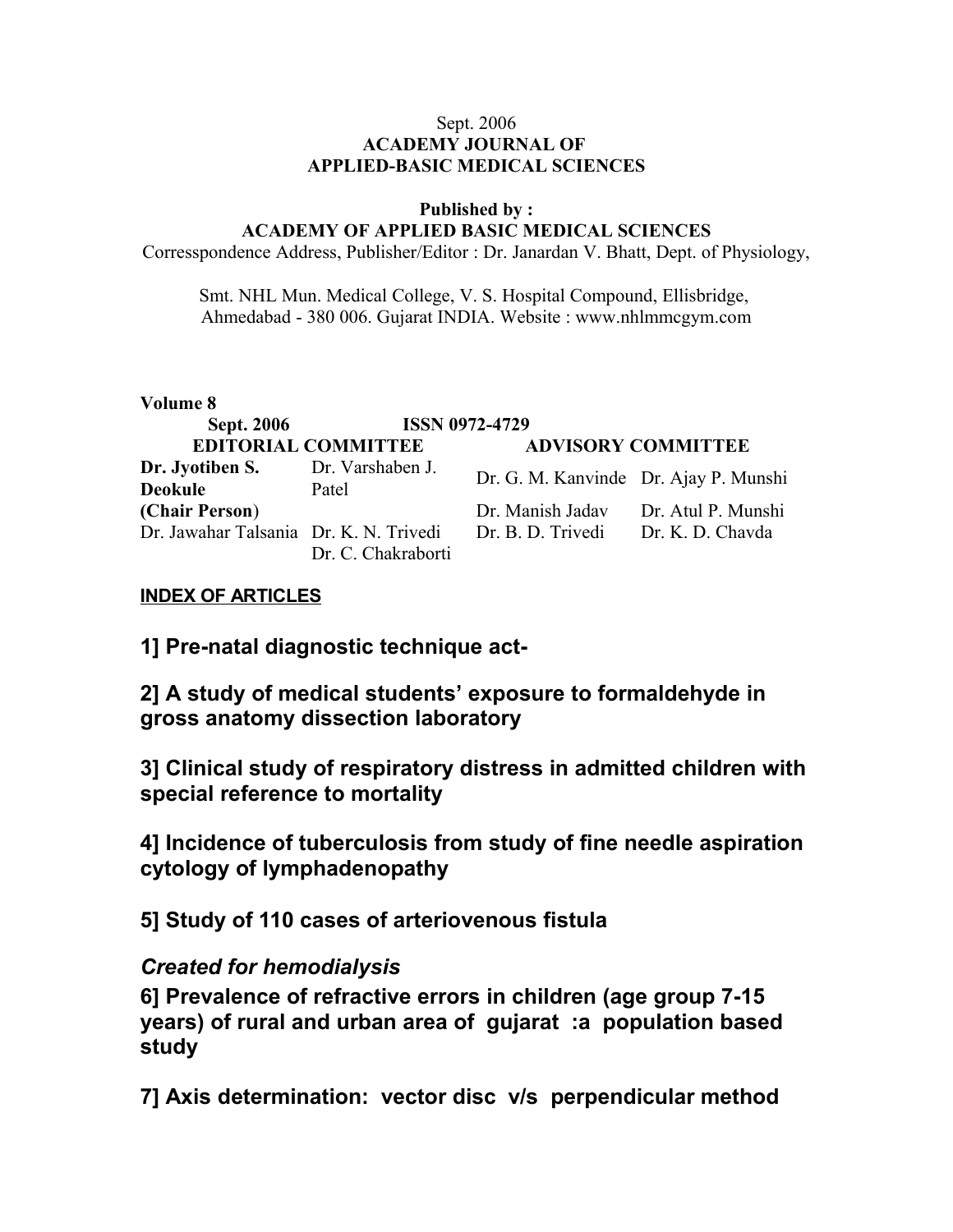### Sept. 2006 **ACADEMY JOURNAL OF APPLIED-BASIC MEDICAL SCIENCES**

#### **Published by : ACADEMY OF APPLIED BASIC MEDICAL SCIENCES**

Corresspondence Address, Publisher/Editor : Dr. Janardan V. Bhatt, Dept. of Physiology,

Smt. NHL Mun. Medical College, V. S. Hospital Compound, Ellisbridge, Ahmedabad - 380 006. Gujarat INDIA. Website : www.nhlmmcgym.com

### **Volume 8**

| <b>Sept. 2006</b>                      | <b>ISSN 0972-4729</b>      |                                       |                           |
|----------------------------------------|----------------------------|---------------------------------------|---------------------------|
|                                        | <b>EDITORIAL COMMITTEE</b> |                                       | <b>ADVISORY COMMITTEE</b> |
| Dr. Jyotiben S.<br><b>Deokule</b>      | Dr. Varshaben J.<br>Patel  | Dr. G. M. Kanvinde Dr. Ajay P. Munshi |                           |
| (Chair Person)                         |                            | Dr. Manish Jadav                      | Dr. Atul P. Munshi        |
| Dr. Jawahar Talsania Dr. K. N. Trivedi | Dr. C. Chakraborti         | Dr. B. D. Trivedi                     | Dr. K. D. Chavda          |

## **INDEX OF ARTICLES**

**1] Pre-natal diagnostic technique act-**

**2] A study of medical students' exposure to formaldehyde in gross anatomy dissection laboratory**

**3] Clinical study of respiratory distress in admitted children with special reference to mortality**

**4] Incidence of tuberculosis from study of fine needle aspiration cytology of lymphadenopathy**

**5] Study of 110 cases of arteriovenous fistula** 

# *Created for hemodialysis*

**6] Prevalence of refractive errors in children (age group 7-15 years) of rural and urban area of gujarat :a population based study**

**7] Axis determination: vector disc v/s perpendicular method**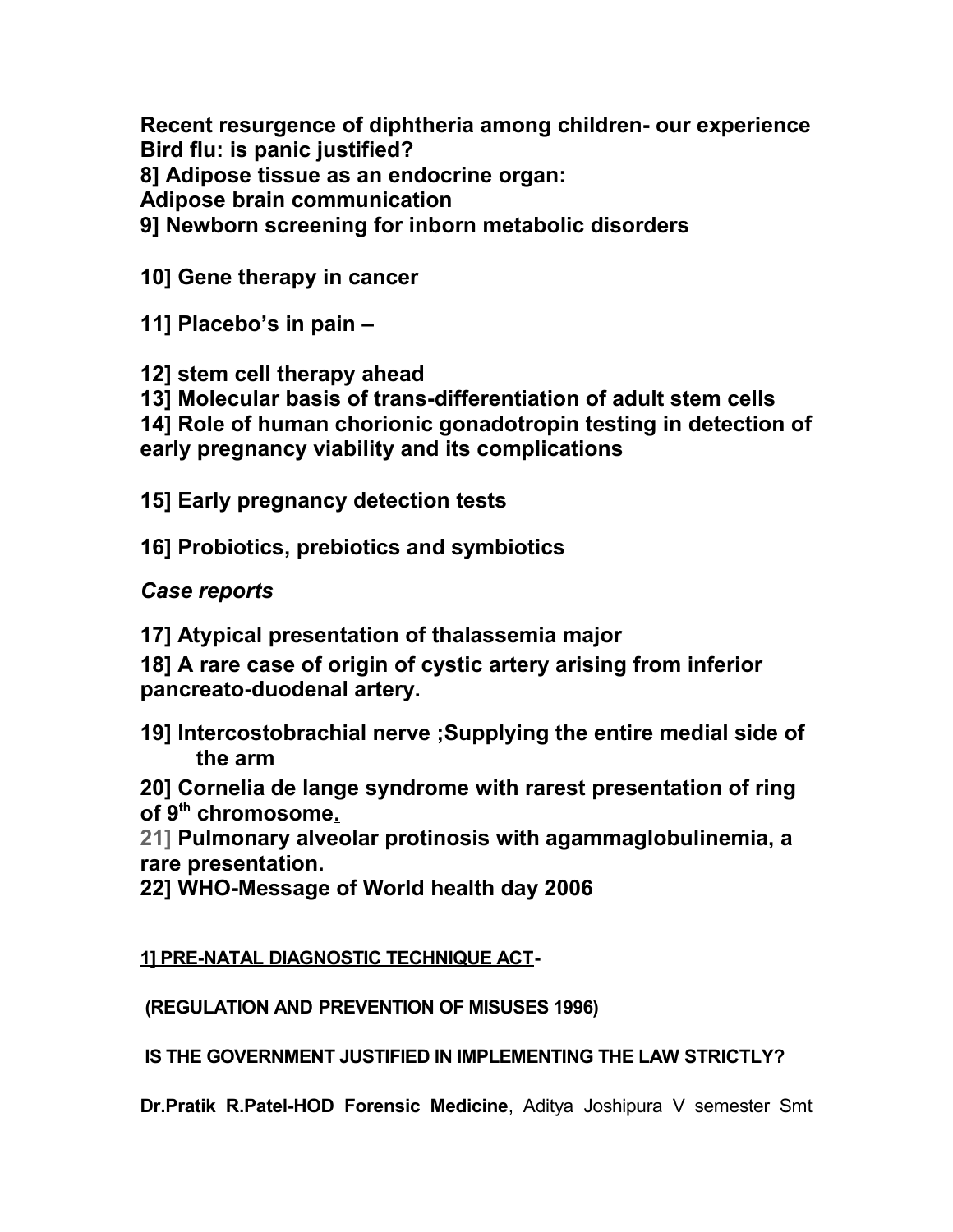**Recent resurgence of diphtheria among children- our experience Bird flu: is panic justified?**

**8] Adipose tissue as an endocrine organ:**

**Adipose brain communication**

**9] Newborn screening for inborn metabolic disorders** 

**10] Gene therapy in cancer**

**11] Placebo's in pain –**

**12] stem cell therapy ahead**

**13] Molecular basis of trans-differentiation of adult stem cells**

**14] Role of human chorionic gonadotropin testing in detection of early pregnancy viability and its complications**

**15] Early pregnancy detection tests**

**16] Probiotics, prebiotics and symbiotics**

*Case reports*

**17] Atypical presentation of thalassemia major**

**18] A rare case of origin of cystic artery arising from inferior pancreato-duodenal artery.**

**19] Intercostobrachial nerve ;Supplying the entire medial side of the arm**

**20] Cornelia de lange syndrome with rarest presentation of ring of 9th chromosome.**

**21] Pulmonary alveolar protinosis with agammaglobulinemia, a rare presentation.**

**22] WHO-Message of World health day 2006** 

**1] PRE-NATAL DIAGNOSTIC TECHNIQUE ACT-**

 **(REGULATION AND PREVENTION OF MISUSES 1996)**

 **IS THE GOVERNMENT JUSTIFIED IN IMPLEMENTING THE LAW STRICTLY?** 

**Dr.Pratik R.Patel-HOD Forensic Medicine**, Aditya Joshipura V semester Smt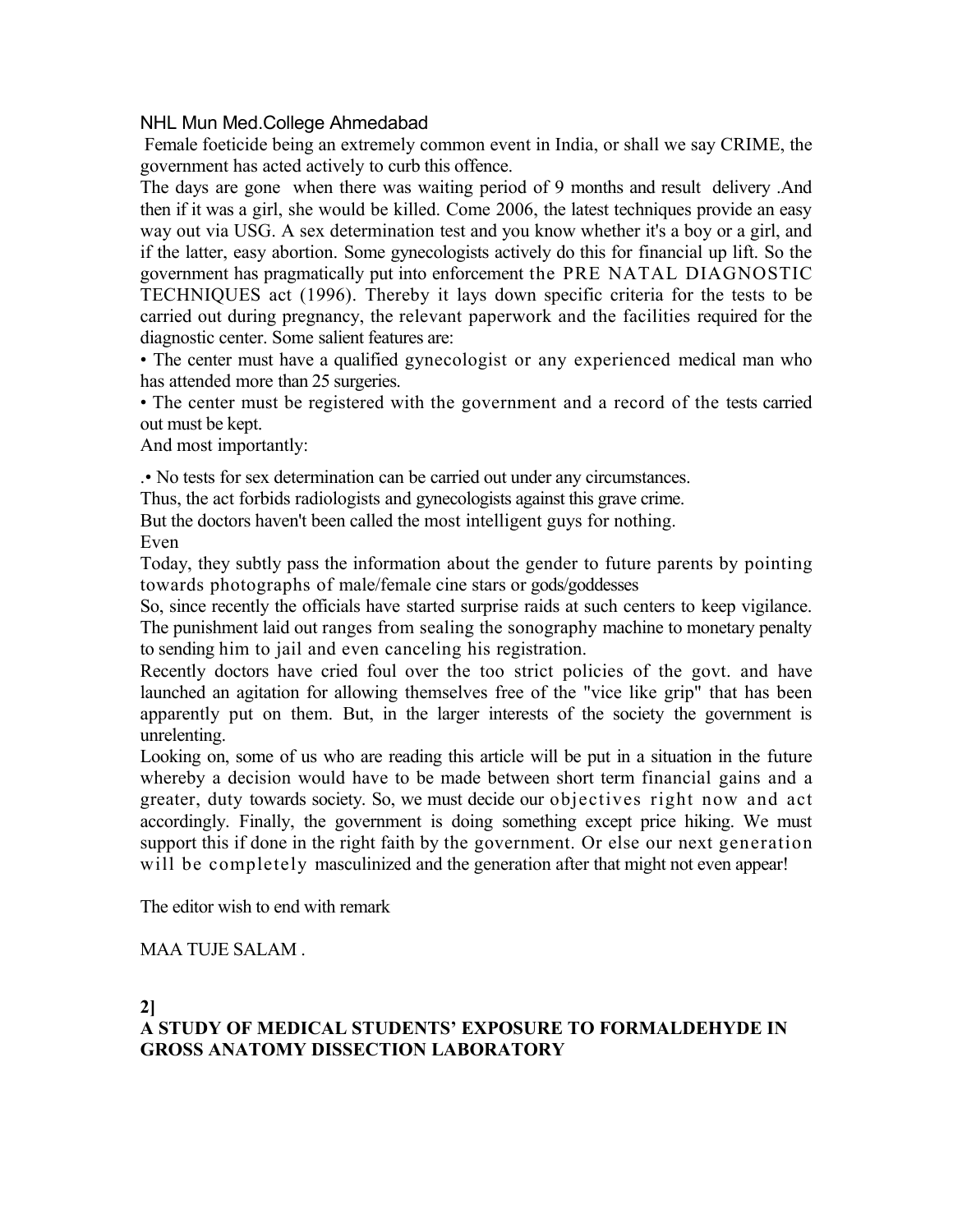## NHL Mun Med.College Ahmedabad

 Female foeticide being an extremely common event in India, or shall we say CRIME, the government has acted actively to curb this offence.

The days are gone when there was waiting period of 9 months and result delivery .And then if it was a girl, she would be killed. Come 2006, the latest techniques provide an easy way out via USG. A sex determination test and you know whether it's a boy or a girl, and if the latter, easy abortion. Some gynecologists actively do this for financial up lift. So the government has pragmatically put into enforcement the PRE NATAL DIAGNOSTIC TECHNIQUES act (1996). Thereby it lays down specific criteria for the tests to be carried out during pregnancy, the relevant paperwork and the facilities required for the diagnostic center. Some salient features are:

• The center must have a qualified gynecologist or any experienced medical man who has attended more than 25 surgeries.

• The center must be registered with the government and a record of the tests carried out must be kept.

And most importantly:

.• No tests for sex determination can be carried out under any circumstances.

Thus, the act forbids radiologists and gynecologists against this grave crime.

But the doctors haven't been called the most intelligent guys for nothing.

Even

Today, they subtly pass the information about the gender to future parents by pointing towards photographs of male/female cine stars or gods/goddesses

So, since recently the officials have started surprise raids at such centers to keep vigilance. The punishment laid out ranges from sealing the sonography machine to monetary penalty to sending him to jail and even canceling his registration.

Recently doctors have cried foul over the too strict policies of the govt. and have launched an agitation for allowing themselves free of the "vice like grip" that has been apparently put on them. But, in the larger interests of the society the government is unrelenting.

Looking on, some of us who are reading this article will be put in a situation in the future whereby a decision would have to be made between short term financial gains and a greater, duty towards society. So, we must decide our objectives right now and act accordingly. Finally, the government is doing something except price hiking. We must support this if done in the right faith by the government. Or else our next generation will be completely masculinized and the generation after that might not even appear!

The editor wish to end with remark

## MAA TUJE SALAM .

**2]** 

# **A STUDY OF MEDICAL STUDENTS' EXPOSURE TO FORMALDEHYDE IN GROSS ANATOMY DISSECTION LABORATORY**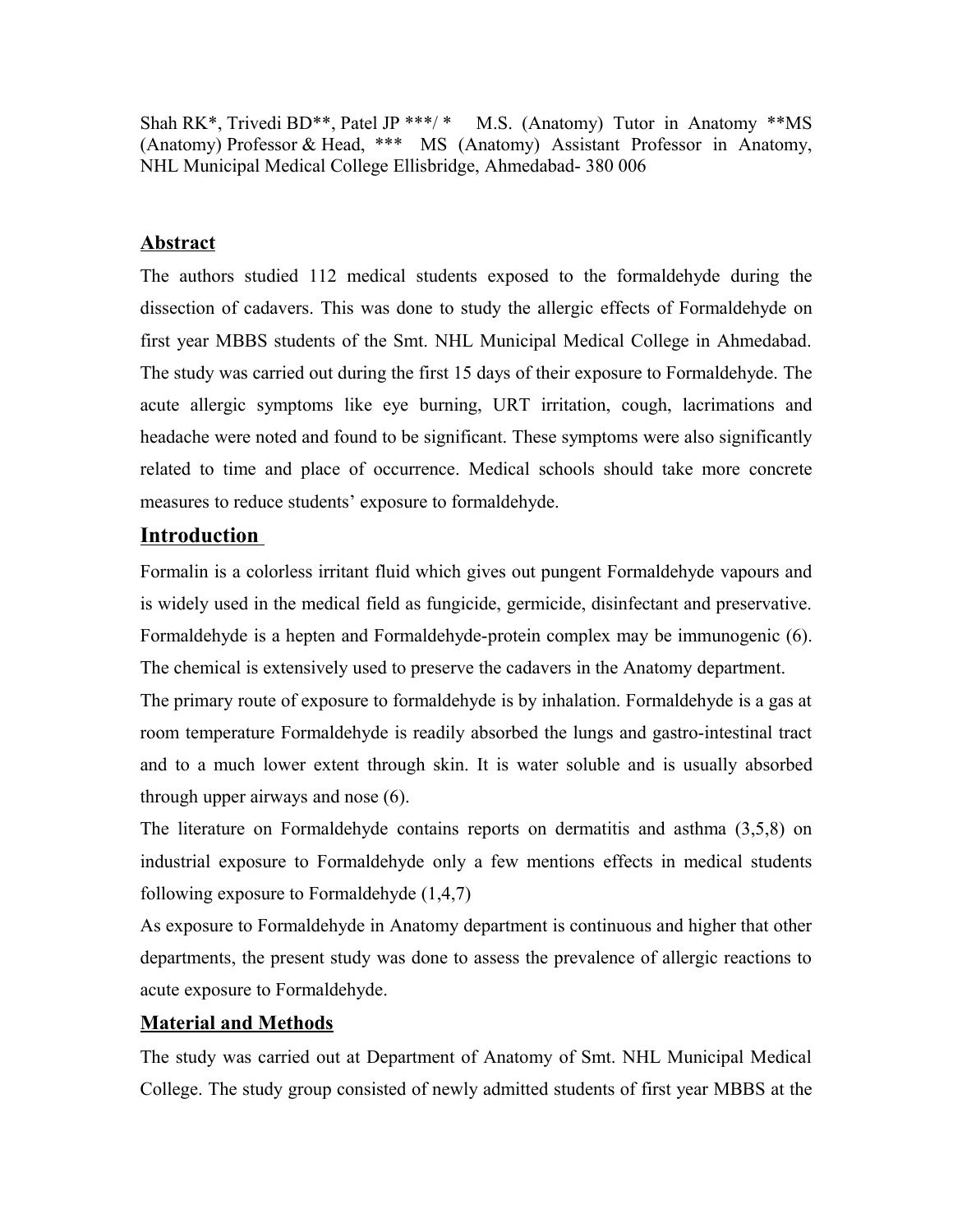Shah RK\*, Trivedi BD\*\*, Patel JP \*\*\*/ \* M.S. (Anatomy) Tutor in Anatomy \*\*MS (Anatomy) Professor & Head, \*\*\* MS (Anatomy) Assistant Professor in Anatomy, NHL Municipal Medical College Ellisbridge, Ahmedabad- 380 006

## **Abstract**

The authors studied 112 medical students exposed to the formaldehyde during the dissection of cadavers. This was done to study the allergic effects of Formaldehyde on first year MBBS students of the Smt. NHL Municipal Medical College in Ahmedabad. The study was carried out during the first 15 days of their exposure to Formaldehyde. The acute allergic symptoms like eye burning, URT irritation, cough, lacrimations and headache were noted and found to be significant. These symptoms were also significantly related to time and place of occurrence. Medical schools should take more concrete measures to reduce students' exposure to formaldehyde.

# **Introduction**

Formalin is a colorless irritant fluid which gives out pungent Formaldehyde vapours and is widely used in the medical field as fungicide, germicide, disinfectant and preservative. Formaldehyde is a hepten and Formaldehyde-protein complex may be immunogenic (6). The chemical is extensively used to preserve the cadavers in the Anatomy department.

The primary route of exposure to formaldehyde is by inhalation. Formaldehyde is a gas at room temperature Formaldehyde is readily absorbed the lungs and gastro-intestinal tract and to a much lower extent through skin. It is water soluble and is usually absorbed through upper airways and nose (6).

The literature on Formaldehyde contains reports on dermatitis and asthma (3,5,8) on industrial exposure to Formaldehyde only a few mentions effects in medical students following exposure to Formaldehyde (1,4,7)

As exposure to Formaldehyde in Anatomy department is continuous and higher that other departments, the present study was done to assess the prevalence of allergic reactions to acute exposure to Formaldehyde.

# **Material and Methods**

The study was carried out at Department of Anatomy of Smt. NHL Municipal Medical College. The study group consisted of newly admitted students of first year MBBS at the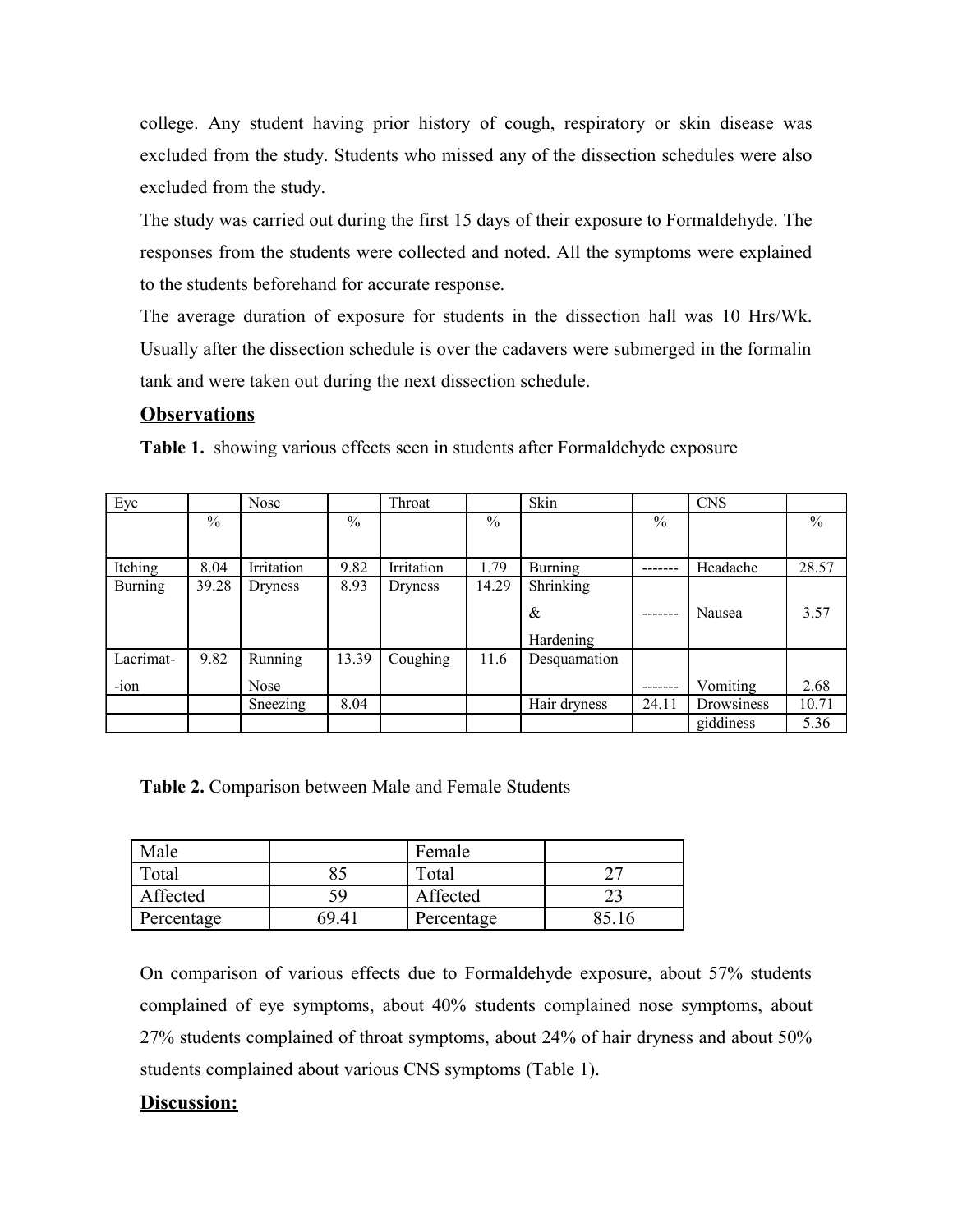college. Any student having prior history of cough, respiratory or skin disease was excluded from the study. Students who missed any of the dissection schedules were also excluded from the study.

The study was carried out during the first 15 days of their exposure to Formaldehyde. The responses from the students were collected and noted. All the symptoms were explained to the students beforehand for accurate response.

The average duration of exposure for students in the dissection hall was 10 Hrs/Wk. Usually after the dissection schedule is over the cadavers were submerged in the formalin tank and were taken out during the next dissection schedule.

### **Observations**

**Table 1.** showing various effects seen in students after Formaldehyde exposure

| Eye            |               | Nose           |               | Throat     |               | Skin           |       | <b>CNS</b> |               |
|----------------|---------------|----------------|---------------|------------|---------------|----------------|-------|------------|---------------|
|                | $\frac{0}{0}$ |                | $\frac{0}{0}$ |            | $\frac{0}{0}$ |                | $\%$  |            | $\frac{0}{0}$ |
|                |               |                |               |            |               |                |       |            |               |
| Itching        | 8.04          | Irritation     | 9.82          | Irritation | 1.79          | <b>Burning</b> |       | Headache   | 28.57         |
| <b>Burning</b> | 39.28         | <b>Dryness</b> | 8.93          | Dryness    | 14.29         | Shrinking      |       |            |               |
|                |               |                |               |            |               | &              |       | Nausea     | 3.57          |
|                |               |                |               |            |               | Hardening      |       |            |               |
| Lacrimat-      | 9.82          | Running        | 13.39         | Coughing   | 11.6          | Desquamation   |       |            |               |
| $-i$ on        |               | Nose           |               |            |               |                |       | Vomiting   | 2.68          |
|                |               | Sneezing       | 8.04          |            |               | Hair dryness   | 24.11 | Drowsiness | 10.71         |
|                |               |                |               |            |               |                |       | giddiness  | 5.36          |

**Table 2.** Comparison between Male and Female Students

| Male       |       | Female     |  |
|------------|-------|------------|--|
| Γotal      |       | Total      |  |
| Affected   | 59    | Affected   |  |
| Percentage | 69 41 | Percentage |  |

On comparison of various effects due to Formaldehyde exposure, about 57% students complained of eye symptoms, about 40% students complained nose symptoms, about 27% students complained of throat symptoms, about 24% of hair dryness and about 50% students complained about various CNS symptoms (Table 1).

## **Discussion:**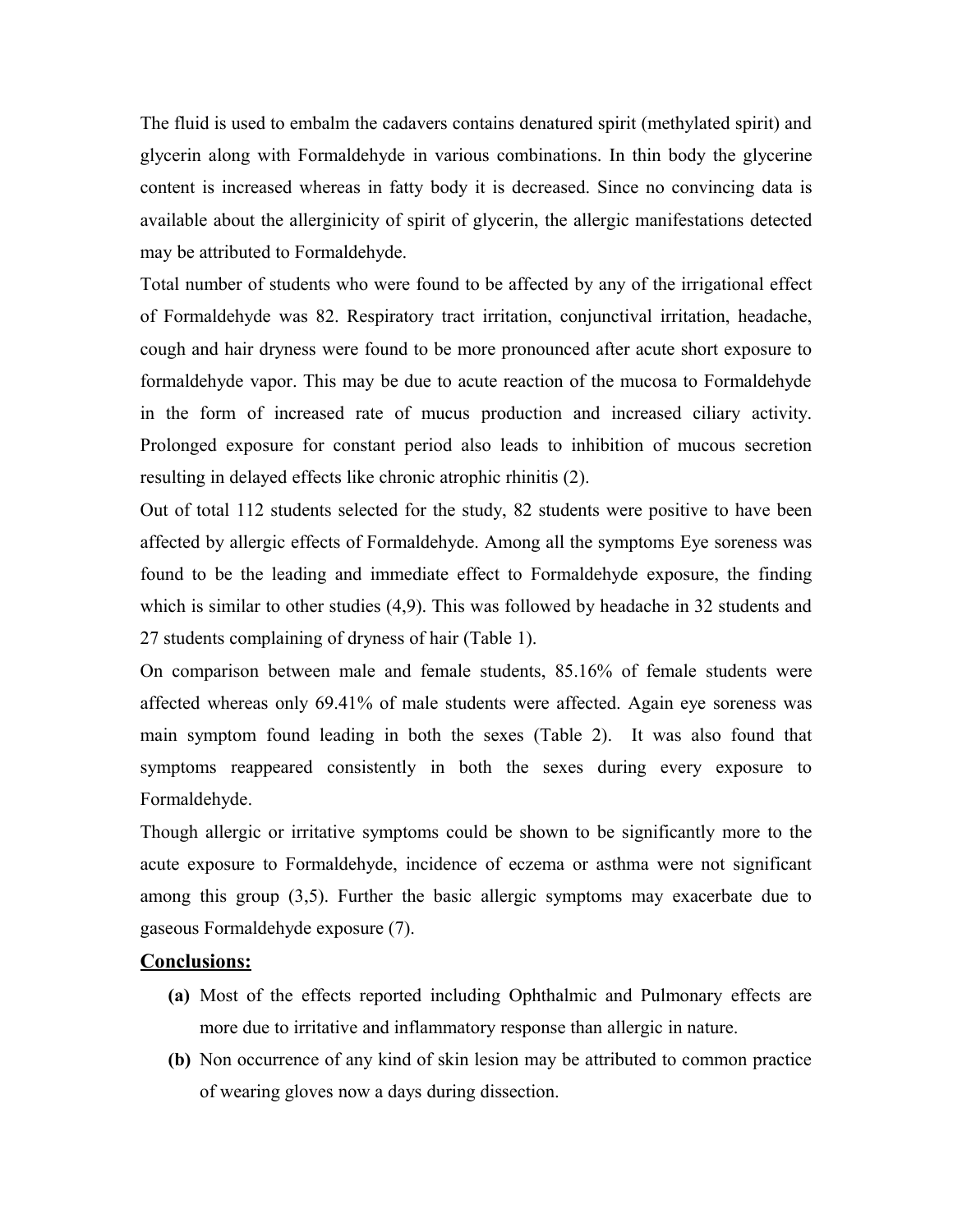The fluid is used to embalm the cadavers contains denatured spirit (methylated spirit) and glycerin along with Formaldehyde in various combinations. In thin body the glycerine content is increased whereas in fatty body it is decreased. Since no convincing data is available about the allerginicity of spirit of glycerin, the allergic manifestations detected may be attributed to Formaldehyde.

Total number of students who were found to be affected by any of the irrigational effect of Formaldehyde was 82. Respiratory tract irritation, conjunctival irritation, headache, cough and hair dryness were found to be more pronounced after acute short exposure to formaldehyde vapor. This may be due to acute reaction of the mucosa to Formaldehyde in the form of increased rate of mucus production and increased ciliary activity. Prolonged exposure for constant period also leads to inhibition of mucous secretion resulting in delayed effects like chronic atrophic rhinitis (2).

Out of total 112 students selected for the study, 82 students were positive to have been affected by allergic effects of Formaldehyde. Among all the symptoms Eye soreness was found to be the leading and immediate effect to Formaldehyde exposure, the finding which is similar to other studies (4,9). This was followed by headache in 32 students and 27 students complaining of dryness of hair (Table 1).

On comparison between male and female students, 85.16% of female students were affected whereas only 69.41% of male students were affected. Again eye soreness was main symptom found leading in both the sexes (Table 2). It was also found that symptoms reappeared consistently in both the sexes during every exposure to Formaldehyde.

Though allergic or irritative symptoms could be shown to be significantly more to the acute exposure to Formaldehyde, incidence of eczema or asthma were not significant among this group (3,5). Further the basic allergic symptoms may exacerbate due to gaseous Formaldehyde exposure (7).

### **Conclusions:**

- **(a)** Most of the effects reported including Ophthalmic and Pulmonary effects are more due to irritative and inflammatory response than allergic in nature.
- **(b)** Non occurrence of any kind of skin lesion may be attributed to common practice of wearing gloves now a days during dissection.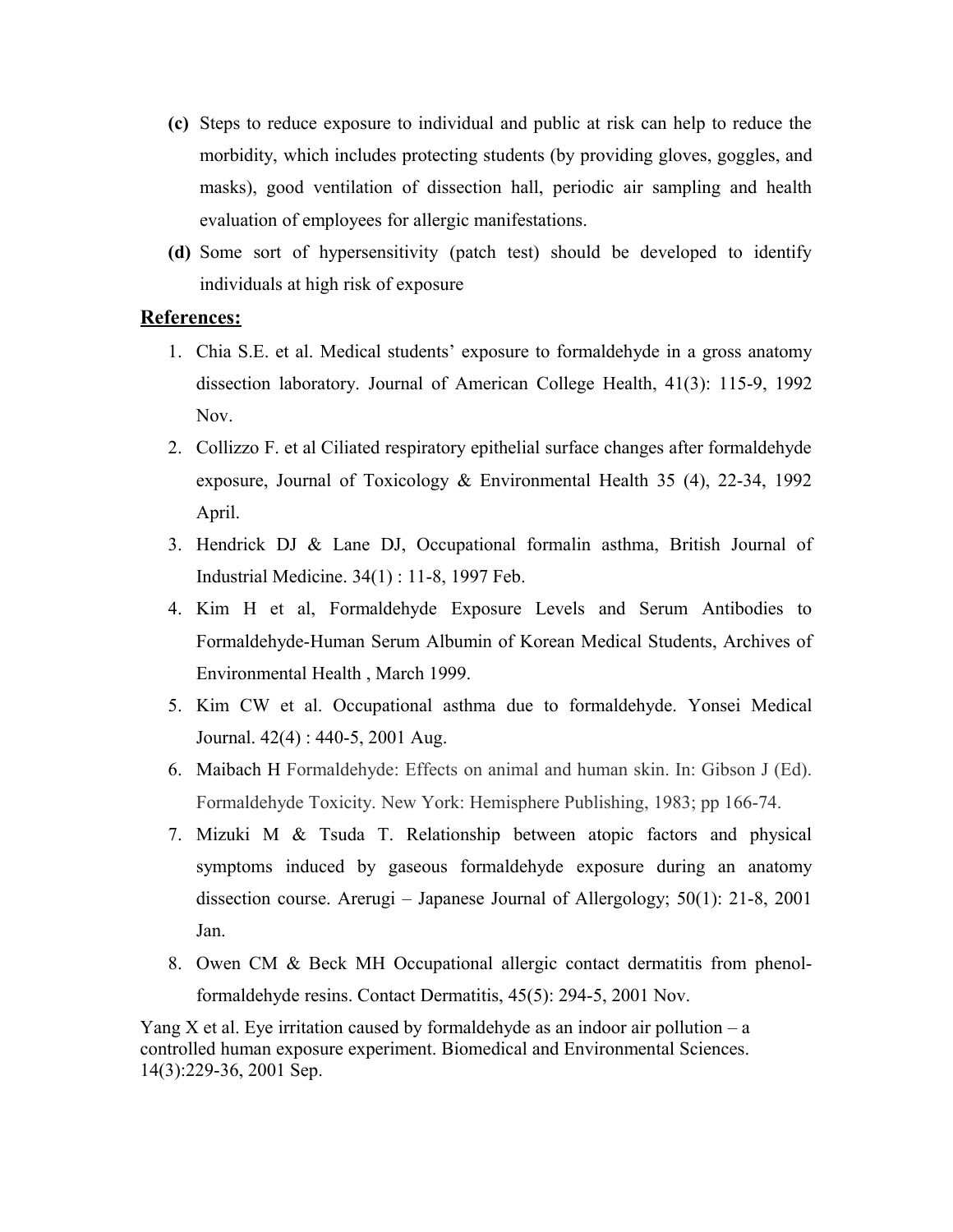- **(c)** Steps to reduce exposure to individual and public at risk can help to reduce the morbidity, which includes protecting students (by providing gloves, goggles, and masks), good ventilation of dissection hall, periodic air sampling and health evaluation of employees for allergic manifestations.
- **(d)** Some sort of hypersensitivity (patch test) should be developed to identify individuals at high risk of exposure

## **References:**

- 1. Chia S.E. et al. Medical students' exposure to formaldehyde in a gross anatomy dissection laboratory. Journal of American College Health, 41(3): 115-9, 1992 Nov.
- 2. Collizzo F. et al Ciliated respiratory epithelial surface changes after formaldehyde exposure, Journal of Toxicology & Environmental Health 35 (4), 22-34, 1992 April.
- 3. Hendrick DJ & Lane DJ, Occupational formalin asthma, British Journal of Industrial Medicine. 34(1) : 11-8, 1997 Feb.
- 4. Kim H et al, Formaldehyde Exposure Levels and Serum Antibodies to Formaldehyde-Human Serum Albumin of Korean Medical Students, Archives of Environmental Health , March 1999.
- 5. Kim CW et al. Occupational asthma due to formaldehyde. Yonsei Medical Journal. 42(4) : 440-5, 2001 Aug.
- 6. Maibach H Formaldehyde: Effects on animal and human skin. In: Gibson J (Ed). Formaldehyde Toxicity. New York: Hemisphere Publishing, 1983; pp 166-74.
- 7. Mizuki M & Tsuda T. Relationship between atopic factors and physical symptoms induced by gaseous formaldehyde exposure during an anatomy dissection course. Arerugi – Japanese Journal of Allergology; 50(1): 21-8, 2001 Jan.
- 8. Owen CM & Beck MH Occupational allergic contact dermatitis from phenolformaldehyde resins. Contact Dermatitis, 45(5): 294-5, 2001 Nov.

Yang X et al. Eye irritation caused by formaldehyde as an indoor air pollution – a controlled human exposure experiment. Biomedical and Environmental Sciences. 14(3):229-36, 2001 Sep.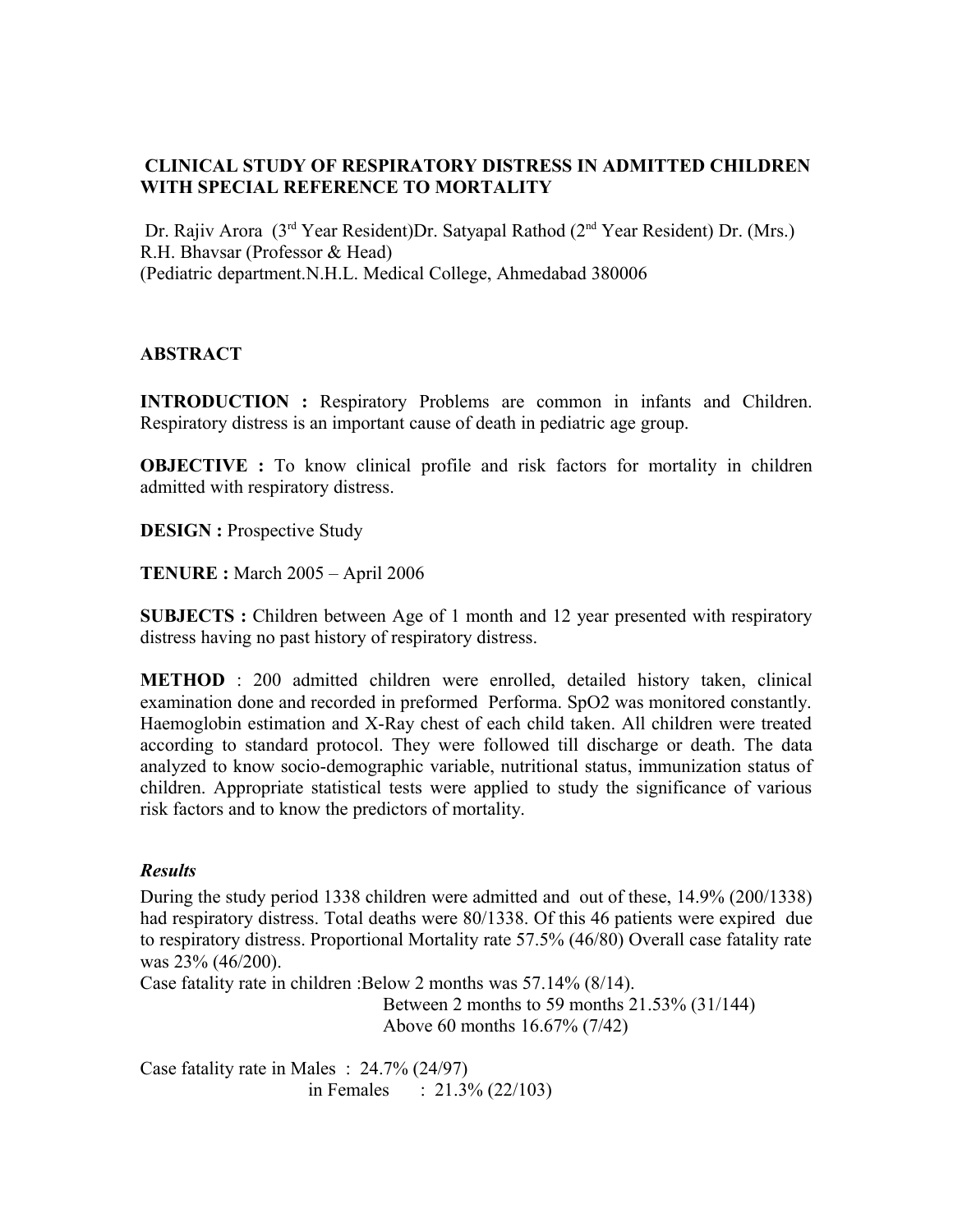## **CLINICAL STUDY OF RESPIRATORY DISTRESS IN ADMITTED CHILDREN WITH SPECIAL REFERENCE TO MORTALITY**

Dr. Rajiv Arora (3rd Year Resident)Dr. Satyapal Rathod (2nd Year Resident) Dr. (Mrs.) R.H. Bhavsar (Professor & Head) (Pediatric department.N.H.L. Medical College, Ahmedabad 380006

## **ABSTRACT**

**INTRODUCTION :** Respiratory Problems are common in infants and Children. Respiratory distress is an important cause of death in pediatric age group.

**OBJECTIVE** : To know clinical profile and risk factors for mortality in children admitted with respiratory distress.

**DESIGN** : Prospective Study

**TENURE :** March 2005 – April 2006

**SUBJECTS :** Children between Age of 1 month and 12 year presented with respiratory distress having no past history of respiratory distress.

**METHOD** : 200 admitted children were enrolled, detailed history taken, clinical examination done and recorded in preformed Performa. SpO2 was monitored constantly. Haemoglobin estimation and X-Ray chest of each child taken. All children were treated according to standard protocol. They were followed till discharge or death. The data analyzed to know socio-demographic variable, nutritional status, immunization status of children. Appropriate statistical tests were applied to study the significance of various risk factors and to know the predictors of mortality.

## *Results*

During the study period 1338 children were admitted and out of these, 14.9% (200/1338) had respiratory distress. Total deaths were 80/1338. Of this 46 patients were expired due to respiratory distress. Proportional Mortality rate 57.5% (46/80) Overall case fatality rate was 23% (46/200).

Case fatality rate in children :Below 2 months was 57.14% (8/14).

 Between 2 months to 59 months 21.53% (31/144) Above 60 months 16.67% (7/42)

Case fatality rate in Males : 24.7% (24/97) in Females :  $21.3\% (22/103)$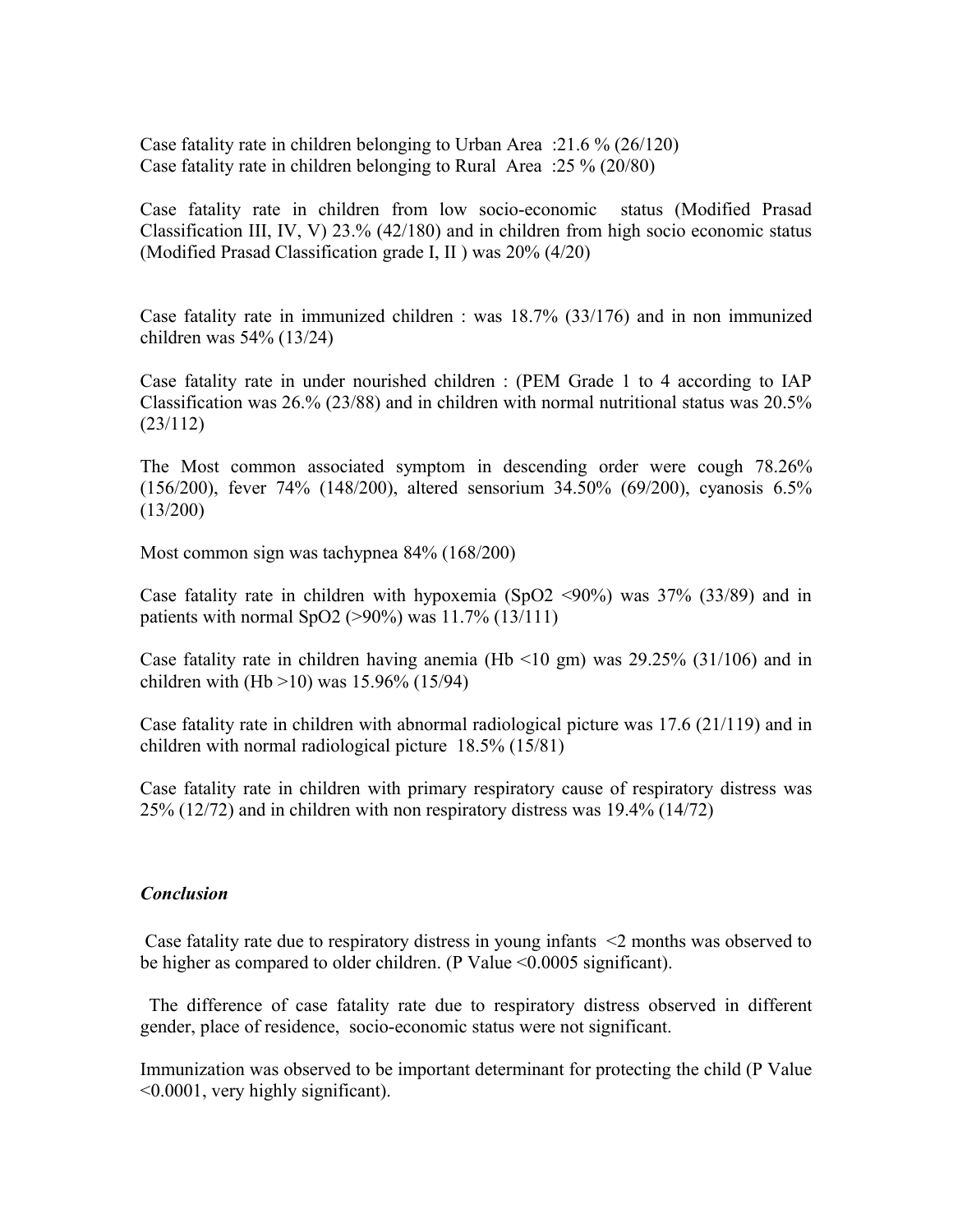Case fatality rate in children belonging to Urban Area :21.6 % (26/120) Case fatality rate in children belonging to Rural Area :25 % (20/80)

Case fatality rate in children from low socio-economic status (Modified Prasad Classification III, IV, V) 23.% (42/180) and in children from high socio economic status (Modified Prasad Classification grade I, II ) was 20% (4/20)

Case fatality rate in immunized children : was 18.7% (33/176) and in non immunized children was 54% (13/24)

Case fatality rate in under nourished children : (PEM Grade 1 to 4 according to IAP Classification was 26.% (23/88) and in children with normal nutritional status was 20.5% (23/112)

The Most common associated symptom in descending order were cough 78.26% (156/200), fever 74% (148/200), altered sensorium 34.50% (69/200), cyanosis 6.5% (13/200)

Most common sign was tachypnea 84% (168/200)

Case fatality rate in children with hypoxemia (SpO2  $\leq$ 90%) was 37% (33/89) and in patients with normal SpO2 ( $>90\%$ ) was 11.7% (13/111)

Case fatality rate in children having anemia (Hb  $\leq$ 10 gm) was 29.25% (31/106) and in children with (Hb  $>10$ ) was 15.96% (15/94)

Case fatality rate in children with abnormal radiological picture was 17.6 (21/119) and in children with normal radiological picture 18.5% (15/81)

Case fatality rate in children with primary respiratory cause of respiratory distress was 25% (12/72) and in children with non respiratory distress was 19.4% (14/72)

### *Conclusion*

 Case fatality rate due to respiratory distress in young infants <2 months was observed to be higher as compared to older children. (P Value <0.0005 significant).

 The difference of case fatality rate due to respiratory distress observed in different gender, place of residence, socio-economic status were not significant.

Immunization was observed to be important determinant for protecting the child (P Value <0.0001, very highly significant).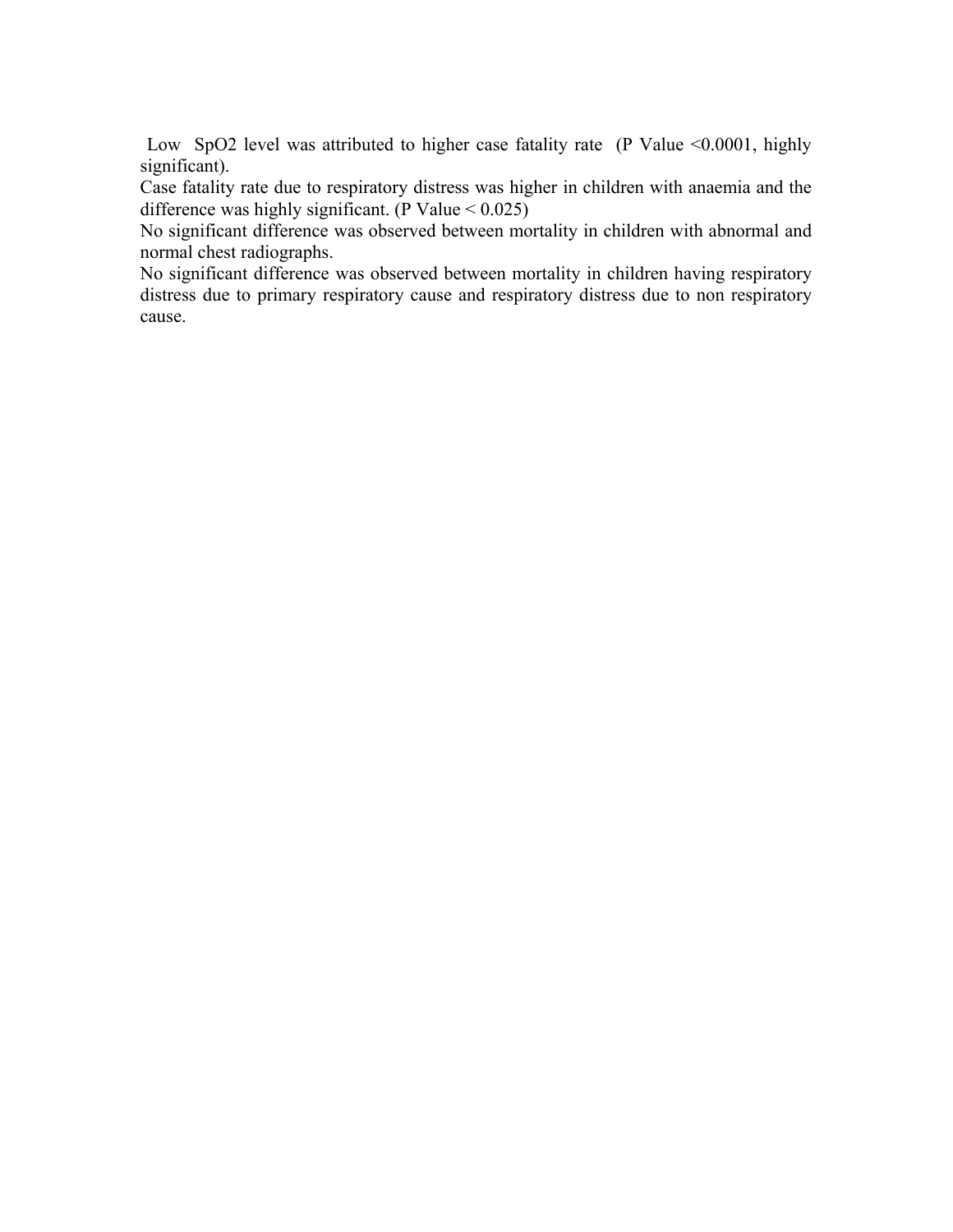Low SpO2 level was attributed to higher case fatality rate (P Value <0.0001, highly significant).

Case fatality rate due to respiratory distress was higher in children with anaemia and the difference was highly significant. (P Value  $< 0.025$ )

No significant difference was observed between mortality in children with abnormal and normal chest radiographs.

No significant difference was observed between mortality in children having respiratory distress due to primary respiratory cause and respiratory distress due to non respiratory cause.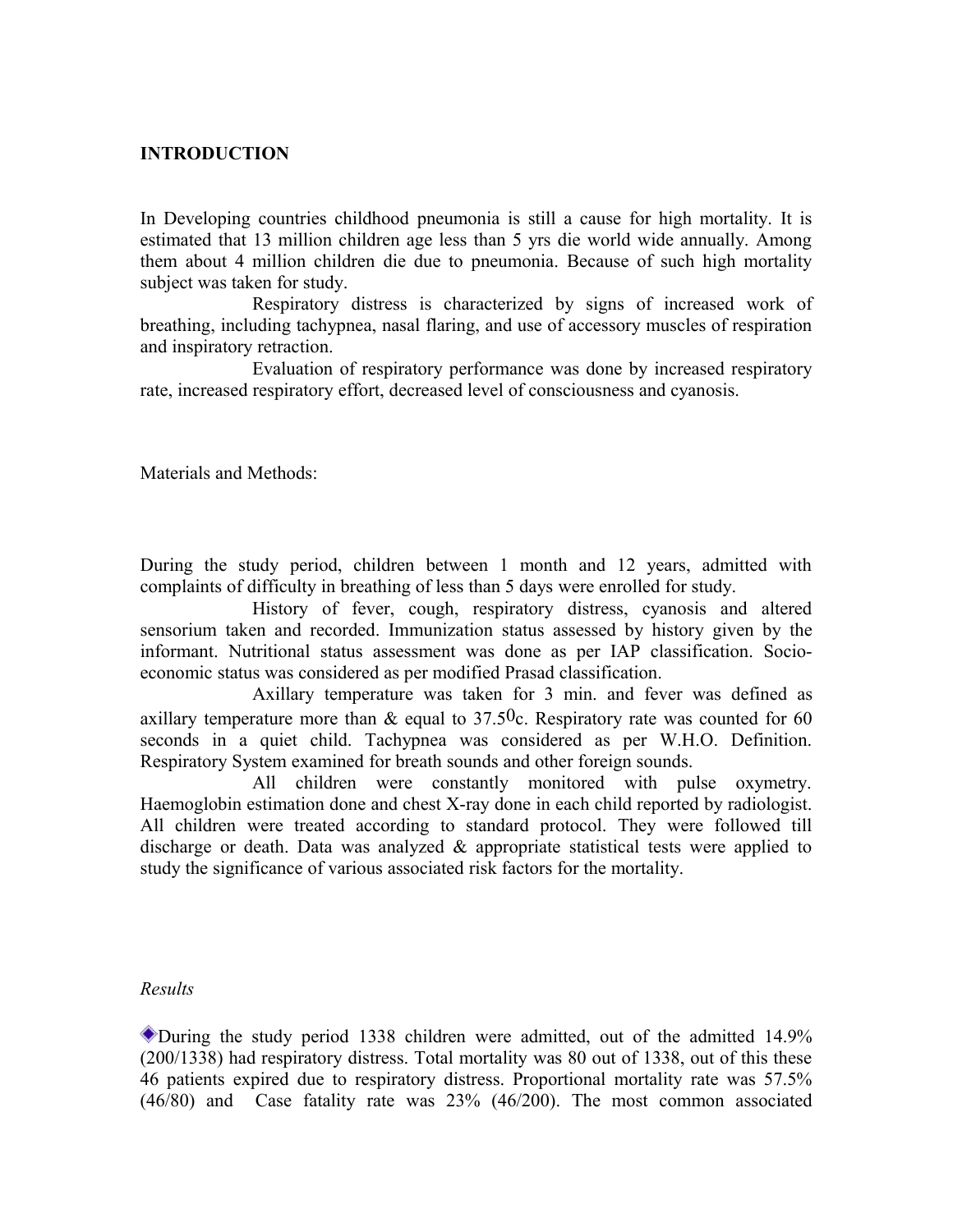## **INTRODUCTION**

In Developing countries childhood pneumonia is still a cause for high mortality. It is estimated that 13 million children age less than 5 yrs die world wide annually. Among them about 4 million children die due to pneumonia. Because of such high mortality subject was taken for study.

Respiratory distress is characterized by signs of increased work of breathing, including tachypnea, nasal flaring, and use of accessory muscles of respiration and inspiratory retraction.

Evaluation of respiratory performance was done by increased respiratory rate, increased respiratory effort, decreased level of consciousness and cyanosis.

Materials and Methods:

During the study period, children between 1 month and 12 years, admitted with complaints of difficulty in breathing of less than 5 days were enrolled for study.

History of fever, cough, respiratory distress, cyanosis and altered sensorium taken and recorded. Immunization status assessed by history given by the informant. Nutritional status assessment was done as per IAP classification. Socioeconomic status was considered as per modified Prasad classification.

Axillary temperature was taken for 3 min. and fever was defined as axillary temperature more than  $\&$  equal to 37.50c. Respiratory rate was counted for 60 seconds in a quiet child. Tachypnea was considered as per W.H.O. Definition. Respiratory System examined for breath sounds and other foreign sounds.

All children were constantly monitored with pulse oxymetry. Haemoglobin estimation done and chest X-ray done in each child reported by radiologist. All children were treated according to standard protocol. They were followed till discharge or death. Data was analyzed  $\&$  appropriate statistical tests were applied to study the significance of various associated risk factors for the mortality.

#### *Results*

During the study period 1338 children were admitted, out of the admitted 14.9% (200/1338) had respiratory distress. Total mortality was 80 out of 1338, out of this these 46 patients expired due to respiratory distress. Proportional mortality rate was 57.5% (46/80) and Case fatality rate was 23% (46/200). The most common associated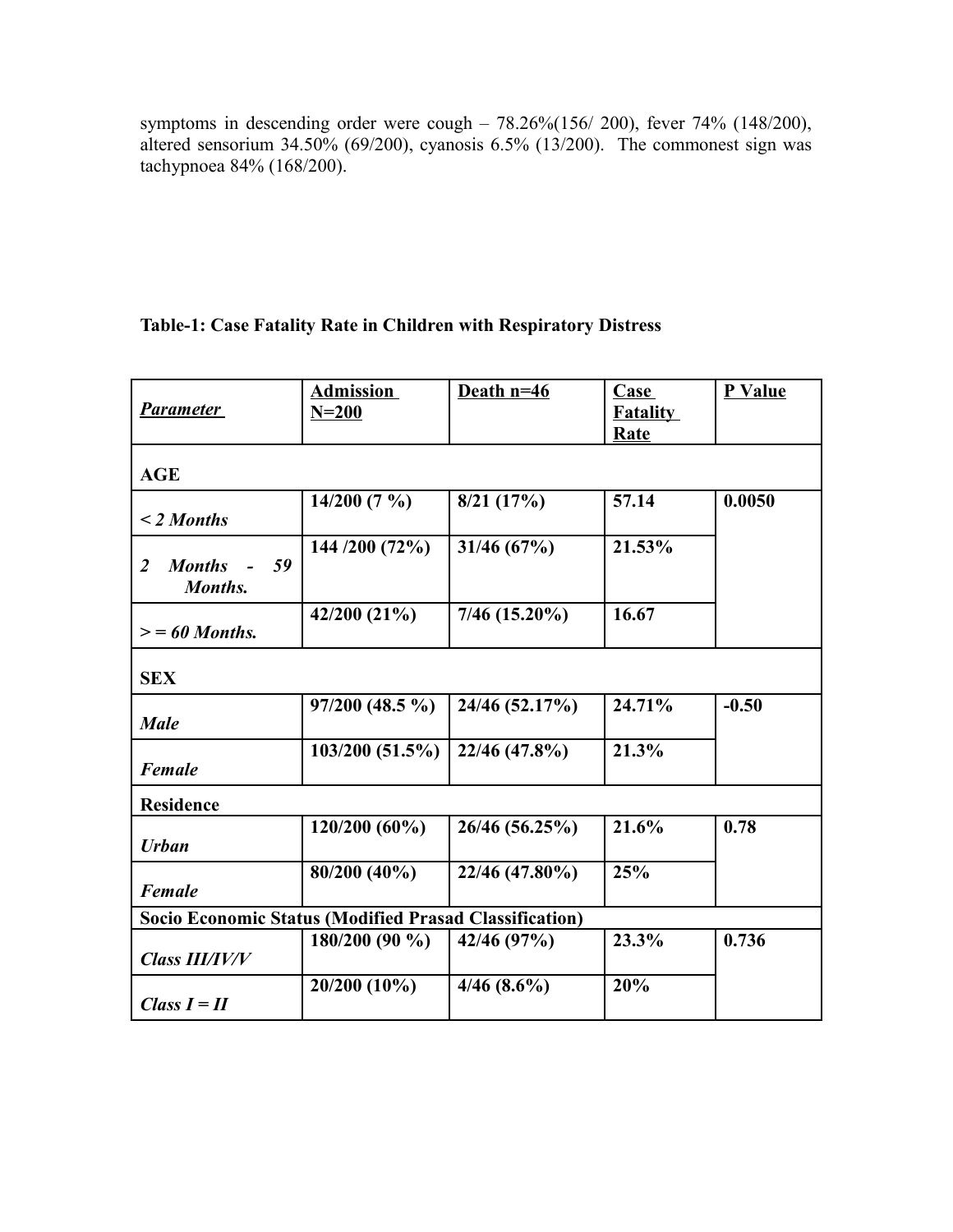symptoms in descending order were cough – 78.26%(156/ 200), fever 74% (148/200), altered sensorium 34.50% (69/200), cyanosis 6.5% (13/200). The commonest sign was tachypnoea 84% (168/200).

## **Table-1: Case Fatality Rate in Children with Respiratory Distress**

| Parameter                                              | <b>Admission</b><br>$N = 200$ | Death $n=46$    | Case<br><b>Fatality</b> | P Value |
|--------------------------------------------------------|-------------------------------|-----------------|-------------------------|---------|
|                                                        |                               |                 | Rate                    |         |
| <b>AGE</b>                                             |                               |                 |                         |         |
| $\leq$ 2 Months                                        | 14/200(7%)                    | 8/21(17%)       | 57.14                   | 0.0050  |
| 59<br><b>Months</b><br>2<br>Months.                    | 144 /200 (72%)                | 31/46 (67%)     | 21.53%                  |         |
| $\mathcal{E} = 60$ Months.                             | 42/200 (21%)                  | $7/46$ (15.20%) | 16.67                   |         |
| <b>SEX</b>                                             |                               |                 |                         |         |
| <b>Male</b>                                            | $97/200$ (48.5 %)             | 24/46 (52.17%)  | 24.71%                  | $-0.50$ |
| <b>Female</b>                                          | 103/200(51.5%)                | 22/46 (47.8%)   | 21.3%                   |         |
| <b>Residence</b>                                       |                               |                 |                         |         |
| <b>Urban</b>                                           | $120/200(60\%)$               | 26/46 (56.25%)  | 21.6%                   | 0.78    |
| <b>Female</b>                                          | 80/200 (40%)                  | 22/46 (47.80%)  | 25%                     |         |
| Socio Economic Status (Modified Prasad Classification) |                               |                 |                         |         |
| <b>Class III/IV/V</b>                                  | $180/200(90\%)$               | 42/46 (97%)     | 23.3%                   | 0.736   |
| Class $I = II$                                         | 20/200 (10%)                  | $4/46(8.6\%)$   | 20%                     |         |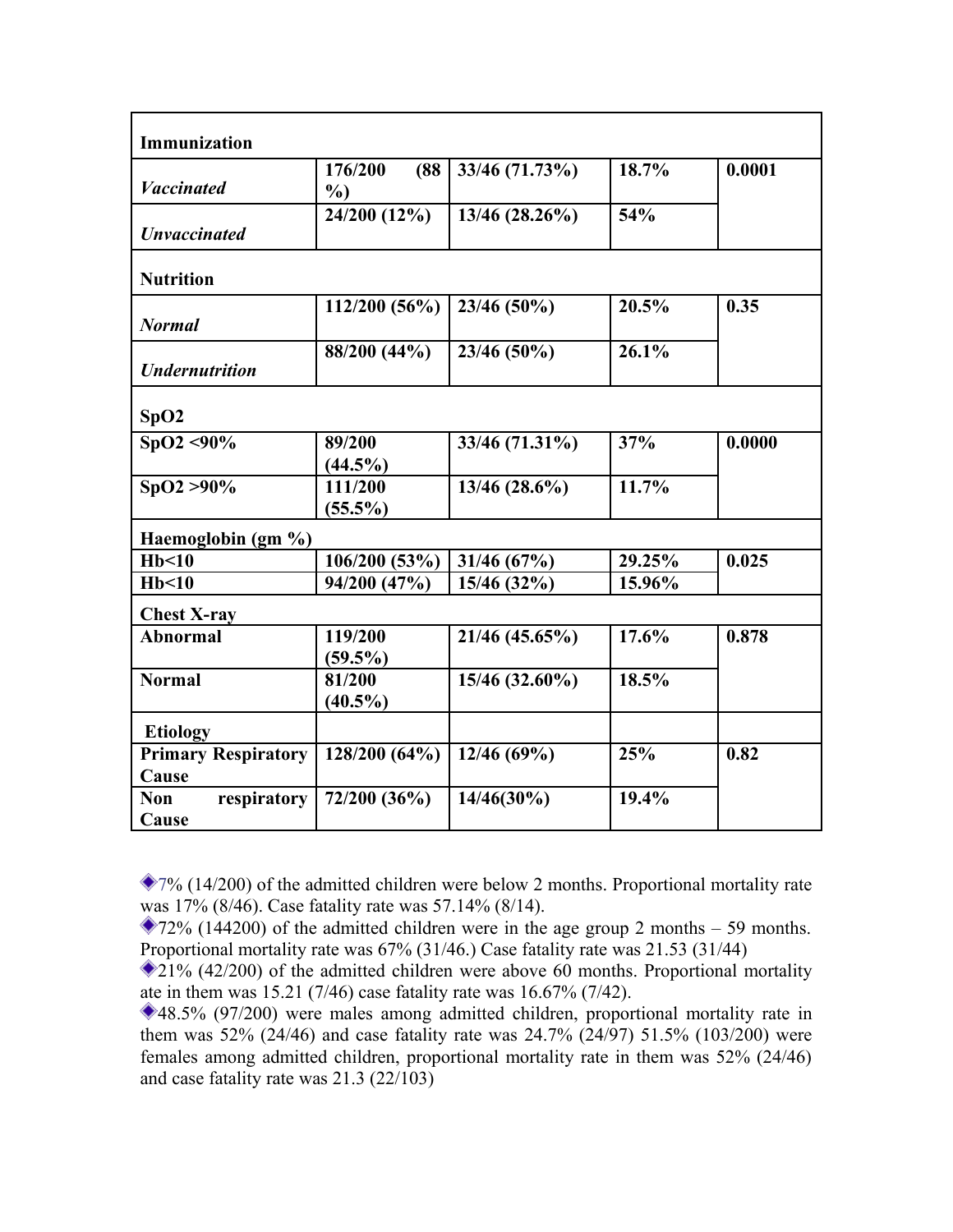| Immunization                        |                           |                |        |        |
|-------------------------------------|---------------------------|----------------|--------|--------|
| <b>Vaccinated</b>                   | 176/200<br>(88)<br>$\%$ ) | 33/46 (71.73%) | 18.7%  | 0.0001 |
| <b>Unvaccinated</b>                 | 24/200 (12%)              | 13/46 (28.26%) | 54%    |        |
| <b>Nutrition</b>                    |                           |                |        |        |
| <b>Normal</b>                       | 112/200 (56%)             | 23/46 (50%)    | 20.5%  | 0.35   |
| <b>Undernutrition</b>               | 88/200 (44%)              | 23/46 (50%)    | 26.1%  |        |
| SpO2                                |                           |                |        |        |
| $SpO2 < 90\%$                       | 89/200<br>$(44.5\%)$      | 33/46 (71.31%) | 37%    | 0.0000 |
| $SpO2 > 90\%$                       | 111/200<br>$(55.5\%)$     | 13/46 (28.6%)  | 11.7%  |        |
| Haemoglobin (gm %)                  |                           |                |        |        |
| Hb<10                               | 106/200 (53%)             | 31/46(67%)     | 29.25% | 0.025  |
| Hb<10                               | 94/200 (47%)              | 15/46 (32%)    | 15.96% |        |
| <b>Chest X-ray</b>                  |                           |                |        |        |
| <b>Abnormal</b>                     | 119/200<br>$(59.5\%)$     | 21/46 (45.65%) | 17.6%  | 0.878  |
| <b>Normal</b>                       | 81/200<br>$(40.5\%)$      | 15/46 (32.60%) | 18.5%  |        |
| <b>Etiology</b>                     |                           |                |        |        |
| <b>Primary Respiratory</b><br>Cause | 128/200 (64%)             | 12/46 (69%)    | 25%    | 0.82   |
| respiratory<br><b>Non</b><br>Cause  | 72/200 (36%)              | $14/46(30\%)$  | 19.4%  |        |

 $27\%$  (14/200) of the admitted children were below 2 months. Proportional mortality rate was 17% (8/46). Case fatality rate was 57.14% (8/14).

 $272\%$  (144200) of the admitted children were in the age group 2 months – 59 months. Proportional mortality rate was 67% (31/46.) Case fatality rate was 21.53 (31/44)

 $21\%$  (42/200) of the admitted children were above 60 months. Proportional mortality ate in them was 15.21 (7/46) case fatality rate was 16.67% (7/42).

<sup>48.5% (97/200)</sup> were males among admitted children, proportional mortality rate in them was 52% (24/46) and case fatality rate was 24.7% (24/97) 51.5% (103/200) were females among admitted children, proportional mortality rate in them was 52% (24/46) and case fatality rate was 21.3 (22/103)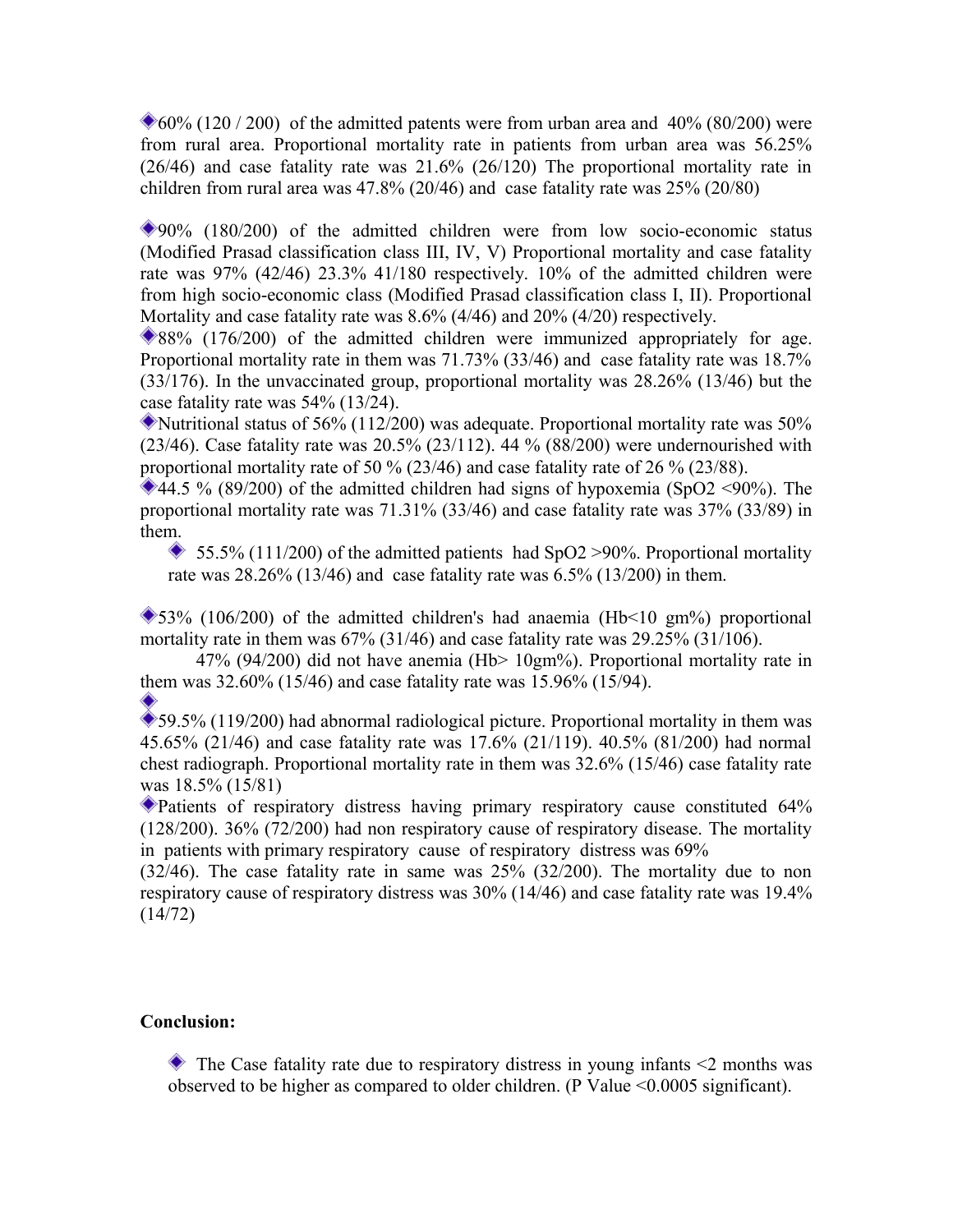$60\%$  (120 / 200) of the admitted patents were from urban area and 40% (80/200) were from rural area. Proportional mortality rate in patients from urban area was 56.25% (26/46) and case fatality rate was 21.6% (26/120) The proportional mortality rate in children from rural area was 47.8% (20/46) and case fatality rate was 25% (20/80)

90% (180/200) of the admitted children were from low socio-economic status (Modified Prasad classification class III, IV, V) Proportional mortality and case fatality rate was 97% (42/46) 23.3% 41/180 respectively. 10% of the admitted children were from high socio-economic class (Modified Prasad classification class I, II). Proportional Mortality and case fatality rate was 8.6% (4/46) and 20% (4/20) respectively.

88% (176/200) of the admitted children were immunized appropriately for age. Proportional mortality rate in them was 71.73% (33/46) and case fatality rate was 18.7% (33/176). In the unvaccinated group, proportional mortality was 28.26% (13/46) but the case fatality rate was 54% (13/24).

Nutritional status of 56% (112/200) was adequate. Proportional mortality rate was 50% (23/46). Case fatality rate was  $20.5\%$  (23/112). 44 % (88/200) were undernourished with proportional mortality rate of 50 % (23/46) and case fatality rate of 26 % (23/88).

 $*44.5\%$  (89/200) of the admitted children had signs of hypoxemia (SpO2 <90%). The proportional mortality rate was 71.31% (33/46) and case fatality rate was 37% (33/89) in them.

 $\bullet$  55.5% (111/200) of the admitted patients had SpO2 >90%. Proportional mortality rate was 28.26% (13/46) and case fatality rate was 6.5% (13/200) in them.

 $\blacktriangleright$  53% (106/200) of the admitted children's had anaemia (Hb<10 gm%) proportional mortality rate in them was 67% (31/46) and case fatality rate was 29.25% (31/106).

47% (94/200) did not have anemia (Hb> 10gm%). Proportional mortality rate in them was 32.60% (15/46) and case fatality rate was 15.96% (15/94).

 $\sum$ 59.5% (119/200) had abnormal radiological picture. Proportional mortality in them was 45.65% (21/46) and case fatality rate was 17.6% (21/119). 40.5% (81/200) had normal chest radiograph. Proportional mortality rate in them was 32.6% (15/46) case fatality rate was 18.5% (15/81)

Patients of respiratory distress having primary respiratory cause constituted 64% (128/200). 36% (72/200) had non respiratory cause of respiratory disease. The mortality in patients with primary respiratory cause of respiratory distress was 69%

(32/46). The case fatality rate in same was 25% (32/200). The mortality due to non respiratory cause of respiratory distress was 30% (14/46) and case fatality rate was 19.4% (14/72)

### **Conclusion:**

 $\bullet$  The Case fatality rate due to respiratory distress in young infants  $\leq$  months was observed to be higher as compared to older children. (P Value <0.0005 significant).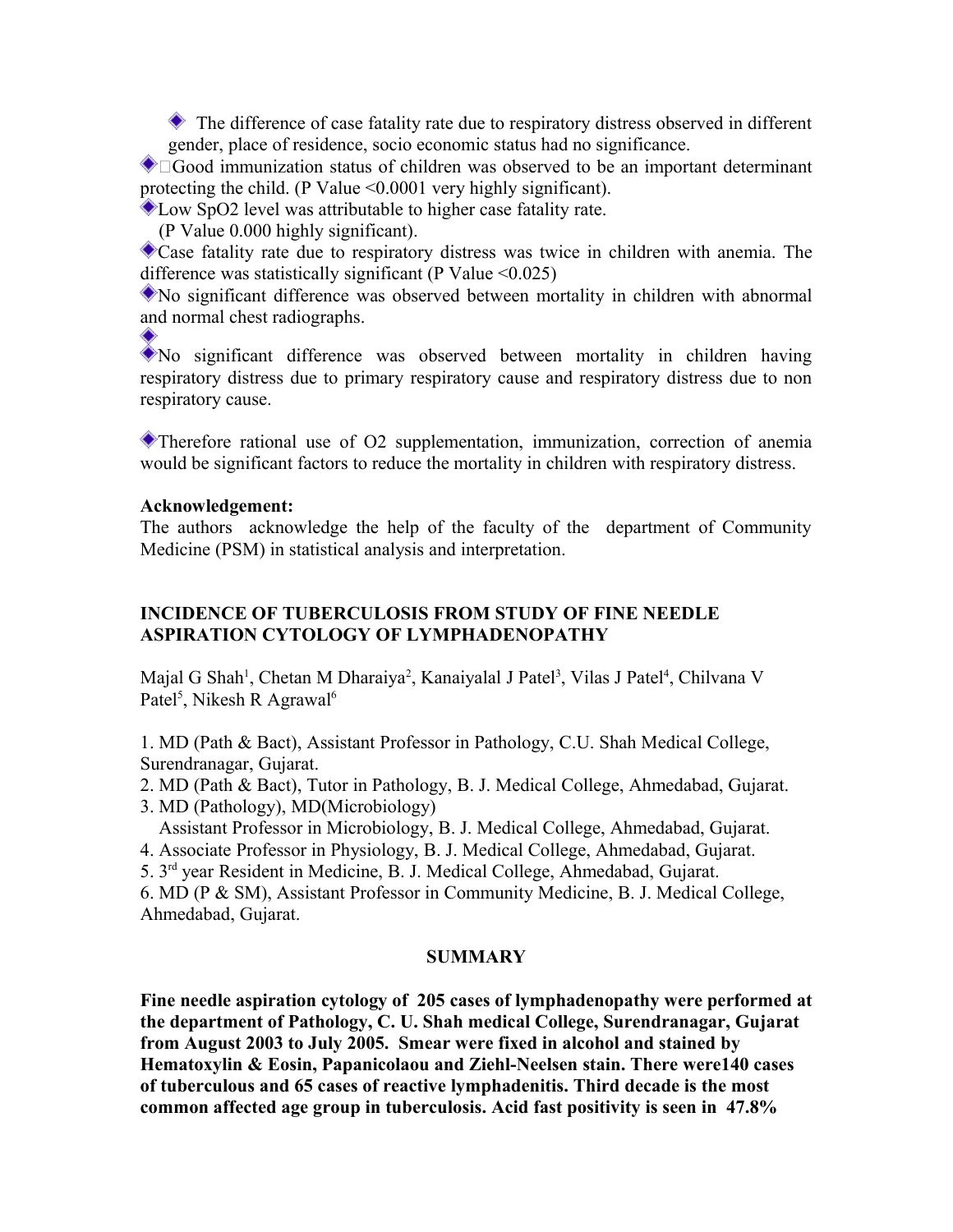The difference of case fatality rate due to respiratory distress observed in different gender, place of residence, socio economic status had no significance.

Good immunization status of children was observed to be an important determinant protecting the child. (P Value <0.0001 very highly significant).

Low SpO2 level was attributable to higher case fatality rate.

(P Value 0.000 highly significant).

Case fatality rate due to respiratory distress was twice in children with anemia. The difference was statistically significant (P Value  $\leq 0.025$ )

No significant difference was observed between mortality in children with abnormal and normal chest radiographs.

No significant difference was observed between mortality in children having respiratory distress due to primary respiratory cause and respiratory distress due to non respiratory cause.

Therefore rational use of O2 supplementation, immunization, correction of anemia would be significant factors to reduce the mortality in children with respiratory distress.

### **Acknowledgement:**

The authors acknowledge the help of the faculty of the department of Community Medicine (PSM) in statistical analysis and interpretation.

## **INCIDENCE OF TUBERCULOSIS FROM STUDY OF FINE NEEDLE ASPIRATION CYTOLOGY OF LYMPHADENOPATHY**

Majal G Shah<sup>1</sup>, Chetan M Dharaiya<sup>2</sup>, Kanaiyalal J Patel<sup>3</sup>, Vilas J Patel<sup>4</sup>, Chilvana V Patel<sup>5</sup>, Nikesh R Agrawal<sup>6</sup>

1. MD (Path & Bact), Assistant Professor in Pathology, C.U. Shah Medical College, Surendranagar, Gujarat.

2. MD (Path & Bact), Tutor in Pathology, B. J. Medical College, Ahmedabad, Gujarat.

3. MD (Pathology), MD(Microbiology)

Assistant Professor in Microbiology, B. J. Medical College, Ahmedabad, Gujarat.

4. Associate Professor in Physiology, B. J. Medical College, Ahmedabad, Gujarat.

5. 3rd year Resident in Medicine, B. J. Medical College, Ahmedabad, Gujarat.

6. MD (P & SM), Assistant Professor in Community Medicine, B. J. Medical College, Ahmedabad, Gujarat.

## **SUMMARY**

**Fine needle aspiration cytology of 205 cases of lymphadenopathy were performed at the department of Pathology, C. U. Shah medical College, Surendranagar, Gujarat from August 2003 to July 2005. Smear were fixed in alcohol and stained by Hematoxylin & Eosin, Papanicolaou and Ziehl-Neelsen stain. There were140 cases of tuberculous and 65 cases of reactive lymphadenitis. Third decade is the most common affected age group in tuberculosis. Acid fast positivity is seen in 47.8%**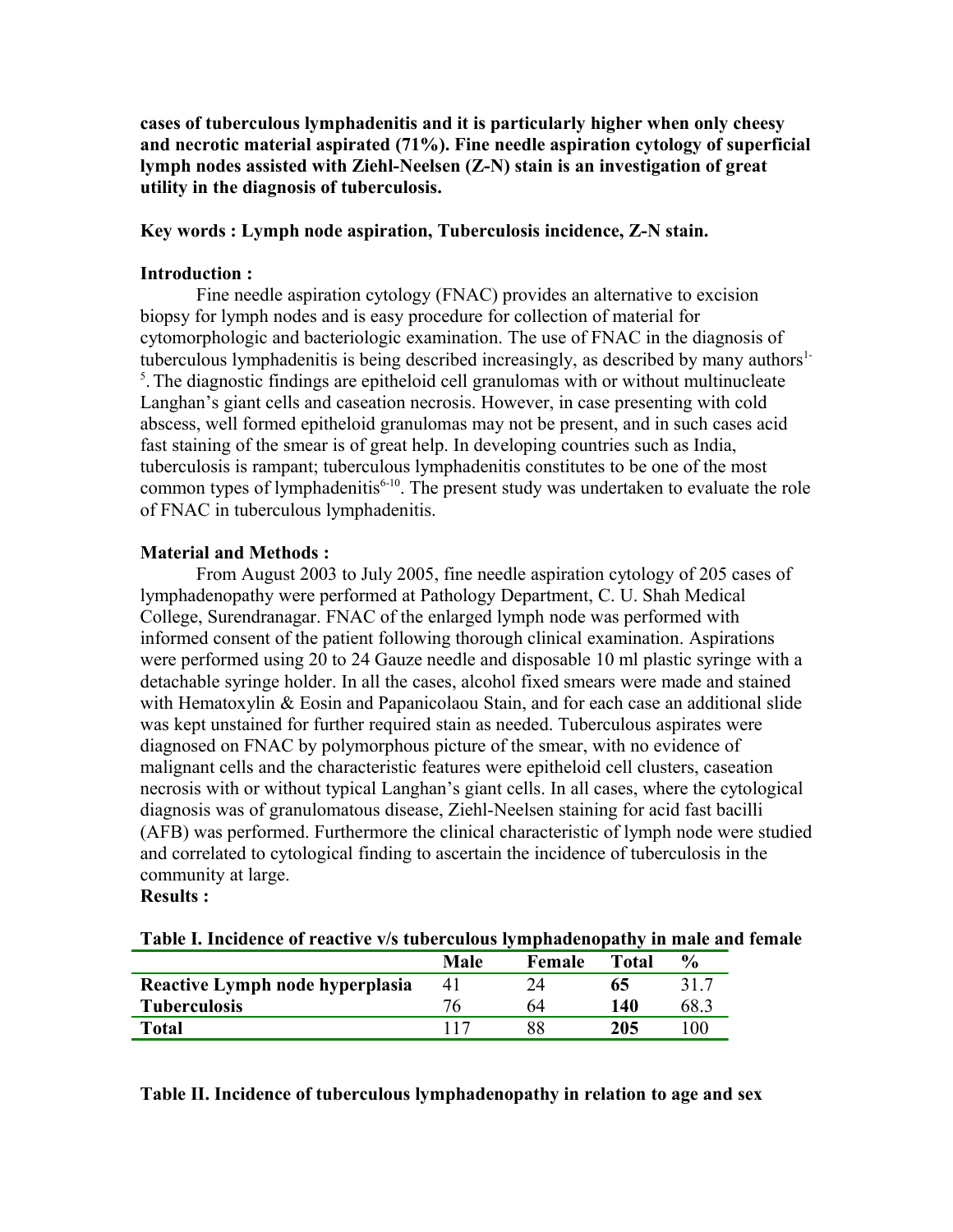**cases of tuberculous lymphadenitis and it is particularly higher when only cheesy and necrotic material aspirated (71%). Fine needle aspiration cytology of superficial lymph nodes assisted with Ziehl-Neelsen (Z-N) stain is an investigation of great utility in the diagnosis of tuberculosis.**

### **Key words : Lymph node aspiration, Tuberculosis incidence, Z-N stain.**

### **Introduction :**

Fine needle aspiration cytology (FNAC) provides an alternative to excision biopsy for lymph nodes and is easy procedure for collection of material for cytomorphologic and bacteriologic examination. The use of FNAC in the diagnosis of tuberculous lymphadenitis is being described increasingly, as described by many authors<sup>1-</sup>  $<sup>5</sup>$ . The diagnostic findings are epitheloid cell granulomas with or without multinucleate</sup> Langhan's giant cells and caseation necrosis. However, in case presenting with cold abscess, well formed epitheloid granulomas may not be present, and in such cases acid fast staining of the smear is of great help. In developing countries such as India, tuberculosis is rampant; tuberculous lymphadenitis constitutes to be one of the most common types of lymphadenitis<sup> $6-10$ </sup>. The present study was undertaken to evaluate the role of FNAC in tuberculous lymphadenitis.

### **Material and Methods :**

From August 2003 to July 2005, fine needle aspiration cytology of 205 cases of lymphadenopathy were performed at Pathology Department, C. U. Shah Medical College, Surendranagar. FNAC of the enlarged lymph node was performed with informed consent of the patient following thorough clinical examination. Aspirations were performed using 20 to 24 Gauze needle and disposable 10 ml plastic syringe with a detachable syringe holder. In all the cases, alcohol fixed smears were made and stained with Hematoxylin & Eosin and Papanicolaou Stain, and for each case an additional slide was kept unstained for further required stain as needed. Tuberculous aspirates were diagnosed on FNAC by polymorphous picture of the smear, with no evidence of malignant cells and the characteristic features were epitheloid cell clusters, caseation necrosis with or without typical Langhan's giant cells. In all cases, where the cytological diagnosis was of granulomatous disease, Ziehl-Neelsen staining for acid fast bacilli (AFB) was performed. Furthermore the clinical characteristic of lymph node were studied and correlated to cytological finding to ascertain the incidence of tuberculosis in the community at large.

**Results :**

| Table I. Incidence of reactive v/s tuberculous lymphadenopathy in male and female |  |  |  |  |
|-----------------------------------------------------------------------------------|--|--|--|--|
|                                                                                   |  |  |  |  |

|                                 | Male | Female | <b>Total</b> | $\frac{6}{9}$ |
|---------------------------------|------|--------|--------------|---------------|
| Reactive Lymph node hyperplasia | 4 I  |        | 65           | $31-$         |
| <b>Tuberculosis</b>             |      | 64     | 140          | 68.           |
| Total                           |      |        | 205          | .00           |

**Table II. Incidence of tuberculous lymphadenopathy in relation to age and sex**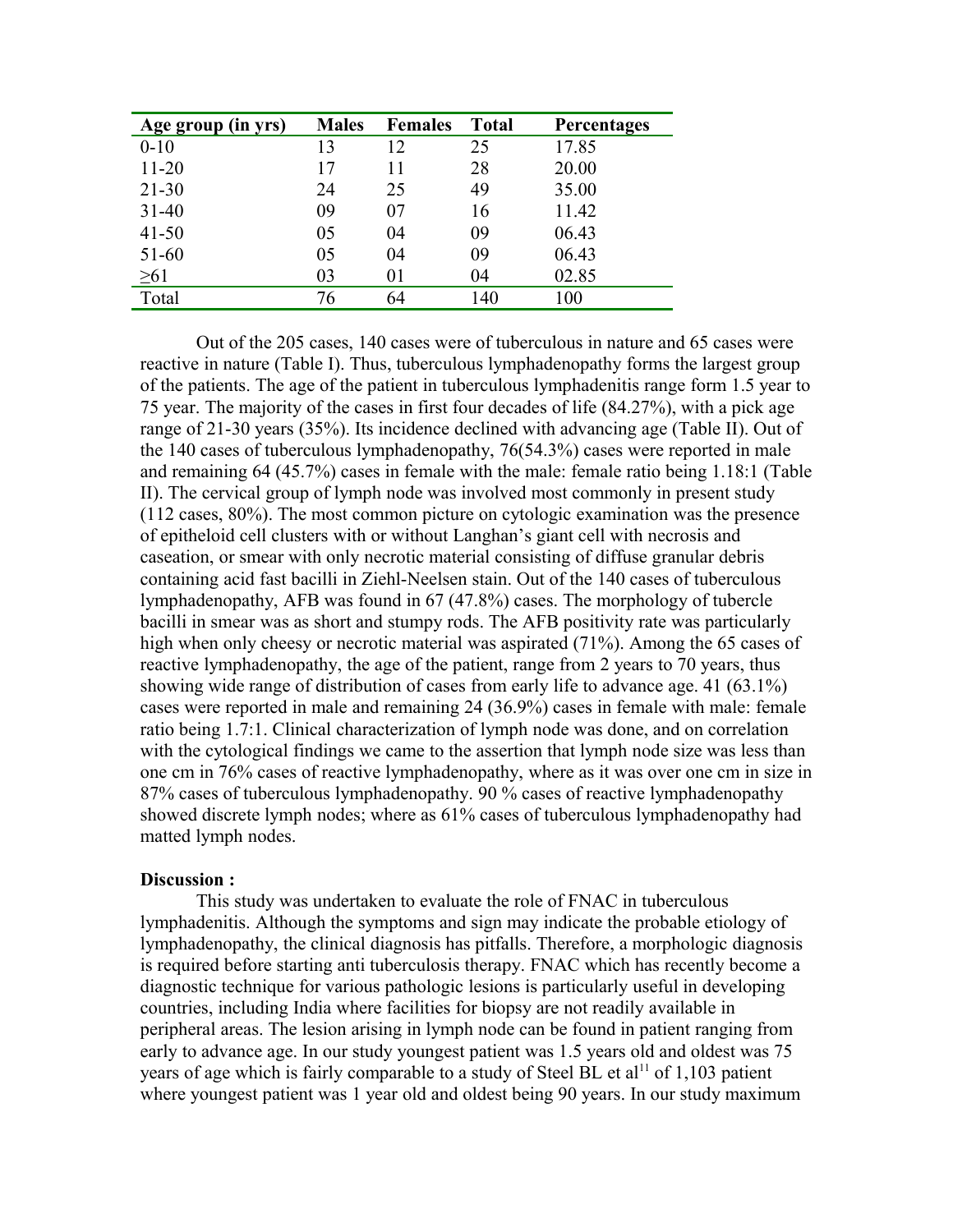| Age group (in yrs) | <b>Males</b> | <b>Females</b> | <b>Total</b> | <b>Percentages</b> |
|--------------------|--------------|----------------|--------------|--------------------|
| $0 - 10$           | 13           | 12             | 25           | 17.85              |
| $11 - 20$          | 17           | 11             | 28           | 20.00              |
| $21 - 30$          | 24           | 25             | 49           | 35.00              |
| $31 - 40$          | 09           | 07             | 16           | 11.42              |
| $41 - 50$          | 05           | 04             | 09           | 06.43              |
| 51-60              | 05           | 04             | 09           | 06.43              |
| $\geq 61$          | 03           | 01             | 04           | 02.85              |
| Total              | 76           | 64             | 140          | 100                |

Out of the 205 cases, 140 cases were of tuberculous in nature and 65 cases were reactive in nature (Table I). Thus, tuberculous lymphadenopathy forms the largest group of the patients. The age of the patient in tuberculous lymphadenitis range form 1.5 year to 75 year. The majority of the cases in first four decades of life (84.27%), with a pick age range of 21-30 years (35%). Its incidence declined with advancing age (Table II). Out of the 140 cases of tuberculous lymphadenopathy, 76(54.3%) cases were reported in male and remaining 64 (45.7%) cases in female with the male: female ratio being 1.18:1 (Table II). The cervical group of lymph node was involved most commonly in present study (112 cases, 80%). The most common picture on cytologic examination was the presence of epitheloid cell clusters with or without Langhan's giant cell with necrosis and caseation, or smear with only necrotic material consisting of diffuse granular debris containing acid fast bacilli in Ziehl-Neelsen stain. Out of the 140 cases of tuberculous lymphadenopathy, AFB was found in 67 (47.8%) cases. The morphology of tubercle bacilli in smear was as short and stumpy rods. The AFB positivity rate was particularly high when only cheesy or necrotic material was aspirated (71%). Among the 65 cases of reactive lymphadenopathy, the age of the patient, range from 2 years to 70 years, thus showing wide range of distribution of cases from early life to advance age. 41 (63.1%) cases were reported in male and remaining 24 (36.9%) cases in female with male: female ratio being 1.7:1. Clinical characterization of lymph node was done, and on correlation with the cytological findings we came to the assertion that lymph node size was less than one cm in 76% cases of reactive lymphadenopathy, where as it was over one cm in size in 87% cases of tuberculous lymphadenopathy. 90 % cases of reactive lymphadenopathy showed discrete lymph nodes; where as 61% cases of tuberculous lymphadenopathy had matted lymph nodes.

#### **Discussion :**

This study was undertaken to evaluate the role of FNAC in tuberculous lymphadenitis. Although the symptoms and sign may indicate the probable etiology of lymphadenopathy, the clinical diagnosis has pitfalls. Therefore, a morphologic diagnosis is required before starting anti tuberculosis therapy. FNAC which has recently become a diagnostic technique for various pathologic lesions is particularly useful in developing countries, including India where facilities for biopsy are not readily available in peripheral areas. The lesion arising in lymph node can be found in patient ranging from early to advance age. In our study youngest patient was 1.5 years old and oldest was 75 years of age which is fairly comparable to a study of Steel BL et al<sup>11</sup> of 1,103 patient where youngest patient was 1 year old and oldest being 90 years. In our study maximum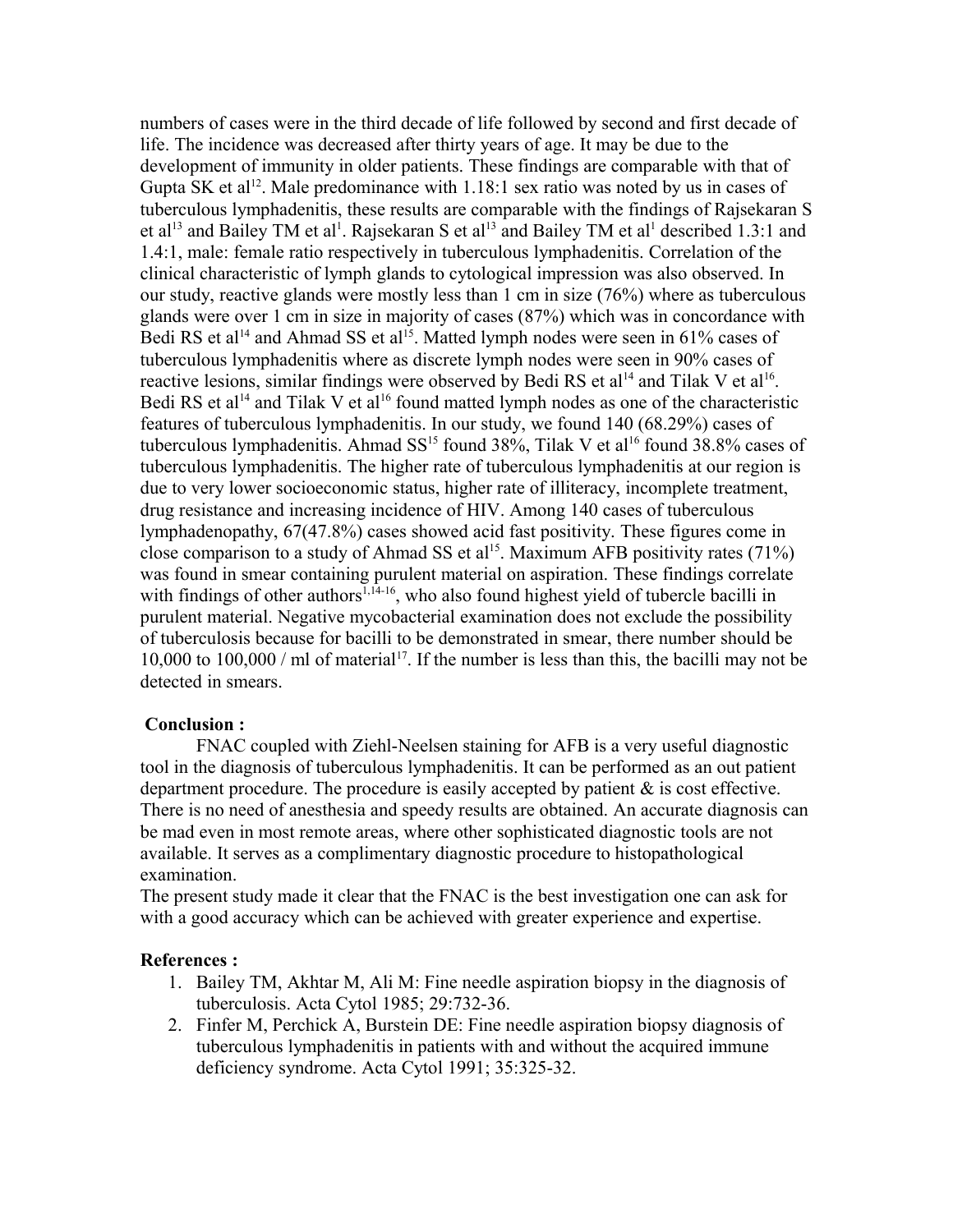numbers of cases were in the third decade of life followed by second and first decade of life. The incidence was decreased after thirty years of age. It may be due to the development of immunity in older patients. These findings are comparable with that of Gupta SK et al<sup>12</sup>. Male predominance with 1.18:1 sex ratio was noted by us in cases of tuberculous lymphadenitis, these results are comparable with the findings of Rajsekaran S et al<sup>13</sup> and Bailey TM et al<sup>1</sup>. Rajsekaran S et al<sup>13</sup> and Bailey TM et al<sup>1</sup> described 1.3:1 and 1.4:1, male: female ratio respectively in tuberculous lymphadenitis. Correlation of the clinical characteristic of lymph glands to cytological impression was also observed. In our study, reactive glands were mostly less than 1 cm in size (76%) where as tuberculous glands were over 1 cm in size in majority of cases (87%) which was in concordance with Bedi RS et al<sup>14</sup> and Ahmad SS et al<sup>15</sup>. Matted lymph nodes were seen in 61% cases of tuberculous lymphadenitis where as discrete lymph nodes were seen in 90% cases of reactive lesions, similar findings were observed by Bedi RS et al<sup>14</sup> and Tilak V et al<sup>16</sup>. Bedi RS et al<sup>14</sup> and Tilak V et al<sup>16</sup> found matted lymph nodes as one of the characteristic features of tuberculous lymphadenitis. In our study, we found 140 (68.29%) cases of tuberculous lymphadenitis. Ahmad  $SS^{15}$  found 38%, Tilak V et al<sup>16</sup> found 38.8% cases of tuberculous lymphadenitis. The higher rate of tuberculous lymphadenitis at our region is due to very lower socioeconomic status, higher rate of illiteracy, incomplete treatment, drug resistance and increasing incidence of HIV. Among 140 cases of tuberculous lymphadenopathy, 67(47.8%) cases showed acid fast positivity. These figures come in close comparison to a study of Ahmad SS et al<sup>15</sup>. Maximum AFB positivity rates  $(71\%)$ was found in smear containing purulent material on aspiration. These findings correlate with findings of other authors<sup>1,14-16</sup>, who also found highest yield of tubercle bacilli in purulent material. Negative mycobacterial examination does not exclude the possibility of tuberculosis because for bacilli to be demonstrated in smear, there number should be 10,000 to 100,000 / ml of material<sup>17</sup>. If the number is less than this, the bacilli may not be detected in smears.

#### **Conclusion :**

FNAC coupled with Ziehl-Neelsen staining for AFB is a very useful diagnostic tool in the diagnosis of tuberculous lymphadenitis. It can be performed as an out patient department procedure. The procedure is easily accepted by patient  $\&$  is cost effective. There is no need of anesthesia and speedy results are obtained. An accurate diagnosis can be mad even in most remote areas, where other sophisticated diagnostic tools are not available. It serves as a complimentary diagnostic procedure to histopathological examination.

The present study made it clear that the FNAC is the best investigation one can ask for with a good accuracy which can be achieved with greater experience and expertise.

#### **References :**

- 1. Bailey TM, Akhtar M, Ali M: Fine needle aspiration biopsy in the diagnosis of tuberculosis. Acta Cytol 1985; 29:732-36.
- 2. Finfer M, Perchick A, Burstein DE: Fine needle aspiration biopsy diagnosis of tuberculous lymphadenitis in patients with and without the acquired immune deficiency syndrome. Acta Cytol 1991; 35:325-32.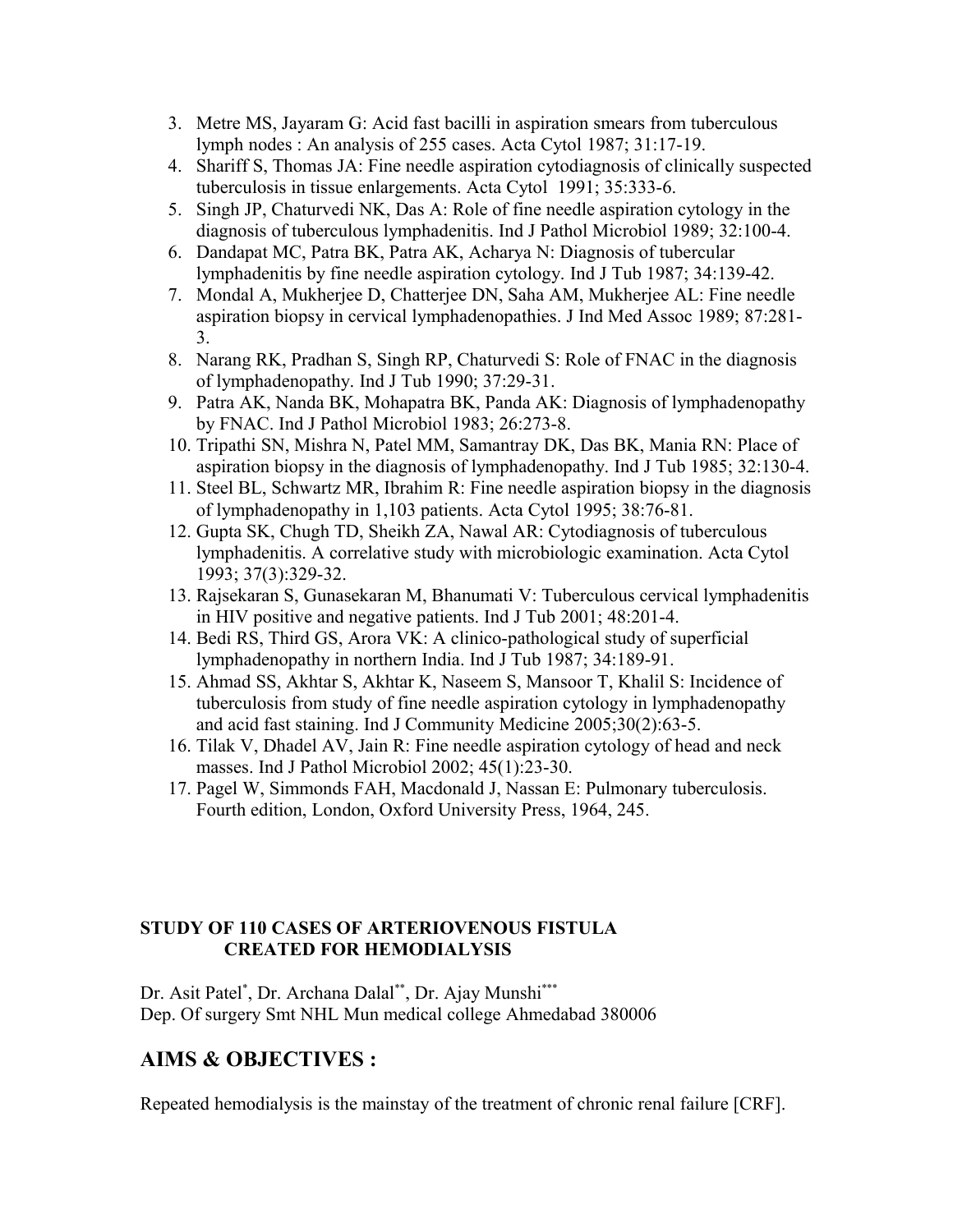- 3. Metre MS, Jayaram G: Acid fast bacilli in aspiration smears from tuberculous lymph nodes : An analysis of 255 cases. Acta Cytol 1987; 31:17-19.
- 4. Shariff S, Thomas JA: Fine needle aspiration cytodiagnosis of clinically suspected tuberculosis in tissue enlargements. Acta Cytol 1991; 35:333-6.
- 5. Singh JP, Chaturvedi NK, Das A: Role of fine needle aspiration cytology in the diagnosis of tuberculous lymphadenitis. Ind J Pathol Microbiol 1989; 32:100-4.
- 6. Dandapat MC, Patra BK, Patra AK, Acharya N: Diagnosis of tubercular lymphadenitis by fine needle aspiration cytology. Ind J Tub 1987; 34:139-42.
- 7. Mondal A, Mukherjee D, Chatterjee DN, Saha AM, Mukherjee AL: Fine needle aspiration biopsy in cervical lymphadenopathies. J Ind Med Assoc 1989; 87:281- 3.
- 8. Narang RK, Pradhan S, Singh RP, Chaturvedi S: Role of FNAC in the diagnosis of lymphadenopathy. Ind J Tub 1990; 37:29-31.
- 9. Patra AK, Nanda BK, Mohapatra BK, Panda AK: Diagnosis of lymphadenopathy by FNAC. Ind J Pathol Microbiol 1983; 26:273-8.
- 10. Tripathi SN, Mishra N, Patel MM, Samantray DK, Das BK, Mania RN: Place of aspiration biopsy in the diagnosis of lymphadenopathy. Ind J Tub 1985; 32:130-4.
- 11. Steel BL, Schwartz MR, Ibrahim R: Fine needle aspiration biopsy in the diagnosis of lymphadenopathy in 1,103 patients. Acta Cytol 1995; 38:76-81.
- 12. Gupta SK, Chugh TD, Sheikh ZA, Nawal AR: Cytodiagnosis of tuberculous lymphadenitis. A correlative study with microbiologic examination. Acta Cytol 1993; 37(3):329-32.
- 13. Rajsekaran S, Gunasekaran M, Bhanumati V: Tuberculous cervical lymphadenitis in HIV positive and negative patients. Ind J Tub 2001; 48:201-4.
- 14. Bedi RS, Third GS, Arora VK: A clinico-pathological study of superficial lymphadenopathy in northern India. Ind J Tub 1987; 34:189-91.
- 15. Ahmad SS, Akhtar S, Akhtar K, Naseem S, Mansoor T, Khalil S: Incidence of tuberculosis from study of fine needle aspiration cytology in lymphadenopathy and acid fast staining. Ind J Community Medicine 2005;30(2):63-5.
- 16. Tilak V, Dhadel AV, Jain R: Fine needle aspiration cytology of head and neck masses. Ind J Pathol Microbiol 2002; 45(1):23-30.
- 17. Pagel W, Simmonds FAH, Macdonald J, Nassan E: Pulmonary tuberculosis. Fourth edition, London, Oxford University Press, 1964, 245.

## **STUDY OF 110 CASES OF ARTERIOVENOUS FISTULA CREATED FOR HEMODIALYSIS**

Dr. Asit Patel\*, Dr. Archana Dalal\*\*, Dr. Ajay Munshi\*\*\* Dep. Of surgery Smt NHL Mun medical college Ahmedabad 380006

# **AIMS & OBJECTIVES :**

Repeated hemodialysis is the mainstay of the treatment of chronic renal failure [CRF].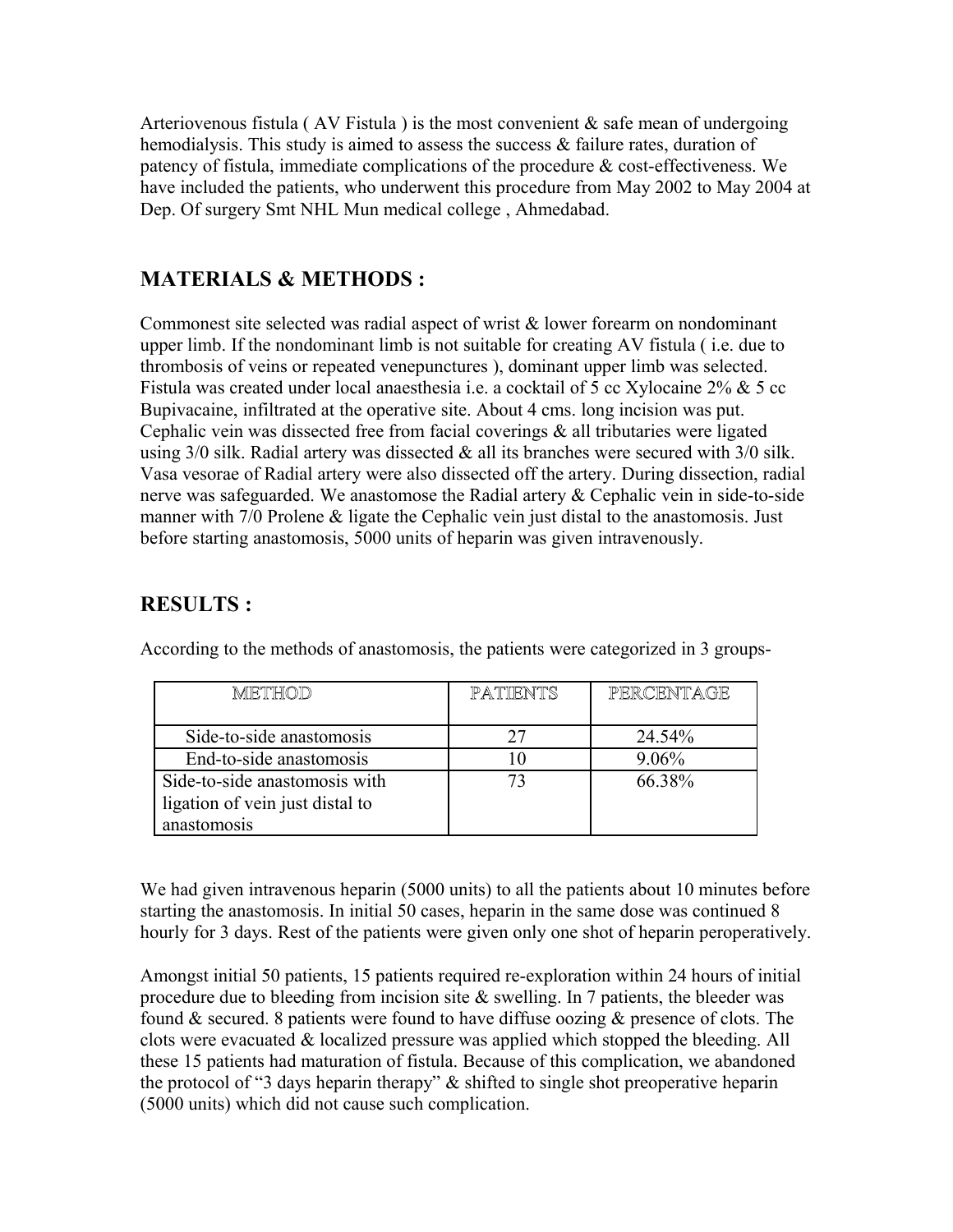Arteriovenous fistula (AV Fistula) is the most convenient  $\&$  safe mean of undergoing hemodialysis. This study is aimed to assess the success & failure rates, duration of patency of fistula, immediate complications of the procedure & cost-effectiveness. We have included the patients, who underwent this procedure from May 2002 to May 2004 at Dep. Of surgery Smt NHL Mun medical college , Ahmedabad.

# **MATERIALS & METHODS :**

Commonest site selected was radial aspect of wrist & lower forearm on nondominant upper limb. If the nondominant limb is not suitable for creating AV fistula ( i.e. due to thrombosis of veins or repeated venepunctures ), dominant upper limb was selected. Fistula was created under local anaesthesia i.e. a cocktail of 5 cc Xylocaine 2% & 5 cc Bupivacaine, infiltrated at the operative site. About 4 cms. long incision was put. Cephalic vein was dissected free from facial coverings  $\&$  all tributaries were ligated using  $3/0$  silk. Radial artery was dissected  $\&$  all its branches were secured with  $3/0$  silk. Vasa vesorae of Radial artery were also dissected off the artery. During dissection, radial nerve was safeguarded. We anastomose the Radial artery & Cephalic vein in side-to-side manner with 7/0 Prolene & ligate the Cephalic vein just distal to the anastomosis. Just before starting anastomosis, 5000 units of heparin was given intravenously.

# **RESULTS :**

| METHOD                          | PATTENTS | PERCENTAGE |
|---------------------------------|----------|------------|
| Side-to-side anastomosis        |          | 24.54%     |
| End-to-side anastomosis         |          | 9.06%      |
| Side-to-side anastomosis with   |          | 66.38%     |
| ligation of vein just distal to |          |            |
| anastomosis                     |          |            |

According to the methods of anastomosis, the patients were categorized in 3 groups-

We had given intravenous heparin (5000 units) to all the patients about 10 minutes before starting the anastomosis. In initial 50 cases, heparin in the same dose was continued 8 hourly for 3 days. Rest of the patients were given only one shot of heparin peroperatively.

Amongst initial 50 patients, 15 patients required re-exploration within 24 hours of initial procedure due to bleeding from incision site  $\&$  swelling. In 7 patients, the bleeder was found & secured. 8 patients were found to have diffuse oozing & presence of clots. The clots were evacuated & localized pressure was applied which stopped the bleeding. All these 15 patients had maturation of fistula. Because of this complication, we abandoned the protocol of "3 days heparin therapy" & shifted to single shot preoperative heparin (5000 units) which did not cause such complication.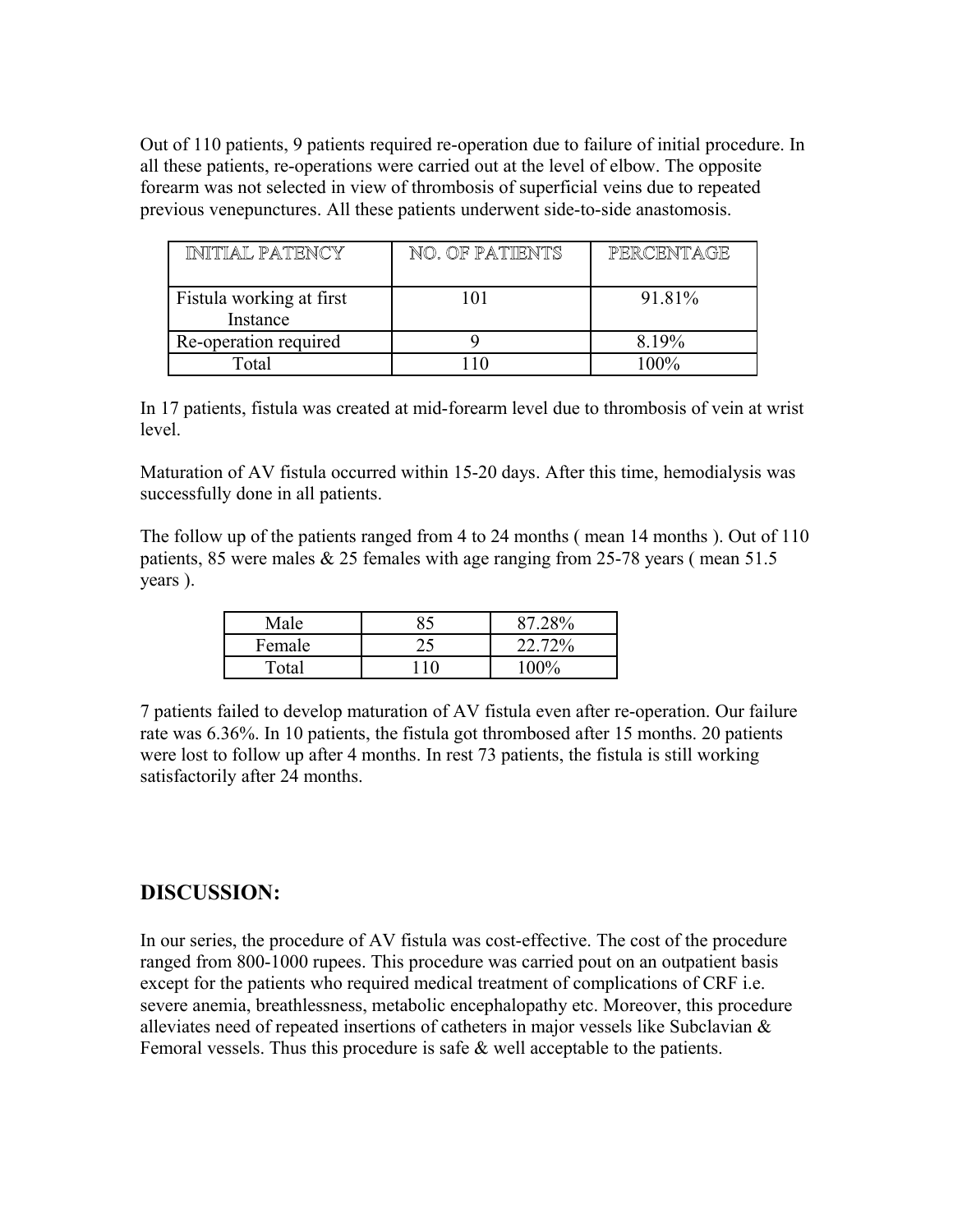Out of 110 patients, 9 patients required re-operation due to failure of initial procedure. In all these patients, re-operations were carried out at the level of elbow. The opposite forearm was not selected in view of thrombosis of superficial veins due to repeated previous venepunctures. All these patients underwent side-to-side anastomosis.

| INITIAL PATENCY                      | NO. OF PATIENTS | PERCENTAGE |
|--------------------------------------|-----------------|------------|
| Fistula working at first<br>Instance | 101             | 91.81%     |
| Re-operation required                |                 | 8.19%      |
| Total                                |                 | 100%       |

In 17 patients, fistula was created at mid-forearm level due to thrombosis of vein at wrist level.

Maturation of AV fistula occurred within 15-20 days. After this time, hemodialysis was successfully done in all patients.

The follow up of the patients ranged from 4 to 24 months ( mean 14 months ). Out of 110 patients, 85 were males  $& 25$  females with age ranging from 25-78 years (mean 51.5) years ).

| Male   | 87.28%  |
|--------|---------|
| Female | 22.72%  |
| Total  | $100\%$ |

7 patients failed to develop maturation of AV fistula even after re-operation. Our failure rate was 6.36%. In 10 patients, the fistula got thrombosed after 15 months. 20 patients were lost to follow up after 4 months. In rest 73 patients, the fistula is still working satisfactorily after 24 months.

# **DISCUSSION:**

In our series, the procedure of AV fistula was cost-effective. The cost of the procedure ranged from 800-1000 rupees. This procedure was carried pout on an outpatient basis except for the patients who required medical treatment of complications of CRF i.e. severe anemia, breathlessness, metabolic encephalopathy etc. Moreover, this procedure alleviates need of repeated insertions of catheters in major vessels like Subclavian & Femoral vessels. Thus this procedure is safe & well acceptable to the patients.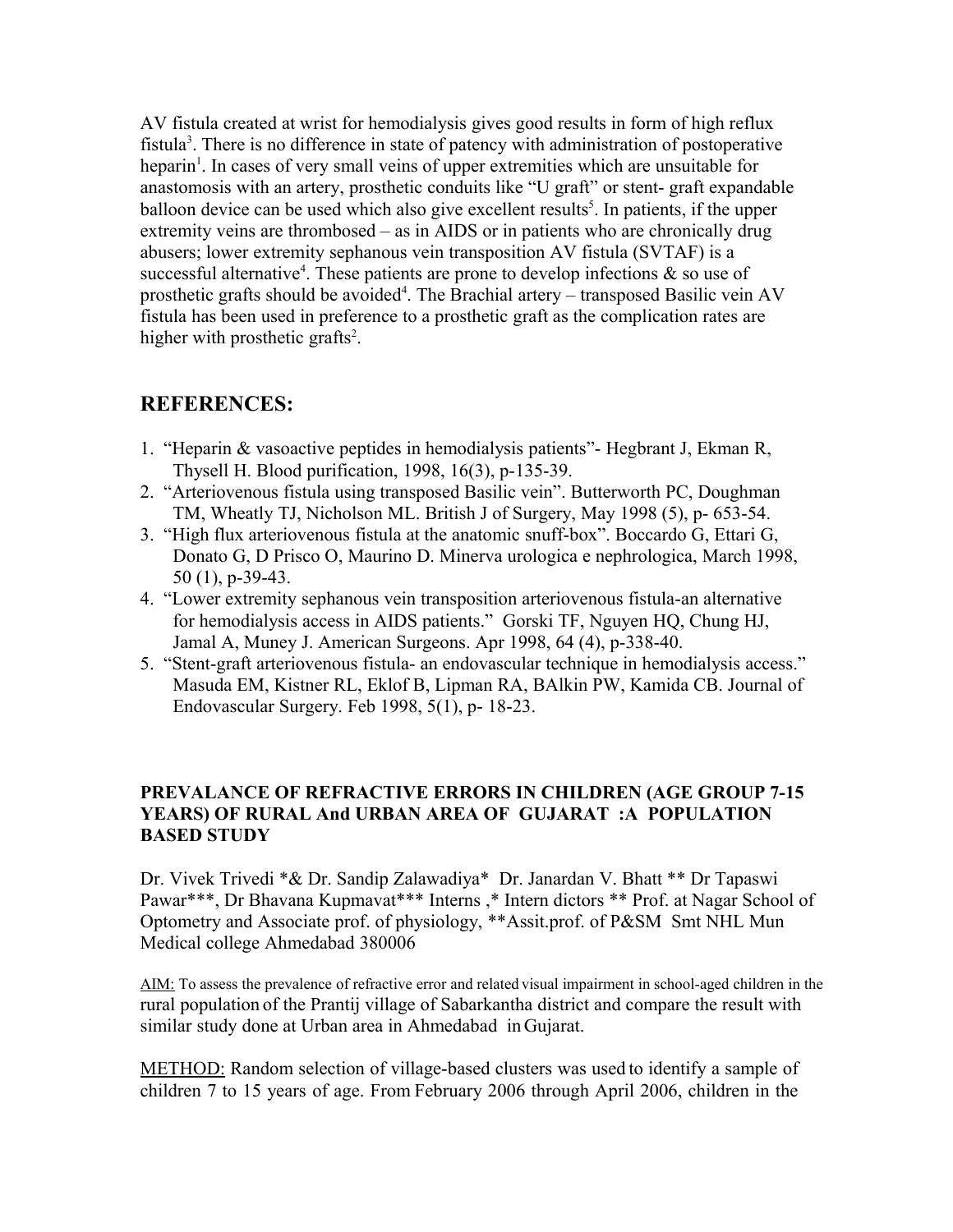AV fistula created at wrist for hemodialysis gives good results in form of high reflux fistula<sup>3</sup>. There is no difference in state of patency with administration of postoperative heparin<sup>1</sup>. In cases of very small veins of upper extremities which are unsuitable for anastomosis with an artery, prosthetic conduits like "U graft" or stent- graft expandable balloon device can be used which also give excellent results<sup>5</sup>. In patients, if the upper extremity veins are thrombosed – as in AIDS or in patients who are chronically drug abusers; lower extremity sephanous vein transposition AV fistula (SVTAF) is a successful alternative<sup>4</sup>. These patients are prone to develop infections  $\&$  so use of prosthetic grafts should be avoided<sup>4</sup>. The Brachial artery – transposed Basilic vein AV fistula has been used in preference to a prosthetic graft as the complication rates are higher with prosthetic grafts<sup>2</sup>.

# **REFERENCES:**

- 1. "Heparin & vasoactive peptides in hemodialysis patients"- Hegbrant J, Ekman R, Thysell H. Blood purification, 1998, 16(3), p-135-39.
- 2. "Arteriovenous fistula using transposed Basilic vein". Butterworth PC, Doughman TM, Wheatly TJ, Nicholson ML. British J of Surgery, May 1998 (5), p- 653-54.
- 3. "High flux arteriovenous fistula at the anatomic snuff-box". Boccardo G, Ettari G, Donato G, D Prisco O, Maurino D. Minerva urologica e nephrologica, March 1998, 50 (1), p-39-43.
- 4. "Lower extremity sephanous vein transposition arteriovenous fistula-an alternative for hemodialysis access in AIDS patients." Gorski TF, Nguyen HQ, Chung HJ, Jamal A, Muney J. American Surgeons. Apr 1998, 64 (4), p-338-40.
- 5. "Stent-graft arteriovenous fistula- an endovascular technique in hemodialysis access." Masuda EM, Kistner RL, Eklof B, Lipman RA, BAlkin PW, Kamida CB. Journal of Endovascular Surgery. Feb 1998, 5(1), p- 18-23.

## **PREVALANCE OF REFRACTIVE ERRORS IN CHILDREN (AGE GROUP 7-15 YEARS) OF RURAL And URBAN AREA OF GUJARAT :A POPULATION BASED STUDY**

Dr. Vivek Trivedi \*& Dr. Sandip Zalawadiya\* Dr. Janardan V. Bhatt \*\* Dr Tapaswi Pawar\*\*\*, Dr Bhavana Kupmavat\*\*\* Interns, \* Intern dictors \*\* Prof. at Nagar School of Optometry and Associate prof. of physiology, \*\*Assit.prof. of P&SM Smt NHL Mun Medical college Ahmedabad 380006

AIM: To assess the prevalence of refractive error and related visual impairment in school-aged children in the rural population of the Prantij village of Sabarkantha district and compare the result with similar study done at Urban area in Ahmedabad in Gujarat.

METHOD: Random selection of village-based clusters was used to identify a sample of children 7 to 15 years of age. From February 2006 through April 2006, children in the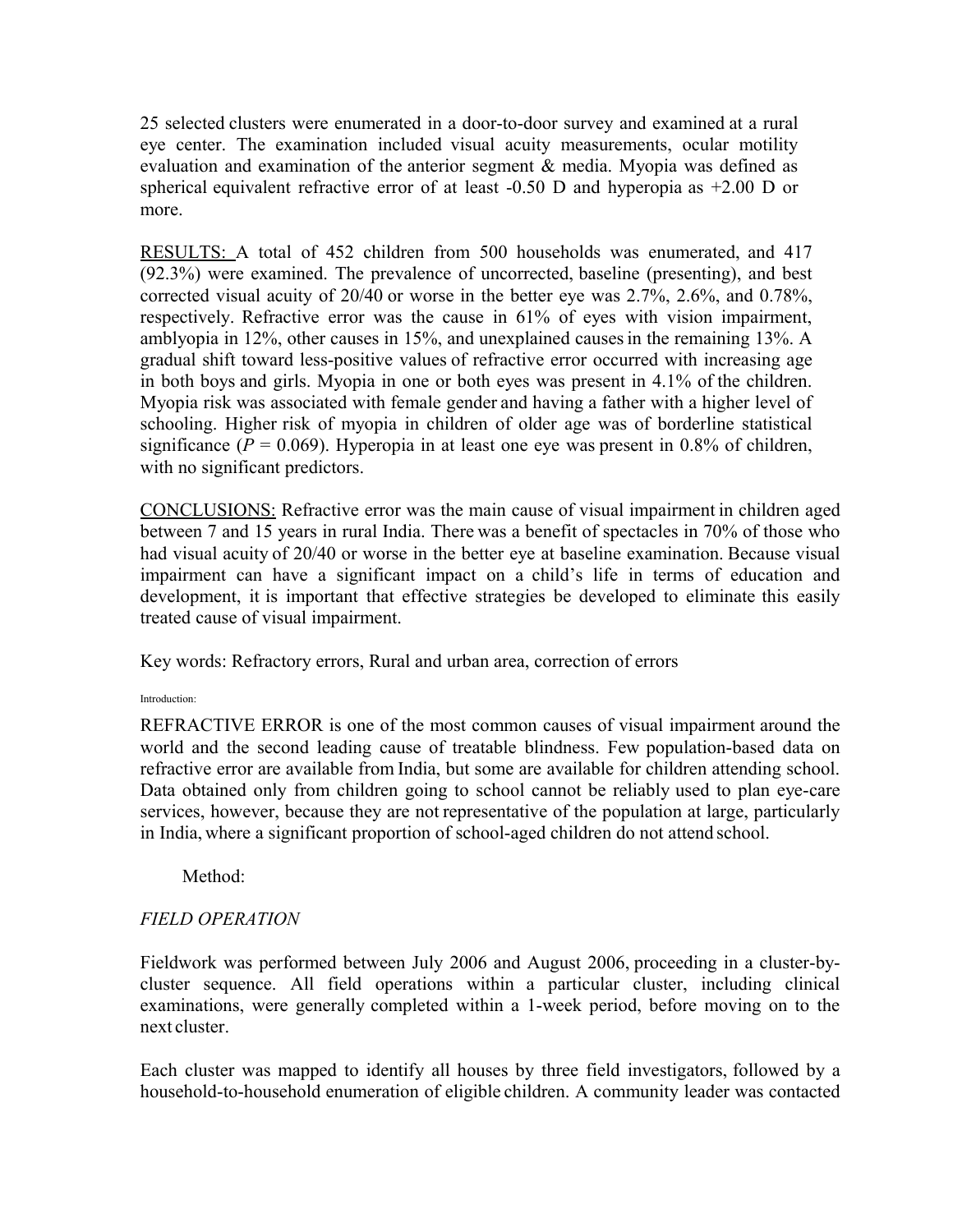25 selected clusters were enumerated in a door-to-door survey and examined at a rural eye center. The examination included visual acuity measurements, ocular motility evaluation and examination of the anterior segment & media. Myopia was defined as spherical equivalent refractive error of at least -0.50 D and hyperopia as +2.00 D or more.

RESULTS: A total of 452 children from 500 households was enumerated, and 417 (92.3%) were examined. The prevalence of uncorrected, baseline (presenting), and best corrected visual acuity of 20/40 or worse in the better eye was 2.7%, 2.6%, and 0.78%, respectively. Refractive error was the cause in 61% of eyes with vision impairment, amblyopia in 12%, other causes in 15%, and unexplained causesin the remaining 13%. A gradual shift toward less-positive values of refractive error occurred with increasing age in both boys and girls. Myopia in one or both eyes was present in 4.1% of the children. Myopia risk was associated with female gender and having a father with a higher level of schooling. Higher risk of myopia in children of older age was of borderline statistical significance ( $P = 0.069$ ). Hyperopia in at least one eye was present in 0.8% of children, with no significant predictors.

CONCLUSIONS: Refractive error was the main cause of visual impairment in children aged between 7 and 15 years in rural India. There was a benefit of spectacles in 70% of those who had visual acuity of 20/40 or worse in the better eye at baseline examination. Because visual impairment can have a significant impact on a child's life in terms of education and development, it is important that effective strategies be developed to eliminate this easily treated cause of visual impairment.

Key words: Refractory errors, Rural and urban area, correction of errors

#### Introduction:

REFRACTIVE ERROR is one of the most common causes of visual impairment around the world and the second leading cause of treatable blindness. Few population-based data on refractive error are available from India, but some are available for children attending school. Data obtained only from children going to school cannot be reliably used to plan eye-care services, however, because they are not representative of the population at large, particularly in India, where a significant proportion of school-aged children do not attend school.

Method<sup>-</sup>

## *FIELD OPERATION*

Fieldwork was performed between July 2006 and August 2006, proceeding in a cluster-bycluster sequence. All field operations within a particular cluster, including clinical examinations, were generally completed within a 1-week period, before moving on to the next cluster.

Each cluster was mapped to identify all houses by three field investigators, followed by a household-to-household enumeration of eligible children. A community leader was contacted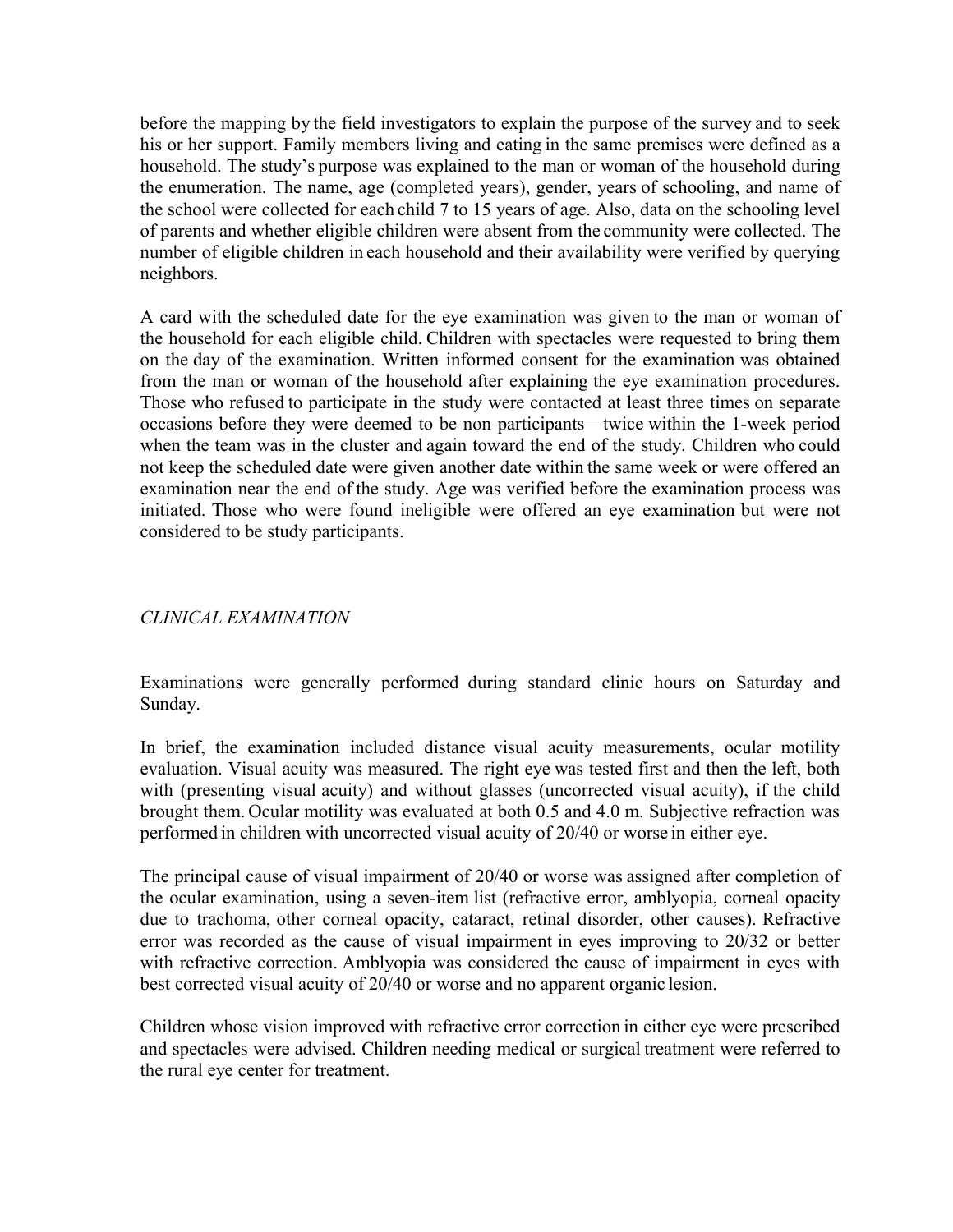before the mapping by the field investigators to explain the purpose of the survey and to seek his or her support. Family members living and eating in the same premises were defined as a household. The study's purpose was explained to the man or woman of the household during the enumeration. The name, age (completed years), gender, years of schooling, and name of the school were collected for each child 7 to 15 years of age. Also, data on the schooling level of parents and whether eligible children were absent from the community were collected. The number of eligible children in each household and their availability were verified by querying neighbors.

A card with the scheduled date for the eye examination was given to the man or woman of the household for each eligible child. Children with spectacles were requested to bring them on the day of the examination. Written informed consent for the examination was obtained from the man or woman of the household after explaining the eye examination procedures. Those who refused to participate in the study were contacted at least three times on separate occasions before they were deemed to be non participants—twice within the 1-week period when the team was in the cluster and again toward the end of the study. Children who could not keep the scheduled date were given another date within the same week or were offered an examination near the end of the study. Age was verified before the examination process was initiated. Those who were found ineligible were offered an eye examination but were not considered to be study participants.

## *CLINICAL EXAMINATION*

Examinations were generally performed during standard clinic hours on Saturday and Sunday.

In brief, the examination included distance visual acuity measurements, ocular motility evaluation. Visual acuity was measured. The right eye was tested first and then the left, both with (presenting visual acuity) and without glasses (uncorrected visual acuity), if the child brought them. Ocular motility was evaluated at both 0.5 and 4.0 m. Subjective refraction was performed in children with uncorrected visual acuity of 20/40 or worse in either eye.

The principal cause of visual impairment of 20/40 or worse was assigned after completion of the ocular examination, using a seven-item list (refractive error, amblyopia, corneal opacity due to trachoma, other corneal opacity, cataract, retinal disorder, other causes). Refractive error was recorded as the cause of visual impairment in eyes improving to 20/32 or better with refractive correction. Amblyopia was considered the cause of impairment in eyes with best corrected visual acuity of 20/40 or worse and no apparent organic lesion.

Children whose vision improved with refractive error correction in either eye were prescribed and spectacles were advised. Children needing medical or surgical treatment were referred to the rural eye center for treatment.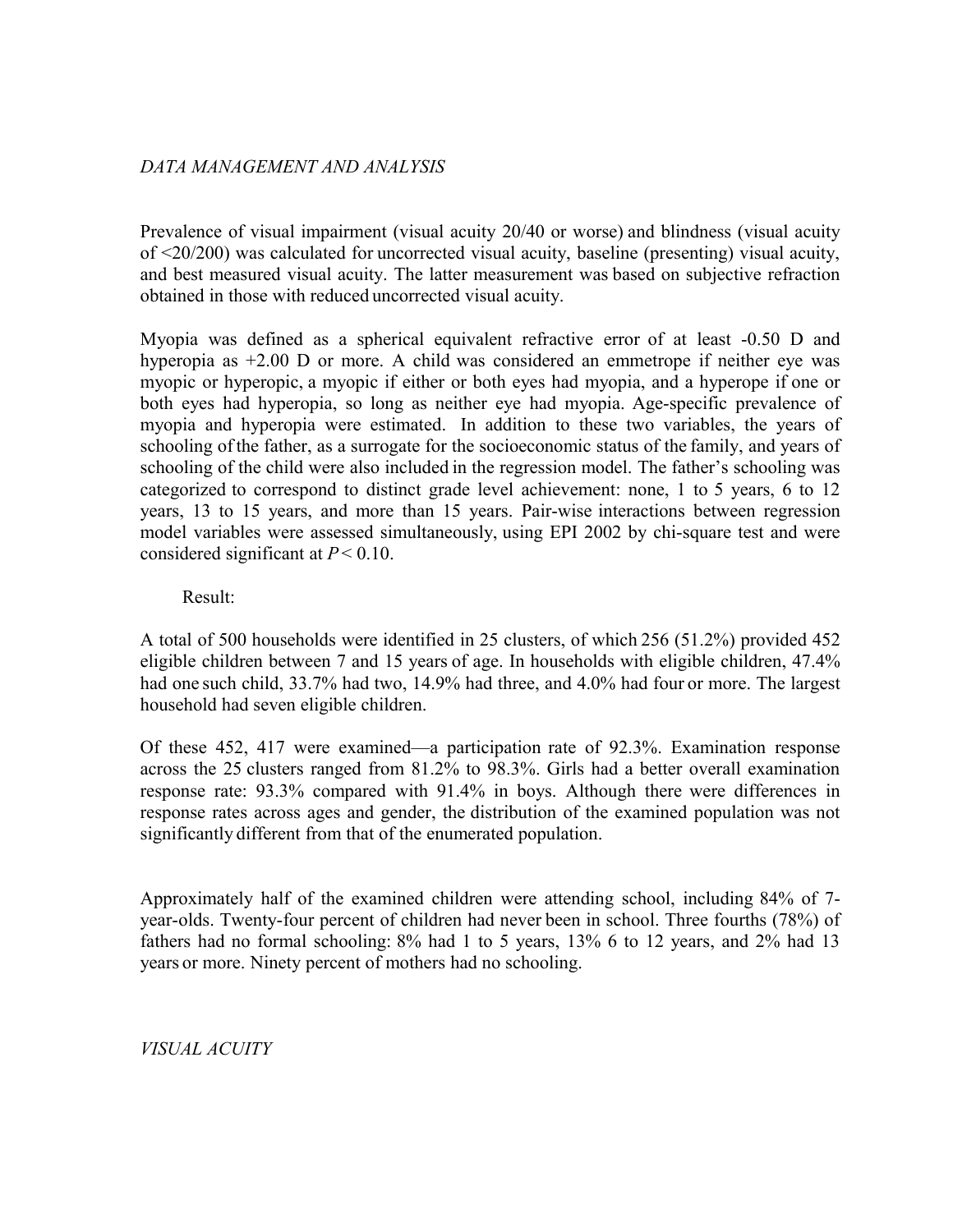## *DATA MANAGEMENT AND ANALYSIS*

Prevalence of visual impairment (visual acuity 20/40 or worse) and blindness (visual acuity of <20/200) was calculated for uncorrected visual acuity, baseline (presenting) visual acuity, and best measured visual acuity. The latter measurement was based on subjective refraction obtained in those with reduced uncorrected visual acuity.

Myopia was defined as a spherical equivalent refractive error of at least -0.50 D and hyperopia as  $+2.00$  D or more. A child was considered an emmetrope if neither eye was myopic or hyperopic, a myopic if either or both eyes had myopia, and a hyperope if one or both eyes had hyperopia, so long as neither eye had myopia. Age-specific prevalence of myopia and hyperopia were estimated. In addition to these two variables, the years of schooling ofthe father, as a surrogate for the socioeconomic status of the family, and years of schooling of the child were also included in the regression model. The father's schooling was categorized to correspond to distinct grade level achievement: none, 1 to 5 years, 6 to 12 years, 13 to 15 years, and more than 15 years. Pair-wise interactions between regression model variables were assessed simultaneously, using EPI 2002 by chi-square test and were considered significant at *P*< 0.10.

Result:

A total of 500 households were identified in 25 clusters, of which 256 (51.2%) provided 452 eligible children between 7 and 15 years of age. In households with eligible children, 47.4% had one such child, 33.7% had two, 14.9% had three, and 4.0% had four or more. The largest household had seven eligible children.

Of these 452, 417 were examined—a participation rate of 92.3%. Examination response across the 25 clusters ranged from 81.2% to 98.3%. Girls had a better overall examination response rate: 93.3% compared with 91.4% in boys. Although there were differences in response rates across ages and gender, the distribution of the examined population was not significantly different from that of the enumerated population.

Approximately half of the examined children were attending school, including 84% of 7 year-olds. Twenty-four percent of children had never been in school. Three fourths (78%) of fathers had no formal schooling: 8% had 1 to 5 years, 13% 6 to 12 years, and 2% had 13 years or more. Ninety percent of mothers had no schooling.

*VISUAL ACUITY*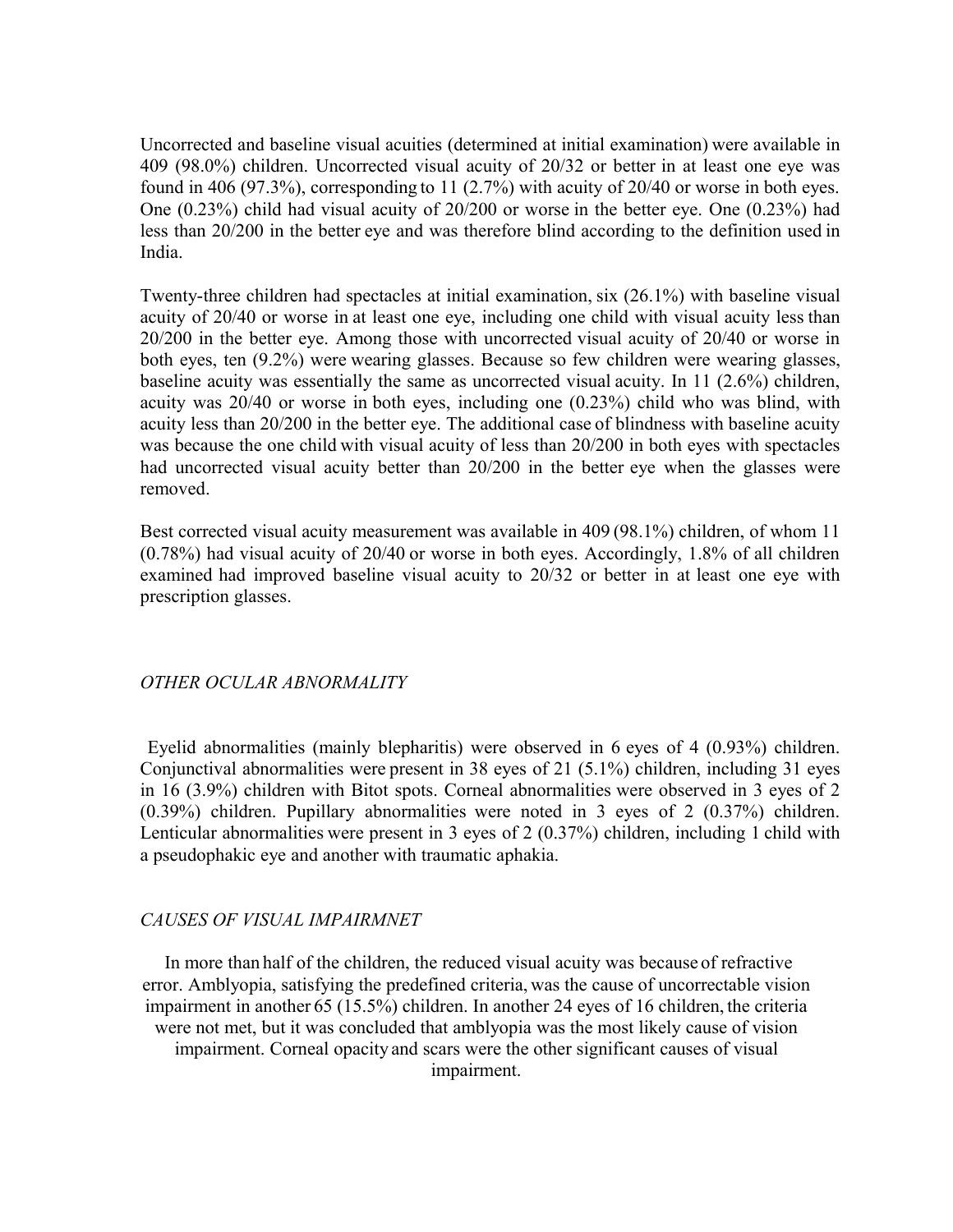Uncorrected and baseline visual acuities (determined at initial examination) were available in 409 (98.0%) children. Uncorrected visual acuity of 20/32 or better in at least one eye was found in 406 (97.3%), corresponding to 11 (2.7%) with acuity of 20/40 or worse in both eyes. One (0.23%) child had visual acuity of 20/200 or worse in the better eye. One (0.23%) had less than 20/200 in the better eye and was therefore blind according to the definition used in India.

Twenty-three children had spectacles at initial examination, six (26.1%) with baseline visual acuity of 20/40 or worse in at least one eye, including one child with visual acuity less than 20/200 in the better eye. Among those with uncorrected visual acuity of 20/40 or worse in both eyes, ten (9.2%) were wearing glasses. Because so few children were wearing glasses, baseline acuity was essentially the same as uncorrected visual acuity. In 11 (2.6%) children, acuity was 20/40 or worse in both eyes, including one (0.23%) child who was blind, with acuity less than 20/200 in the better eye. The additional case of blindness with baseline acuity was because the one child with visual acuity of less than 20/200 in both eyes with spectacles had uncorrected visual acuity better than 20/200 in the better eye when the glasses were removed.

Best corrected visual acuity measurement was available in 409 (98.1%) children, of whom 11 (0.78%) had visual acuity of 20/40 or worse in both eyes. Accordingly, 1.8% of all children examined had improved baseline visual acuity to 20/32 or better in at least one eye with prescription glasses.

### *OTHER OCULAR ABNORMALITY*

 Eyelid abnormalities (mainly blepharitis) were observed in 6 eyes of 4 (0.93%) children. Conjunctival abnormalities were present in 38 eyes of 21 (5.1%) children, including 31 eyes in 16 (3.9%) children with Bitot spots. Corneal abnormalities were observed in 3 eyes of 2 (0.39%) children. Pupillary abnormalities were noted in 3 eyes of 2 (0.37%) children. Lenticular abnormalities were present in 3 eyes of 2 (0.37%) children, including 1 child with a pseudophakic eye and another with traumatic aphakia.

### *CAUSES OF VISUAL IMPAIRMNET*

 In more than half of the children, the reduced visual acuity was because of refractive error. Amblyopia, satisfying the predefined criteria, was the cause of uncorrectable vision impairment in another 65 (15.5%) children. In another 24 eyes of 16 children, the criteria were not met, but it was concluded that amblyopia was the most likely cause of vision impairment. Corneal opacity and scars were the other significant causes of visual impairment.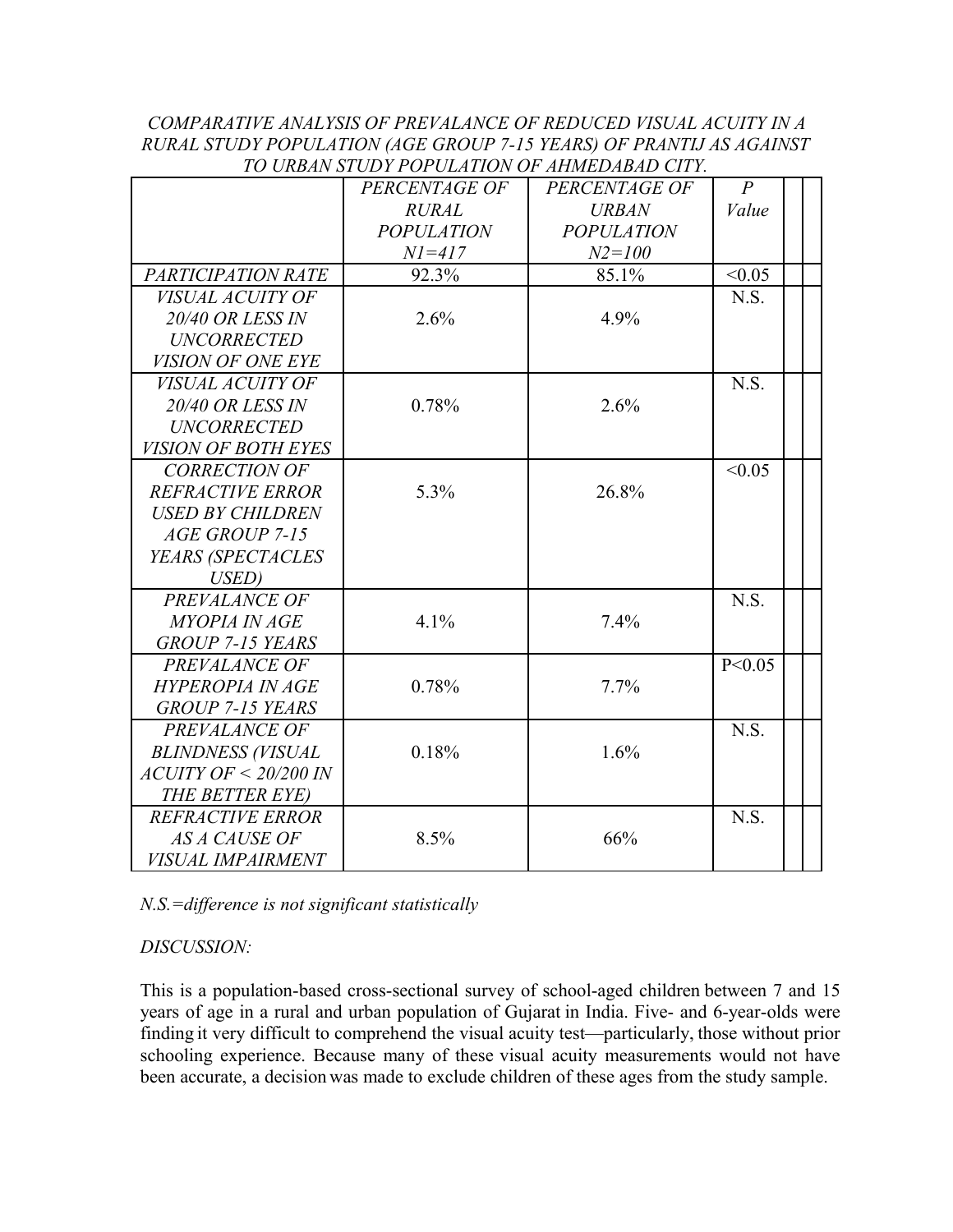### *COMPARATIVE ANALYSIS OF PREVALANCE OF REDUCED VISUAL ACUITY IN A RURAL STUDY POPULATION (AGE GROUP 7-15 YEARS) OF PRANTIJ AS AGAINST TO URBAN STUDY POPULATION OF AHMEDABAD CITY.*

|                            | TU UNDAN STUDI FUFULATIUN UF AHMEDADAD CHT.<br>PERCENTAGE OF | PERCENTAGE OF     | $\overline{P}$ |  |
|----------------------------|--------------------------------------------------------------|-------------------|----------------|--|
|                            | <b>RURAL</b>                                                 | <b>URBAN</b>      | Value          |  |
|                            | <b>POPULATION</b>                                            | <b>POPULATION</b> |                |  |
|                            | $NI = 417$                                                   | $N2 = 100$        |                |  |
| PARTICIPATION RATE         | 92.3%                                                        | 85.1%             | < 0.05         |  |
| VISUAL ACUITY OF           |                                                              |                   | N.S.           |  |
| <b>20/40 OR LESS IN</b>    | 2.6%                                                         | 4.9%              |                |  |
| <b>UNCORRECTED</b>         |                                                              |                   |                |  |
| VISION OF ONE EYE          |                                                              |                   |                |  |
| <i>VISUAL ACUITY OF</i>    |                                                              |                   | N.S.           |  |
| <b>20/40 OR LESS IN</b>    | 0.78%                                                        | 2.6%              |                |  |
| <b>UNCORRECTED</b>         |                                                              |                   |                |  |
| <i>VISION OF BOTH EYES</i> |                                                              |                   |                |  |
| <b>CORRECTION OF</b>       |                                                              |                   | < 0.05         |  |
| <b>REFRACTIVE ERROR</b>    | 5.3%                                                         | 26.8%             |                |  |
| <b>USED BY CHILDREN</b>    |                                                              |                   |                |  |
| AGE GROUP 7-15             |                                                              |                   |                |  |
| YEARS (SPECTACLES          |                                                              |                   |                |  |
| USED)                      |                                                              |                   |                |  |
| PREVALANCE OF              |                                                              |                   | N.S.           |  |
| <b>MYOPIA IN AGE</b>       | 4.1%                                                         | 7.4%              |                |  |
| GROUP 7-15 YEARS           |                                                              |                   |                |  |
| PREVALANCE OF              |                                                              |                   | P < 0.05       |  |
| <b>HYPEROPIA IN AGE</b>    | 0.78%                                                        | $7.7\%$           |                |  |
| GROUP 7-15 YEARS           |                                                              |                   |                |  |
| PREVALANCE OF              |                                                              |                   | N.S.           |  |
| <b>BLINDNESS (VISUAL</b>   | 0.18%                                                        | 1.6%              |                |  |
| ACUITY OF < 20/200 IN      |                                                              |                   |                |  |
| THE BETTER EYE)            |                                                              |                   |                |  |
| <b>REFRACTIVE ERROR</b>    |                                                              |                   | N.S.           |  |
| <b>AS A CAUSE OF</b>       | 8.5%                                                         | 66%               |                |  |
| <i>VISUAL IMPAIRMENT</i>   |                                                              |                   |                |  |

*N.S.=difference is not significant statistically* 

# *DISCUSSION:*

This is a population-based cross-sectional survey of school-aged children between 7 and 15 years of age in a rural and urban population of Gujarat in India. Five- and 6-year-olds were finding it very difficult to comprehend the visual acuity test—particularly, those without prior schooling experience. Because many of these visual acuity measurements would not have been accurate, a decision was made to exclude children of these ages from the study sample.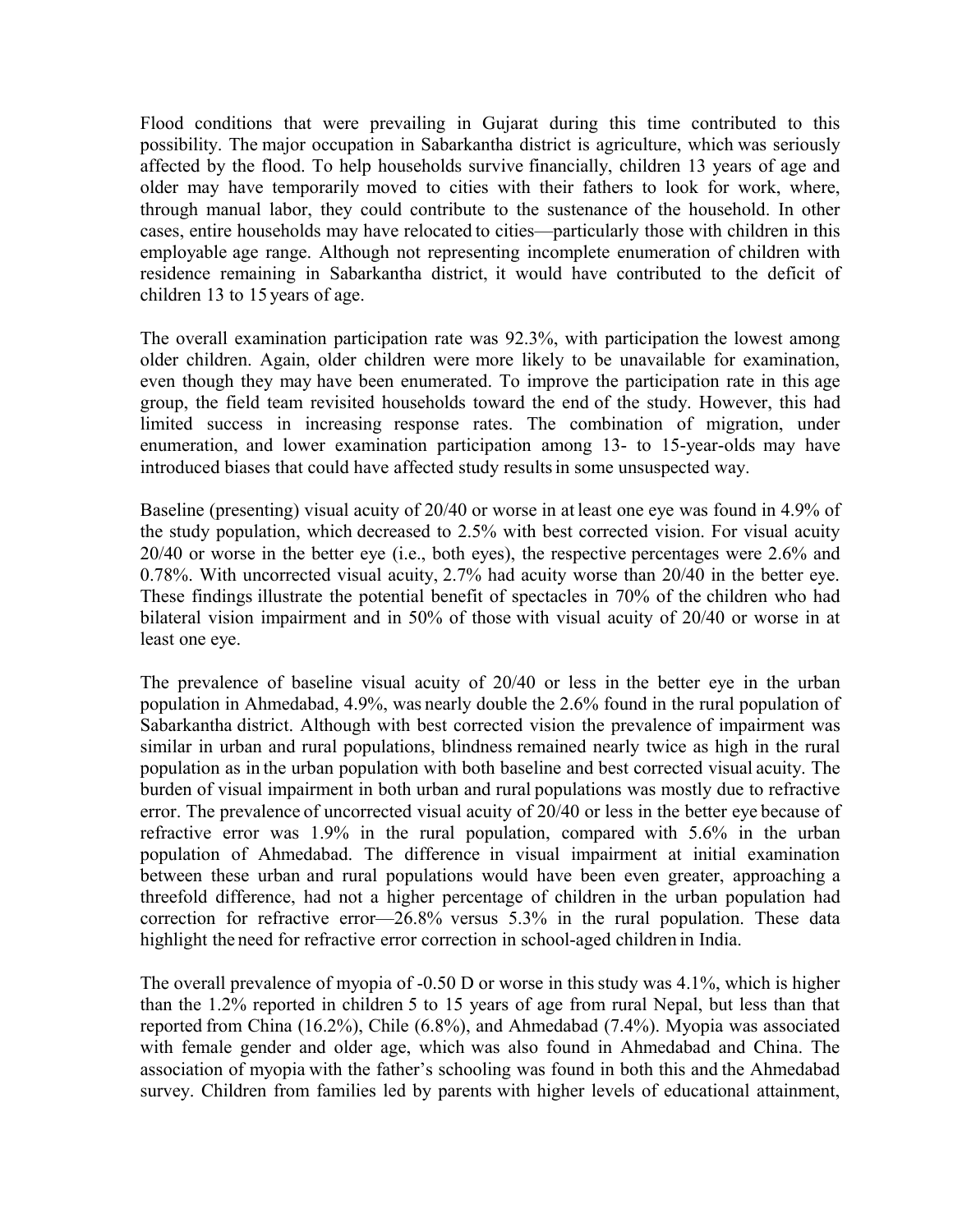Flood conditions that were prevailing in Gujarat during this time contributed to this possibility. The major occupation in Sabarkantha district is agriculture, which was seriously affected by the flood. To help households survive financially, children 13 years of age and older may have temporarily moved to cities with their fathers to look for work, where, through manual labor, they could contribute to the sustenance of the household. In other cases, entire households may have relocated to cities—particularly those with children in this employable age range. Although not representing incomplete enumeration of children with residence remaining in Sabarkantha district, it would have contributed to the deficit of children 13 to 15 years of age.

The overall examination participation rate was 92.3%, with participation the lowest among older children. Again, older children were more likely to be unavailable for examination, even though they may have been enumerated. To improve the participation rate in this age group, the field team revisited households toward the end of the study. However, this had limited success in increasing response rates. The combination of migration, under enumeration, and lower examination participation among 13- to 15-year-olds may have introduced biases that could have affected study resultsin some unsuspected way.

Baseline (presenting) visual acuity of 20/40 or worse in at least one eye was found in 4.9% of the study population, which decreased to 2.5% with best corrected vision. For visual acuity 20/40 or worse in the better eye (i.e., both eyes), the respective percentages were 2.6% and 0.78%. With uncorrected visual acuity, 2.7% had acuity worse than 20/40 in the better eye. These findings illustrate the potential benefit of spectacles in 70% of the children who had bilateral vision impairment and in 50% of those with visual acuity of 20/40 or worse in at least one eye.

The prevalence of baseline visual acuity of 20/40 or less in the better eye in the urban population in Ahmedabad, 4.9%, was nearly double the 2.6% found in the rural population of Sabarkantha district. Although with best corrected vision the prevalence of impairment was similar in urban and rural populations, blindness remained nearly twice as high in the rural population as in the urban population with both baseline and best corrected visual acuity. The burden of visual impairment in both urban and rural populations was mostly due to refractive error. The prevalence of uncorrected visual acuity of 20/40 or less in the better eye because of refractive error was 1.9% in the rural population, compared with 5.6% in the urban population of Ahmedabad. The difference in visual impairment at initial examination between these urban and rural populations would have been even greater, approaching a threefold difference, had not a higher percentage of children in the urban population had correction for refractive error—26.8% versus 5.3% in the rural population. These data highlight the need for refractive error correction in school-aged children in India.

The overall prevalence of myopia of -0.50 D or worse in this study was 4.1%, which is higher than the 1.2% reported in children 5 to 15 years of age from rural Nepal, but less than that reported from China (16.2%), Chile (6.8%), and Ahmedabad (7.4%). Myopia was associated with female gender and older age, which was also found in Ahmedabad and China. The association of myopia with the father's schooling was found in both this and the Ahmedabad survey. Children from families led by parents with higher levels of educational attainment,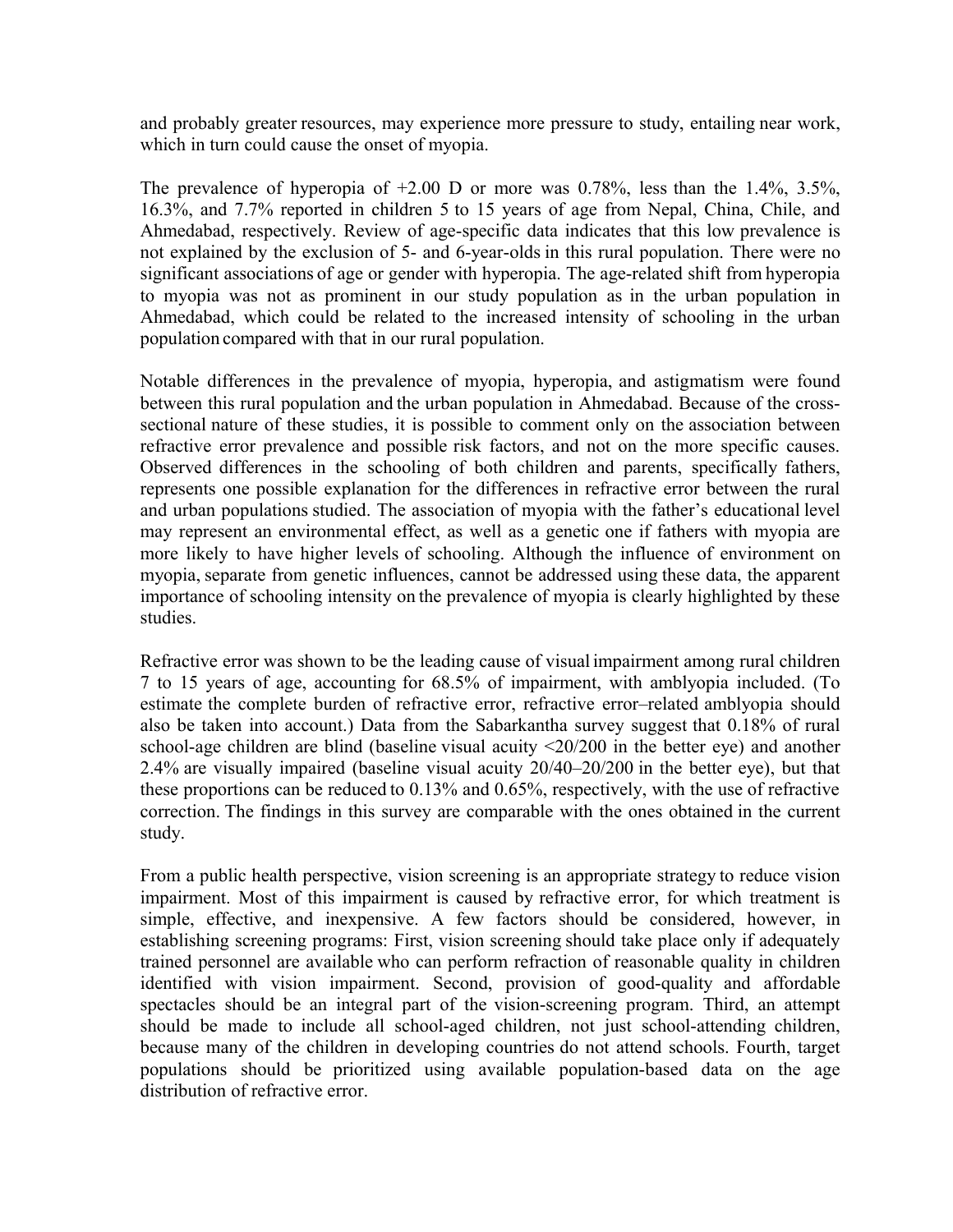and probably greater resources, may experience more pressure to study, entailing near work, which in turn could cause the onset of myopia.

The prevalence of hyperopia of  $+2.00$  D or more was 0.78%, less than the 1.4%, 3.5%, 16.3%, and 7.7% reported in children 5 to 15 years of age from Nepal, China, Chile, and Ahmedabad, respectively. Review of age-specific data indicates that this low prevalence is not explained by the exclusion of 5- and 6-year-olds in this rural population. There were no significant associations of age or gender with hyperopia. The age-related shift from hyperopia to myopia was not as prominent in our study population as in the urban population in Ahmedabad, which could be related to the increased intensity of schooling in the urban population compared with that in our rural population.

Notable differences in the prevalence of myopia, hyperopia, and astigmatism were found between this rural population and the urban population in Ahmedabad. Because of the crosssectional nature of these studies, it is possible to comment only on the association between refractive error prevalence and possible risk factors, and not on the more specific causes. Observed differences in the schooling of both children and parents, specifically fathers, represents one possible explanation for the differences in refractive error between the rural and urban populations studied. The association of myopia with the father's educational level may represent an environmental effect, as well as a genetic one if fathers with myopia are more likely to have higher levels of schooling. Although the influence of environment on myopia, separate from genetic influences, cannot be addressed using these data, the apparent importance of schooling intensity on the prevalence of myopia is clearly highlighted by these studies.

Refractive error was shown to be the leading cause of visual impairment among rural children 7 to 15 years of age, accounting for 68.5% of impairment, with amblyopia included. (To estimate the complete burden of refractive error, refractive error–related amblyopia should also be taken into account.) Data from the Sabarkantha survey suggest that 0.18% of rural school-age children are blind (baseline visual acuity <20/200 in the better eye) and another 2.4% are visually impaired (baseline visual acuity 20/40–20/200 in the better eye), but that these proportions can be reduced to 0.13% and 0.65%, respectively, with the use of refractive correction. The findings in this survey are comparable with the ones obtained in the current study.

From a public health perspective, vision screening is an appropriate strategy to reduce vision impairment. Most of this impairment is caused by refractive error, for which treatment is simple, effective, and inexpensive. A few factors should be considered, however, in establishing screening programs: First, vision screening should take place only if adequately trained personnel are available who can perform refraction of reasonable quality in children identified with vision impairment. Second, provision of good-quality and affordable spectacles should be an integral part of the vision-screening program. Third, an attempt should be made to include all school-aged children, not just school-attending children, because many of the children in developing countries do not attend schools. Fourth, target populations should be prioritized using available population-based data on the age distribution of refractive error.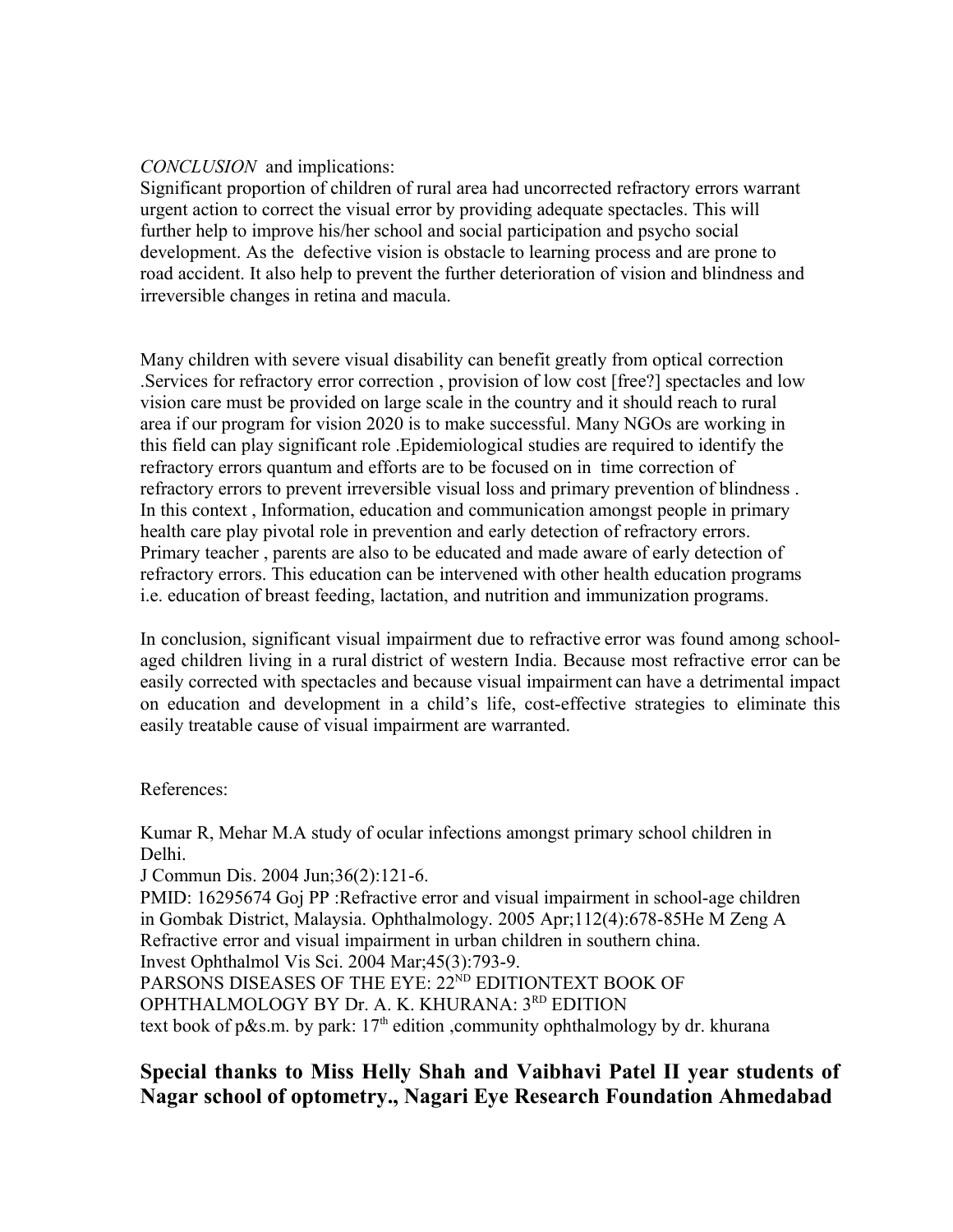### *CONCLUSION* and implications:

Significant proportion of children of rural area had uncorrected refractory errors warrant urgent action to correct the visual error by providing adequate spectacles. This will further help to improve his/her school and social participation and psycho social development. As the defective vision is obstacle to learning process and are prone to road accident. It also help to prevent the further deterioration of vision and blindness and irreversible changes in retina and macula.

Many children with severe visual disability can benefit greatly from optical correction .Services for refractory error correction , provision of low cost [free?] spectacles and low vision care must be provided on large scale in the country and it should reach to rural area if our program for vision 2020 is to make successful. Many NGOs are working in this field can play significant role .Epidemiological studies are required to identify the refractory errors quantum and efforts are to be focused on in time correction of refractory errors to prevent irreversible visual loss and primary prevention of blindness . In this context , Information, education and communication amongst people in primary health care play pivotal role in prevention and early detection of refractory errors. Primary teacher , parents are also to be educated and made aware of early detection of refractory errors. This education can be intervened with other health education programs i.e. education of breast feeding, lactation, and nutrition and immunization programs.

In conclusion, significant visual impairment due to refractive error was found among schoolaged children living in a rural district of western India. Because most refractive error can be easily corrected with spectacles and because visual impairment can have a detrimental impact on education and development in a child's life, cost-effective strategies to eliminate this easily treatable cause of visual impairment are warranted.

References:

Kumar R, Mehar M.A study of ocular infections amongst primary school children in Delhi.

J Commun Dis. 2004 Jun;36(2):121-6.

PMID: 16295674 Goj PP :Refractive error and visual impairment in school-age children in Gombak District, Malaysia. Ophthalmology. 2005 Apr;112(4):678-85He M Zeng A Refractive error and visual impairment in urban children in southern china. Invest Ophthalmol Vis Sci. 2004 Mar;45(3):793-9.

PARSONS DISEASES OF THE EYE: 22<sup>ND</sup> EDITIONTEXT BOOK OF

OPHTHALMOLOGY BY Dr. A. K. KHURANA: 3RD EDITION

text book of p&s.m. by park:  $17<sup>th</sup>$  edition ,community ophthalmology by dr. khurana

# **Special thanks to Miss Helly Shah and Vaibhavi Patel II year students of Nagar school of optometry., Nagari Eye Research Foundation Ahmedabad**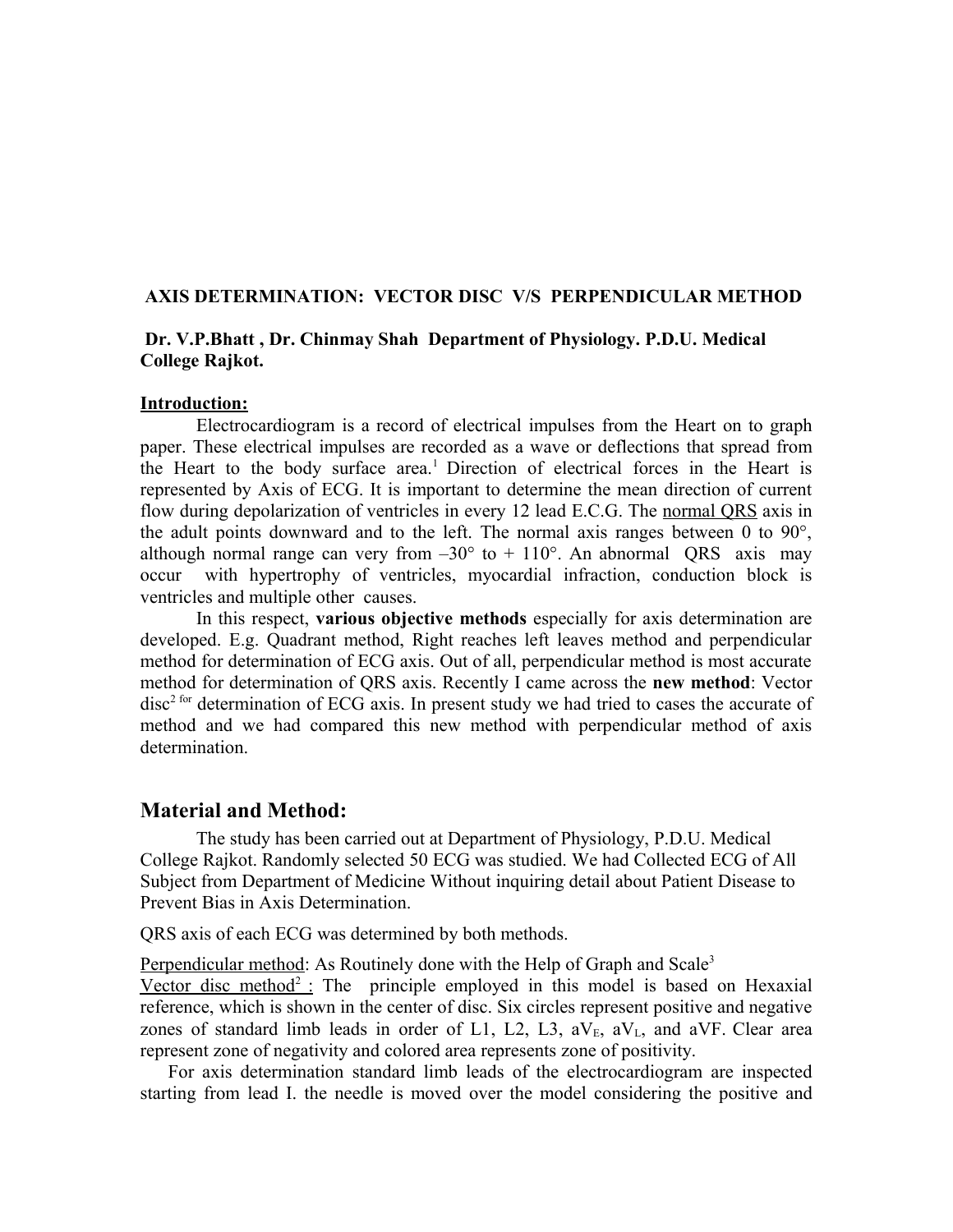### **AXIS DETERMINATION: VECTOR DISC V/S PERPENDICULAR METHOD**

### **Dr. V.P.Bhatt , Dr. Chinmay Shah Department of Physiology. P.D.U. Medical College Rajkot.**

### **Introduction:**

Electrocardiogram is a record of electrical impulses from the Heart on to graph paper. These electrical impulses are recorded as a wave or deflections that spread from the Heart to the body surface area.<sup>1</sup> Direction of electrical forces in the Heart is represented by Axis of ECG. It is important to determine the mean direction of current flow during depolarization of ventricles in every 12 lead E.C.G. The normal ORS axis in the adult points downward and to the left. The normal axis ranges between 0 to  $90^{\circ}$ , although normal range can very from  $-30^{\circ}$  to  $+110^{\circ}$ . An abnormal QRS axis may occur with hypertrophy of ventricles, myocardial infraction, conduction block is ventricles and multiple other causes.

In this respect, **various objective methods** especially for axis determination are developed. E.g. Quadrant method, Right reaches left leaves method and perpendicular method for determination of ECG axis. Out of all, perpendicular method is most accurate method for determination of QRS axis. Recently I came across the **new method**: Vector  $disc<sup>2 for</sup> determination of ECG axis. In present study we had tried to cases the accurate of$ method and we had compared this new method with perpendicular method of axis determination.

### **Material and Method:**

The study has been carried out at Department of Physiology, P.D.U. Medical College Rajkot. Randomly selected 50 ECG was studied. We had Collected ECG of All Subject from Department of Medicine Without inquiring detail about Patient Disease to Prevent Bias in Axis Determination.

QRS axis of each ECG was determined by both methods.

Perpendicular method: As Routinely done with the Help of Graph and Scale<sup>3</sup>

Vector disc method<sup>2</sup>: The principle employed in this model is based on Hexaxial reference, which is shown in the center of disc. Six circles represent positive and negative zones of standard limb leads in order of L1, L2, L3,  $aV_E$ ,  $aV_L$ , and  $aVF$ . Clear area represent zone of negativity and colored area represents zone of positivity.

For axis determination standard limb leads of the electrocardiogram are inspected starting from lead I. the needle is moved over the model considering the positive and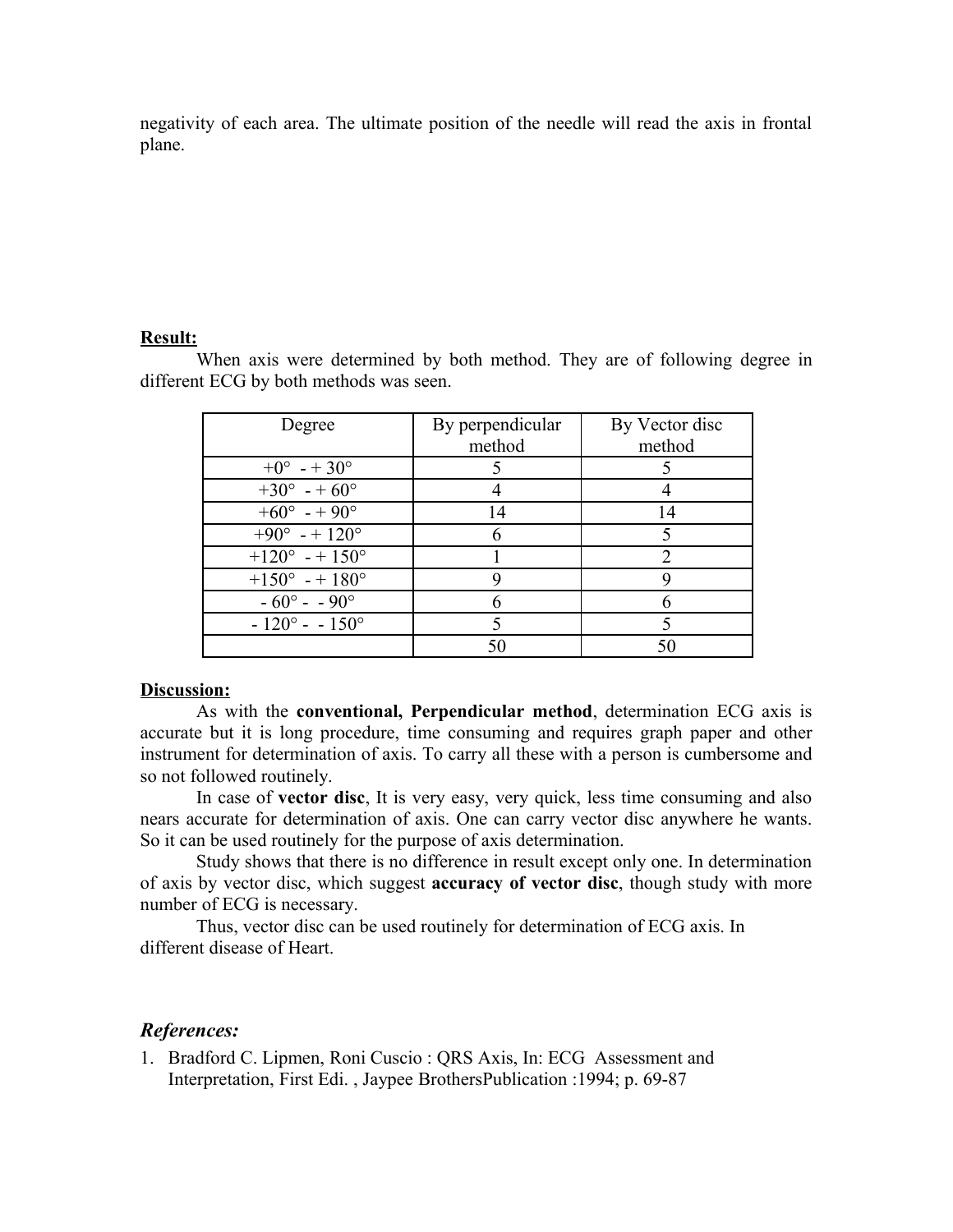negativity of each area. The ultimate position of the needle will read the axis in frontal plane.

#### **Result:**

When axis were determined by both method. They are of following degree in different ECG by both methods was seen.

| Degree                       | By perpendicular<br>method | By Vector disc<br>method |
|------------------------------|----------------------------|--------------------------|
| $+0^{\circ}$ - + 30°         |                            |                          |
| $+30^{\circ}$ - + 60°        |                            |                          |
| $+60^{\circ}$ - + 90°        | 14                         | 14                       |
| $+90^{\circ}$ - + 120°       |                            |                          |
| $+120^{\circ}$ - + 150°      |                            |                          |
| $+150^{\circ}$ - + 180°      |                            |                          |
| $-60^{\circ} - 90^{\circ}$   |                            |                          |
| $-120^{\circ} - 150^{\circ}$ |                            |                          |
|                              | 50                         | 50                       |

### **Discussion:**

As with the **conventional, Perpendicular method**, determination ECG axis is accurate but it is long procedure, time consuming and requires graph paper and other instrument for determination of axis. To carry all these with a person is cumbersome and so not followed routinely.

In case of **vector disc**, It is very easy, very quick, less time consuming and also nears accurate for determination of axis. One can carry vector disc anywhere he wants. So it can be used routinely for the purpose of axis determination.

Study shows that there is no difference in result except only one. In determination of axis by vector disc, which suggest **accuracy of vector disc**, though study with more number of ECG is necessary.

Thus, vector disc can be used routinely for determination of ECG axis. In different disease of Heart.

### *References:*

1. Bradford C. Lipmen, Roni Cuscio : QRS Axis, In: ECG Assessment and Interpretation, First Edi. , Jaypee BrothersPublication :1994; p. 69-87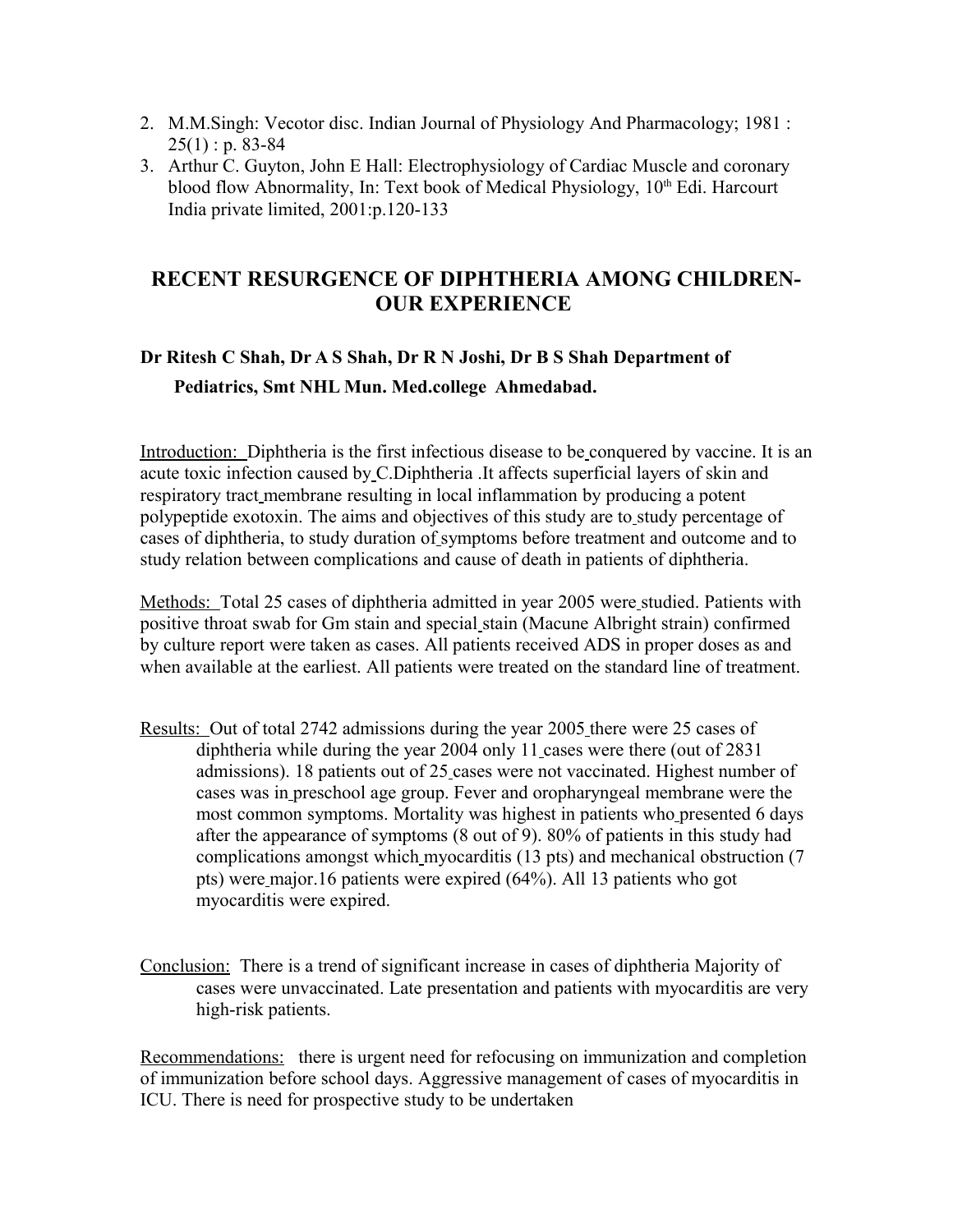- 2. M.M.Singh: Vecotor disc. Indian Journal of Physiology And Pharmacology; 1981 :  $25(1)$ : p. 83-84
- 3. Arthur C. Guyton, John E Hall: Electrophysiology of Cardiac Muscle and coronary blood flow Abnormality, In: Text book of Medical Physiology,  $10<sup>th</sup>$  Edi. Harcourt India private limited, 2001:p.120-133

# **RECENT RESURGENCE OF DIPHTHERIA AMONG CHILDREN-OUR EXPERIENCE**

# **Dr Ritesh C Shah, Dr A S Shah, Dr R N Joshi, Dr B S Shah Department of Pediatrics, Smt NHL Mun. Med.college Ahmedabad.**

Introduction: Diphtheria is the first infectious disease to be conquered by vaccine. It is an acute toxic infection caused by C.Diphtheria .It affects superficial layers of skin and respiratory tract membrane resulting in local inflammation by producing a potent polypeptide exotoxin. The aims and objectives of this study are to study percentage of cases of diphtheria, to study duration of symptoms before treatment and outcome and to study relation between complications and cause of death in patients of diphtheria.

 Methods: Total 25 cases of diphtheria admitted in year 2005 were studied. Patients with positive throat swab for Gm stain and special stain (Macune Albright strain) confirmed by culture report were taken as cases. All patients received ADS in proper doses as and when available at the earliest. All patients were treated on the standard line of treatment.

- Results: Out of total 2742 admissions during the year 2005 there were 25 cases of diphtheria while during the year 2004 only 11 cases were there (out of 2831 admissions). 18 patients out of 25 cases were not vaccinated. Highest number of cases was in preschool age group. Fever and oropharyngeal membrane were the most common symptoms. Mortality was highest in patients who presented 6 days after the appearance of symptoms (8 out of 9). 80% of patients in this study had complications amongst which myocarditis (13 pts) and mechanical obstruction (7 pts) were major.16 patients were expired (64%). All 13 patients who got myocarditis were expired.
- Conclusion: There is a trend of significant increase in cases of diphtheria Majority of cases were unvaccinated. Late presentation and patients with myocarditis are very high-risk patients.

Recommendations: there is urgent need for refocusing on immunization and completion of immunization before school days. Aggressive management of cases of myocarditis in ICU. There is need for prospective study to be undertaken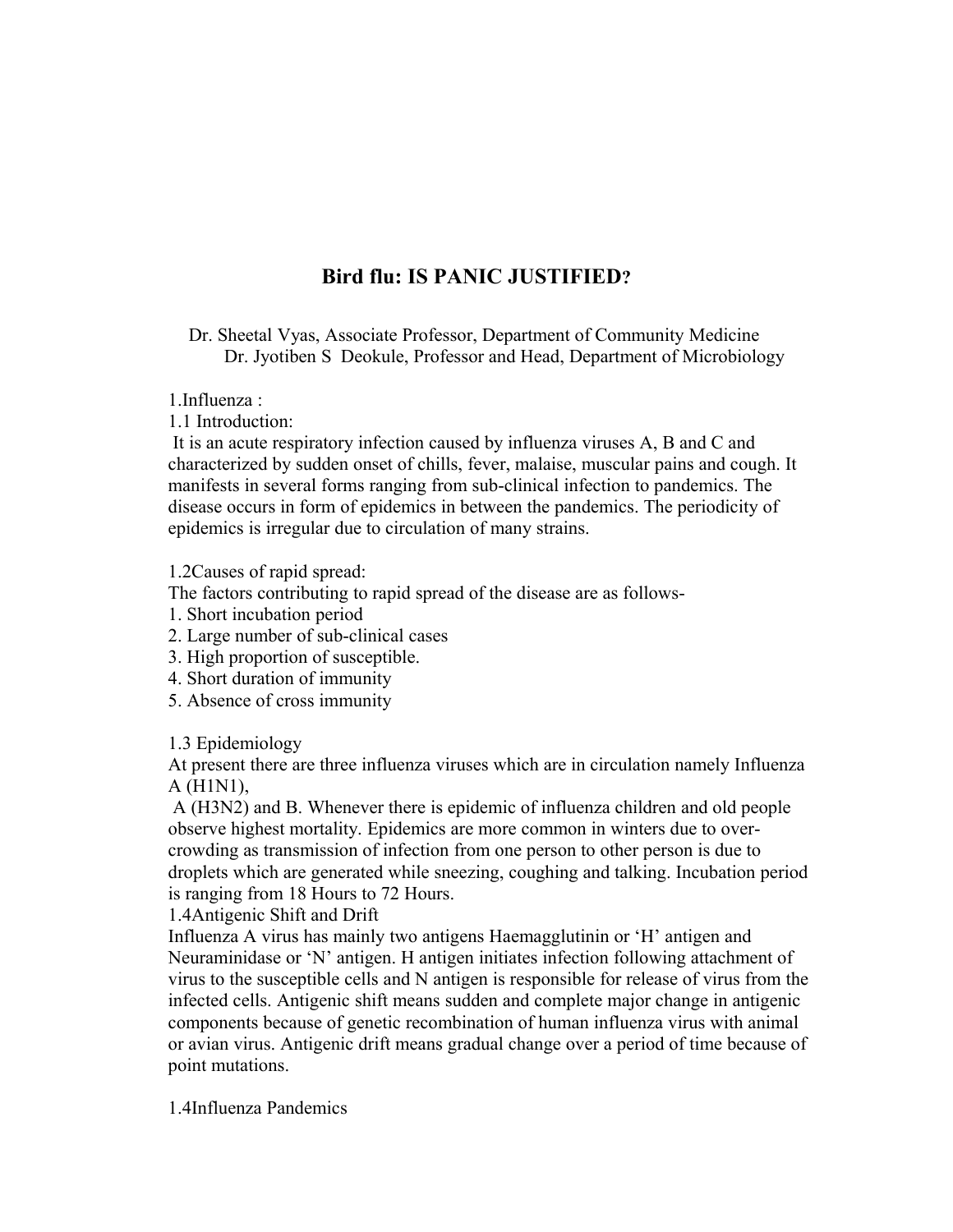# **Bird flu: IS PANIC JUSTIFIED?**

Dr. Sheetal Vyas, Associate Professor, Department of Community Medicine Dr. Jyotiben S Deokule, Professor and Head, Department of Microbiology

1.Influenza :

1.1 Introduction:

 It is an acute respiratory infection caused by influenza viruses A, B and C and characterized by sudden onset of chills, fever, malaise, muscular pains and cough. It manifests in several forms ranging from sub-clinical infection to pandemics. The disease occurs in form of epidemics in between the pandemics. The periodicity of epidemics is irregular due to circulation of many strains.

1.2Causes of rapid spread:

The factors contributing to rapid spread of the disease are as follows-

- 1. Short incubation period
- 2. Large number of sub-clinical cases
- 3. High proportion of susceptible.
- 4. Short duration of immunity
- 5. Absence of cross immunity

### 1.3 Epidemiology

At present there are three influenza viruses which are in circulation namely Influenza A (H1N1),

 A (H3N2) and B. Whenever there is epidemic of influenza children and old people observe highest mortality. Epidemics are more common in winters due to overcrowding as transmission of infection from one person to other person is due to droplets which are generated while sneezing, coughing and talking. Incubation period is ranging from 18 Hours to 72 Hours.

1.4Antigenic Shift and Drift

Influenza A virus has mainly two antigens Haemagglutinin or 'H' antigen and Neuraminidase or 'N' antigen. H antigen initiates infection following attachment of virus to the susceptible cells and N antigen is responsible for release of virus from the infected cells. Antigenic shift means sudden and complete major change in antigenic components because of genetic recombination of human influenza virus with animal or avian virus. Antigenic drift means gradual change over a period of time because of point mutations.

1.4Influenza Pandemics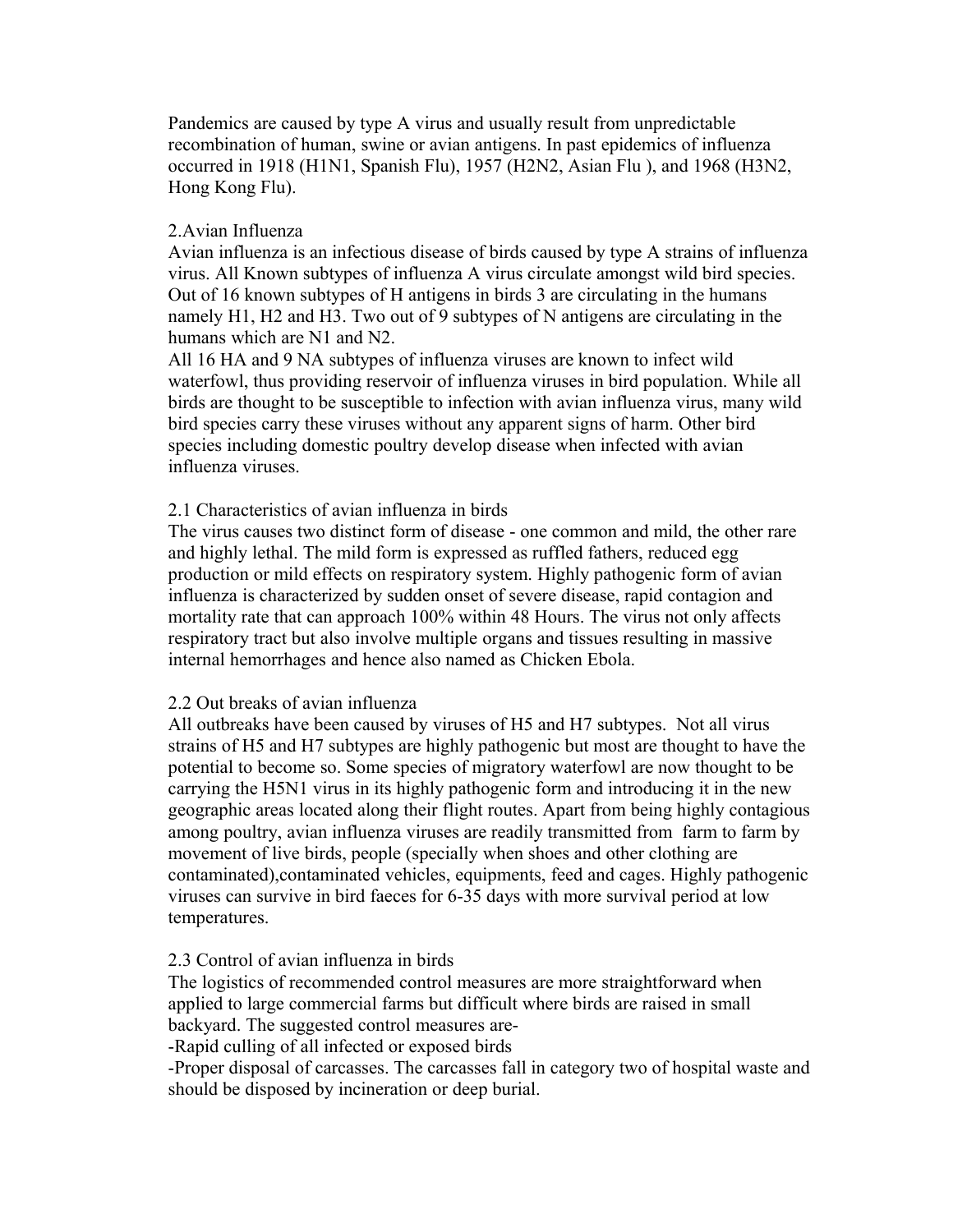Pandemics are caused by type A virus and usually result from unpredictable recombination of human, swine or avian antigens. In past epidemics of influenza occurred in 1918 (H1N1, Spanish Flu), 1957 (H2N2, Asian Flu ), and 1968 (H3N2, Hong Kong Flu).

## 2.Avian Influenza

Avian influenza is an infectious disease of birds caused by type A strains of influenza virus. All Known subtypes of influenza A virus circulate amongst wild bird species. Out of 16 known subtypes of H antigens in birds 3 are circulating in the humans namely H1, H2 and H3. Two out of 9 subtypes of N antigens are circulating in the humans which are N1 and N2.

All 16 HA and 9 NA subtypes of influenza viruses are known to infect wild waterfowl, thus providing reservoir of influenza viruses in bird population. While all birds are thought to be susceptible to infection with avian influenza virus, many wild bird species carry these viruses without any apparent signs of harm. Other bird species including domestic poultry develop disease when infected with avian influenza viruses.

## 2.1 Characteristics of avian influenza in birds

The virus causes two distinct form of disease - one common and mild, the other rare and highly lethal. The mild form is expressed as ruffled fathers, reduced egg production or mild effects on respiratory system. Highly pathogenic form of avian influenza is characterized by sudden onset of severe disease, rapid contagion and mortality rate that can approach 100% within 48 Hours. The virus not only affects respiratory tract but also involve multiple organs and tissues resulting in massive internal hemorrhages and hence also named as Chicken Ebola.

### 2.2 Out breaks of avian influenza

All outbreaks have been caused by viruses of H5 and H7 subtypes. Not all virus strains of H5 and H7 subtypes are highly pathogenic but most are thought to have the potential to become so. Some species of migratory waterfowl are now thought to be carrying the H5N1 virus in its highly pathogenic form and introducing it in the new geographic areas located along their flight routes. Apart from being highly contagious among poultry, avian influenza viruses are readily transmitted from farm to farm by movement of live birds, people (specially when shoes and other clothing are contaminated),contaminated vehicles, equipments, feed and cages. Highly pathogenic viruses can survive in bird faeces for 6-35 days with more survival period at low temperatures.

### 2.3 Control of avian influenza in birds

The logistics of recommended control measures are more straightforward when applied to large commercial farms but difficult where birds are raised in small backyard. The suggested control measures are-

-Rapid culling of all infected or exposed birds

-Proper disposal of carcasses. The carcasses fall in category two of hospital waste and should be disposed by incineration or deep burial.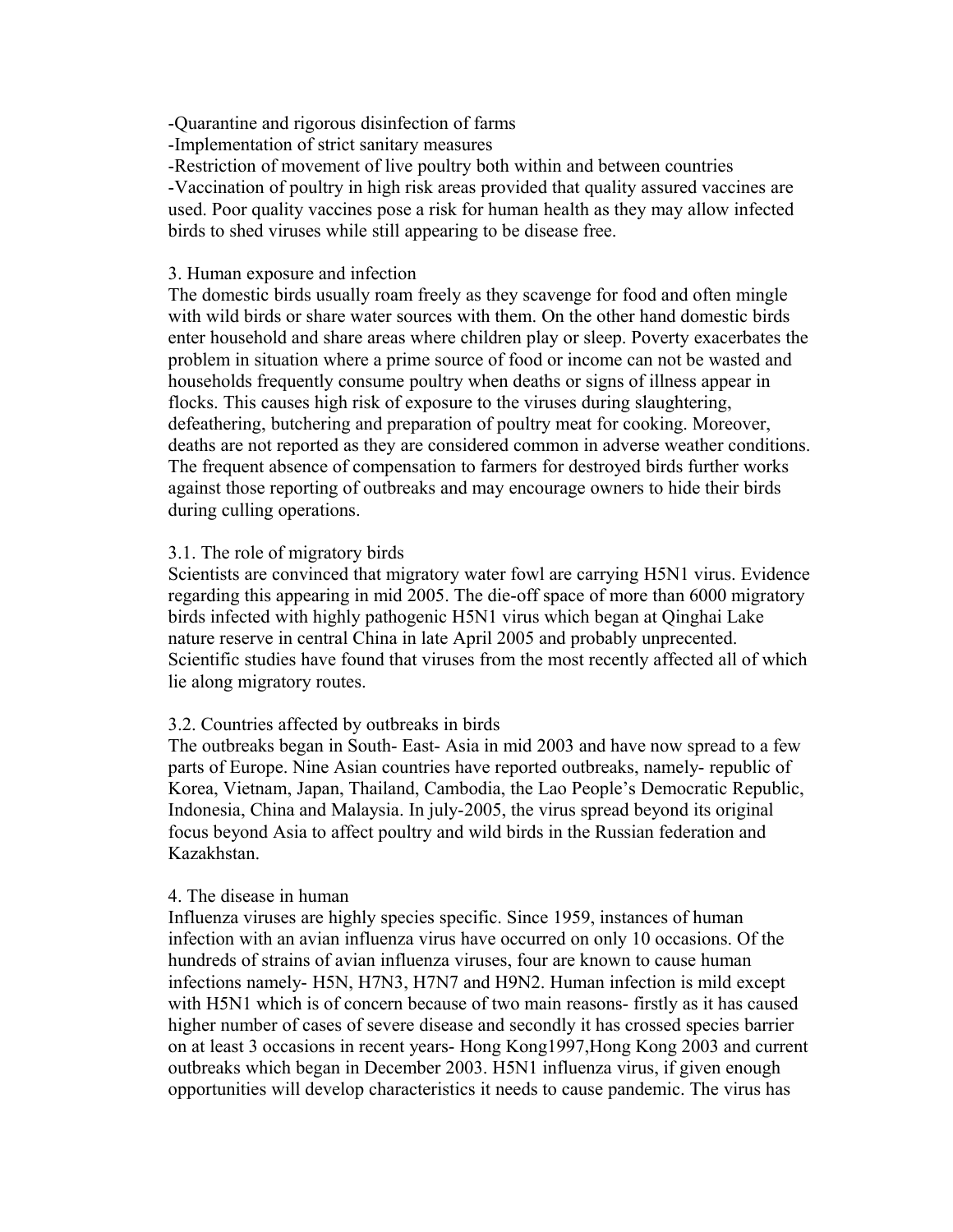-Quarantine and rigorous disinfection of farms

-Implementation of strict sanitary measures

-Restriction of movement of live poultry both within and between countries

-Vaccination of poultry in high risk areas provided that quality assured vaccines are used. Poor quality vaccines pose a risk for human health as they may allow infected birds to shed viruses while still appearing to be disease free.

### 3. Human exposure and infection

The domestic birds usually roam freely as they scavenge for food and often mingle with wild birds or share water sources with them. On the other hand domestic birds enter household and share areas where children play or sleep. Poverty exacerbates the problem in situation where a prime source of food or income can not be wasted and households frequently consume poultry when deaths or signs of illness appear in flocks. This causes high risk of exposure to the viruses during slaughtering, defeathering, butchering and preparation of poultry meat for cooking. Moreover, deaths are not reported as they are considered common in adverse weather conditions. The frequent absence of compensation to farmers for destroyed birds further works against those reporting of outbreaks and may encourage owners to hide their birds during culling operations.

### 3.1. The role of migratory birds

Scientists are convinced that migratory water fowl are carrying H5N1 virus. Evidence regarding this appearing in mid 2005. The die-off space of more than 6000 migratory birds infected with highly pathogenic H5N1 virus which began at Qinghai Lake nature reserve in central China in late April 2005 and probably unprecented. Scientific studies have found that viruses from the most recently affected all of which lie along migratory routes.

### 3.2. Countries affected by outbreaks in birds

The outbreaks began in South- East- Asia in mid 2003 and have now spread to a few parts of Europe. Nine Asian countries have reported outbreaks, namely- republic of Korea, Vietnam, Japan, Thailand, Cambodia, the Lao People's Democratic Republic, Indonesia, China and Malaysia. In july-2005, the virus spread beyond its original focus beyond Asia to affect poultry and wild birds in the Russian federation and Kazakhstan.

### 4. The disease in human

Influenza viruses are highly species specific. Since 1959, instances of human infection with an avian influenza virus have occurred on only 10 occasions. Of the hundreds of strains of avian influenza viruses, four are known to cause human infections namely- H5N, H7N3, H7N7 and H9N2. Human infection is mild except with H5N1 which is of concern because of two main reasons- firstly as it has caused higher number of cases of severe disease and secondly it has crossed species barrier on at least 3 occasions in recent years- Hong Kong1997,Hong Kong 2003 and current outbreaks which began in December 2003. H5N1 influenza virus, if given enough opportunities will develop characteristics it needs to cause pandemic. The virus has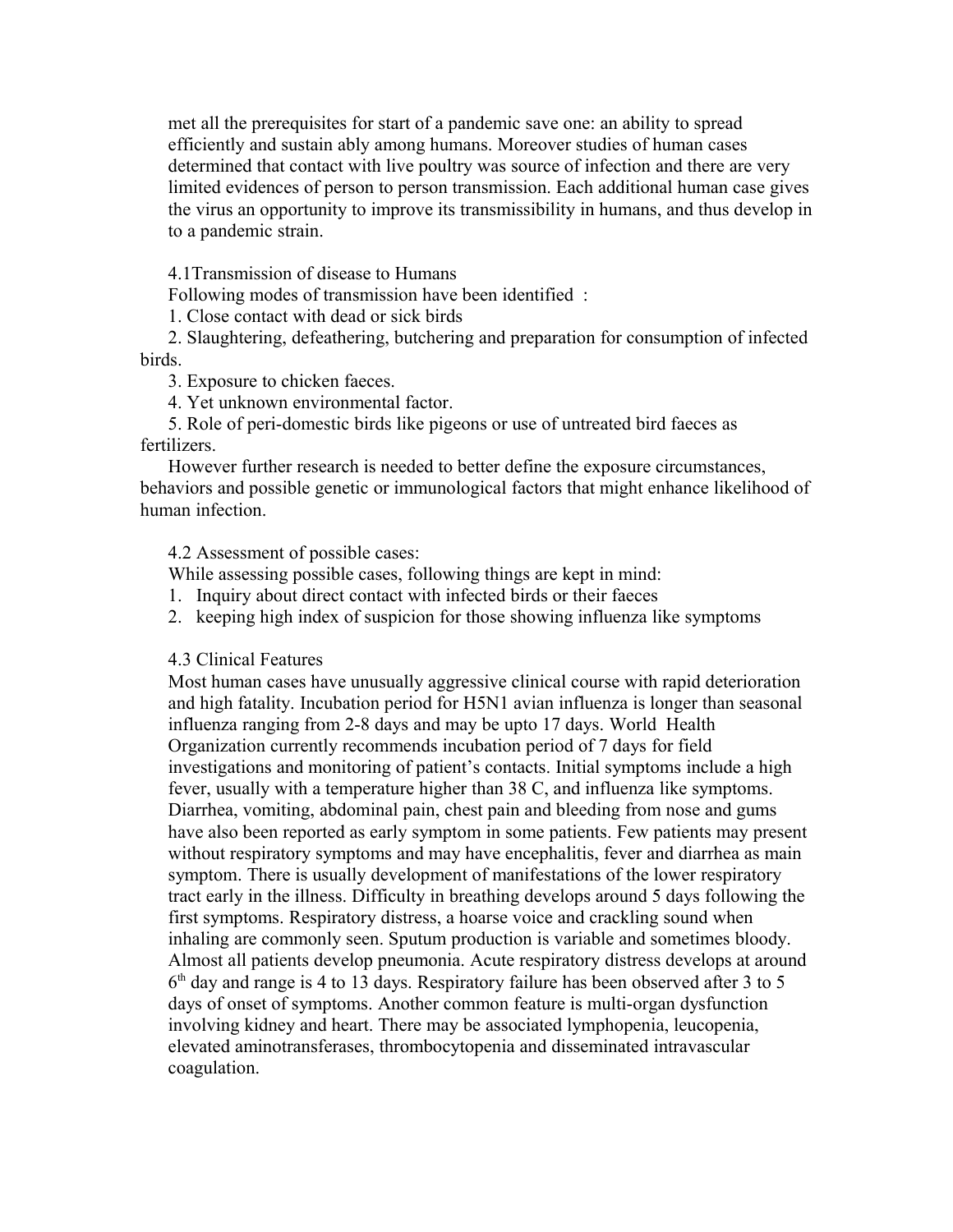met all the prerequisites for start of a pandemic save one: an ability to spread efficiently and sustain ably among humans. Moreover studies of human cases determined that contact with live poultry was source of infection and there are very limited evidences of person to person transmission. Each additional human case gives the virus an opportunity to improve its transmissibility in humans, and thus develop in to a pandemic strain.

4.1Transmission of disease to Humans

Following modes of transmission have been identified :

1. Close contact with dead or sick birds

2. Slaughtering, defeathering, butchering and preparation for consumption of infected **birds** 

3. Exposure to chicken faeces.

4. Yet unknown environmental factor.

5. Role of peri-domestic birds like pigeons or use of untreated bird faeces as fertilizers.

However further research is needed to better define the exposure circumstances, behaviors and possible genetic or immunological factors that might enhance likelihood of human infection.

4.2 Assessment of possible cases:

While assessing possible cases, following things are kept in mind:

1. Inquiry about direct contact with infected birds or their faeces

2. keeping high index of suspicion for those showing influenza like symptoms

4.3 Clinical Features

Most human cases have unusually aggressive clinical course with rapid deterioration and high fatality. Incubation period for H5N1 avian influenza is longer than seasonal influenza ranging from 2-8 days and may be upto 17 days. World Health Organization currently recommends incubation period of 7 days for field investigations and monitoring of patient's contacts. Initial symptoms include a high fever, usually with a temperature higher than 38 C, and influenza like symptoms. Diarrhea, vomiting, abdominal pain, chest pain and bleeding from nose and gums have also been reported as early symptom in some patients. Few patients may present without respiratory symptoms and may have encephalitis, fever and diarrhea as main symptom. There is usually development of manifestations of the lower respiratory tract early in the illness. Difficulty in breathing develops around 5 days following the first symptoms. Respiratory distress, a hoarse voice and crackling sound when inhaling are commonly seen. Sputum production is variable and sometimes bloody. Almost all patients develop pneumonia. Acute respiratory distress develops at around 6<sup>th</sup> day and range is 4 to 13 days. Respiratory failure has been observed after 3 to 5 days of onset of symptoms. Another common feature is multi-organ dysfunction involving kidney and heart. There may be associated lymphopenia, leucopenia, elevated aminotransferases, thrombocytopenia and disseminated intravascular coagulation.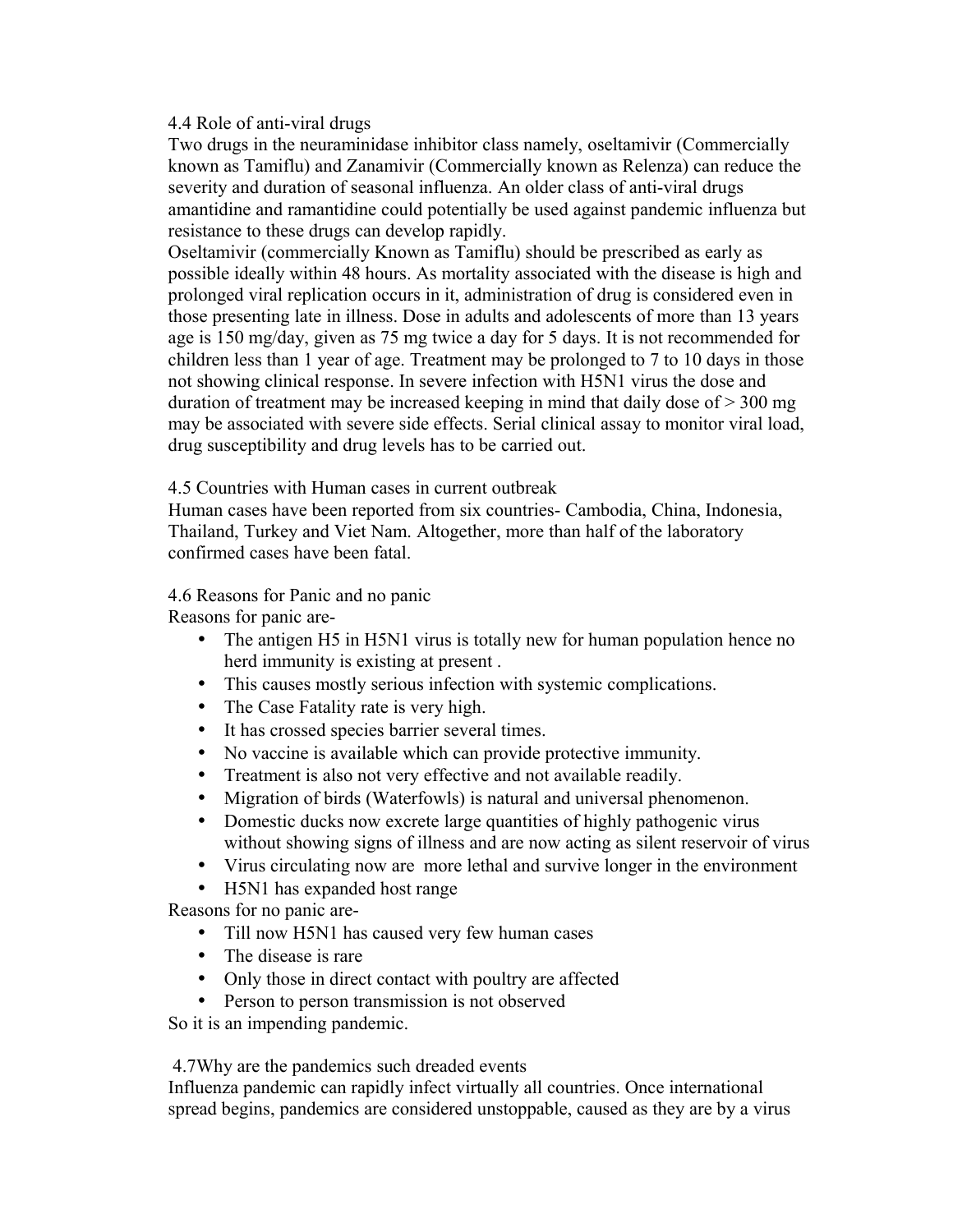### 4.4 Role of anti-viral drugs

Two drugs in the neuraminidase inhibitor class namely, oseltamivir (Commercially known as Tamiflu) and Zanamivir (Commercially known as Relenza) can reduce the severity and duration of seasonal influenza. An older class of anti-viral drugs amantidine and ramantidine could potentially be used against pandemic influenza but resistance to these drugs can develop rapidly.

Oseltamivir (commercially Known as Tamiflu) should be prescribed as early as possible ideally within 48 hours. As mortality associated with the disease is high and prolonged viral replication occurs in it, administration of drug is considered even in those presenting late in illness. Dose in adults and adolescents of more than 13 years age is 150 mg/day, given as 75 mg twice a day for 5 days. It is not recommended for children less than 1 year of age. Treatment may be prolonged to 7 to 10 days in those not showing clinical response. In severe infection with H5N1 virus the dose and duration of treatment may be increased keeping in mind that daily dose of > 300 mg may be associated with severe side effects. Serial clinical assay to monitor viral load, drug susceptibility and drug levels has to be carried out.

4.5 Countries with Human cases in current outbreak

Human cases have been reported from six countries- Cambodia, China, Indonesia, Thailand, Turkey and Viet Nam. Altogether, more than half of the laboratory confirmed cases have been fatal.

4.6 Reasons for Panic and no panic

Reasons for panic are-

- The antigen H5 in H5N1 virus is totally new for human population hence no herd immunity is existing at present .
- This causes mostly serious infection with systemic complications.
- The Case Fatality rate is very high.
- It has crossed species barrier several times.
- No vaccine is available which can provide protective immunity.
- Treatment is also not very effective and not available readily.
- Migration of birds (Waterfowls) is natural and universal phenomenon.
- Domestic ducks now excrete large quantities of highly pathogenic virus without showing signs of illness and are now acting as silent reservoir of virus
- Virus circulating now are more lethal and survive longer in the environment
- H5N1 has expanded host range

Reasons for no panic are-

- Till now H5N1 has caused very few human cases
- The disease is rare
- Only those in direct contact with poultry are affected
- Person to person transmission is not observed

So it is an impending pandemic.

4.7Why are the pandemics such dreaded events

Influenza pandemic can rapidly infect virtually all countries. Once international spread begins, pandemics are considered unstoppable, caused as they are by a virus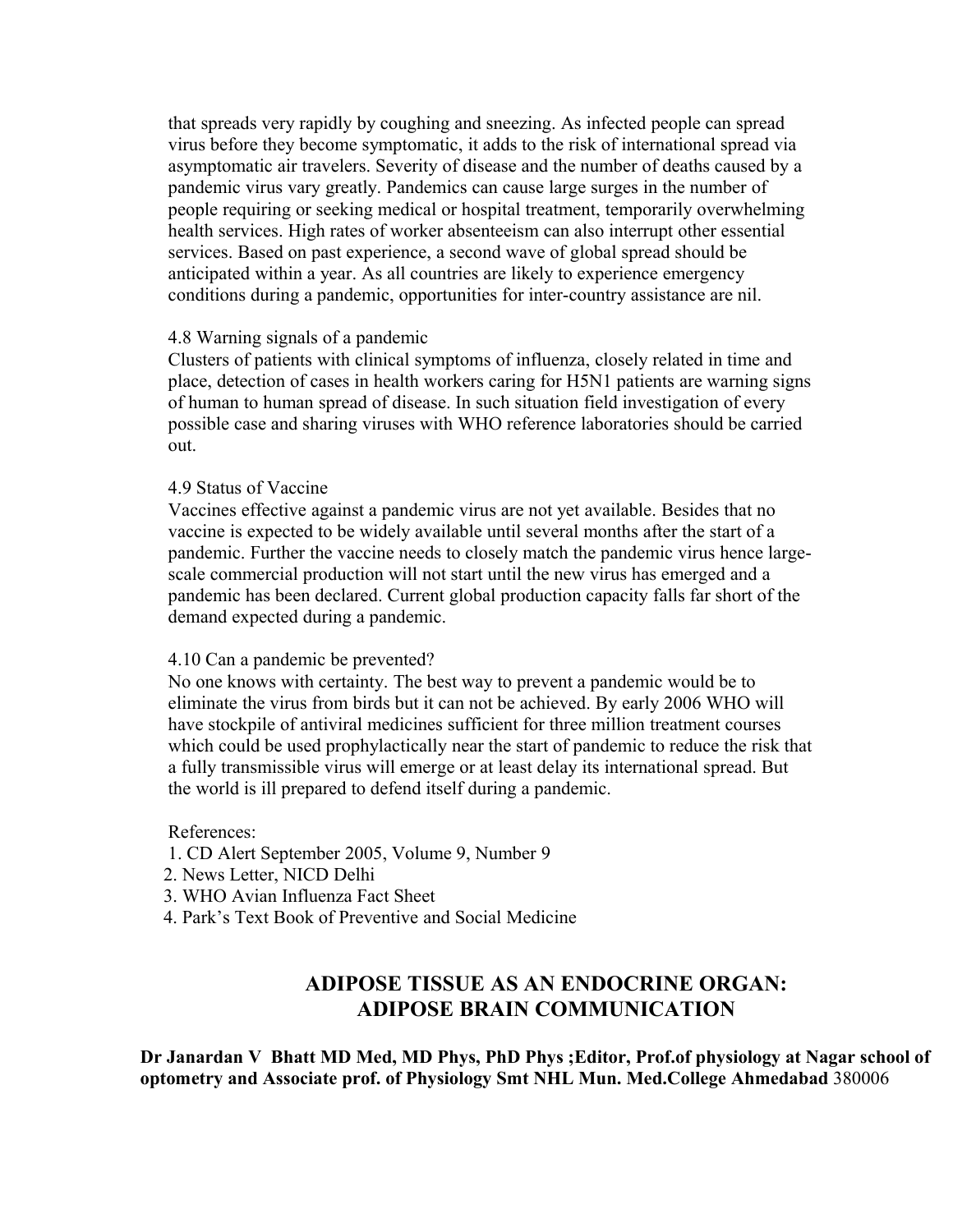that spreads very rapidly by coughing and sneezing. As infected people can spread virus before they become symptomatic, it adds to the risk of international spread via asymptomatic air travelers. Severity of disease and the number of deaths caused by a pandemic virus vary greatly. Pandemics can cause large surges in the number of people requiring or seeking medical or hospital treatment, temporarily overwhelming health services. High rates of worker absenteeism can also interrupt other essential services. Based on past experience, a second wave of global spread should be anticipated within a year. As all countries are likely to experience emergency conditions during a pandemic, opportunities for inter-country assistance are nil.

#### 4.8 Warning signals of a pandemic

Clusters of patients with clinical symptoms of influenza, closely related in time and place, detection of cases in health workers caring for H5N1 patients are warning signs of human to human spread of disease. In such situation field investigation of every possible case and sharing viruses with WHO reference laboratories should be carried out.

### 4.9 Status of Vaccine

Vaccines effective against a pandemic virus are not yet available. Besides that no vaccine is expected to be widely available until several months after the start of a pandemic. Further the vaccine needs to closely match the pandemic virus hence largescale commercial production will not start until the new virus has emerged and a pandemic has been declared. Current global production capacity falls far short of the demand expected during a pandemic.

#### 4.10 Can a pandemic be prevented?

No one knows with certainty. The best way to prevent a pandemic would be to eliminate the virus from birds but it can not be achieved. By early 2006 WHO will have stockpile of antiviral medicines sufficient for three million treatment courses which could be used prophylactically near the start of pandemic to reduce the risk that a fully transmissible virus will emerge or at least delay its international spread. But the world is ill prepared to defend itself during a pandemic.

#### References:

- 1. CD Alert September 2005, Volume 9, Number 9
- 2. News Letter, NICD Delhi
- 3. WHO Avian Influenza Fact Sheet
- 4. Park's Text Book of Preventive and Social Medicine

# **ADIPOSE TISSUE AS AN ENDOCRINE ORGAN: ADIPOSE BRAIN COMMUNICATION**

**Dr Janardan V Bhatt MD Med, MD Phys, PhD Phys ;Editor, Prof.of physiology at Nagar school of optometry and Associate prof. of Physiology Smt NHL Mun. Med.College Ahmedabad** 380006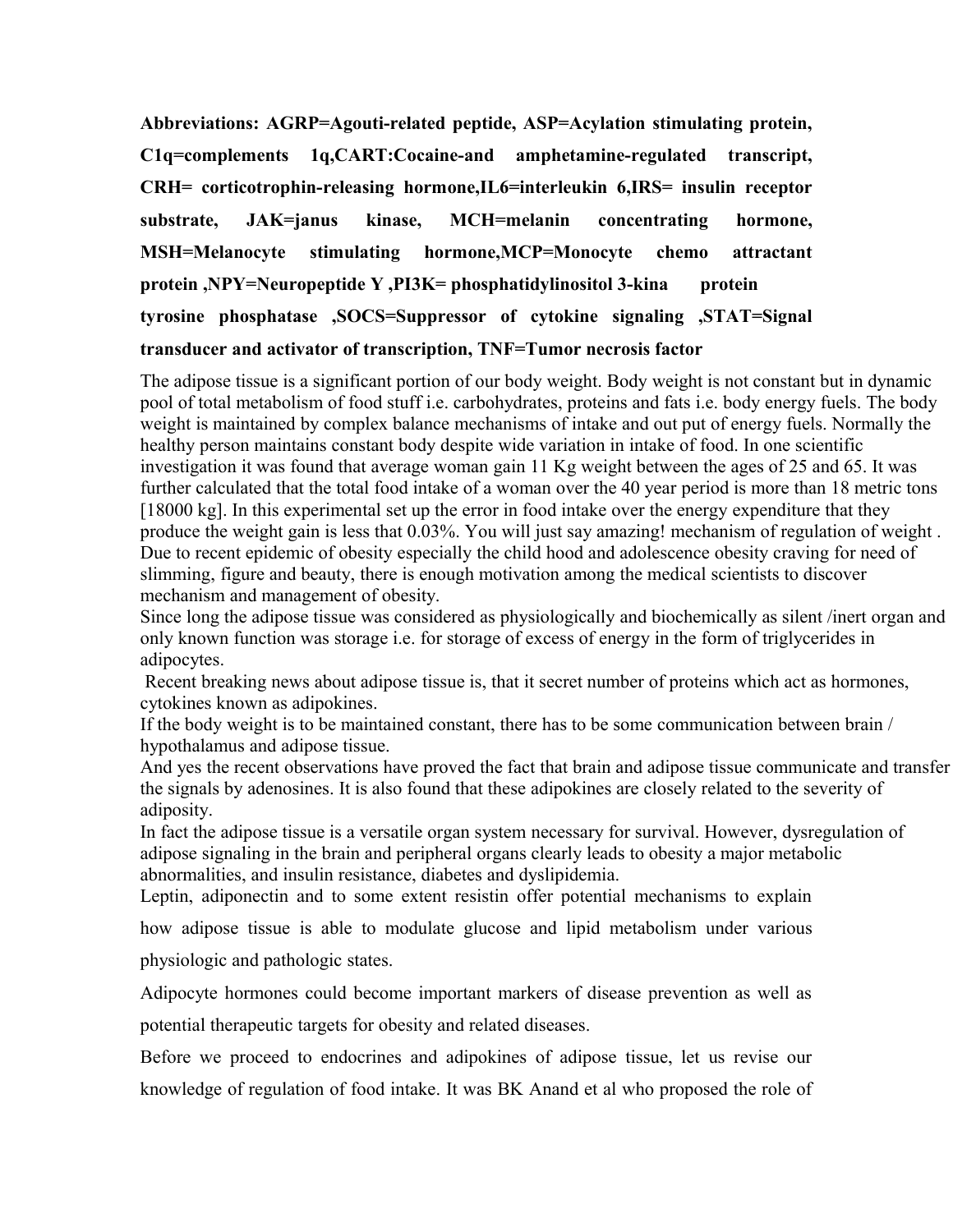**Abbreviations: AGRP=Agouti-related peptide, ASP=Acylation stimulating protein, C1q=complements 1q,CART:Cocaine-and amphetamine-regulated transcript, CRH= corticotrophin-releasing hormone,IL6=interleukin 6,IRS= insulin receptor substrate, JAK=janus kinase, MCH=melanin concentrating hormone, MSH=Melanocyte stimulating hormone,MCP=Monocyte chemo attractant protein ,NPY=Neuropeptide Y ,PI3K= phosphatidylinositol 3-kina protein tyrosine phosphatase ,SOCS=Suppressor of cytokine signaling ,STAT=Signal transducer and activator of transcription, TNF=Tumor necrosis factor**

The adipose tissue is a significant portion of our body weight. Body weight is not constant but in dynamic pool of total metabolism of food stuff i.e. carbohydrates, proteins and fats i.e. body energy fuels. The body weight is maintained by complex balance mechanisms of intake and out put of energy fuels. Normally the healthy person maintains constant body despite wide variation in intake of food. In one scientific investigation it was found that average woman gain 11 Kg weight between the ages of 25 and 65. It was further calculated that the total food intake of a woman over the 40 year period is more than 18 metric tons [18000 kg]. In this experimental set up the error in food intake over the energy expenditure that they produce the weight gain is less that 0.03%. You will just say amazing! mechanism of regulation of weight . Due to recent epidemic of obesity especially the child hood and adolescence obesity craving for need of slimming, figure and beauty, there is enough motivation among the medical scientists to discover mechanism and management of obesity.

Since long the adipose tissue was considered as physiologically and biochemically as silent /inert organ and only known function was storage i.e. for storage of excess of energy in the form of triglycerides in adipocytes.

 Recent breaking news about adipose tissue is, that it secret number of proteins which act as hormones, cytokines known as adipokines.

If the body weight is to be maintained constant, there has to be some communication between brain / hypothalamus and adipose tissue.

And yes the recent observations have proved the fact that brain and adipose tissue communicate and transfer the signals by adenosines. It is also found that these adipokines are closely related to the severity of adiposity.

In fact the adipose tissue is a versatile organ system necessary for survival. However, dysregulation of adipose signaling in the brain and peripheral organs clearly leads to obesity a major metabolic abnormalities, and insulin resistance, diabetes and dyslipidemia.

Leptin, adiponectin and to some extent resistin offer potential mechanisms to explain

how adipose tissue is able to modulate glucose and lipid metabolism under various

physiologic and pathologic states.

Adipocyte hormones could become important markers of disease prevention as well as

potential therapeutic targets for obesity and related diseases.

Before we proceed to endocrines and adipokines of adipose tissue, let us revise our knowledge of regulation of food intake. It was BK Anand et al who proposed the role of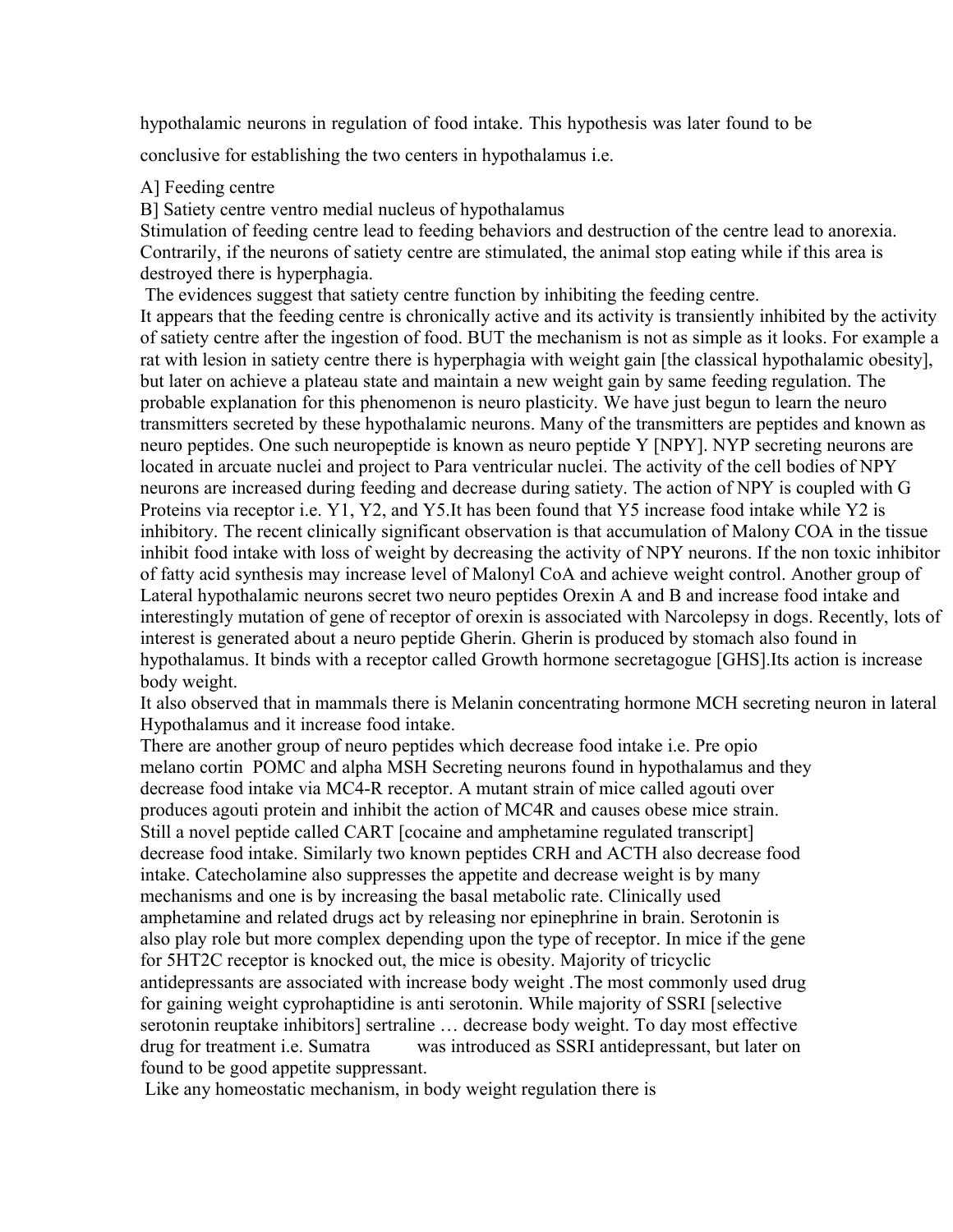hypothalamic neurons in regulation of food intake. This hypothesis was later found to be

conclusive for establishing the two centers in hypothalamus i.e.

## A] Feeding centre

B] Satiety centre ventro medial nucleus of hypothalamus

Stimulation of feeding centre lead to feeding behaviors and destruction of the centre lead to anorexia. Contrarily, if the neurons of satiety centre are stimulated, the animal stop eating while if this area is destroyed there is hyperphagia.

The evidences suggest that satiety centre function by inhibiting the feeding centre.

It appears that the feeding centre is chronically active and its activity is transiently inhibited by the activity of satiety centre after the ingestion of food. BUT the mechanism is not as simple as it looks. For example a rat with lesion in satiety centre there is hyperphagia with weight gain [the classical hypothalamic obesity], but later on achieve a plateau state and maintain a new weight gain by same feeding regulation. The probable explanation for this phenomenon is neuro plasticity. We have just begun to learn the neuro transmitters secreted by these hypothalamic neurons. Many of the transmitters are peptides and known as neuro peptides. One such neuropeptide is known as neuro peptide Y [NPY]. NYP secreting neurons are located in arcuate nuclei and project to Para ventricular nuclei. The activity of the cell bodies of NPY neurons are increased during feeding and decrease during satiety. The action of NPY is coupled with G Proteins via receptor i.e. Y1, Y2, and Y5.It has been found that Y5 increase food intake while Y2 is inhibitory. The recent clinically significant observation is that accumulation of Malony COA in the tissue inhibit food intake with loss of weight by decreasing the activity of NPY neurons. If the non toxic inhibitor of fatty acid synthesis may increase level of Malonyl CoA and achieve weight control. Another group of Lateral hypothalamic neurons secret two neuro peptides Orexin A and B and increase food intake and interestingly mutation of gene of receptor of orexin is associated with Narcolepsy in dogs. Recently, lots of interest is generated about a neuro peptide Gherin. Gherin is produced by stomach also found in hypothalamus. It binds with a receptor called Growth hormone secretagogue [GHS].Its action is increase body weight.

It also observed that in mammals there is Melanin concentrating hormone MCH secreting neuron in lateral Hypothalamus and it increase food intake.

There are another group of neuro peptides which decrease food intake i.e. Pre opio melano cortin POMC and alpha MSH Secreting neurons found in hypothalamus and they decrease food intake via MC4-R receptor. A mutant strain of mice called agouti over produces agouti protein and inhibit the action of MC4R and causes obese mice strain. Still a novel peptide called CART [cocaine and amphetamine regulated transcript] decrease food intake. Similarly two known peptides CRH and ACTH also decrease food intake. Catecholamine also suppresses the appetite and decrease weight is by many mechanisms and one is by increasing the basal metabolic rate. Clinically used amphetamine and related drugs act by releasing nor epinephrine in brain. Serotonin is also play role but more complex depending upon the type of receptor. In mice if the gene for 5HT2C receptor is knocked out, the mice is obesity. Majority of tricyclic antidepressants are associated with increase body weight .The most commonly used drug for gaining weight cyprohaptidine is anti serotonin. While majority of SSRI [selective serotonin reuptake inhibitors] sertraline … decrease body weight. To day most effective drug for treatment i.e. Sumatra was introduced as SSRI antidepressant, but later on found to be good appetite suppressant.

Like any homeostatic mechanism, in body weight regulation there is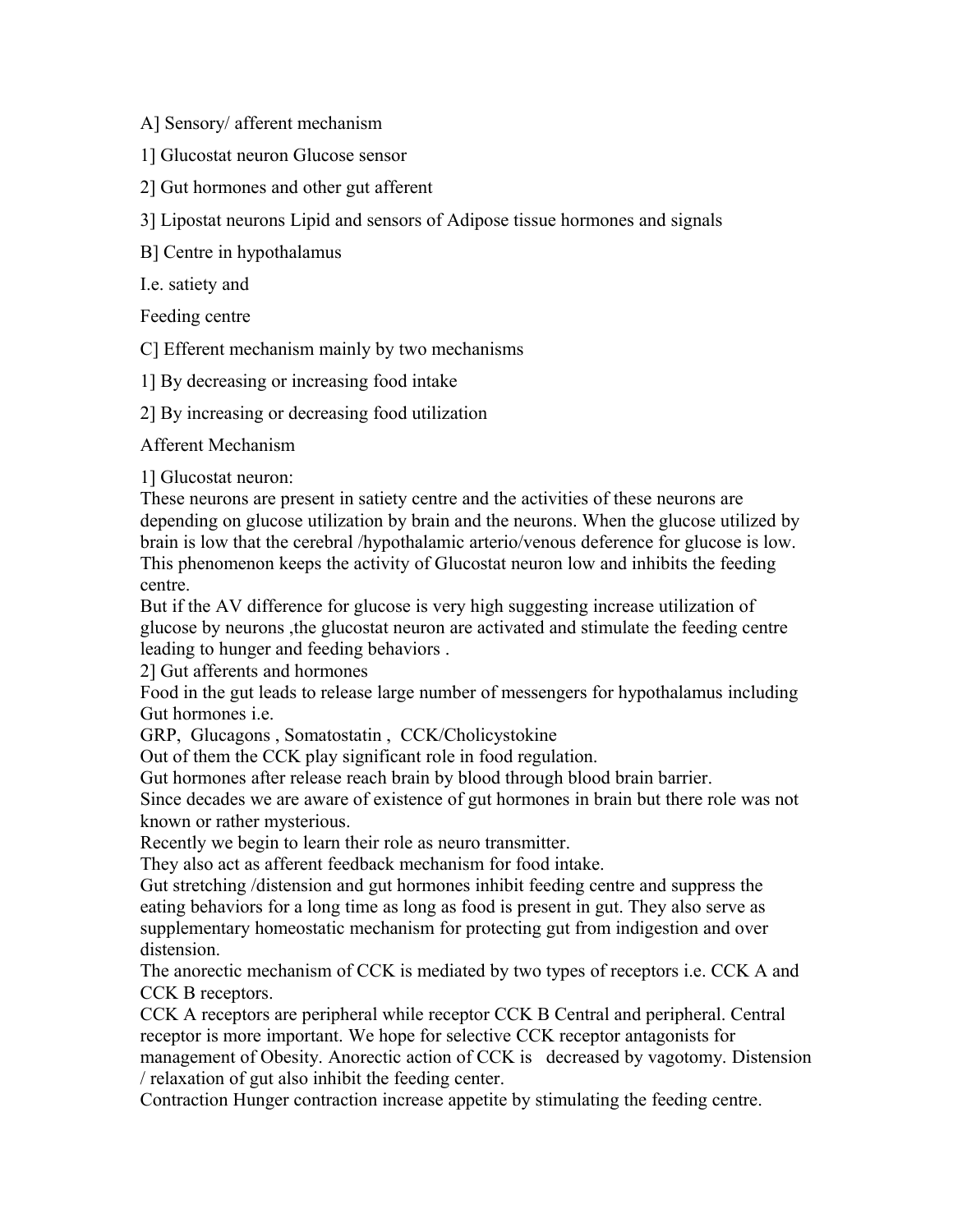A] Sensory/ afferent mechanism

1] Glucostat neuron Glucose sensor

2] Gut hormones and other gut afferent

3] Lipostat neurons Lipid and sensors of Adipose tissue hormones and signals

B] Centre in hypothalamus

I.e. satiety and

Feeding centre

C] Efferent mechanism mainly by two mechanisms

1] By decreasing or increasing food intake

2] By increasing or decreasing food utilization

Afferent Mechanism

1] Glucostat neuron:

These neurons are present in satiety centre and the activities of these neurons are depending on glucose utilization by brain and the neurons. When the glucose utilized by brain is low that the cerebral /hypothalamic arterio/venous deference for glucose is low. This phenomenon keeps the activity of Glucostat neuron low and inhibits the feeding centre.

But if the AV difference for glucose is very high suggesting increase utilization of glucose by neurons ,the glucostat neuron are activated and stimulate the feeding centre leading to hunger and feeding behaviors .

2] Gut afferents and hormones

Food in the gut leads to release large number of messengers for hypothalamus including Gut hormones i.e.

GRP, Glucagons , Somatostatin , CCK/Cholicystokine

Out of them the CCK play significant role in food regulation.

Gut hormones after release reach brain by blood through blood brain barrier.

Since decades we are aware of existence of gut hormones in brain but there role was not known or rather mysterious.

Recently we begin to learn their role as neuro transmitter.

They also act as afferent feedback mechanism for food intake.

Gut stretching /distension and gut hormones inhibit feeding centre and suppress the eating behaviors for a long time as long as food is present in gut. They also serve as supplementary homeostatic mechanism for protecting gut from indigestion and over distension.

The anorectic mechanism of CCK is mediated by two types of receptors i.e. CCK A and CCK B receptors.

CCK A receptors are peripheral while receptor CCK B Central and peripheral. Central receptor is more important. We hope for selective CCK receptor antagonists for management of Obesity. Anorectic action of CCK is decreased by vagotomy. Distension / relaxation of gut also inhibit the feeding center.

Contraction Hunger contraction increase appetite by stimulating the feeding centre.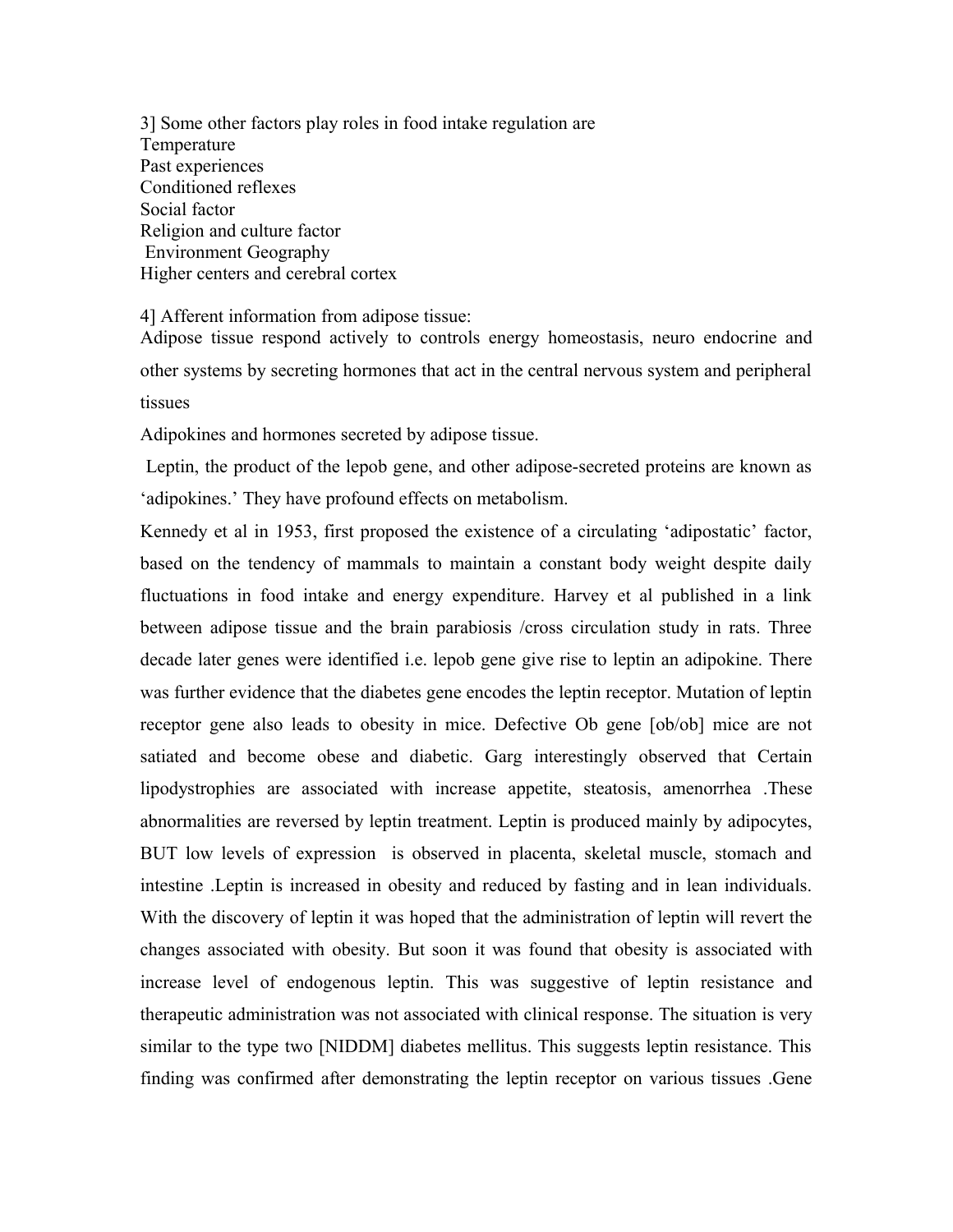3] Some other factors play roles in food intake regulation are Temperature Past experiences Conditioned reflexes Social factor Religion and culture factor Environment Geography Higher centers and cerebral cortex

4] Afferent information from adipose tissue:

Adipose tissue respond actively to controls energy homeostasis, neuro endocrine and other systems by secreting hormones that act in the central nervous system and peripheral tissues

Adipokines and hormones secreted by adipose tissue.

 Leptin, the product of the lepob gene, and other adipose-secreted proteins are known as 'adipokines.' They have profound effects on metabolism.

Kennedy et al in 1953, first proposed the existence of a circulating 'adipostatic' factor, based on the tendency of mammals to maintain a constant body weight despite daily fluctuations in food intake and energy expenditure. Harvey et al published in a link between adipose tissue and the brain parabiosis /cross circulation study in rats. Three decade later genes were identified i.e. lepob gene give rise to leptin an adipokine. There was further evidence that the diabetes gene encodes the leptin receptor. Mutation of leptin receptor gene also leads to obesity in mice. Defective Ob gene [ob/ob] mice are not satiated and become obese and diabetic. Garg interestingly observed that Certain lipodystrophies are associated with increase appetite, steatosis, amenorrhea .These abnormalities are reversed by leptin treatment. Leptin is produced mainly by adipocytes, BUT low levels of expression is observed in placenta, skeletal muscle, stomach and intestine .Leptin is increased in obesity and reduced by fasting and in lean individuals. With the discovery of leptin it was hoped that the administration of leptin will revert the changes associated with obesity. But soon it was found that obesity is associated with increase level of endogenous leptin. This was suggestive of leptin resistance and therapeutic administration was not associated with clinical response. The situation is very similar to the type two [NIDDM] diabetes mellitus. This suggests leptin resistance. This finding was confirmed after demonstrating the leptin receptor on various tissues .Gene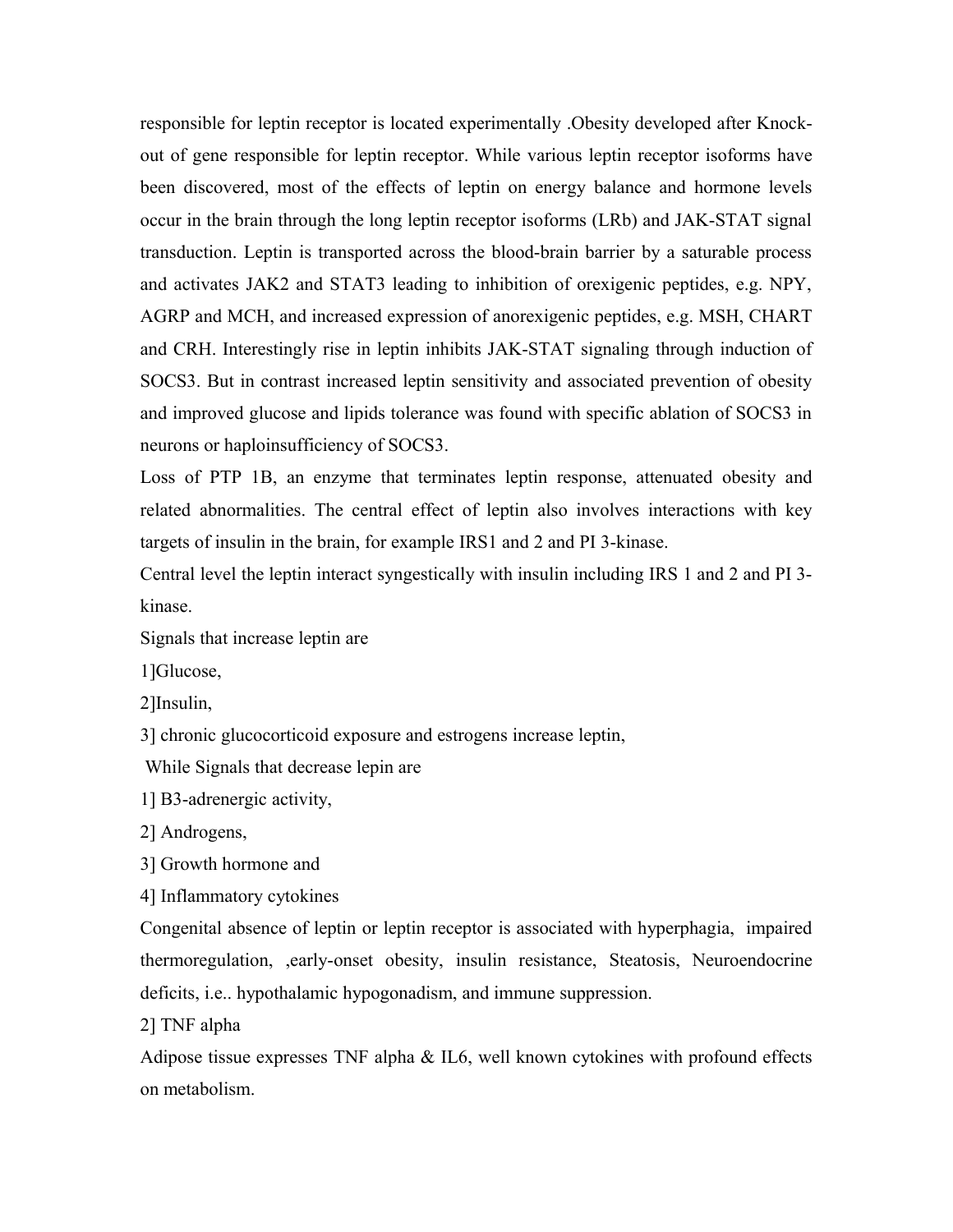responsible for leptin receptor is located experimentally .Obesity developed after Knockout of gene responsible for leptin receptor. While various leptin receptor isoforms have been discovered, most of the effects of leptin on energy balance and hormone levels occur in the brain through the long leptin receptor isoforms (LRb) and JAK-STAT signal transduction. Leptin is transported across the blood-brain barrier by a saturable process and activates JAK2 and STAT3 leading to inhibition of orexigenic peptides, e.g. NPY, AGRP and MCH, and increased expression of anorexigenic peptides, e.g. MSH, CHART and CRH. Interestingly rise in leptin inhibits JAK-STAT signaling through induction of SOCS3. But in contrast increased leptin sensitivity and associated prevention of obesity and improved glucose and lipids tolerance was found with specific ablation of SOCS3 in neurons or haploinsufficiency of SOCS3.

Loss of PTP 1B, an enzyme that terminates leptin response, attenuated obesity and related abnormalities. The central effect of leptin also involves interactions with key targets of insulin in the brain, for example IRS1 and 2 and PI 3-kinase.

Central level the leptin interact syngestically with insulin including IRS 1 and 2 and PI 3 kinase.

Signals that increase leptin are

1]Glucose,

2]Insulin,

3] chronic glucocorticoid exposure and estrogens increase leptin,

While Signals that decrease lepin are

1] B3-adrenergic activity,

2] Androgens,

3] Growth hormone and

4] Inflammatory cytokines

Congenital absence of leptin or leptin receptor is associated with hyperphagia, impaired thermoregulation, ,early-onset obesity, insulin resistance, Steatosis, Neuroendocrine deficits, i.e.. hypothalamic hypogonadism, and immune suppression.

2] TNF alpha

Adipose tissue expresses TNF alpha & IL6, well known cytokines with profound effects on metabolism.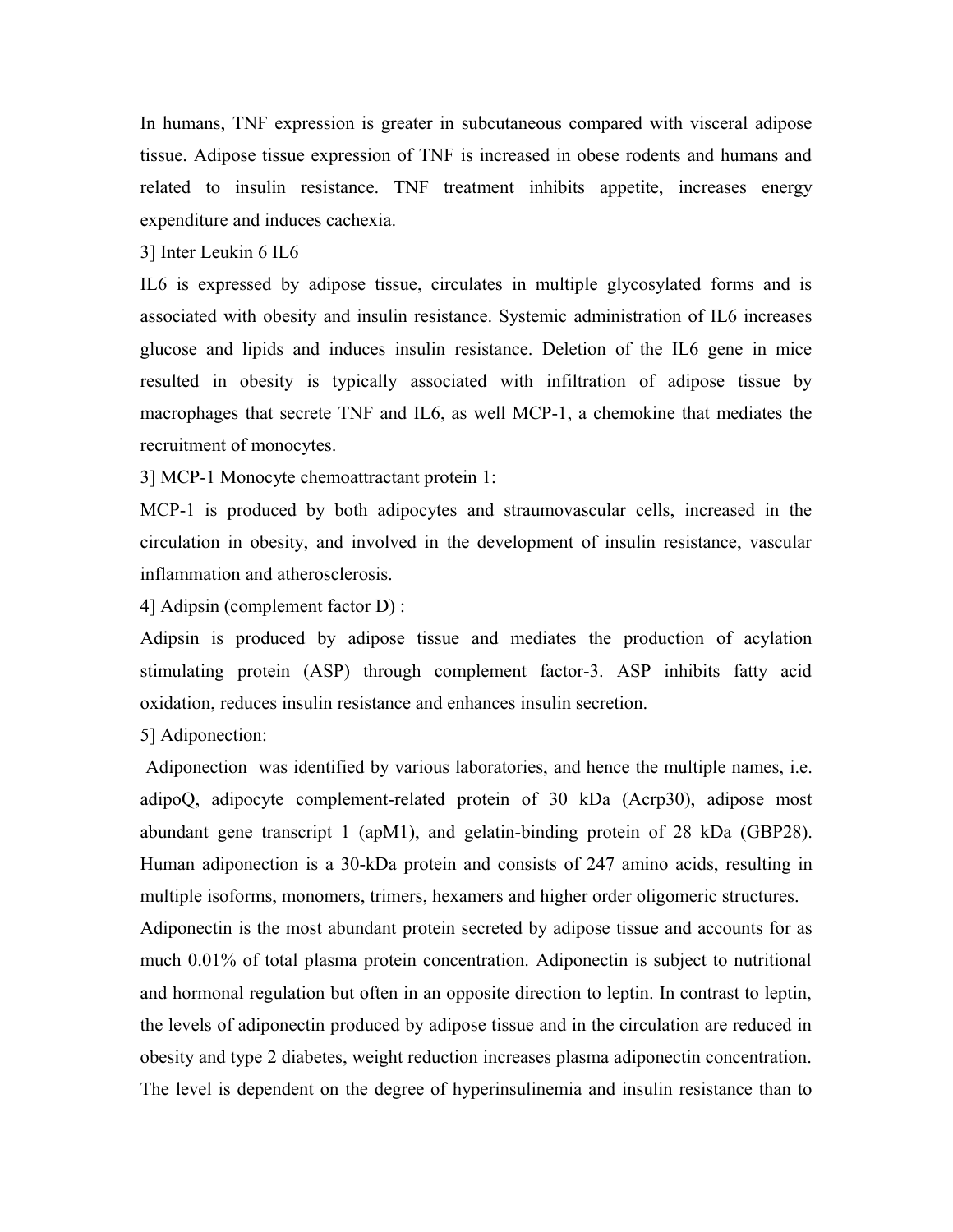In humans, TNF expression is greater in subcutaneous compared with visceral adipose tissue. Adipose tissue expression of TNF is increased in obese rodents and humans and related to insulin resistance. TNF treatment inhibits appetite, increases energy expenditure and induces cachexia.

3] Inter Leukin 6 IL6

IL6 is expressed by adipose tissue, circulates in multiple glycosylated forms and is associated with obesity and insulin resistance. Systemic administration of IL6 increases glucose and lipids and induces insulin resistance. Deletion of the IL6 gene in mice resulted in obesity is typically associated with infiltration of adipose tissue by macrophages that secrete TNF and IL6, as well MCP-1, a chemokine that mediates the recruitment of monocytes.

3] MCP-1 Monocyte chemoattractant protein 1:

MCP-1 is produced by both adipocytes and straumovascular cells, increased in the circulation in obesity, and involved in the development of insulin resistance, vascular inflammation and atherosclerosis.

4] Adipsin (complement factor D) :

Adipsin is produced by adipose tissue and mediates the production of acylation stimulating protein (ASP) through complement factor-3. ASP inhibits fatty acid oxidation, reduces insulin resistance and enhances insulin secretion.

5] Adiponection:

 Adiponection was identified by various laboratories, and hence the multiple names, i.e. adipoQ, adipocyte complement-related protein of 30 kDa (Acrp30), adipose most abundant gene transcript 1 (apM1), and gelatin-binding protein of 28 kDa (GBP28). Human adiponection is a 30-kDa protein and consists of 247 amino acids, resulting in multiple isoforms, monomers, trimers, hexamers and higher order oligomeric structures. Adiponectin is the most abundant protein secreted by adipose tissue and accounts for as much 0.01% of total plasma protein concentration. Adiponectin is subject to nutritional and hormonal regulation but often in an opposite direction to leptin. In contrast to leptin, the levels of adiponectin produced by adipose tissue and in the circulation are reduced in obesity and type 2 diabetes, weight reduction increases plasma adiponectin concentration. The level is dependent on the degree of hyperinsulinemia and insulin resistance than to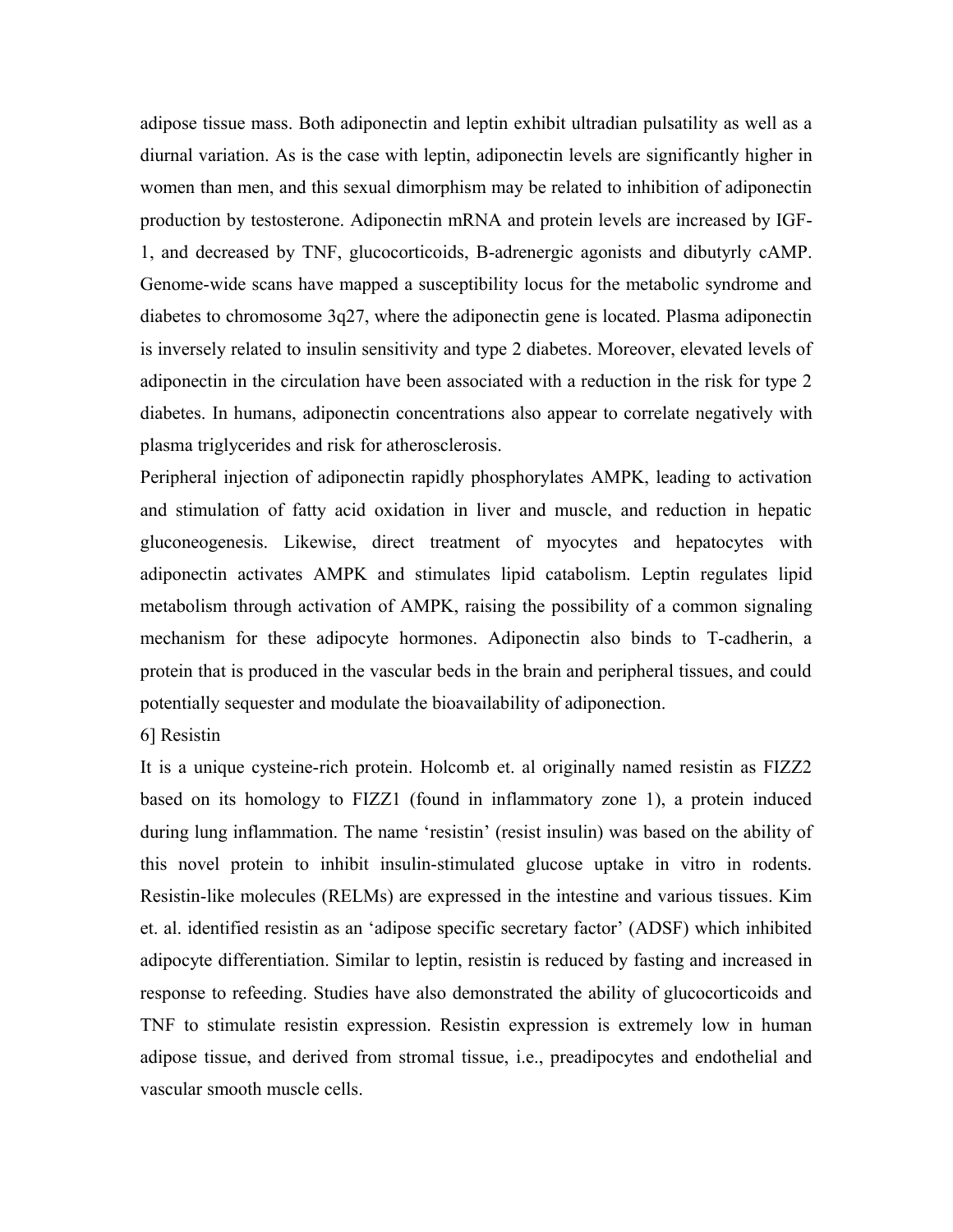adipose tissue mass. Both adiponectin and leptin exhibit ultradian pulsatility as well as a diurnal variation. As is the case with leptin, adiponectin levels are significantly higher in women than men, and this sexual dimorphism may be related to inhibition of adiponectin production by testosterone. Adiponectin mRNA and protein levels are increased by IGF-1, and decreased by TNF, glucocorticoids, B-adrenergic agonists and dibutyrly cAMP. Genome-wide scans have mapped a susceptibility locus for the metabolic syndrome and diabetes to chromosome 3q27, where the adiponectin gene is located. Plasma adiponectin is inversely related to insulin sensitivity and type 2 diabetes. Moreover, elevated levels of adiponectin in the circulation have been associated with a reduction in the risk for type 2 diabetes. In humans, adiponectin concentrations also appear to correlate negatively with plasma triglycerides and risk for atherosclerosis.

Peripheral injection of adiponectin rapidly phosphorylates AMPK, leading to activation and stimulation of fatty acid oxidation in liver and muscle, and reduction in hepatic gluconeogenesis. Likewise, direct treatment of myocytes and hepatocytes with adiponectin activates AMPK and stimulates lipid catabolism. Leptin regulates lipid metabolism through activation of AMPK, raising the possibility of a common signaling mechanism for these adipocyte hormones. Adiponectin also binds to T-cadherin, a protein that is produced in the vascular beds in the brain and peripheral tissues, and could potentially sequester and modulate the bioavailability of adiponection.

6] Resistin

It is a unique cysteine-rich protein. Holcomb et. al originally named resistin as FIZZ2 based on its homology to FIZZ1 (found in inflammatory zone 1), a protein induced during lung inflammation. The name 'resistin' (resist insulin) was based on the ability of this novel protein to inhibit insulin-stimulated glucose uptake in vitro in rodents. Resistin-like molecules (RELMs) are expressed in the intestine and various tissues. Kim et. al. identified resistin as an 'adipose specific secretary factor' (ADSF) which inhibited adipocyte differentiation. Similar to leptin, resistin is reduced by fasting and increased in response to refeeding. Studies have also demonstrated the ability of glucocorticoids and TNF to stimulate resistin expression. Resistin expression is extremely low in human adipose tissue, and derived from stromal tissue, i.e., preadipocytes and endothelial and vascular smooth muscle cells.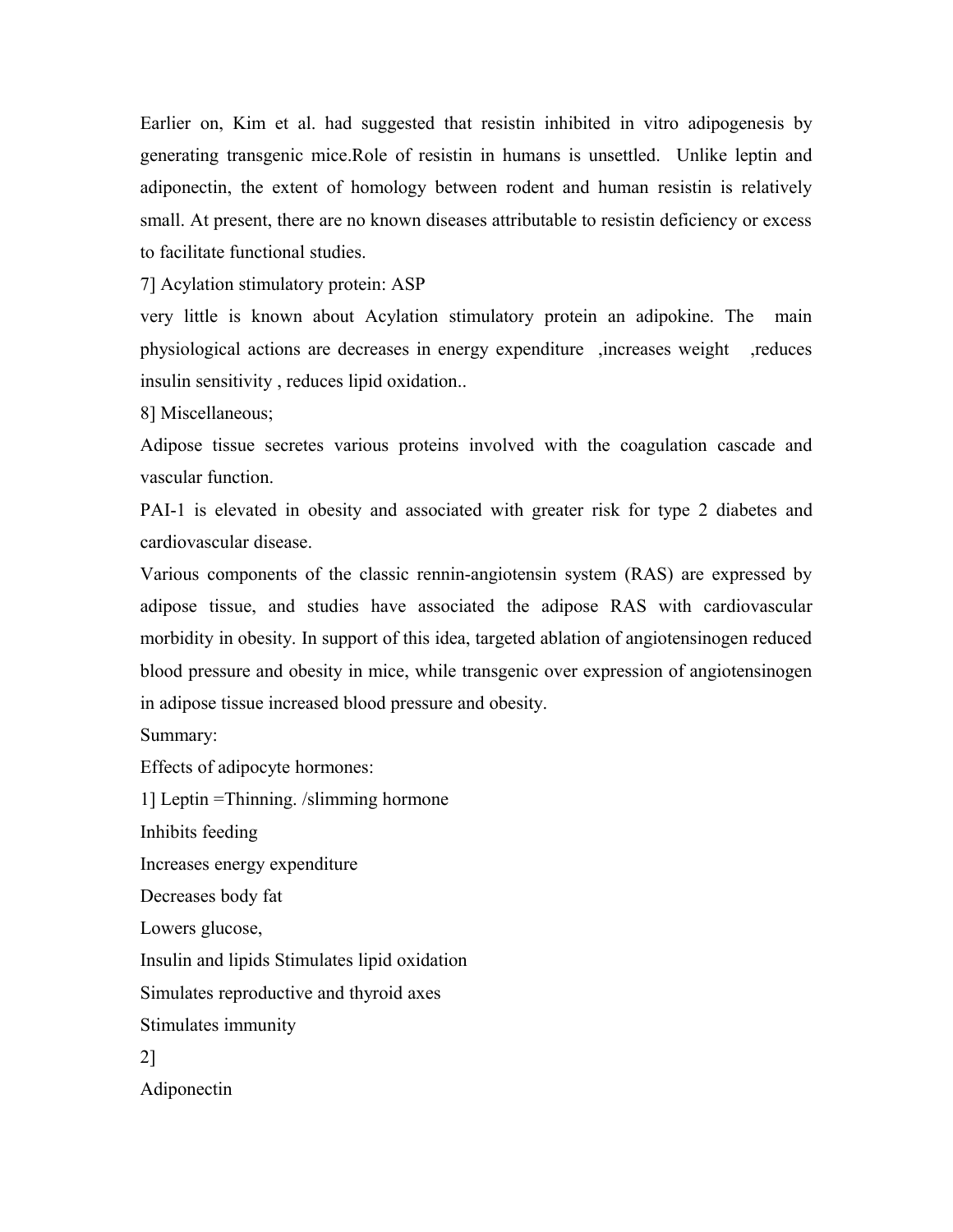Earlier on, Kim et al. had suggested that resistin inhibited in vitro adipogenesis by generating transgenic mice.Role of resistin in humans is unsettled. Unlike leptin and adiponectin, the extent of homology between rodent and human resistin is relatively small. At present, there are no known diseases attributable to resistin deficiency or excess to facilitate functional studies.

7] Acylation stimulatory protein: ASP

very little is known about Acylation stimulatory protein an adipokine. The main physiological actions are decreases in energy expenditure ,increases weight ,reduces insulin sensitivity , reduces lipid oxidation..

8] Miscellaneous;

Adipose tissue secretes various proteins involved with the coagulation cascade and vascular function.

PAI-1 is elevated in obesity and associated with greater risk for type 2 diabetes and cardiovascular disease.

Various components of the classic rennin-angiotensin system (RAS) are expressed by adipose tissue, and studies have associated the adipose RAS with cardiovascular morbidity in obesity. In support of this idea, targeted ablation of angiotensinogen reduced blood pressure and obesity in mice, while transgenic over expression of angiotensinogen in adipose tissue increased blood pressure and obesity.

Summary:

Effects of adipocyte hormones:

1] Leptin =Thinning. /slimming hormone

Inhibits feeding

Increases energy expenditure

Decreases body fat

Lowers glucose,

Insulin and lipids Stimulates lipid oxidation

Simulates reproductive and thyroid axes

Stimulates immunity

2]

Adiponectin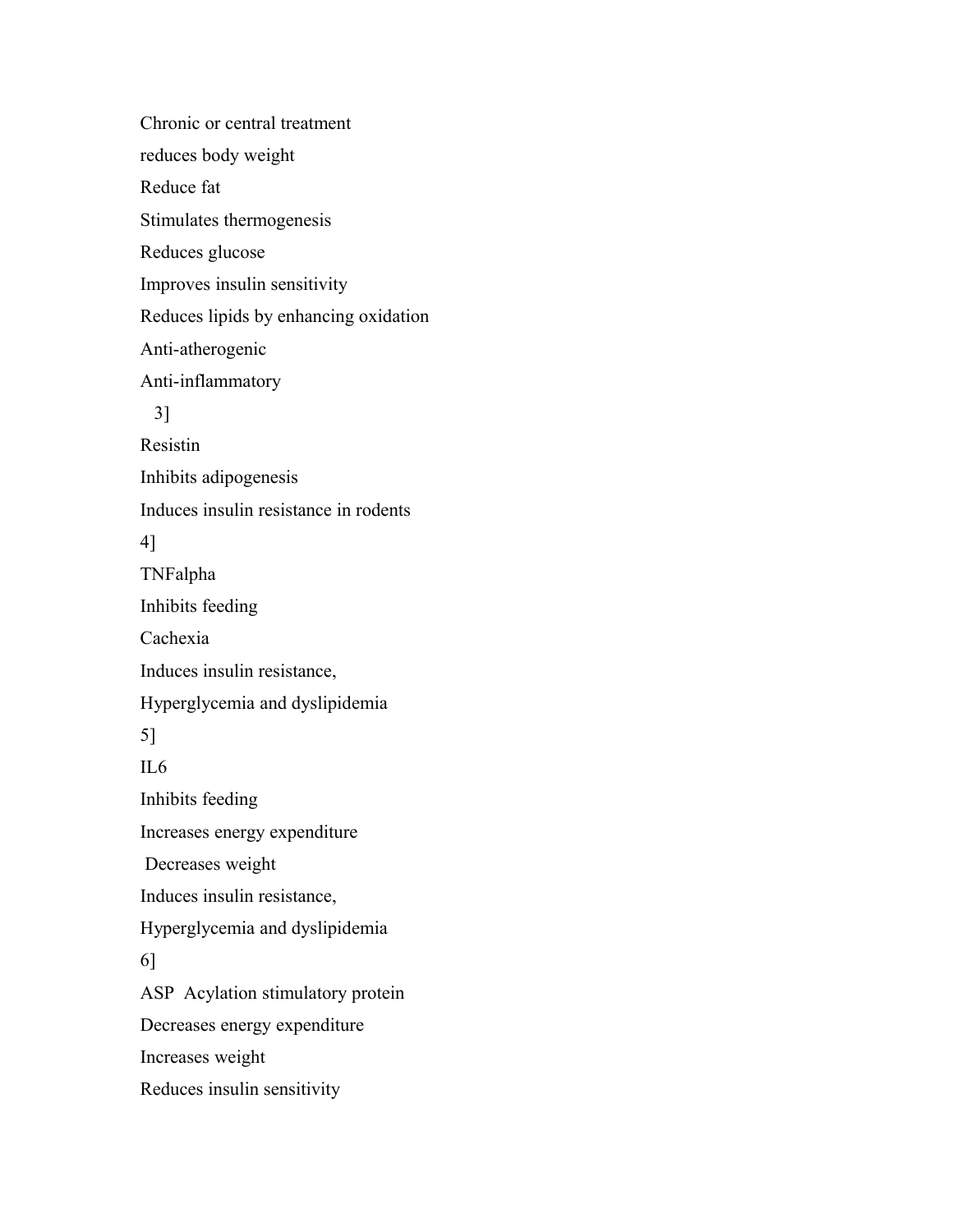Chronic or central treatment reduces body weight Reduce fat Stimulates thermogenesis Reduces glucose Improves insulin sensitivity Reduces lipids by enhancing oxidation Anti-atherogenic Anti-inflammatory 3] Resistin Inhibits adipogenesis Induces insulin resistance in rodents 4] TNFalpha Inhibits feeding Cachexia Induces insulin resistance, Hyperglycemia and dyslipidemia 5] IL6 Inhibits feeding Increases energy expenditure Decreases weight Induces insulin resistance, Hyperglycemia and dyslipidemia 6] ASP Acylation stimulatory protein Decreases energy expenditure Increases weight Reduces insulin sensitivity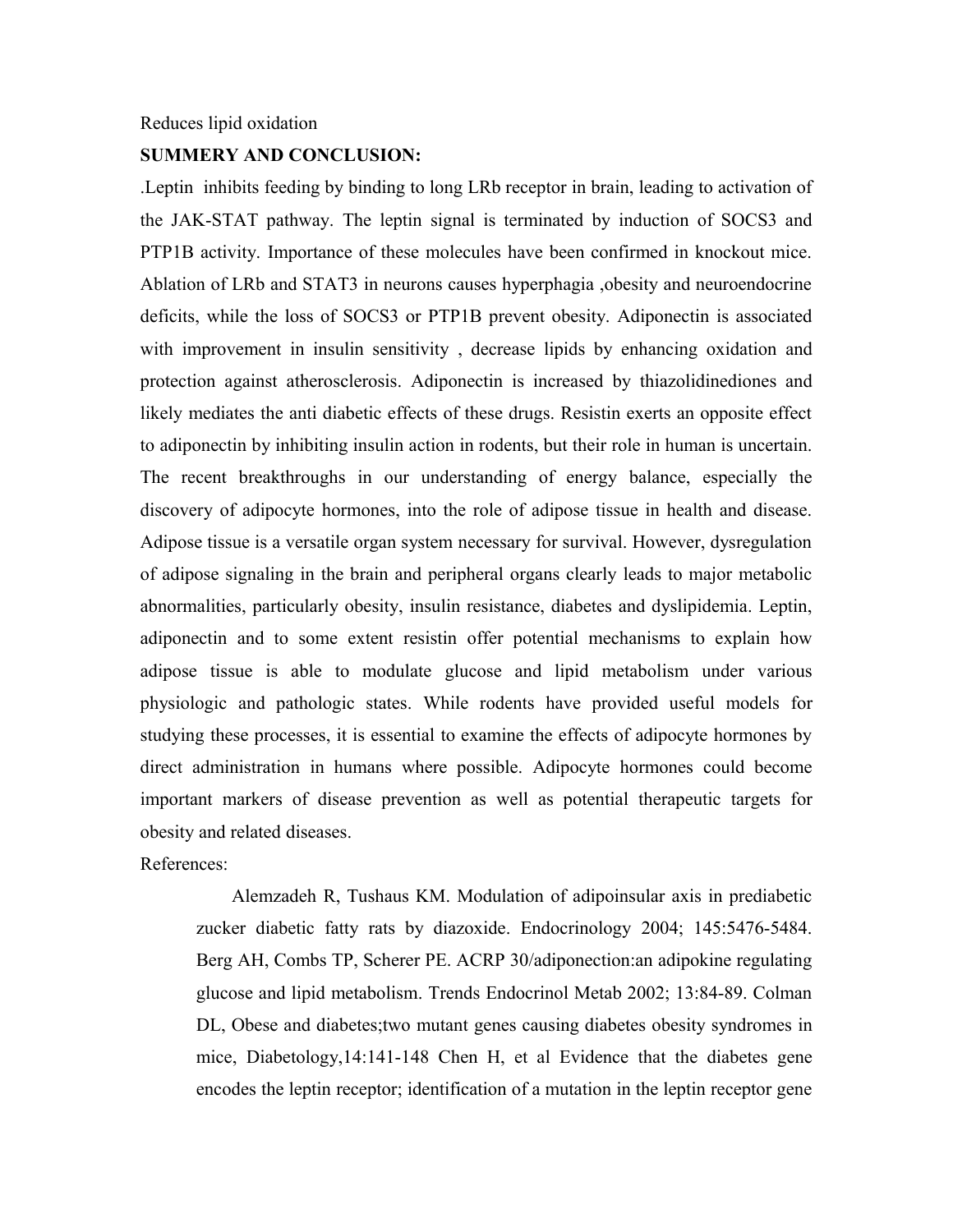#### Reduces lipid oxidation

#### **SUMMERY AND CONCLUSION:**

.Leptin inhibits feeding by binding to long LRb receptor in brain, leading to activation of the JAK-STAT pathway. The leptin signal is terminated by induction of SOCS3 and PTP1B activity. Importance of these molecules have been confirmed in knockout mice. Ablation of LRb and STAT3 in neurons causes hyperphagia ,obesity and neuroendocrine deficits, while the loss of SOCS3 or PTP1B prevent obesity. Adiponectin is associated with improvement in insulin sensitivity , decrease lipids by enhancing oxidation and protection against atherosclerosis. Adiponectin is increased by thiazolidinediones and likely mediates the anti diabetic effects of these drugs. Resistin exerts an opposite effect to adiponectin by inhibiting insulin action in rodents, but their role in human is uncertain. The recent breakthroughs in our understanding of energy balance, especially the discovery of adipocyte hormones, into the role of adipose tissue in health and disease. Adipose tissue is a versatile organ system necessary for survival. However, dysregulation of adipose signaling in the brain and peripheral organs clearly leads to major metabolic abnormalities, particularly obesity, insulin resistance, diabetes and dyslipidemia. Leptin, adiponectin and to some extent resistin offer potential mechanisms to explain how adipose tissue is able to modulate glucose and lipid metabolism under various physiologic and pathologic states. While rodents have provided useful models for studying these processes, it is essential to examine the effects of adipocyte hormones by direct administration in humans where possible. Adipocyte hormones could become important markers of disease prevention as well as potential therapeutic targets for obesity and related diseases.

## References:

 Alemzadeh R, Tushaus KM. Modulation of adipoinsular axis in prediabetic zucker diabetic fatty rats by diazoxide. Endocrinology 2004; 145:5476-5484. Berg AH, Combs TP, Scherer PE. ACRP 30/adiponection:an adipokine regulating glucose and lipid metabolism. Trends Endocrinol Metab 2002; 13:84-89. Colman DL, Obese and diabetes;two mutant genes causing diabetes obesity syndromes in mice, Diabetology,14:141-148 Chen H, et al Evidence that the diabetes gene encodes the leptin receptor; identification of a mutation in the leptin receptor gene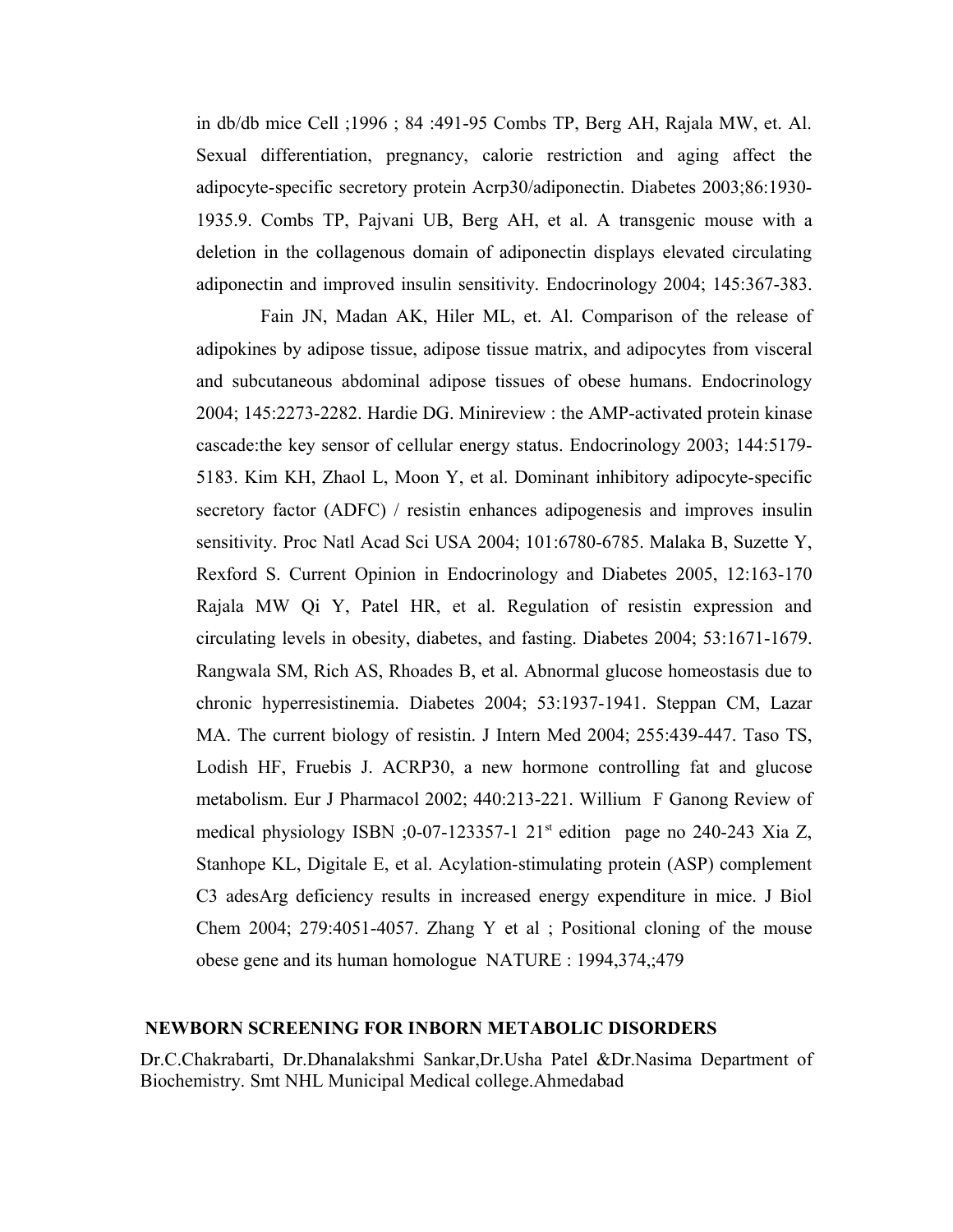in db/db mice Cell ;1996 ; 84 :491-95 Combs TP, Berg AH, Rajala MW, et. Al. Sexual differentiation, pregnancy, calorie restriction and aging affect the adipocyte-specific secretory protein Acrp30/adiponectin. Diabetes 2003;86:1930- 1935.9. Combs TP, Pajvani UB, Berg AH, et al. A transgenic mouse with a deletion in the collagenous domain of adiponectin displays elevated circulating adiponectin and improved insulin sensitivity. Endocrinology 2004; 145:367-383.

 Fain JN, Madan AK, Hiler ML, et. Al. Comparison of the release of adipokines by adipose tissue, adipose tissue matrix, and adipocytes from visceral and subcutaneous abdominal adipose tissues of obese humans. Endocrinology 2004; 145:2273-2282. Hardie DG. Minireview : the AMP-activated protein kinase cascade:the key sensor of cellular energy status. Endocrinology 2003; 144:5179- 5183. Kim KH, Zhaol L, Moon Y, et al. Dominant inhibitory adipocyte-specific secretory factor (ADFC) / resistin enhances adipogenesis and improves insulin sensitivity. Proc Natl Acad Sci USA 2004; 101:6780-6785. Malaka B, Suzette Y, Rexford S. Current Opinion in Endocrinology and Diabetes 2005, 12:163-170 Rajala MW Qi Y, Patel HR, et al. Regulation of resistin expression and circulating levels in obesity, diabetes, and fasting. Diabetes 2004; 53:1671-1679. Rangwala SM, Rich AS, Rhoades B, et al. Abnormal glucose homeostasis due to chronic hyperresistinemia. Diabetes 2004; 53:1937-1941. Steppan CM, Lazar MA. The current biology of resistin. J Intern Med 2004; 255:439-447. Taso TS, Lodish HF, Fruebis J. ACRP30, a new hormone controlling fat and glucose metabolism. Eur J Pharmacol 2002; 440:213-221. Willium F Ganong Review of medical physiology ISBN :0-07-123357-1 21<sup>st</sup> edition page no 240-243 Xia Z, Stanhope KL, Digitale E, et al. Acylation-stimulating protein (ASP) complement C3 adesArg deficiency results in increased energy expenditure in mice. J Biol Chem 2004; 279:4051-4057. Zhang Y et al ; Positional cloning of the mouse obese gene and its human homologue NATURE : 1994,374,;479

#### **NEWBORN SCREENING FOR INBORN METABOLIC DISORDERS**

Dr.C.Chakrabarti, Dr.Dhanalakshmi Sankar,Dr.Usha Patel &Dr.Nasima Department of Biochemistry. Smt NHL Municipal Medical college.Ahmedabad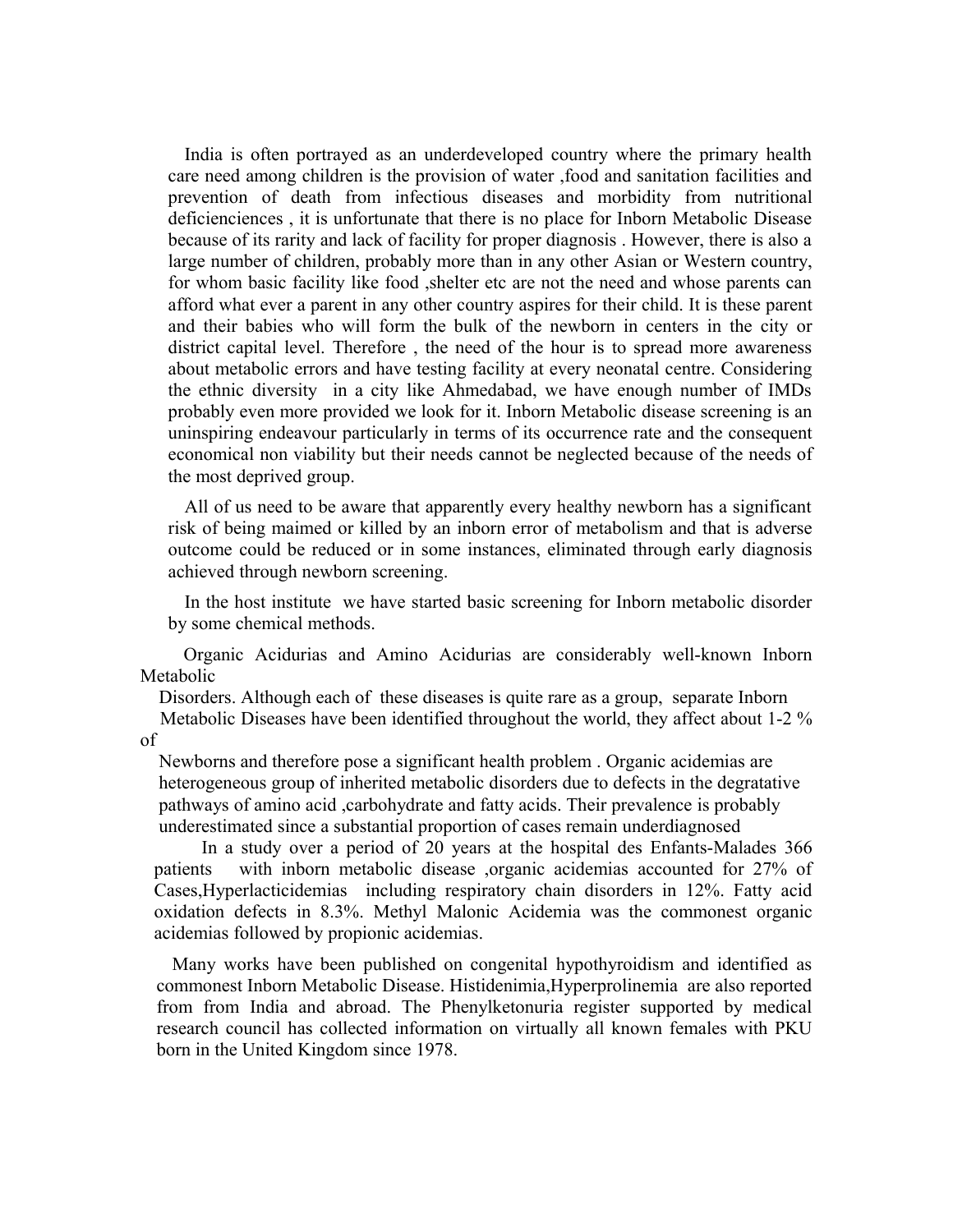India is often portrayed as an underdeveloped country where the primary health care need among children is the provision of water ,food and sanitation facilities and prevention of death from infectious diseases and morbidity from nutritional deficienciences , it is unfortunate that there is no place for Inborn Metabolic Disease because of its rarity and lack of facility for proper diagnosis . However, there is also a large number of children, probably more than in any other Asian or Western country, for whom basic facility like food ,shelter etc are not the need and whose parents can afford what ever a parent in any other country aspires for their child. It is these parent and their babies who will form the bulk of the newborn in centers in the city or district capital level. Therefore , the need of the hour is to spread more awareness about metabolic errors and have testing facility at every neonatal centre. Considering the ethnic diversity in a city like Ahmedabad, we have enough number of IMDs probably even more provided we look for it. Inborn Metabolic disease screening is an uninspiring endeavour particularly in terms of its occurrence rate and the consequent economical non viability but their needs cannot be neglected because of the needs of the most deprived group.

All of us need to be aware that apparently every healthy newborn has a significant risk of being maimed or killed by an inborn error of metabolism and that is adverse outcome could be reduced or in some instances, eliminated through early diagnosis achieved through newborn screening.

In the host institute we have started basic screening for Inborn metabolic disorder by some chemical methods.

 Organic Acidurias and Amino Acidurias are considerably well-known Inborn Metabolic

Disorders. Although each of these diseases is quite rare as a group, separate Inborn

 Metabolic Diseases have been identified throughout the world, they affect about 1-2 % of

 Newborns and therefore pose a significant health problem . Organic acidemias are heterogeneous group of inherited metabolic disorders due to defects in the degratative pathways of amino acid ,carbohydrate and fatty acids. Their prevalence is probably underestimated since a substantial proportion of cases remain underdiagnosed

 In a study over a period of 20 years at the hospital des Enfants-Malades 366 patients with inborn metabolic disease ,organic acidemias accounted for 27% of Cases,Hyperlacticidemias including respiratory chain disorders in 12%. Fatty acid oxidation defects in 8.3%. Methyl Malonic Acidemia was the commonest organic acidemias followed by propionic acidemias.

 Many works have been published on congenital hypothyroidism and identified as commonest Inborn Metabolic Disease. Histidenimia,Hyperprolinemia are also reported from from India and abroad. The Phenylketonuria register supported by medical research council has collected information on virtually all known females with PKU born in the United Kingdom since 1978.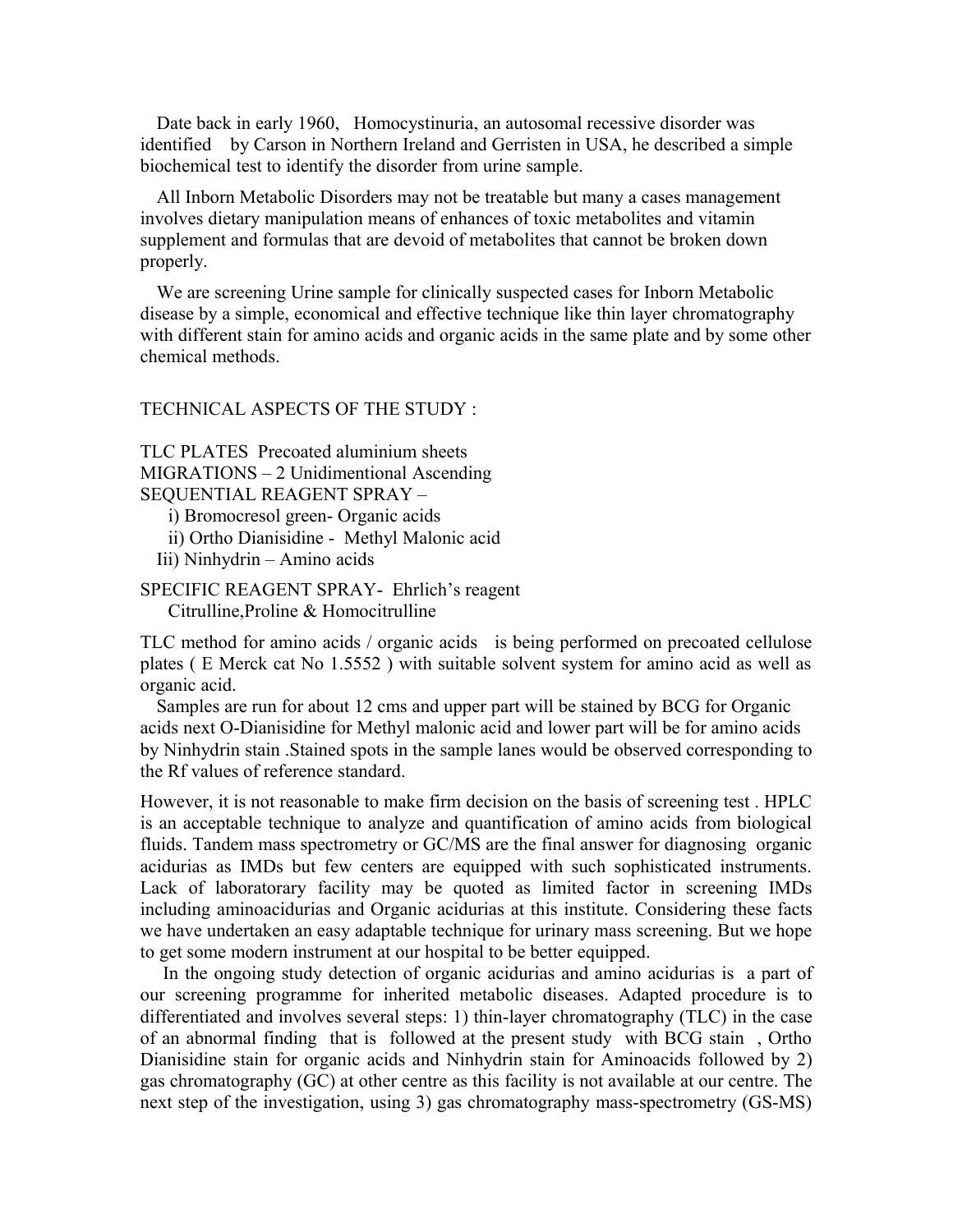Date back in early 1960, Homocystinuria, an autosomal recessive disorder was identified by Carson in Northern Ireland and Gerristen in USA, he described a simple biochemical test to identify the disorder from urine sample.

All Inborn Metabolic Disorders may not be treatable but many a cases management involves dietary manipulation means of enhances of toxic metabolites and vitamin supplement and formulas that are devoid of metabolites that cannot be broken down properly.

We are screening Urine sample for clinically suspected cases for Inborn Metabolic disease by a simple, economical and effective technique like thin layer chromatography with different stain for amino acids and organic acids in the same plate and by some other chemical methods.

#### TECHNICAL ASPECTS OF THE STUDY :

TLC PLATES Precoated aluminium sheets MIGRATIONS – 2 Unidimentional Ascending SEQUENTIAL REAGENT SPRAY –

i) Bromocresol green- Organic acids

- ii) Ortho Dianisidine Methyl Malonic acid
- Iii) Ninhydrin Amino acids

SPECIFIC REAGENT SPRAY- Ehrlich's reagent Citrulline,Proline & Homocitrulline

TLC method for amino acids / organic acids is being performed on precoated cellulose plates ( E Merck cat No 1.5552 ) with suitable solvent system for amino acid as well as organic acid.

Samples are run for about 12 cms and upper part will be stained by BCG for Organic acids next O-Dianisidine for Methyl malonic acid and lower part will be for amino acids by Ninhydrin stain .Stained spots in the sample lanes would be observed corresponding to the Rf values of reference standard.

However, it is not reasonable to make firm decision on the basis of screening test . HPLC is an acceptable technique to analyze and quantification of amino acids from biological fluids. Tandem mass spectrometry or GC/MS are the final answer for diagnosing organic acidurias as IMDs but few centers are equipped with such sophisticated instruments. Lack of laboratorary facility may be quoted as limited factor in screening IMDs including aminoacidurias and Organic acidurias at this institute. Considering these facts we have undertaken an easy adaptable technique for urinary mass screening. But we hope to get some modern instrument at our hospital to be better equipped.

 In the ongoing study detection of organic acidurias and amino acidurias is a part of our screening programme for inherited metabolic diseases. Adapted procedure is to differentiated and involves several steps: 1) thin-layer chromatography (TLC) in the case of an abnormal finding that is followed at the present study with BCG stain , Ortho Dianisidine stain for organic acids and Ninhydrin stain for Aminoacids followed by 2) gas chromatography (GC) at other centre as this facility is not available at our centre. The next step of the investigation, using 3) gas chromatography mass-spectrometry (GS-MS)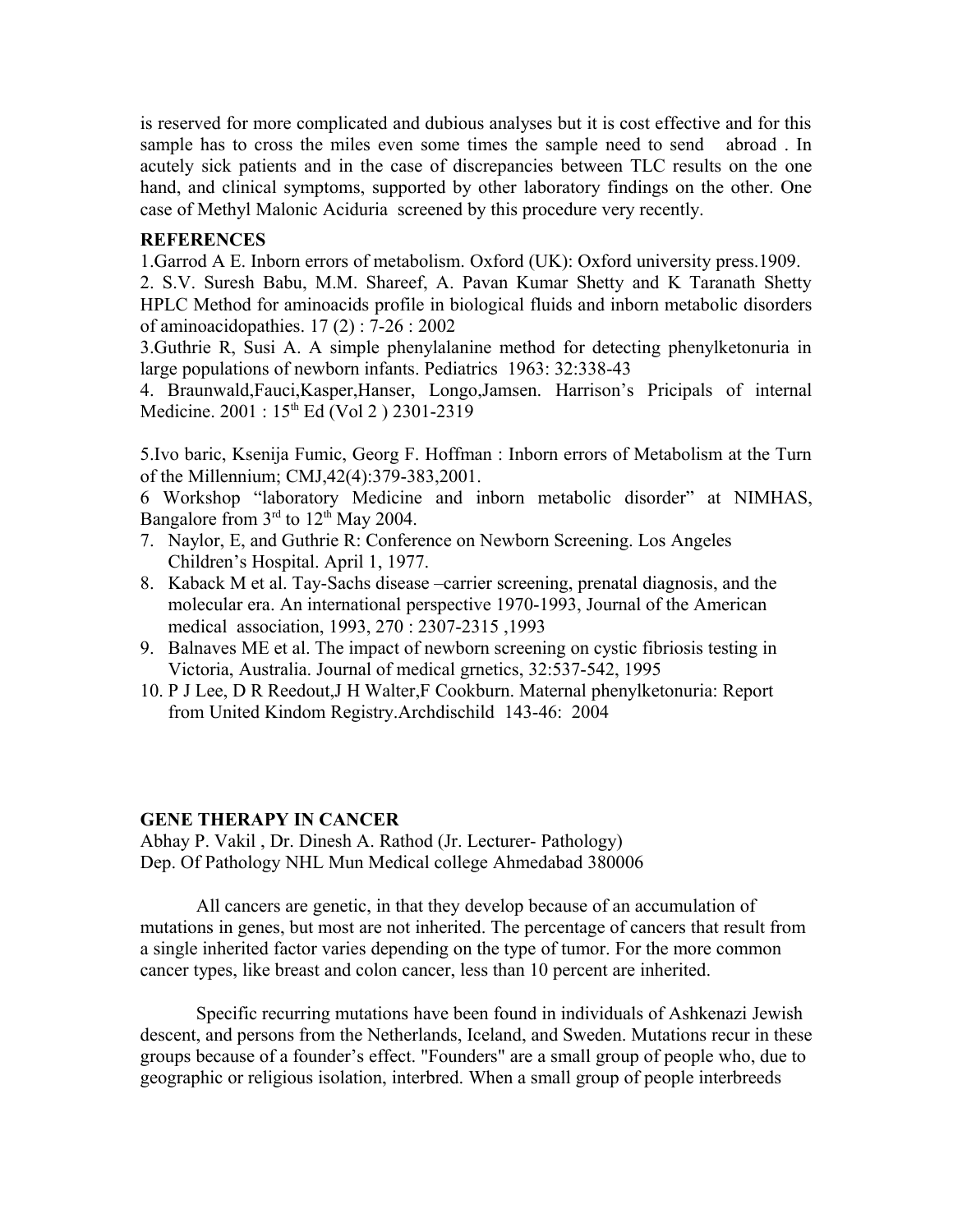is reserved for more complicated and dubious analyses but it is cost effective and for this sample has to cross the miles even some times the sample need to send abroad . In acutely sick patients and in the case of discrepancies between TLC results on the one hand, and clinical symptoms, supported by other laboratory findings on the other. One case of Methyl Malonic Aciduria screened by this procedure very recently.

## **REFERENCES**

1.Garrod A E. Inborn errors of metabolism. Oxford (UK): Oxford university press.1909.

2. S.V. Suresh Babu, M.M. Shareef, A. Pavan Kumar Shetty and K Taranath Shetty HPLC Method for aminoacids profile in biological fluids and inborn metabolic disorders of aminoacidopathies. 17 (2) : 7-26 : 2002

3.Guthrie R, Susi A. A simple phenylalanine method for detecting phenylketonuria in large populations of newborn infants. Pediatrics 1963: 32:338-43

4. Braunwald,Fauci,Kasper,Hanser, Longo,Jamsen. Harrison's Pricipals of internal Medicine. 2001 : 15<sup>th</sup> Ed (Vol 2 ) 2301-2319

5.Ivo baric, Ksenija Fumic, Georg F. Hoffman : Inborn errors of Metabolism at the Turn of the Millennium; CMJ,42(4):379-383,2001.

6 Workshop "laboratory Medicine and inborn metabolic disorder" at NIMHAS, Bangalore from  $3<sup>rd</sup>$  to  $12<sup>th</sup>$  May 2004.

- 7. Naylor, E, and Guthrie R: Conference on Newborn Screening. Los Angeles Children's Hospital. April 1, 1977.
- 8. Kaback M et al. Tay-Sachs disease –carrier screening, prenatal diagnosis, and the molecular era. An international perspective 1970-1993, Journal of the American medical association, 1993, 270 : 2307-2315 ,1993
- 9. Balnaves ME et al. The impact of newborn screening on cystic fibriosis testing in Victoria, Australia. Journal of medical grnetics, 32:537-542, 1995
- 10. P J Lee, D R Reedout,J H Walter,F Cookburn. Maternal phenylketonuria: Report from United Kindom Registry.Archdischild 143-46: 2004

### **GENE THERAPY IN CANCER**

Abhay P. Vakil , Dr. Dinesh A. Rathod (Jr. Lecturer- Pathology) Dep. Of Pathology NHL Mun Medical college Ahmedabad 380006

All cancers are genetic, in that they develop because of an accumulation of mutations in genes, but most are not inherited. The percentage of cancers that result from a single inherited factor varies depending on the type of tumor. For the more common cancer types, like breast and colon cancer, less than 10 percent are inherited.

Specific recurring mutations have been found in individuals of Ashkenazi Jewish descent, and persons from the Netherlands, Iceland, and Sweden. Mutations recur in these groups because of a founder's effect. "Founders" are a small group of people who, due to geographic or religious isolation, interbred. When a small group of people interbreeds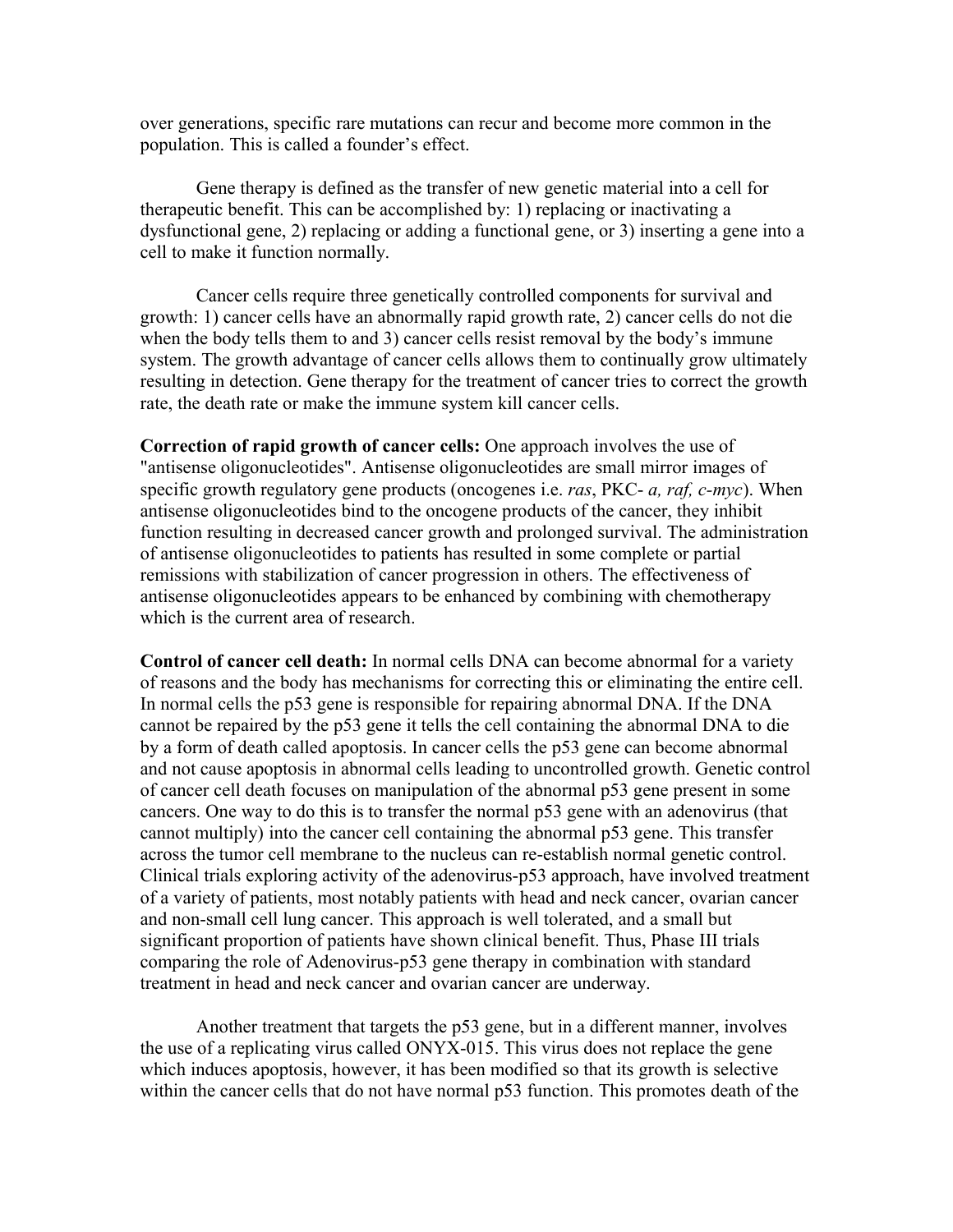over generations, specific rare mutations can recur and become more common in the population. This is called a founder's effect.

Gene therapy is defined as the transfer of new genetic material into a cell for therapeutic benefit. This can be accomplished by: 1) replacing or inactivating a dysfunctional gene, 2) replacing or adding a functional gene, or 3) inserting a gene into a cell to make it function normally.

Cancer cells require three genetically controlled components for survival and growth: 1) cancer cells have an abnormally rapid growth rate, 2) cancer cells do not die when the body tells them to and 3) cancer cells resist removal by the body's immune system. The growth advantage of cancer cells allows them to continually grow ultimately resulting in detection. Gene therapy for the treatment of cancer tries to correct the growth rate, the death rate or make the immune system kill cancer cells.

**Correction of rapid growth of cancer cells:** One approach involves the use of "antisense oligonucleotides". Antisense oligonucleotides are small mirror images of specific growth regulatory gene products (oncogenes i.e. *ras*, PKC- *a, raf, c-myc*). When antisense oligonucleotides bind to the oncogene products of the cancer, they inhibit function resulting in decreased cancer growth and prolonged survival. The administration of antisense oligonucleotides to patients has resulted in some complete or partial remissions with stabilization of cancer progression in others. The effectiveness of antisense oligonucleotides appears to be enhanced by combining with chemotherapy which is the current area of research.

**Control of cancer cell death:** In normal cells DNA can become abnormal for a variety of reasons and the body has mechanisms for correcting this or eliminating the entire cell. In normal cells the p53 gene is responsible for repairing abnormal DNA. If the DNA cannot be repaired by the p53 gene it tells the cell containing the abnormal DNA to die by a form of death called apoptosis. In cancer cells the p53 gene can become abnormal and not cause apoptosis in abnormal cells leading to uncontrolled growth. Genetic control of cancer cell death focuses on manipulation of the abnormal p53 gene present in some cancers. One way to do this is to transfer the normal p53 gene with an adenovirus (that cannot multiply) into the cancer cell containing the abnormal p53 gene. This transfer across the tumor cell membrane to the nucleus can re-establish normal genetic control. Clinical trials exploring activity of the adenovirus-p53 approach, have involved treatment of a variety of patients, most notably patients with head and neck cancer, ovarian cancer and non-small cell lung cancer. This approach is well tolerated, and a small but significant proportion of patients have shown clinical benefit. Thus, Phase III trials comparing the role of Adenovirus-p53 gene therapy in combination with standard treatment in head and neck cancer and ovarian cancer are underway.

Another treatment that targets the p53 gene, but in a different manner, involves the use of a replicating virus called ONYX-015. This virus does not replace the gene which induces apoptosis, however, it has been modified so that its growth is selective within the cancer cells that do not have normal p53 function. This promotes death of the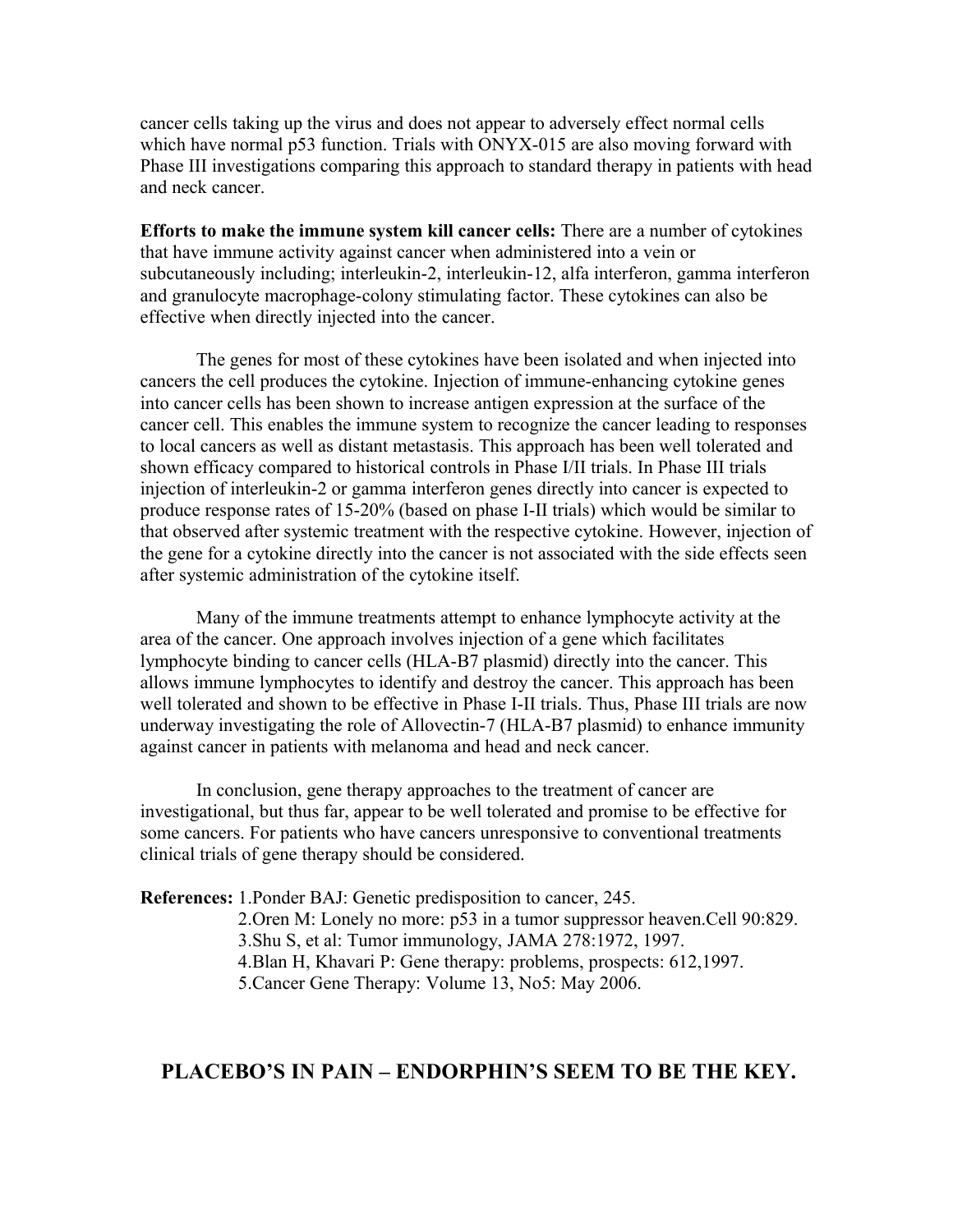cancer cells taking up the virus and does not appear to adversely effect normal cells which have normal p53 function. Trials with ONYX-015 are also moving forward with Phase III investigations comparing this approach to standard therapy in patients with head and neck cancer.

**Efforts to make the immune system kill cancer cells:** There are a number of cytokines that have immune activity against cancer when administered into a vein or subcutaneously including; interleukin-2, interleukin-12, alfa interferon, gamma interferon and granulocyte macrophage-colony stimulating factor. These cytokines can also be effective when directly injected into the cancer.

The genes for most of these cytokines have been isolated and when injected into cancers the cell produces the cytokine. Injection of immune-enhancing cytokine genes into cancer cells has been shown to increase antigen expression at the surface of the cancer cell. This enables the immune system to recognize the cancer leading to responses to local cancers as well as distant metastasis. This approach has been well tolerated and shown efficacy compared to historical controls in Phase I/II trials. In Phase III trials injection of interleukin-2 or gamma interferon genes directly into cancer is expected to produce response rates of 15-20% (based on phase I-II trials) which would be similar to that observed after systemic treatment with the respective cytokine. However, injection of the gene for a cytokine directly into the cancer is not associated with the side effects seen after systemic administration of the cytokine itself.

Many of the immune treatments attempt to enhance lymphocyte activity at the area of the cancer. One approach involves injection of a gene which facilitates lymphocyte binding to cancer cells (HLA-B7 plasmid) directly into the cancer. This allows immune lymphocytes to identify and destroy the cancer. This approach has been well tolerated and shown to be effective in Phase I-II trials. Thus, Phase III trials are now underway investigating the role of Allovectin-7 (HLA-B7 plasmid) to enhance immunity against cancer in patients with melanoma and head and neck cancer.

In conclusion, gene therapy approaches to the treatment of cancer are investigational, but thus far, appear to be well tolerated and promise to be effective for some cancers. For patients who have cancers unresponsive to conventional treatments clinical trials of gene therapy should be considered.

**References:** 1.Ponder BAJ: Genetic predisposition to cancer, 245.

2.Oren M: Lonely no more: p53 in a tumor suppressor heaven.Cell 90:829. 3.Shu S, et al: Tumor immunology, JAMA 278:1972, 1997. 4.Blan H, Khavari P: Gene therapy: problems, prospects: 612,1997. 5.Cancer Gene Therapy: Volume 13, No5: May 2006.

# **PLACEBO'S IN PAIN – ENDORPHIN'S SEEM TO BE THE KEY.**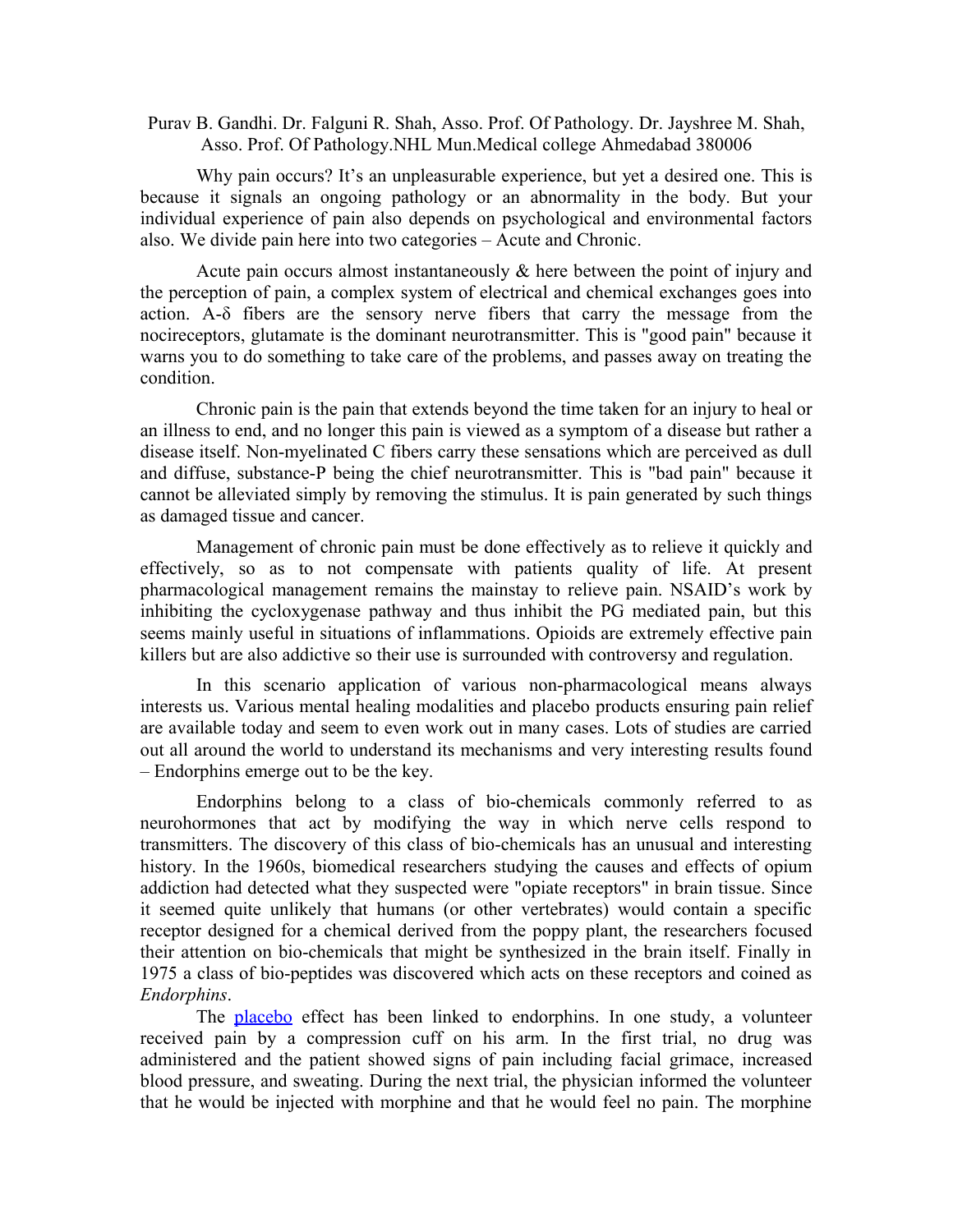Purav B. Gandhi. Dr. Falguni R. Shah, Asso. Prof. Of Pathology. Dr. Jayshree M. Shah, Asso. Prof. Of Pathology.NHL Mun.Medical college Ahmedabad 380006

Why pain occurs? It's an unpleasurable experience, but yet a desired one. This is because it signals an ongoing pathology or an abnormality in the body. But your individual experience of pain also depends on psychological and environmental factors also. We divide pain here into two categories – Acute and Chronic.

Acute pain occurs almost instantaneously & here between the point of injury and the perception of pain, a complex system of electrical and chemical exchanges goes into action. A-δ fibers are the sensory nerve fibers that carry the message from the nocireceptors, glutamate is the dominant neurotransmitter. This is "good pain" because it warns you to do something to take care of the problems, and passes away on treating the condition.

Chronic pain is the pain that extends beyond the time taken for an injury to heal or an illness to end, and no longer this pain is viewed as a symptom of a disease but rather a disease itself. Non-myelinated C fibers carry these sensations which are perceived as dull and diffuse, substance-P being the chief neurotransmitter. This is "bad pain" because it cannot be alleviated simply by removing the stimulus. It is pain generated by such things as damaged tissue and cancer.

Management of chronic pain must be done effectively as to relieve it quickly and effectively, so as to not compensate with patients quality of life. At present pharmacological management remains the mainstay to relieve pain. NSAID's work by inhibiting the cycloxygenase pathway and thus inhibit the PG mediated pain, but this seems mainly useful in situations of inflammations. Opioids are extremely effective pain killers but are also addictive so their use is surrounded with controversy and regulation.

In this scenario application of various non-pharmacological means always interests us. Various mental healing modalities and placebo products ensuring pain relief are available today and seem to even work out in many cases. Lots of studies are carried out all around the world to understand its mechanisms and very interesting results found – Endorphins emerge out to be the key.

Endorphins belong to a class of bio-chemicals commonly referred to as neurohormones that act by modifying the way in which nerve cells respond to transmitters. The discovery of this class of bio-chemicals has an unusual and interesting history. In the 1960s, biomedical researchers studying the causes and effects of opium addiction had detected what they suspected were "opiate receptors" in brain tissue. Since it seemed quite unlikely that humans (or other vertebrates) would contain a specific receptor designed for a chemical derived from the poppy plant, the researchers focused their attention on bio-chemicals that might be synthesized in the brain itself. Finally in 1975 a class of bio-peptides was discovered which acts on these receptors and coined as *Endorphins*.

The **placebo** effect has been linked to endorphins. In one study, a volunteer received pain by a compression cuff on his arm. In the first trial, no drug was administered and the patient showed signs of pain including facial grimace, increased blood pressure, and sweating. During the next trial, the physician informed the volunteer that he would be injected with morphine and that he would feel no pain. The morphine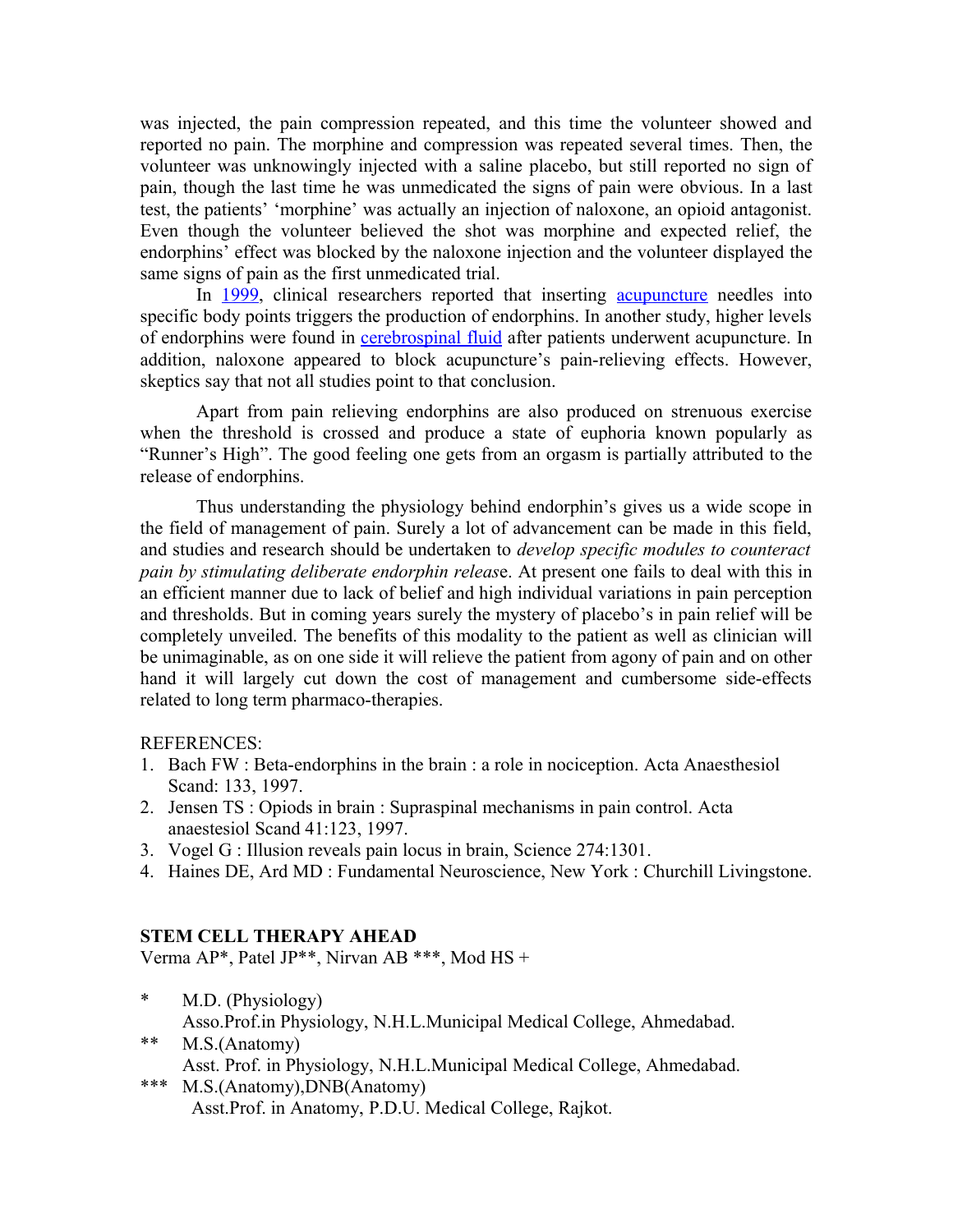was injected, the pain compression repeated, and this time the volunteer showed and reported no pain. The morphine and compression was repeated several times. Then, the volunteer was unknowingly injected with a saline placebo, but still reported no sign of pain, though the last time he was unmedicated the signs of pain were obvious. In a last test, the patients' 'morphine' was actually an injection of naloxone, an opioid antagonist. Even though the volunteer believed the shot was morphine and expected relief, the endorphins' effect was blocked by the naloxone injection and the volunteer displayed the same signs of pain as the first unmedicated trial.

In [1999,](http://en.wikipedia.org/wiki/1999) clinical researchers reported that inserting [acupuncture](http://en.wikipedia.org/wiki/Acupuncture) needles into specific body points triggers the production of endorphins. In another study, higher levels of endorphins were found in **cerebrospinal fluid** after patients underwent acupuncture. In addition, naloxone appeared to block acupuncture's pain-relieving effects. However, skeptics say that not all studies point to that conclusion.

Apart from pain relieving endorphins are also produced on strenuous exercise when the threshold is crossed and produce a state of euphoria known popularly as "Runner's High". The good feeling one gets from an orgasm is partially attributed to the release of endorphins.

Thus understanding the physiology behind endorphin's gives us a wide scope in the field of management of pain. Surely a lot of advancement can be made in this field, and studies and research should be undertaken to *develop specific modules to counteract pain by stimulating deliberate endorphin releas*e. At present one fails to deal with this in an efficient manner due to lack of belief and high individual variations in pain perception and thresholds. But in coming years surely the mystery of placebo's in pain relief will be completely unveiled. The benefits of this modality to the patient as well as clinician will be unimaginable, as on one side it will relieve the patient from agony of pain and on other hand it will largely cut down the cost of management and cumbersome side-effects related to long term pharmaco-therapies.

#### REFERENCES:

- 1. Bach FW : Beta-endorphins in the brain : a role in nociception. Acta Anaesthesiol Scand: 133, 1997.
- 2. Jensen TS : Opiods in brain : Supraspinal mechanisms in pain control. Acta anaestesiol Scand 41:123, 1997.
- 3. Vogel G : Illusion reveals pain locus in brain, Science 274:1301.
- 4. Haines DE, Ard MD : Fundamental Neuroscience, New York : Churchill Livingstone.

### **STEM CELL THERAPY AHEAD**

Verma AP\*, Patel JP\*\*, Nirvan AB \*\*\*, Mod HS +

- \* M.D. (Physiology) Asso.Prof.in Physiology, N.H.L.Municipal Medical College, Ahmedabad.
- \*\* M.S.(Anatomy) Asst. Prof. in Physiology, N.H.L.Municipal Medical College, Ahmedabad.
- \*\*\* M.S.(Anatomy),DNB(Anatomy) Asst.Prof. in Anatomy, P.D.U. Medical College, Rajkot.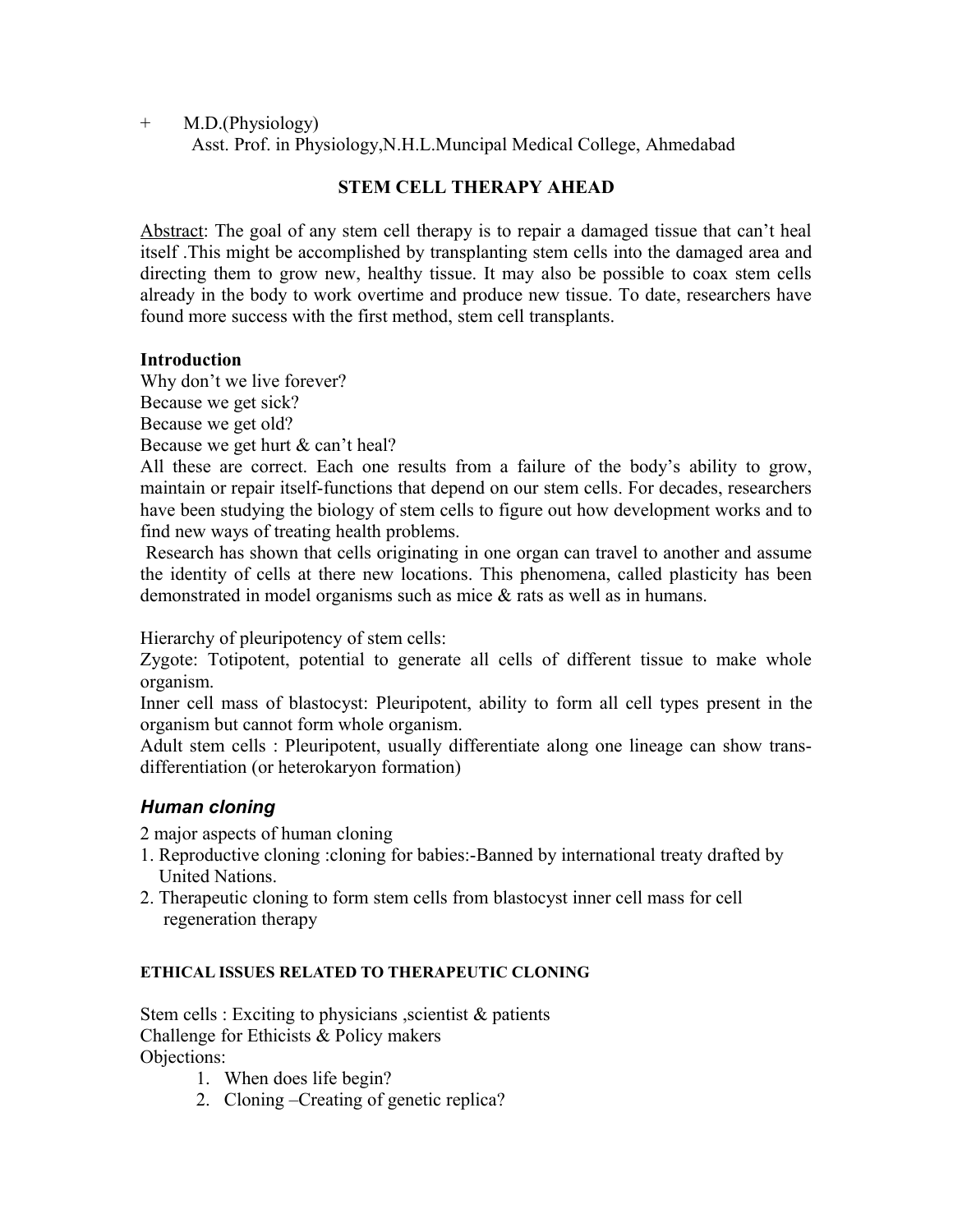+ M.D.(Physiology)

Asst. Prof. in Physiology,N.H.L.Muncipal Medical College, Ahmedabad

## **STEM CELL THERAPY AHEAD**

Abstract: The goal of any stem cell therapy is to repair a damaged tissue that can't heal itself .This might be accomplished by transplanting stem cells into the damaged area and directing them to grow new, healthy tissue. It may also be possible to coax stem cells already in the body to work overtime and produce new tissue. To date, researchers have found more success with the first method, stem cell transplants.

## **Introduction**

Why don't we live forever? Because we get sick? Because we get old? Because we get hurt & can't heal?

All these are correct. Each one results from a failure of the body's ability to grow, maintain or repair itself-functions that depend on our stem cells. For decades, researchers have been studying the biology of stem cells to figure out how development works and to find new ways of treating health problems.

 Research has shown that cells originating in one organ can travel to another and assume the identity of cells at there new locations. This phenomena, called plasticity has been demonstrated in model organisms such as mice & rats as well as in humans.

Hierarchy of pleuripotency of stem cells:

Zygote: Totipotent, potential to generate all cells of different tissue to make whole organism.

Inner cell mass of blastocyst: Pleuripotent, ability to form all cell types present in the organism but cannot form whole organism.

Adult stem cells : Pleuripotent, usually differentiate along one lineage can show transdifferentiation (or heterokaryon formation)

# *Human cloning*

2 major aspects of human cloning

- 1. Reproductive cloning :cloning for babies:-Banned by international treaty drafted by United Nations.
- 2. Therapeutic cloning to form stem cells from blastocyst inner cell mass for cell regeneration therapy

### **ETHICAL ISSUES RELATED TO THERAPEUTIC CLONING**

Stem cells : Exciting to physicians , scientist  $\&$  patients Challenge for Ethicists & Policy makers Objections:

- 1. When does life begin?
- 2. Cloning –Creating of genetic replica?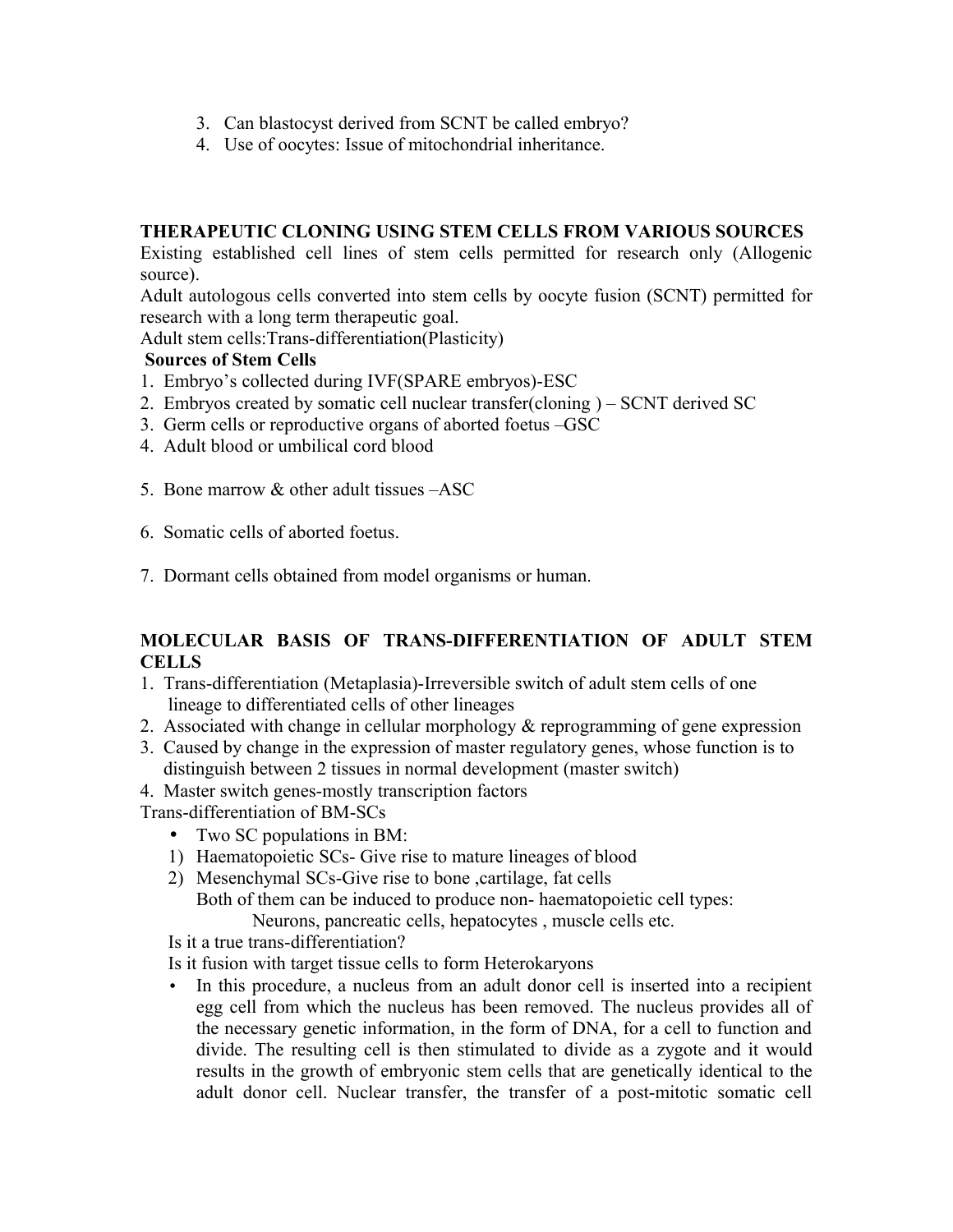- 3. Can blastocyst derived from SCNT be called embryo?
- 4. Use of oocytes: Issue of mitochondrial inheritance.

## **THERAPEUTIC CLONING USING STEM CELLS FROM VARIOUS SOURCES**

Existing established cell lines of stem cells permitted for research only (Allogenic source).

Adult autologous cells converted into stem cells by oocyte fusion (SCNT) permitted for research with a long term therapeutic goal.

Adult stem cells:Trans-differentiation(Plasticity)

## **Sources of Stem Cells**

- 1. Embryo's collected during IVF(SPARE embryos)-ESC
- 2. Embryos created by somatic cell nuclear transfer(cloning ) SCNT derived SC
- 3. Germ cells or reproductive organs of aborted foetus –GSC
- 4. Adult blood or umbilical cord blood
- 5. Bone marrow & other adult tissues –ASC
- 6. Somatic cells of aborted foetus.
- 7. Dormant cells obtained from model organisms or human.

## **MOLECULAR BASIS OF TRANS-DIFFERENTIATION OF ADULT STEM CELLS**

- 1. Trans-differentiation (Metaplasia)-Irreversible switch of adult stem cells of one lineage to differentiated cells of other lineages
- 2. Associated with change in cellular morphology & reprogramming of gene expression
- 3. Caused by change in the expression of master regulatory genes, whose function is to distinguish between 2 tissues in normal development (master switch)
- 4. Master switch genes-mostly transcription factors
- Trans-differentiation of BM-SCs
	- Two SC populations in BM:
	- 1) Haematopoietic SCs- Give rise to mature lineages of blood
	- 2) Mesenchymal SCs-Give rise to bone ,cartilage, fat cells

 Both of them can be induced to produce non- haematopoietic cell types: Neurons, pancreatic cells, hepatocytes , muscle cells etc.

Is it a true trans-differentiation?

Is it fusion with target tissue cells to form Heterokaryons

• In this procedure, a nucleus from an adult donor cell is inserted into a recipient egg cell from which the nucleus has been removed. The nucleus provides all of the necessary genetic information, in the form of DNA, for a cell to function and divide. The resulting cell is then stimulated to divide as a zygote and it would results in the growth of embryonic stem cells that are genetically identical to the adult donor cell. Nuclear transfer, the transfer of a post-mitotic somatic cell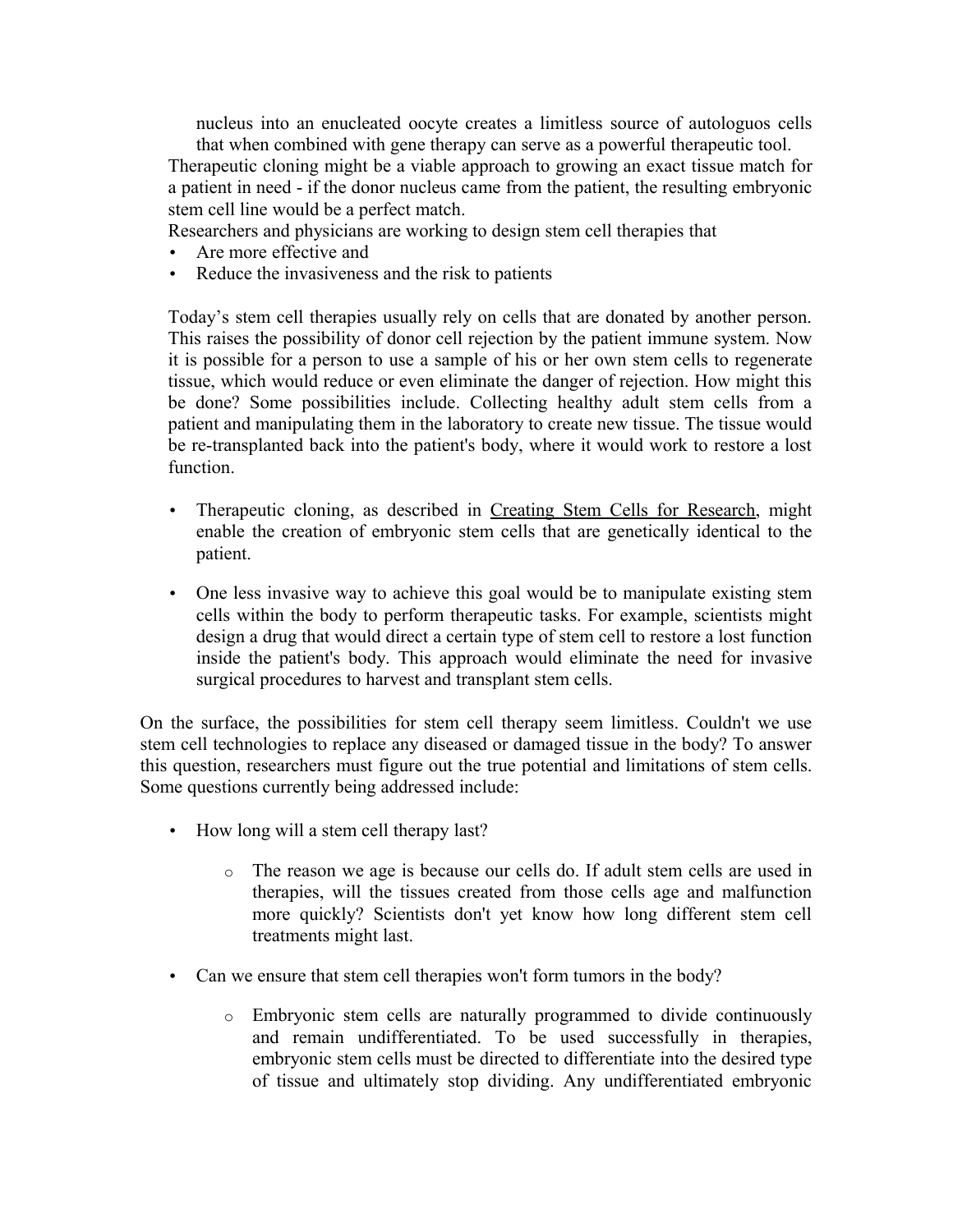nucleus into an enucleated oocyte creates a limitless source of autologuos cells that when combined with gene therapy can serve as a powerful therapeutic tool.

Therapeutic cloning might be a viable approach to growing an exact tissue match for a patient in need - if the donor nucleus came from the patient, the resulting embryonic stem cell line would be a perfect match.

Researchers and physicians are working to design stem cell therapies that

- Are more effective and
- Reduce the invasiveness and the risk to patients

Today's stem cell therapies usually rely on cells that are donated by another person. This raises the possibility of donor cell rejection by the patient immune system. Now it is possible for a person to use a sample of his or her own stem cells to regenerate tissue, which would reduce or even eliminate the danger of rejection. How might this be done? Some possibilities include. Collecting healthy adult stem cells from a patient and manipulating them in the laboratory to create new tissue. The tissue would be re-transplanted back into the patient's body, where it would work to restore a lost function.

- Therapeutic cloning, as described in [Creating Stem Cells for Research,](http://gslc.genetics.utah.edu/units/stemcells/sccreate/) might enable the creation of embryonic stem cells that are genetically identical to the patient.
- One less invasive way to achieve this goal would be to manipulate existing stem cells within the body to perform therapeutic tasks. For example, scientists might design a drug that would direct a certain type of stem cell to restore a lost function inside the patient's body. This approach would eliminate the need for invasive surgical procedures to harvest and transplant stem cells.

On the surface, the possibilities for stem cell therapy seem limitless. Couldn't we use stem cell technologies to replace any diseased or damaged tissue in the body? To answer this question, researchers must figure out the true potential and limitations of stem cells. Some questions currently being addressed include:

- How long will a stem cell therapy last?
	- o The reason we age is because our cells do. If adult stem cells are used in therapies, will the tissues created from those cells age and malfunction more quickly? Scientists don't yet know how long different stem cell treatments might last.
- Can we ensure that stem cell therapies won't form tumors in the body?
	- o Embryonic stem cells are naturally programmed to divide continuously and remain undifferentiated. To be used successfully in therapies, embryonic stem cells must be directed to differentiate into the desired type of tissue and ultimately stop dividing. Any undifferentiated embryonic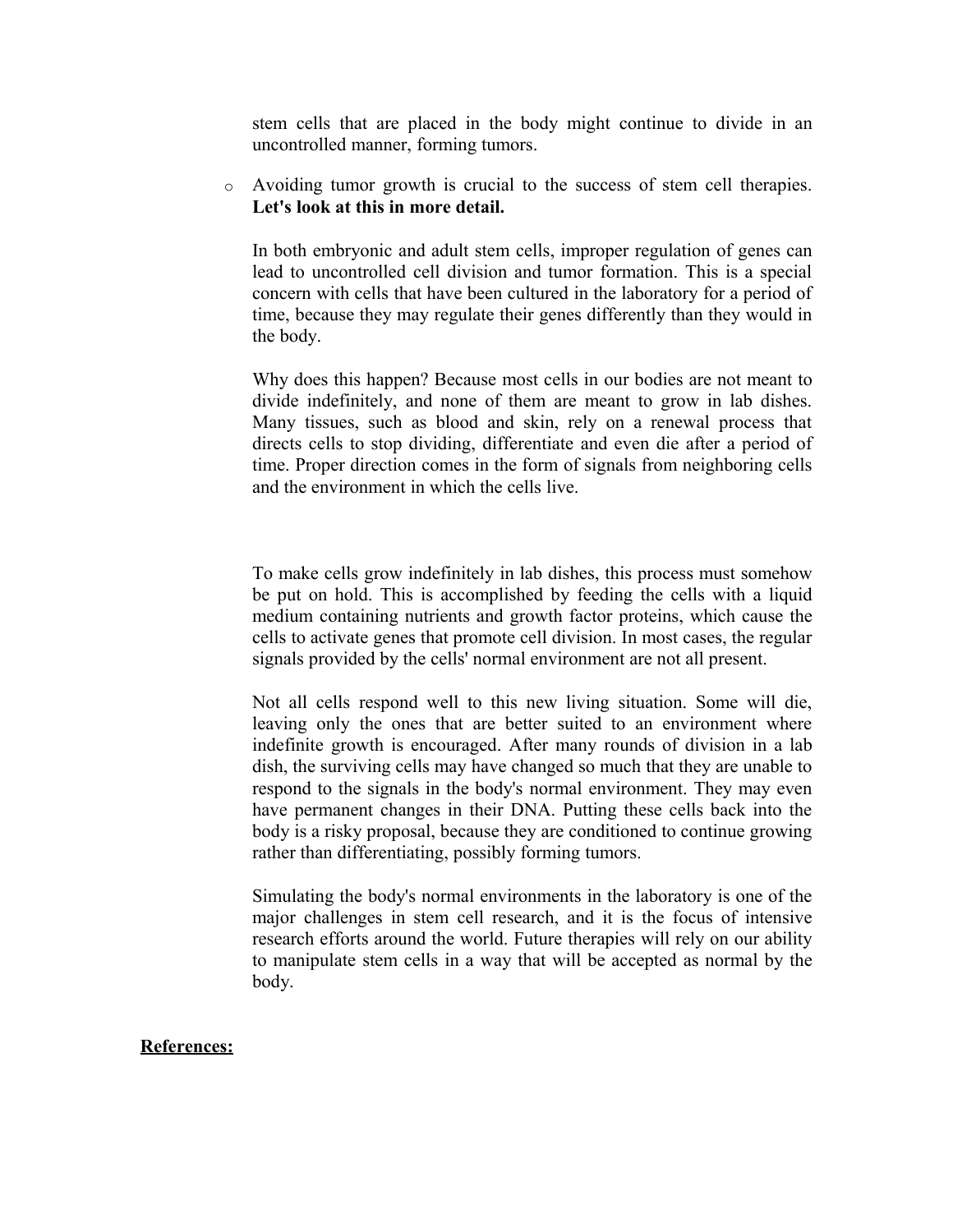stem cells that are placed in the body might continue to divide in an uncontrolled manner, forming tumors.

o Avoiding tumor growth is crucial to the success of stem cell therapies. **Let's look at this in more detail.**

In both embryonic and adult stem cells, improper regulation of genes can lead to uncontrolled cell division and tumor formation. This is a special concern with cells that have been cultured in the laboratory for a period of time, because they may regulate their genes differently than they would in the body.

Why does this happen? Because most cells in our bodies are not meant to divide indefinitely, and none of them are meant to grow in lab dishes. Many tissues, such as blood and skin, rely on a renewal process that directs cells to stop dividing, differentiate and even die after a period of time. Proper direction comes in the form of signals from neighboring cells and the environment in which the cells live.

To make cells grow indefinitely in lab dishes, this process must somehow be put on hold. This is accomplished by feeding the cells with a liquid medium containing nutrients and growth factor proteins, which cause the cells to activate genes that promote cell division. In most cases, the regular signals provided by the cells' normal environment are not all present.

Not all cells respond well to this new living situation. Some will die, leaving only the ones that are better suited to an environment where indefinite growth is encouraged. After many rounds of division in a lab dish, the surviving cells may have changed so much that they are unable to respond to the signals in the body's normal environment. They may even have permanent changes in their DNA. Putting these cells back into the body is a risky proposal, because they are conditioned to continue growing rather than differentiating, possibly forming tumors.

Simulating the body's normal environments in the laboratory is one of the major challenges in stem cell research, and it is the focus of intensive research efforts around the world. Future therapies will rely on our ability to manipulate stem cells in a way that will be accepted as normal by the body.

#### **References:**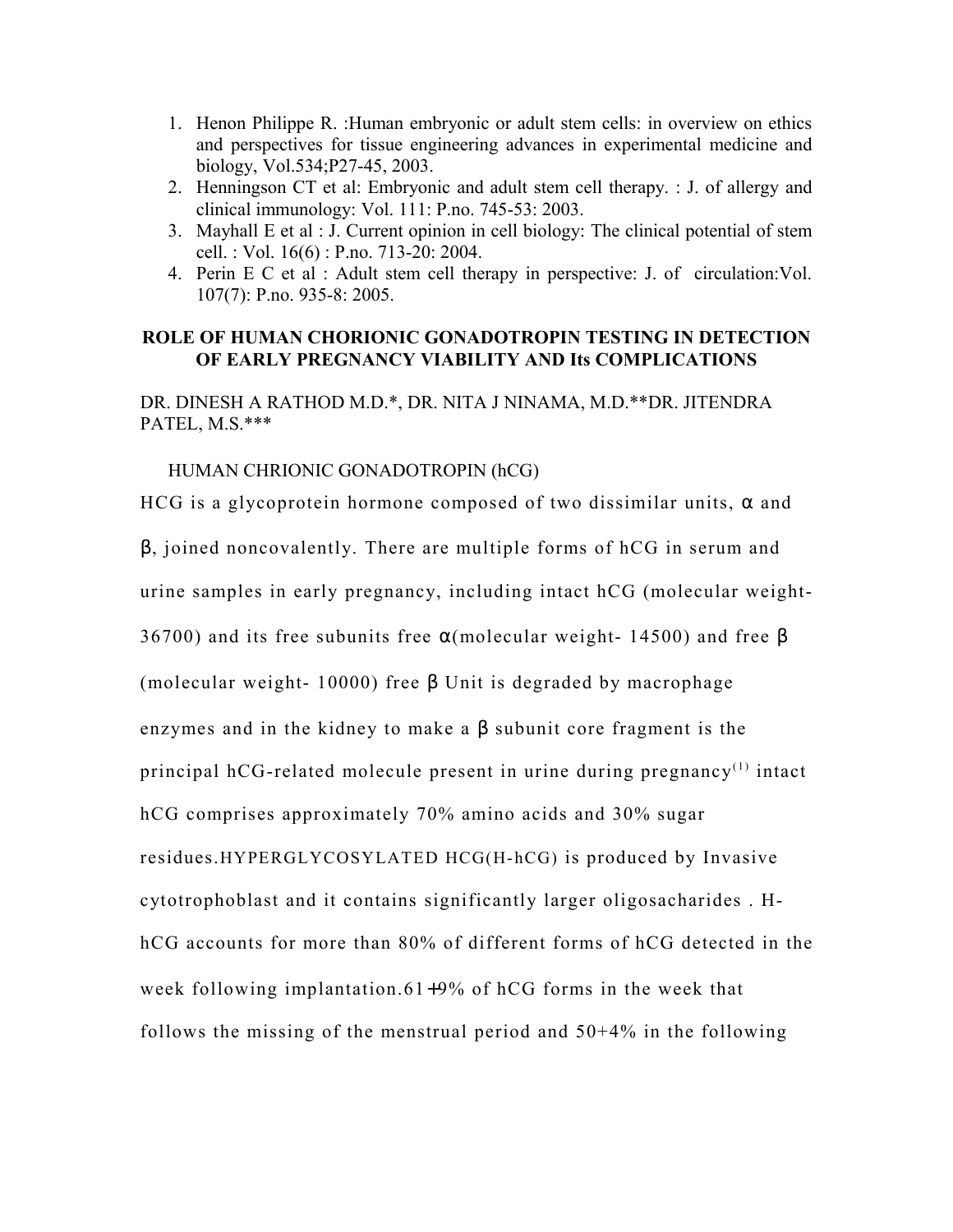- 1. Henon Philippe R. :Human embryonic or adult stem cells: in overview on ethics and perspectives for tissue engineering advances in experimental medicine and biology, Vol.534;P27-45, 2003.
- 2. Henningson CT et al: Embryonic and adult stem cell therapy. : J. of allergy and clinical immunology: Vol. 111: P.no. 745-53: 2003.
- 3. Mayhall E et al : J. Current opinion in cell biology: The clinical potential of stem cell. : Vol. 16(6) : P.no. 713-20: 2004.
- 4. Perin E C et al : Adult stem cell therapy in perspective: J. of circulation:Vol. 107(7): P.no. 935-8: 2005.

### **ROLE OF HUMAN CHORIONIC GONADOTROPIN TESTING IN DETECTION OF EARLY PREGNANCY VIABILITY AND Its COMPLICATIONS**

DR. DINESH A RATHOD M.D.\*, DR. NITA J NINAMA, M.D.\*\*DR. JITENDRA PATEL, M.S.\*\*\*

#### HUMAN CHRIONIC GONADOTROPIN (hCG)

HCG is a glycoprotein hormone composed of two dissimilar units,  $\alpha$  and

β, joined noncovalently. There are multiple forms of hCG in serum and

urine samples in early pregnancy, including intact hCG (molecular weight-

36700) and its free subunits free  $\alpha$ (molecular weight- 14500) and free  $\beta$ 

(molecular weight- 10000) free  $\beta$  Unit is degraded by macrophage

enzymes and in the kidney to make a β subunit core fragment is the

principal hCG-related molecule present in urine during pregnancy<sup>(1)</sup> intact

hCG comprises approximately 70% amino acids and 30% sugar

residues.HYPERGLYCOSYLATED HCG(H-hCG) is produced by Invasive

cytotrophoblast and it contains significantly larger oligosacharides . H-

hCG accounts for more than 80% of different forms of hCG detected in the

week following implantation.61+9% of hCG forms in the week that

follows the missing of the menstrual period and 50+4% in the following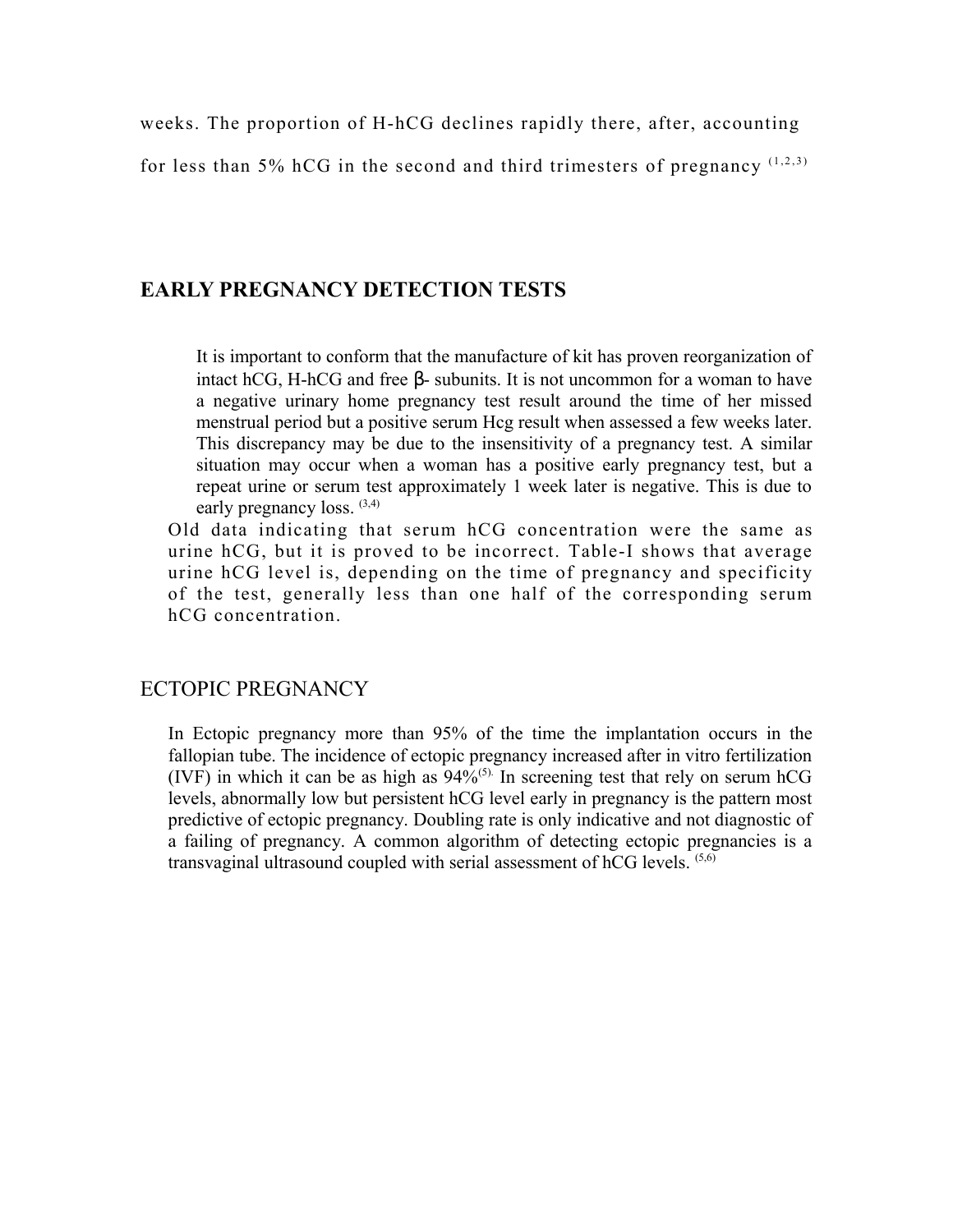weeks. The proportion of H-hCG declines rapidly there, after, accounting

for less than 5% hCG in the second and third trimesters of pregnancy  $(1,2,3)$ 

# **EARLY PREGNANCY DETECTION TESTS**

It is important to conform that the manufacture of kit has proven reorganization of intact hCG, H-hCG and free β- subunits. It is not uncommon for a woman to have a negative urinary home pregnancy test result around the time of her missed menstrual period but a positive serum Hcg result when assessed a few weeks later. This discrepancy may be due to the insensitivity of a pregnancy test. A similar situation may occur when a woman has a positive early pregnancy test, but a repeat urine or serum test approximately 1 week later is negative. This is due to early pregnancy loss.  $(3,4)$ 

Old data indicating that serum hCG concentration were the same as urine hCG, but it is proved to be incorrect. Table-I shows that average urine hCG level is, depending on the time of pregnancy and specificity of the test, generally less than one half of the corresponding serum hCG concentration.

## ECTOPIC PREGNANCY

In Ectopic pregnancy more than 95% of the time the implantation occurs in the fallopian tube. The incidence of ectopic pregnancy increased after in vitro fertilization (IVF) in which it can be as high as  $94\%$ <sup>(5).</sup> In screening test that rely on serum hCG levels, abnormally low but persistent hCG level early in pregnancy is the pattern most predictive of ectopic pregnancy. Doubling rate is only indicative and not diagnostic of a failing of pregnancy. A common algorithm of detecting ectopic pregnancies is a transvaginal ultrasound coupled with serial assessment of hCG levels. (5,6)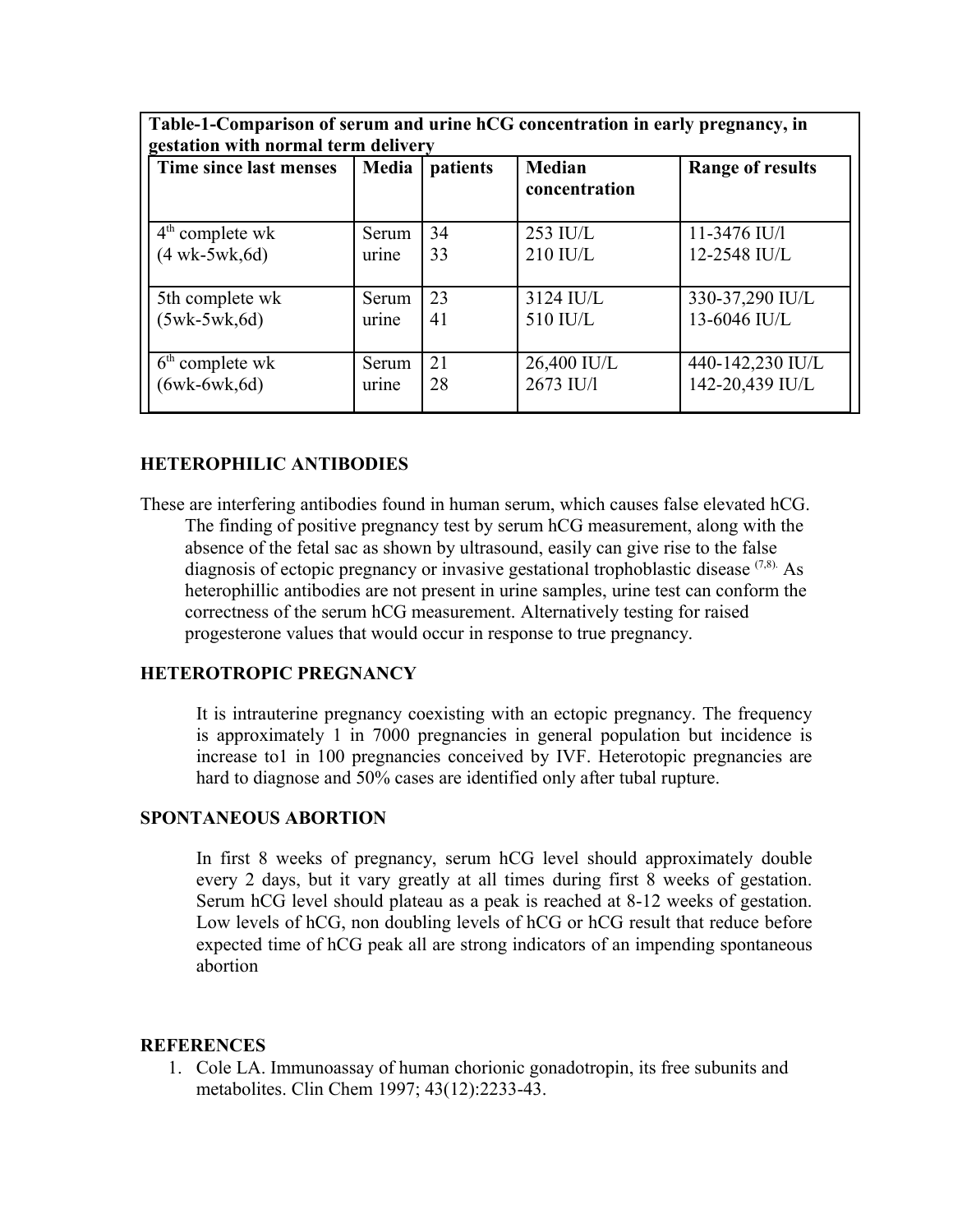| Time since last menses | Media | patients | <b>Median</b><br>concentration | <b>Range of results</b> |
|------------------------|-------|----------|--------------------------------|-------------------------|
| $4th$ complete wk      | Serum | 34       | $253$ IU/L                     | 11-3476 IU/l            |
| $(4$ wk-5wk, 6d)       | urine | 33       | 210 IU/L                       | 12-2548 IU/L            |
| 5th complete wk        | Serum | 23       | $3124$ IU/L                    | 330-37,290 IU/L         |
| $(5wk-5wk, 6d)$        | urine | 41       | 510 IU/L                       | 13-6046 IU/L            |
| $6th$ complete wk      | Serum | 21       | 26,400 IU/L                    | 440-142,230 IU/L        |
| $(6wk-6wk, 6d)$        | urine | 28       | 2673 IU/l                      | 142-20,439 IU/L         |

# **HETEROPHILIC ANTIBODIES**

These are interfering antibodies found in human serum, which causes false elevated hCG. The finding of positive pregnancy test by serum hCG measurement, along with the absence of the fetal sac as shown by ultrasound, easily can give rise to the false diagnosis of ectopic pregnancy or invasive gestational trophoblastic disease  $(7,8)$ . As heterophillic antibodies are not present in urine samples, urine test can conform the correctness of the serum hCG measurement. Alternatively testing for raised progesterone values that would occur in response to true pregnancy.

### **HETEROTROPIC PREGNANCY**

It is intrauterine pregnancy coexisting with an ectopic pregnancy. The frequency is approximately 1 in 7000 pregnancies in general population but incidence is increase to1 in 100 pregnancies conceived by IVF. Heterotopic pregnancies are hard to diagnose and 50% cases are identified only after tubal rupture.

#### **SPONTANEOUS ABORTION**

In first 8 weeks of pregnancy, serum hCG level should approximately double every 2 days, but it vary greatly at all times during first 8 weeks of gestation. Serum hCG level should plateau as a peak is reached at 8-12 weeks of gestation. Low levels of hCG, non doubling levels of hCG or hCG result that reduce before expected time of hCG peak all are strong indicators of an impending spontaneous abortion

#### **REFERENCES**

1. Cole LA. Immunoassay of human chorionic gonadotropin, its free subunits and metabolites. Clin Chem 1997; 43(12):2233-43.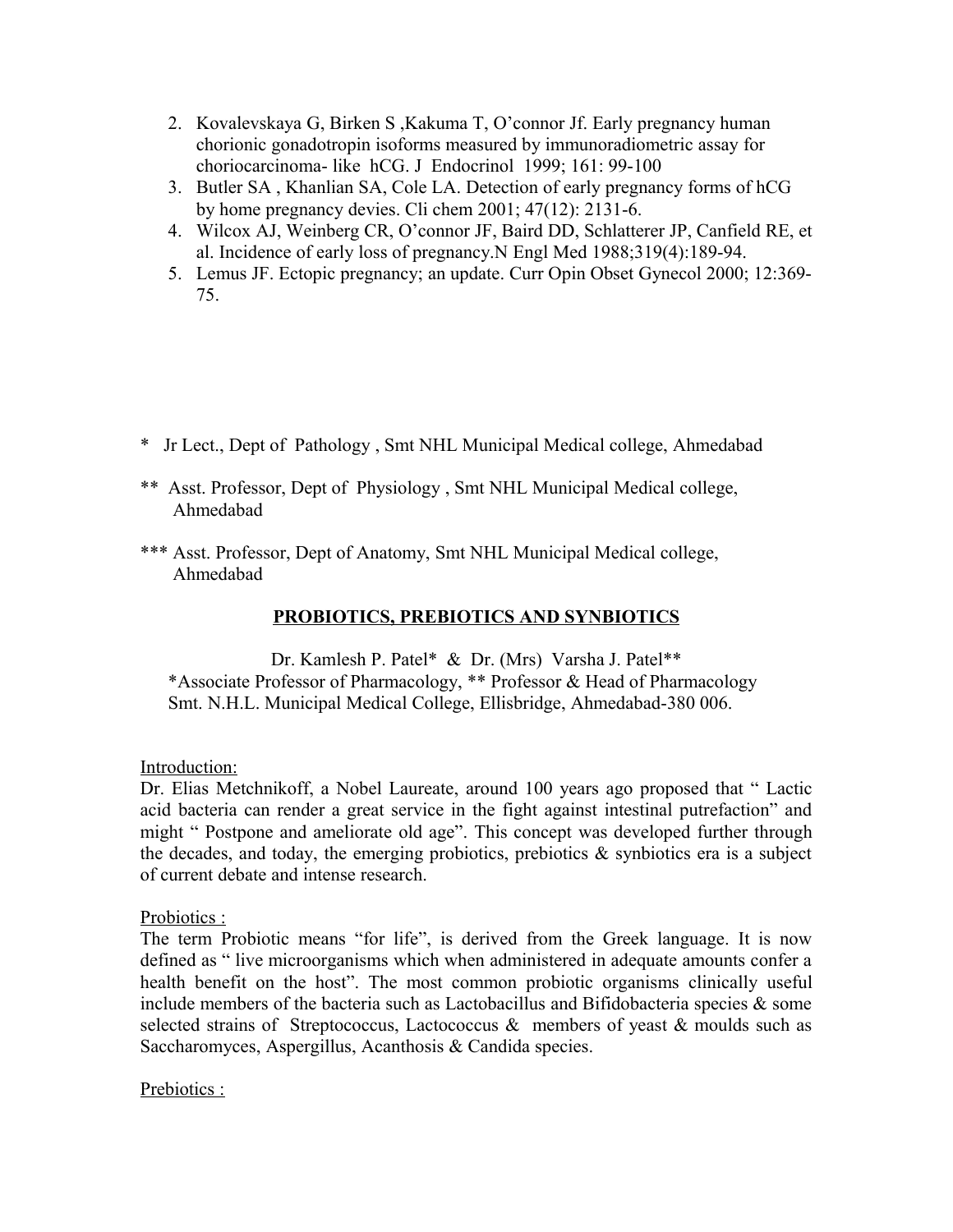- 2. Kovalevskaya G, Birken S ,Kakuma T, O'connor Jf. Early pregnancy human chorionic gonadotropin isoforms measured by immunoradiometric assay for choriocarcinoma- like hCG. J Endocrinol 1999; 161: 99-100
- 3. Butler SA , Khanlian SA, Cole LA. Detection of early pregnancy forms of hCG by home pregnancy devies. Cli chem 2001; 47(12): 2131-6.
- 4. Wilcox AJ, Weinberg CR, O'connor JF, Baird DD, Schlatterer JP, Canfield RE, et al. Incidence of early loss of pregnancy.N Engl Med 1988;319(4):189-94.
- 5. Lemus JF. Ectopic pregnancy; an update. Curr Opin Obset Gynecol 2000; 12:369- 75.

- \* Jr Lect., Dept of Pathology , Smt NHL Municipal Medical college, Ahmedabad
- \*\* Asst. Professor, Dept of Physiology , Smt NHL Municipal Medical college, Ahmedabad
- \*\*\* Asst. Professor, Dept of Anatomy, Smt NHL Municipal Medical college, Ahmedabad

# **PROBIOTICS, PREBIOTICS AND SYNBIOTICS**

Dr. Kamlesh P. Patel\* & Dr. (Mrs) Varsha J. Patel\*\* \*Associate Professor of Pharmacology, \*\* Professor & Head of Pharmacology Smt. N.H.L. Municipal Medical College, Ellisbridge, Ahmedabad-380 006.

Introduction:

Dr. Elias Metchnikoff, a Nobel Laureate, around 100 years ago proposed that " Lactic acid bacteria can render a great service in the fight against intestinal putrefaction" and might " Postpone and ameliorate old age". This concept was developed further through the decades, and today, the emerging probiotics, prebiotics  $\&$  synbiotics era is a subject of current debate and intense research.

Probiotics :

The term Probiotic means "for life", is derived from the Greek language. It is now defined as " live microorganisms which when administered in adequate amounts confer a health benefit on the host". The most common probiotic organisms clinically useful include members of the bacteria such as Lactobacillus and Bifidobacteria species  $\&$  some selected strains of Streptococcus, Lactococcus  $\&$  members of yeast  $\&$  moulds such as Saccharomyces, Aspergillus, Acanthosis & Candida species.

Prebiotics :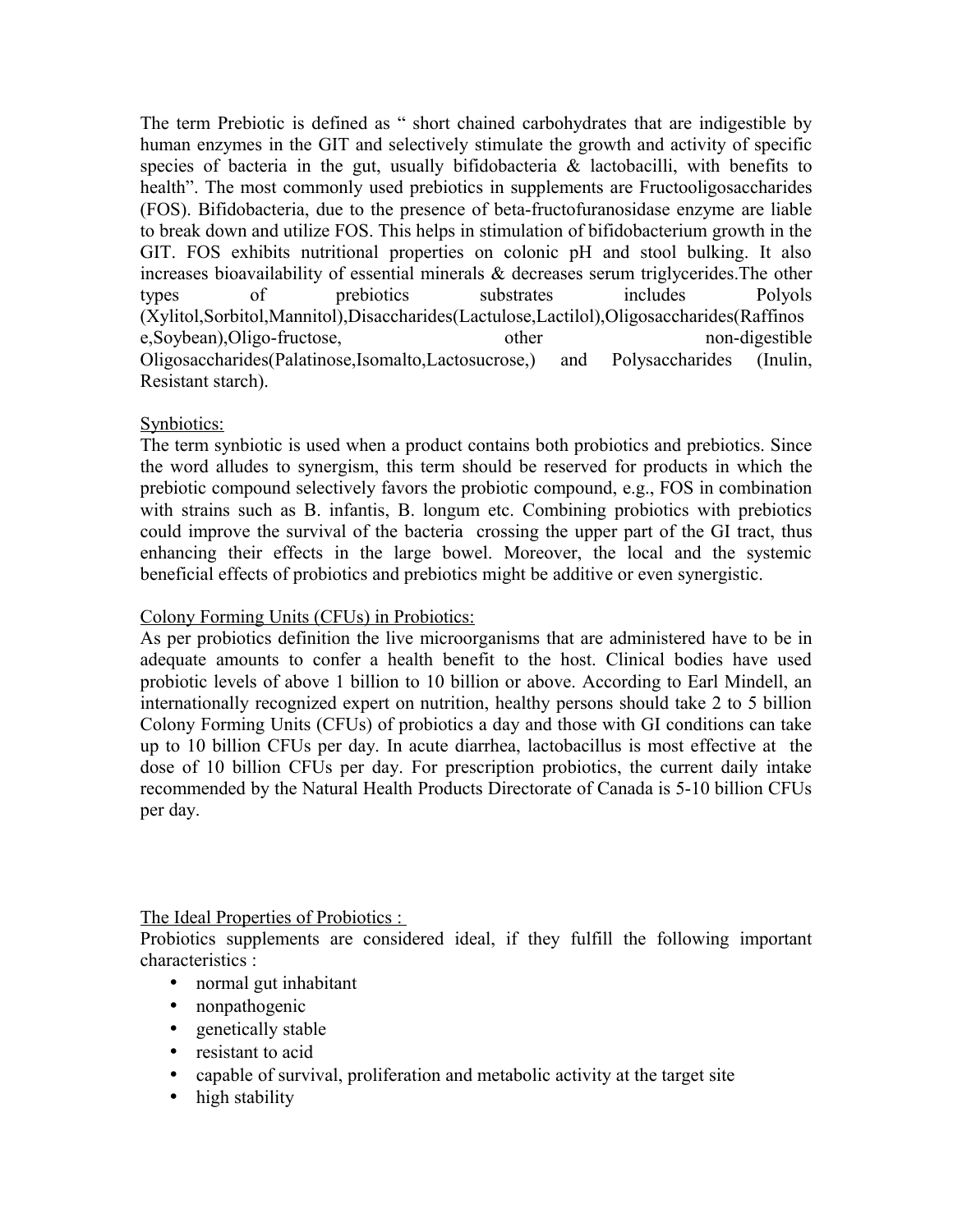The term Prebiotic is defined as " short chained carbohydrates that are indigestible by human enzymes in the GIT and selectively stimulate the growth and activity of specific species of bacteria in the gut, usually bifidobacteria  $\&$  lactobacilli, with benefits to health". The most commonly used prebiotics in supplements are Fructooligosaccharides (FOS). Bifidobacteria, due to the presence of beta-fructofuranosidase enzyme are liable to break down and utilize FOS. This helps in stimulation of bifidobacterium growth in the GIT. FOS exhibits nutritional properties on colonic pH and stool bulking. It also increases bioavailability of essential minerals & decreases serum triglycerides.The other types of prebiotics substrates includes Polyols (Xylitol,Sorbitol,Mannitol),Disaccharides(Lactulose,Lactilol),Oligosaccharides(Raffinos e,Soybean),Oligo-fructose, other non-digestible Oligosaccharides(Palatinose,Isomalto,Lactosucrose,) and Polysaccharides (Inulin, Resistant starch).

# Synbiotics:

The term synbiotic is used when a product contains both probiotics and prebiotics. Since the word alludes to synergism, this term should be reserved for products in which the prebiotic compound selectively favors the probiotic compound, e.g., FOS in combination with strains such as B. infantis, B. longum etc. Combining probiotics with prebiotics could improve the survival of the bacteria crossing the upper part of the GI tract, thus enhancing their effects in the large bowel. Moreover, the local and the systemic beneficial effects of probiotics and prebiotics might be additive or even synergistic.

Colony Forming Units (CFUs) in Probiotics:

As per probiotics definition the live microorganisms that are administered have to be in adequate amounts to confer a health benefit to the host. Clinical bodies have used probiotic levels of above 1 billion to 10 billion or above. According to Earl Mindell, an internationally recognized expert on nutrition, healthy persons should take 2 to 5 billion Colony Forming Units (CFUs) of probiotics a day and those with GI conditions can take up to 10 billion CFUs per day. In acute diarrhea, lactobacillus is most effective at the dose of 10 billion CFUs per day. For prescription probiotics, the current daily intake recommended by the Natural Health Products Directorate of Canada is 5-10 billion CFUs per day.

The Ideal Properties of Probiotics :

Probiotics supplements are considered ideal, if they fulfill the following important characteristics :

- normal gut inhabitant
- nonpathogenic
- genetically stable
- resistant to acid
- capable of survival, proliferation and metabolic activity at the target site
- high stability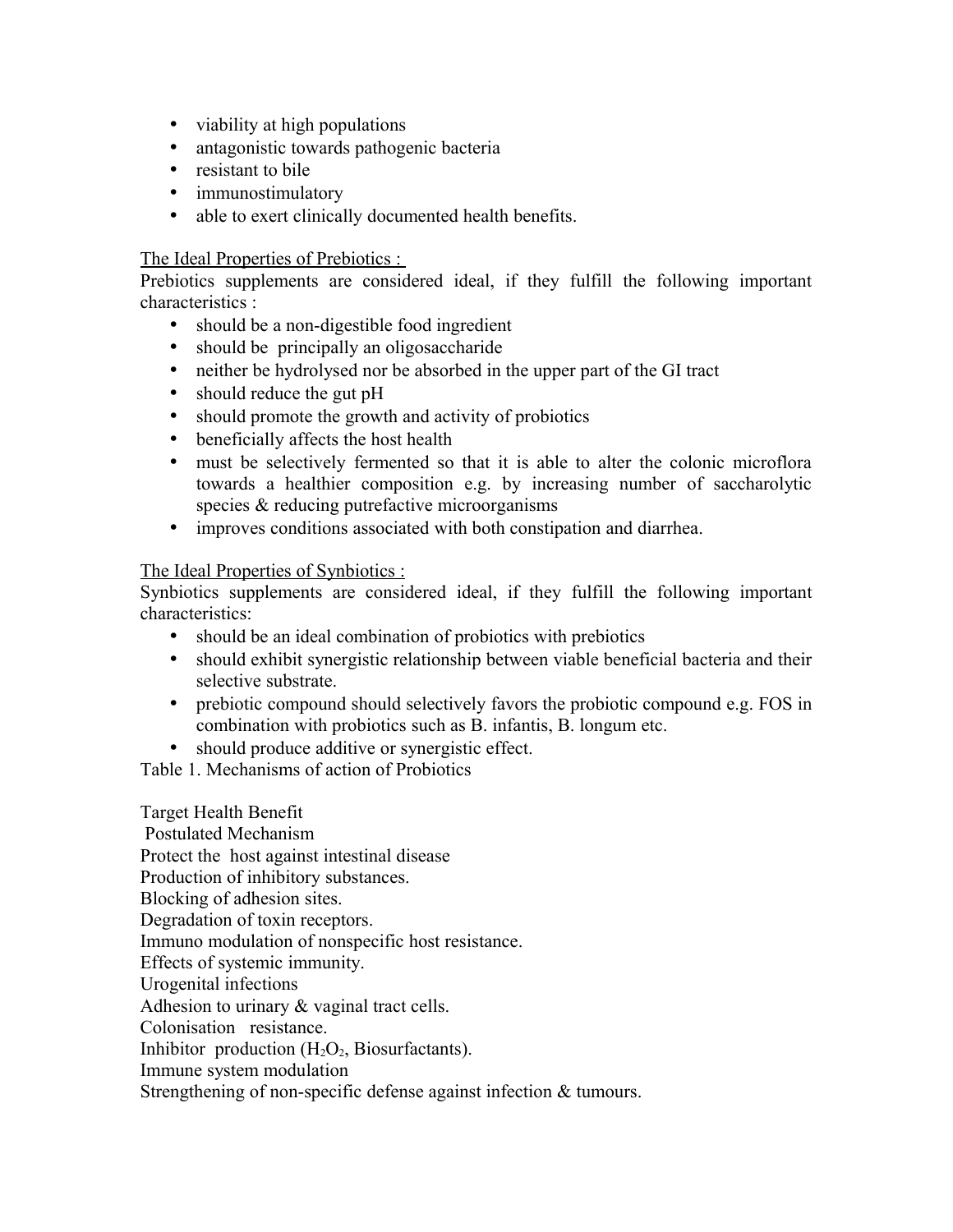- viability at high populations
- antagonistic towards pathogenic bacteria
- resistant to bile
- immunostimulatory
- able to exert clinically documented health benefits.

## The Ideal Properties of Prebiotics :

Prebiotics supplements are considered ideal, if they fulfill the following important characteristics :

- should be a non-digestible food ingredient
- should be principally an oligosaccharide
- neither be hydrolysed nor be absorbed in the upper part of the GI tract
- should reduce the gut pH
- should promote the growth and activity of probiotics
- beneficially affects the host health
- must be selectively fermented so that it is able to alter the colonic microflora towards a healthier composition e.g. by increasing number of saccharolytic species & reducing putrefactive microorganisms
- improves conditions associated with both constipation and diarrhea.

## The Ideal Properties of Synbiotics :

Synbiotics supplements are considered ideal, if they fulfill the following important characteristics:

- should be an ideal combination of probiotics with prebiotics
- should exhibit synergistic relationship between viable beneficial bacteria and their selective substrate.
- prebiotic compound should selectively favors the probiotic compound e.g. FOS in combination with probiotics such as B. infantis, B. longum etc.
- should produce additive or synergistic effect.

Table 1. Mechanisms of action of Probiotics

Target Health Benefit Postulated Mechanism Protect the host against intestinal disease Production of inhibitory substances. Blocking of adhesion sites. Degradation of toxin receptors. Immuno modulation of nonspecific host resistance. Effects of systemic immunity. Urogenital infections Adhesion to urinary & vaginal tract cells. Colonisation resistance. Inhibitor production  $(H_2O_2, Biosurfactants)$ . Immune system modulation Strengthening of non-specific defense against infection & tumours.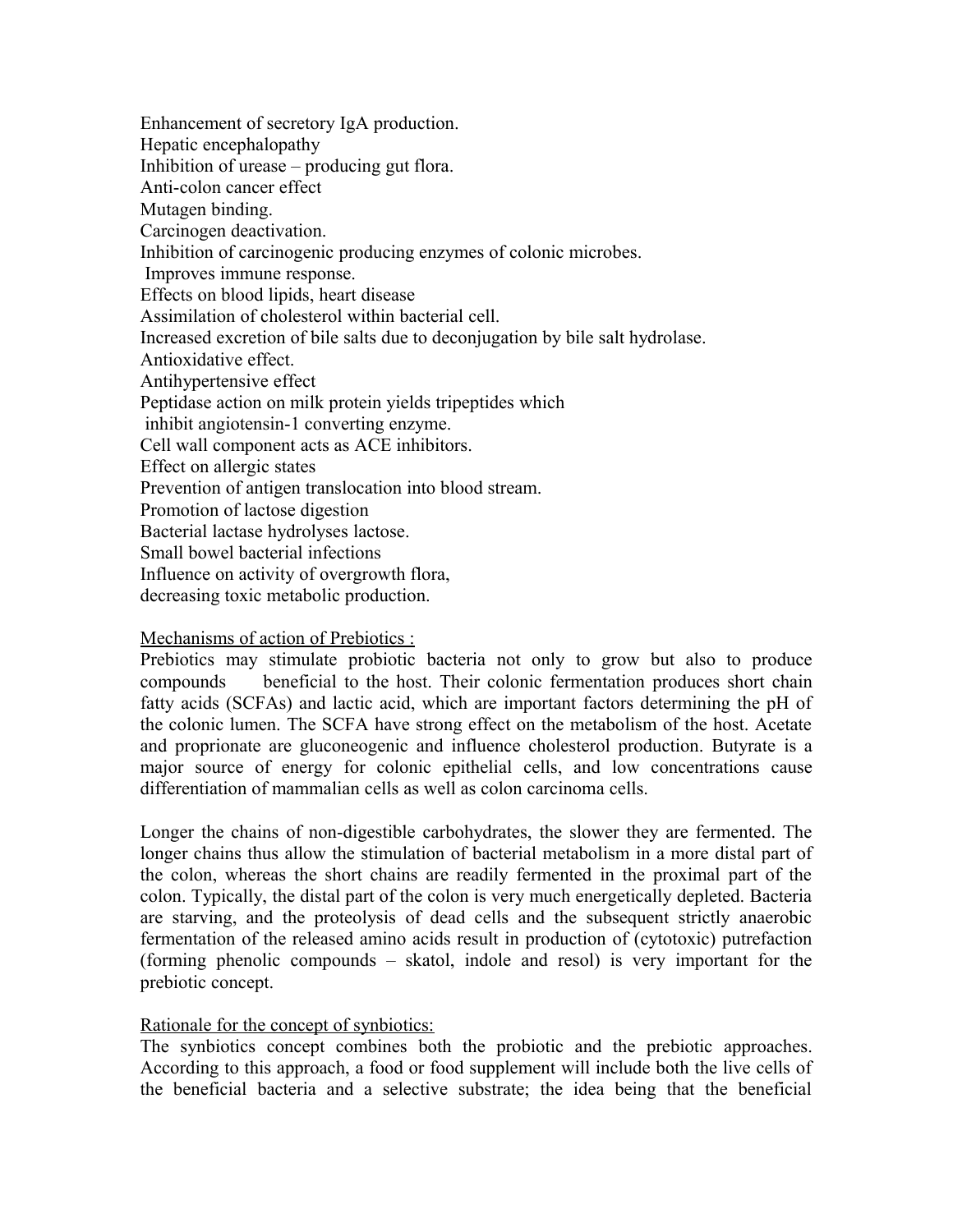Enhancement of secretory IgA production. Hepatic encephalopathy Inhibition of urease – producing gut flora. Anti-colon cancer effect Mutagen binding. Carcinogen deactivation. Inhibition of carcinogenic producing enzymes of colonic microbes. Improves immune response. Effects on blood lipids, heart disease Assimilation of cholesterol within bacterial cell. Increased excretion of bile salts due to deconjugation by bile salt hydrolase. Antioxidative effect. Antihypertensive effect Peptidase action on milk protein yields tripeptides which inhibit angiotensin-1 converting enzyme. Cell wall component acts as ACE inhibitors. Effect on allergic states Prevention of antigen translocation into blood stream. Promotion of lactose digestion Bacterial lactase hydrolyses lactose. Small bowel bacterial infections Influence on activity of overgrowth flora, decreasing toxic metabolic production.

## Mechanisms of action of Prebiotics :

Prebiotics may stimulate probiotic bacteria not only to grow but also to produce compounds beneficial to the host. Their colonic fermentation produces short chain fatty acids (SCFAs) and lactic acid, which are important factors determining the pH of the colonic lumen. The SCFA have strong effect on the metabolism of the host. Acetate and proprionate are gluconeogenic and influence cholesterol production. Butyrate is a major source of energy for colonic epithelial cells, and low concentrations cause differentiation of mammalian cells as well as colon carcinoma cells.

Longer the chains of non-digestible carbohydrates, the slower they are fermented. The longer chains thus allow the stimulation of bacterial metabolism in a more distal part of the colon, whereas the short chains are readily fermented in the proximal part of the colon. Typically, the distal part of the colon is very much energetically depleted. Bacteria are starving, and the proteolysis of dead cells and the subsequent strictly anaerobic fermentation of the released amino acids result in production of (cytotoxic) putrefaction (forming phenolic compounds – skatol, indole and resol) is very important for the prebiotic concept.

### Rationale for the concept of synbiotics:

The synbiotics concept combines both the probiotic and the prebiotic approaches. According to this approach, a food or food supplement will include both the live cells of the beneficial bacteria and a selective substrate; the idea being that the beneficial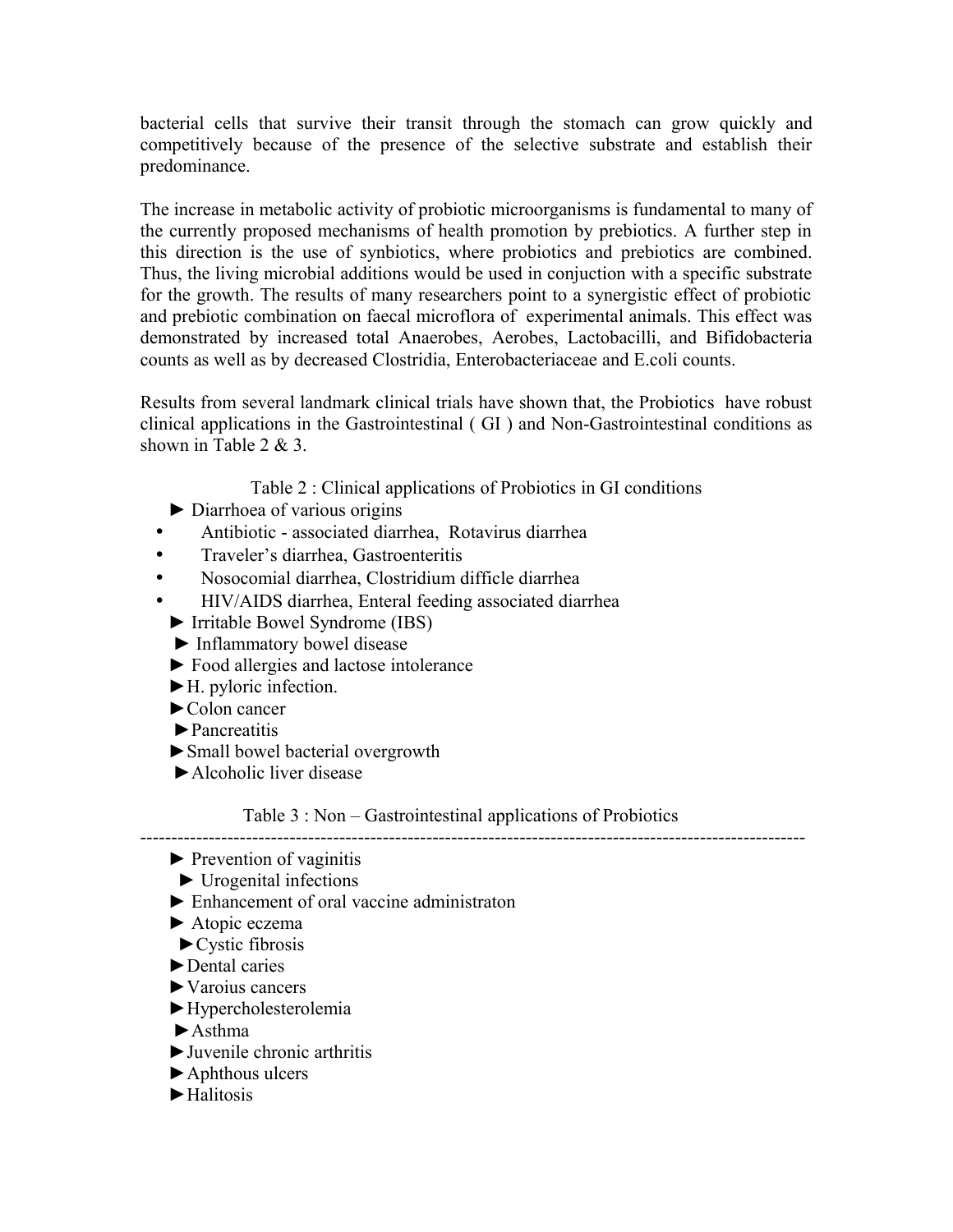bacterial cells that survive their transit through the stomach can grow quickly and competitively because of the presence of the selective substrate and establish their predominance.

The increase in metabolic activity of probiotic microorganisms is fundamental to many of the currently proposed mechanisms of health promotion by prebiotics. A further step in this direction is the use of synbiotics, where probiotics and prebiotics are combined. Thus, the living microbial additions would be used in conjuction with a specific substrate for the growth. The results of many researchers point to a synergistic effect of probiotic and prebiotic combination on faecal microflora of experimental animals. This effect was demonstrated by increased total Anaerobes, Aerobes, Lactobacilli, and Bifidobacteria counts as well as by decreased Clostridia, Enterobacteriaceae and E.coli counts.

Results from several landmark clinical trials have shown that, the Probiotics have robust clinical applications in the Gastrointestinal ( GI ) and Non-Gastrointestinal conditions as shown in Table 2 & 3.

Table 2 : Clinical applications of Probiotics in GI conditions

- ► Diarrhoea of various origins
- Antibiotic associated diarrhea, Rotavirus diarrhea
- Traveler's diarrhea, Gastroenteritis
- Nosocomial diarrhea, Clostridium difficle diarrhea
- HIV/AIDS diarrhea, Enteral feeding associated diarrhea
- ► Irritable Bowel Syndrome (IBS)
- ► Inflammatory bowel disease
- ► Food allergies and lactose intolerance
- ►H. pyloric infection.
- ►Colon cancer
- ►Pancreatitis
- ►Small bowel bacterial overgrowth
- ►Alcoholic liver disease

# Table 3 : Non – Gastrointestinal applications of Probiotics

-----------------------------------------------------------------------------------------------------------

- $\blacktriangleright$  Prevention of vaginitis
- $\blacktriangleright$  Urogenital infections
- ► Enhancement of oral vaccine administraton
- ► Atopic eczema
- $\blacktriangleright$  Cystic fibrosis
- ►Dental caries
- ►Varoius cancers
- ►Hypercholesterolemia
- $\blacktriangleright$  Asthma
- ►Juvenile chronic arthritis
- ►Aphthous ulcers
- ►Halitosis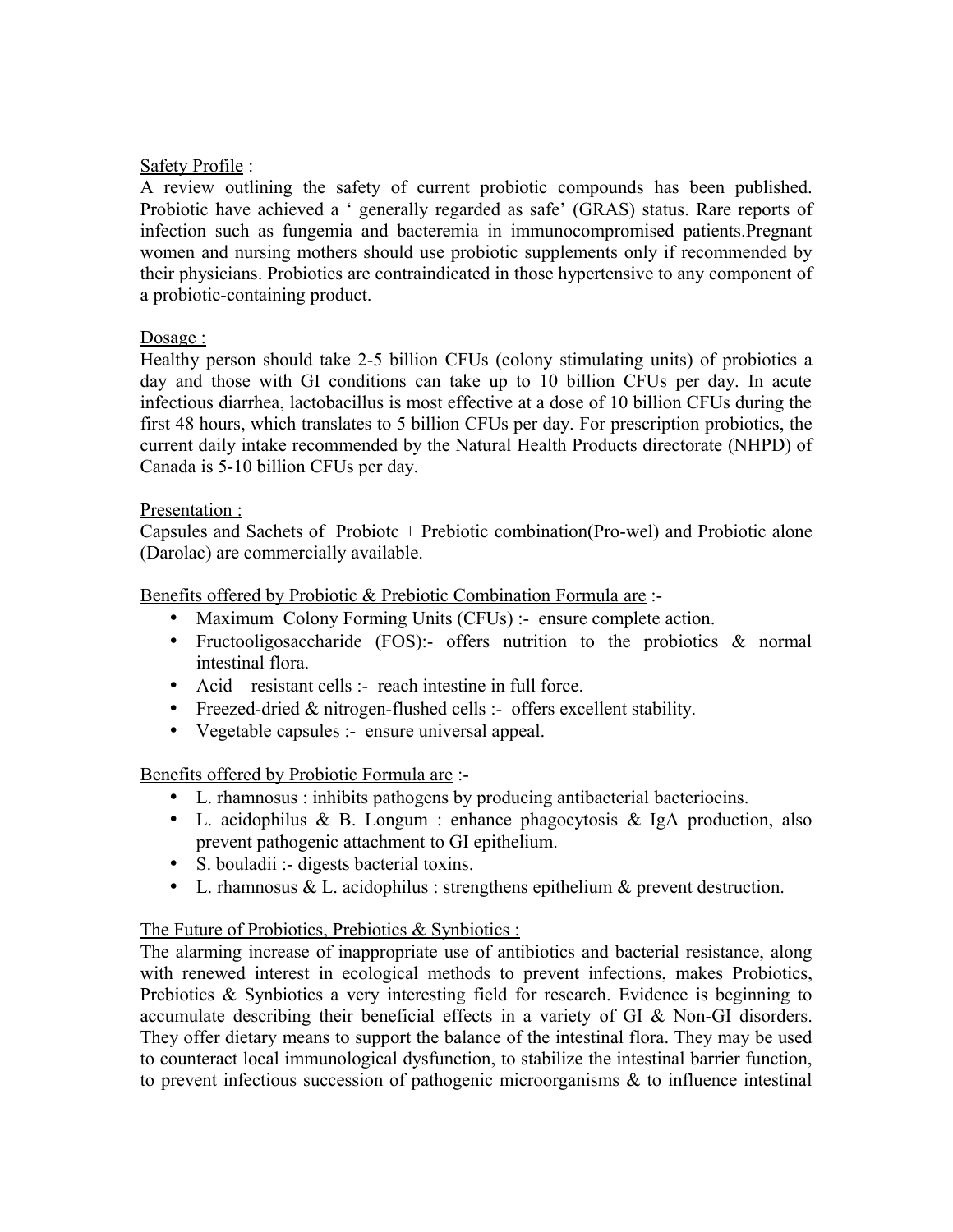## Safety Profile :

A review outlining the safety of current probiotic compounds has been published. Probiotic have achieved a ' generally regarded as safe' (GRAS) status. Rare reports of infection such as fungemia and bacteremia in immunocompromised patients.Pregnant women and nursing mothers should use probiotic supplements only if recommended by their physicians. Probiotics are contraindicated in those hypertensive to any component of a probiotic-containing product.

## Dosage :

Healthy person should take 2-5 billion CFUs (colony stimulating units) of probiotics a day and those with GI conditions can take up to 10 billion CFUs per day. In acute infectious diarrhea, lactobacillus is most effective at a dose of 10 billion CFUs during the first 48 hours, which translates to 5 billion CFUs per day. For prescription probiotics, the current daily intake recommended by the Natural Health Products directorate (NHPD) of Canada is 5-10 billion CFUs per day.

## Presentation :

Capsules and Sachets of Probiotc + Prebiotic combination(Pro-wel) and Probiotic alone (Darolac) are commercially available.

Benefits offered by Probiotic & Prebiotic Combination Formula are :-

- Maximum Colony Forming Units (CFUs) :- ensure complete action.
- Fructooligosaccharide (FOS):- offers nutrition to the probiotics & normal intestinal flora.
- Acid resistant cells :- reach intestine in full force.
- Freezed-dried & nitrogen-flushed cells :- offers excellent stability.
- Vegetable capsules :- ensure universal appeal.

Benefits offered by Probiotic Formula are :-

- L. rhamnosus : inhibits pathogens by producing antibacterial bacteriocins.
- L. acidophilus & B. Longum : enhance phagocytosis & IgA production, also prevent pathogenic attachment to GI epithelium.
- S. bouladii :- digests bacterial toxins.
- L. rhamnosus  $&$  L. acidophilus : strengthens epithelium  $&$  prevent destruction.

## The Future of Probiotics, Prebiotics & Synbiotics:

The alarming increase of inappropriate use of antibiotics and bacterial resistance, along with renewed interest in ecological methods to prevent infections, makes Probiotics, Prebiotics & Synbiotics a very interesting field for research. Evidence is beginning to accumulate describing their beneficial effects in a variety of GI & Non-GI disorders. They offer dietary means to support the balance of the intestinal flora. They may be used to counteract local immunological dysfunction, to stabilize the intestinal barrier function, to prevent infectious succession of pathogenic microorganisms & to influence intestinal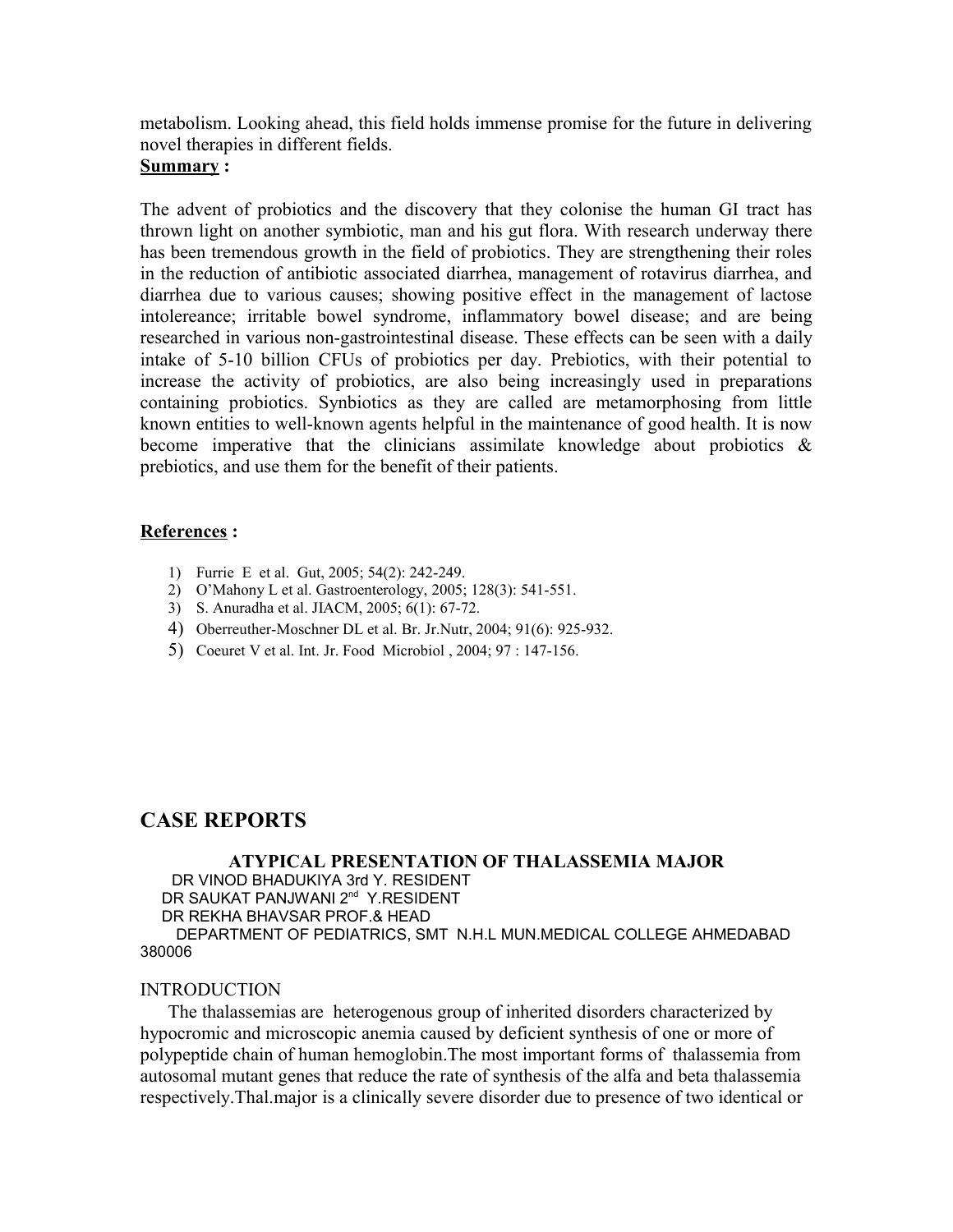metabolism. Looking ahead, this field holds immense promise for the future in delivering novel therapies in different fields.

## **Summary :**

The advent of probiotics and the discovery that they colonise the human GI tract has thrown light on another symbiotic, man and his gut flora. With research underway there has been tremendous growth in the field of probiotics. They are strengthening their roles in the reduction of antibiotic associated diarrhea, management of rotavirus diarrhea, and diarrhea due to various causes; showing positive effect in the management of lactose intolereance; irritable bowel syndrome, inflammatory bowel disease; and are being researched in various non-gastrointestinal disease. These effects can be seen with a daily intake of 5-10 billion CFUs of probiotics per day. Prebiotics, with their potential to increase the activity of probiotics, are also being increasingly used in preparations containing probiotics. Synbiotics as they are called are metamorphosing from little known entities to well-known agents helpful in the maintenance of good health. It is now become imperative that the clinicians assimilate knowledge about probiotics  $\&$ prebiotics, and use them for the benefit of their patients.

## **References :**

- 1) Furrie E et al. Gut, 2005; 54(2): 242-249.
- 2) O'Mahony L et al. Gastroenterology, 2005; 128(3): 541-551.
- 3) S. Anuradha et al. JIACM, 2005; 6(1): 67-72.
- 4) Oberreuther-Moschner DL et al. Br. Jr.Nutr, 2004; 91(6): 925-932.
- 5) Coeuret V et al. Int. Jr. Food Microbiol , 2004; 97 : 147-156.

# **CASE REPORTS**

**ATYPICAL PRESENTATION OF THALASSEMIA MAJOR** DR VINOD BHADUKIYA 3rd Y. RESIDENT DR SAUKAT PANJWANI 2<sup>nd</sup> Y.RESIDENT DR REKHA BHAVSAR PROF.& HEAD DEPARTMENT OF PEDIATRICS, SMT N.H.L MUN.MEDICAL COLLEGE AHMEDABAD

#### 380006

### INTRODUCTION

 The thalassemias are heterogenous group of inherited disorders characterized by hypocromic and microscopic anemia caused by deficient synthesis of one or more of polypeptide chain of human hemoglobin.The most important forms of thalassemia from autosomal mutant genes that reduce the rate of synthesis of the alfa and beta thalassemia respectively.Thal.major is a clinically severe disorder due to presence of two identical or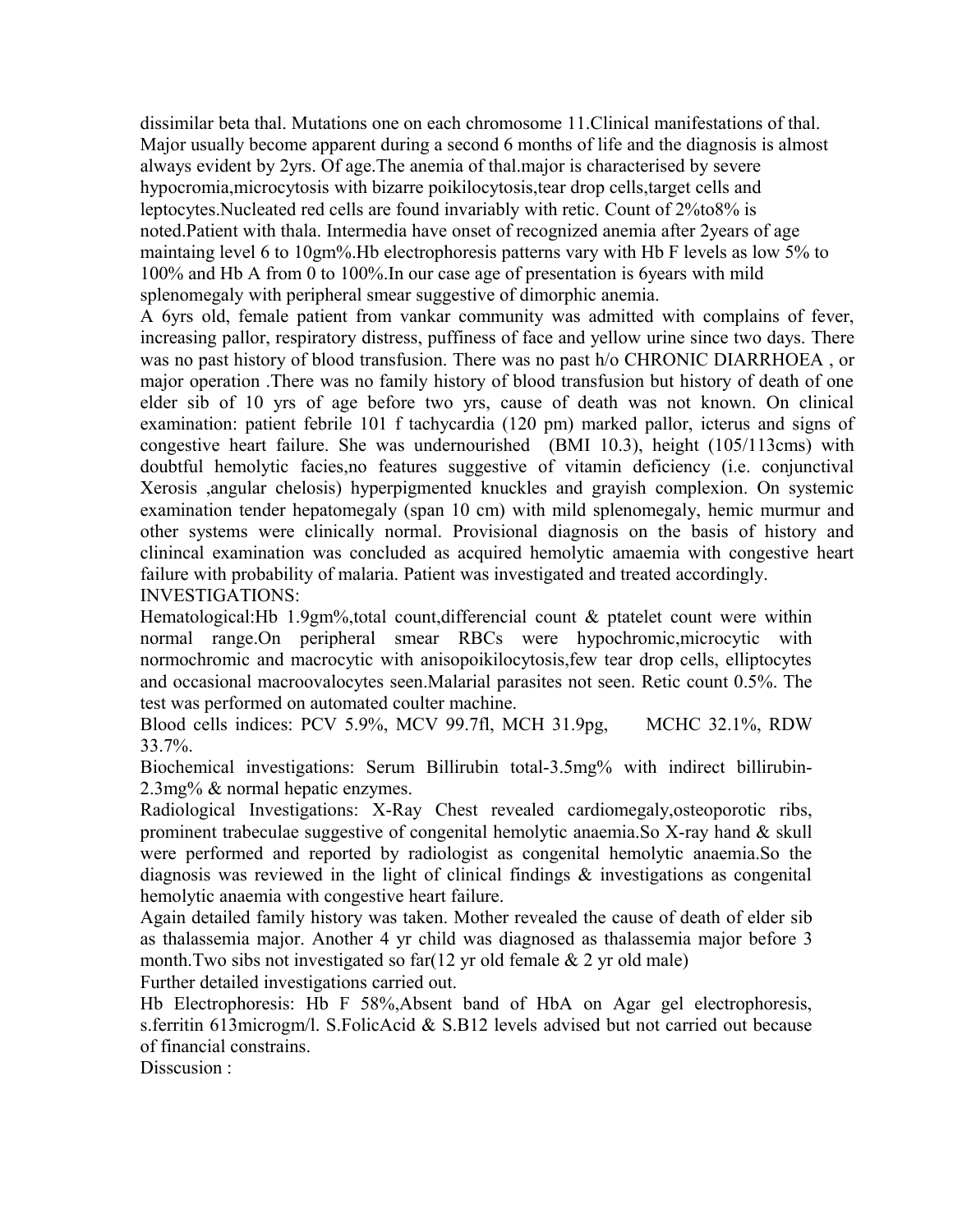dissimilar beta thal. Mutations one on each chromosome 11.Clinical manifestations of thal. Major usually become apparent during a second 6 months of life and the diagnosis is almost always evident by 2yrs. Of age.The anemia of thal.major is characterised by severe hypocromia,microcytosis with bizarre poikilocytosis,tear drop cells,target cells and leptocytes.Nucleated red cells are found invariably with retic. Count of 2%to8% is noted.Patient with thala. Intermedia have onset of recognized anemia after 2years of age maintaing level 6 to 10gm%.Hb electrophoresis patterns vary with Hb F levels as low 5% to 100% and Hb A from 0 to 100%.In our case age of presentation is 6years with mild splenomegaly with peripheral smear suggestive of dimorphic anemia.

A 6yrs old, female patient from vankar community was admitted with complains of fever, increasing pallor, respiratory distress, puffiness of face and yellow urine since two days. There was no past history of blood transfusion. There was no past h/o CHRONIC DIARRHOEA , or major operation .There was no family history of blood transfusion but history of death of one elder sib of 10 yrs of age before two yrs, cause of death was not known. On clinical examination: patient febrile 101 f tachycardia (120 pm) marked pallor, icterus and signs of congestive heart failure. She was undernourished (BMI 10.3), height (105/113cms) with doubtful hemolytic facies,no features suggestive of vitamin deficiency (i.e. conjunctival Xerosis ,angular chelosis) hyperpigmented knuckles and grayish complexion. On systemic examination tender hepatomegaly (span 10 cm) with mild splenomegaly, hemic murmur and other systems were clinically normal. Provisional diagnosis on the basis of history and clinincal examination was concluded as acquired hemolytic amaemia with congestive heart failure with probability of malaria. Patient was investigated and treated accordingly. INVESTIGATIONS:

Hematological:Hb 1.9gm%,total count,differencial count  $\&$  ptatelet count were within normal range.On peripheral smear RBCs were hypochromic,microcytic with normochromic and macrocytic with anisopoikilocytosis,few tear drop cells, elliptocytes and occasional macroovalocytes seen.Malarial parasites not seen. Retic count 0.5%. The test was performed on automated coulter machine.

Blood cells indices: PCV 5.9%, MCV 99.7fl, MCH 31.9pg, MCHC 32.1%, RDW 33.7%.

Biochemical investigations: Serum Billirubin total-3.5mg% with indirect billirubin-2.3mg% & normal hepatic enzymes.

Radiological Investigations: X-Ray Chest revealed cardiomegaly,osteoporotic ribs, prominent trabeculae suggestive of congenital hemolytic anaemia.So X-ray hand & skull were performed and reported by radiologist as congenital hemolytic anaemia.So the diagnosis was reviewed in the light of clinical findings & investigations as congenital hemolytic anaemia with congestive heart failure.

Again detailed family history was taken. Mother revealed the cause of death of elder sib as thalassemia major. Another 4 yr child was diagnosed as thalassemia major before 3 month. Two sibs not investigated so far( $12 \text{ yr}$  old female  $\&$  2 yr old male)

Further detailed investigations carried out.

Hb Electrophoresis: Hb F 58%,Absent band of HbA on Agar gel electrophoresis, s.ferritin 613microgm/l. S.FolicAcid & S.B12 levels advised but not carried out because of financial constrains.

Disscusion :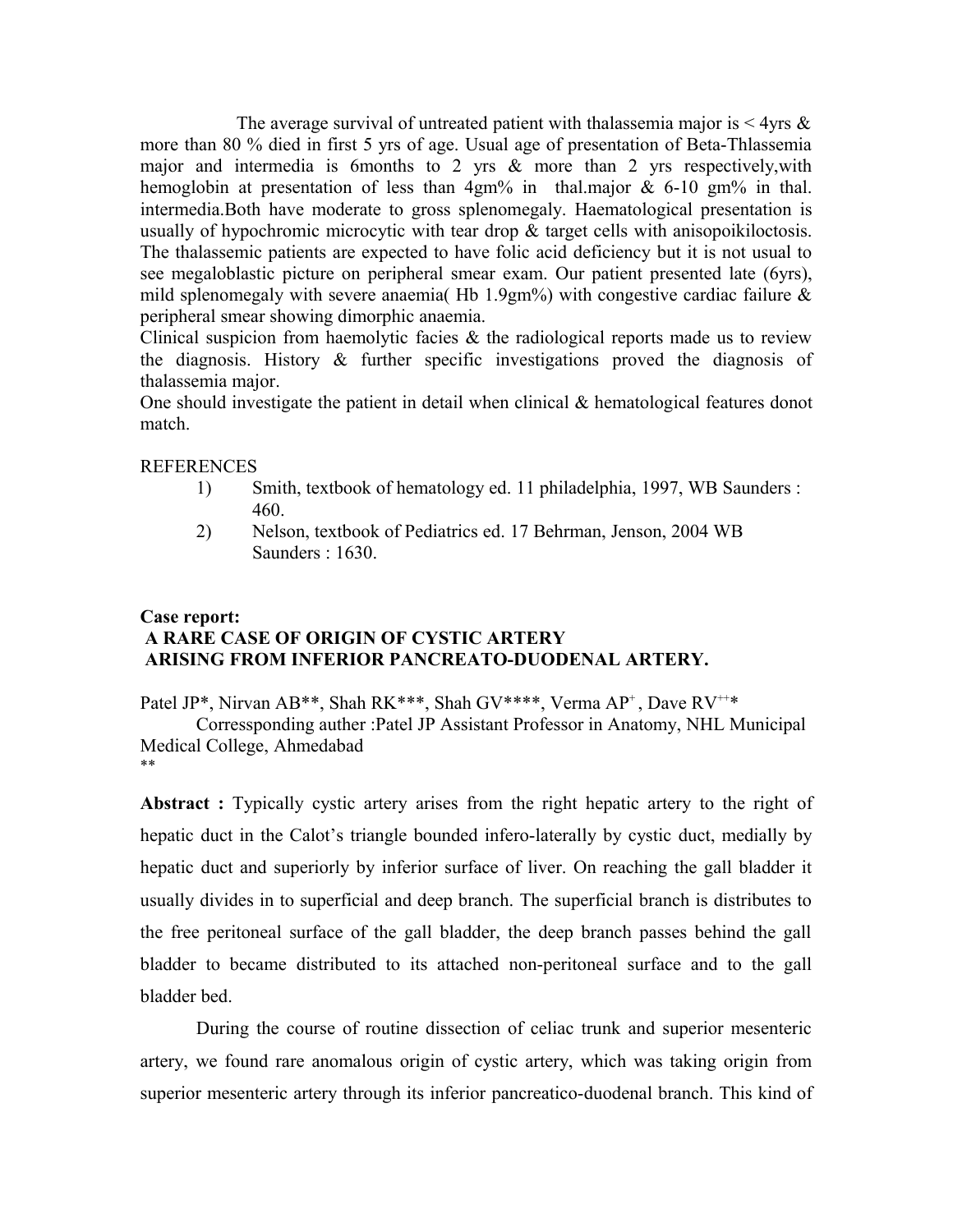The average survival of untreated patient with thalassemia major is  $\leq 4$ yrs & more than 80 % died in first 5 yrs of age. Usual age of presentation of Beta-Thlassemia major and intermedia is 6months to 2 yrs & more than 2 yrs respectively,with hemoglobin at presentation of less than  $4gm\%$  in thal.major & 6-10 gm<sup>o</sup> in thal. intermedia.Both have moderate to gross splenomegaly. Haematological presentation is usually of hypochromic microcytic with tear drop  $\&$  target cells with anisopoikiloctosis. The thalassemic patients are expected to have folic acid deficiency but it is not usual to see megaloblastic picture on peripheral smear exam. Our patient presented late (6yrs), mild splenomegaly with severe anaemia( Hb 1.9gm%) with congestive cardiac failure  $\&$ peripheral smear showing dimorphic anaemia.

Clinical suspicion from haemolytic facies  $\&$  the radiological reports made us to review the diagnosis. History & further specific investigations proved the diagnosis of thalassemia major.

One should investigate the patient in detail when clinical & hematological features donot match.

#### **REFERENCES**

- 1) Smith, textbook of hematology ed. 11 philadelphia, 1997, WB Saunders : 460.
- 2) Nelson, textbook of Pediatrics ed. 17 Behrman, Jenson, 2004 WB Saunders : 1630.

## **Case report: A RARE CASE OF ORIGIN OF CYSTIC ARTERY ARISING FROM INFERIOR PANCREATO-DUODENAL ARTERY.**

Patel JP\*, Nirvan AB\*\*, Shah RK\*\*\*, Shah GV\*\*\*\*, Verma AP<sup>+</sup>, Dave RV<sup>++\*</sup>

Corressponding auther :Patel JP Assistant Professor in Anatomy, NHL Municipal Medical College, Ahmedabad \*\*

**Abstract :** Typically cystic artery arises from the right hepatic artery to the right of hepatic duct in the Calot's triangle bounded infero-laterally by cystic duct, medially by hepatic duct and superiorly by inferior surface of liver. On reaching the gall bladder it usually divides in to superficial and deep branch. The superficial branch is distributes to the free peritoneal surface of the gall bladder, the deep branch passes behind the gall bladder to became distributed to its attached non-peritoneal surface and to the gall bladder bed.

During the course of routine dissection of celiac trunk and superior mesenteric artery, we found rare anomalous origin of cystic artery, which was taking origin from superior mesenteric artery through its inferior pancreatico-duodenal branch. This kind of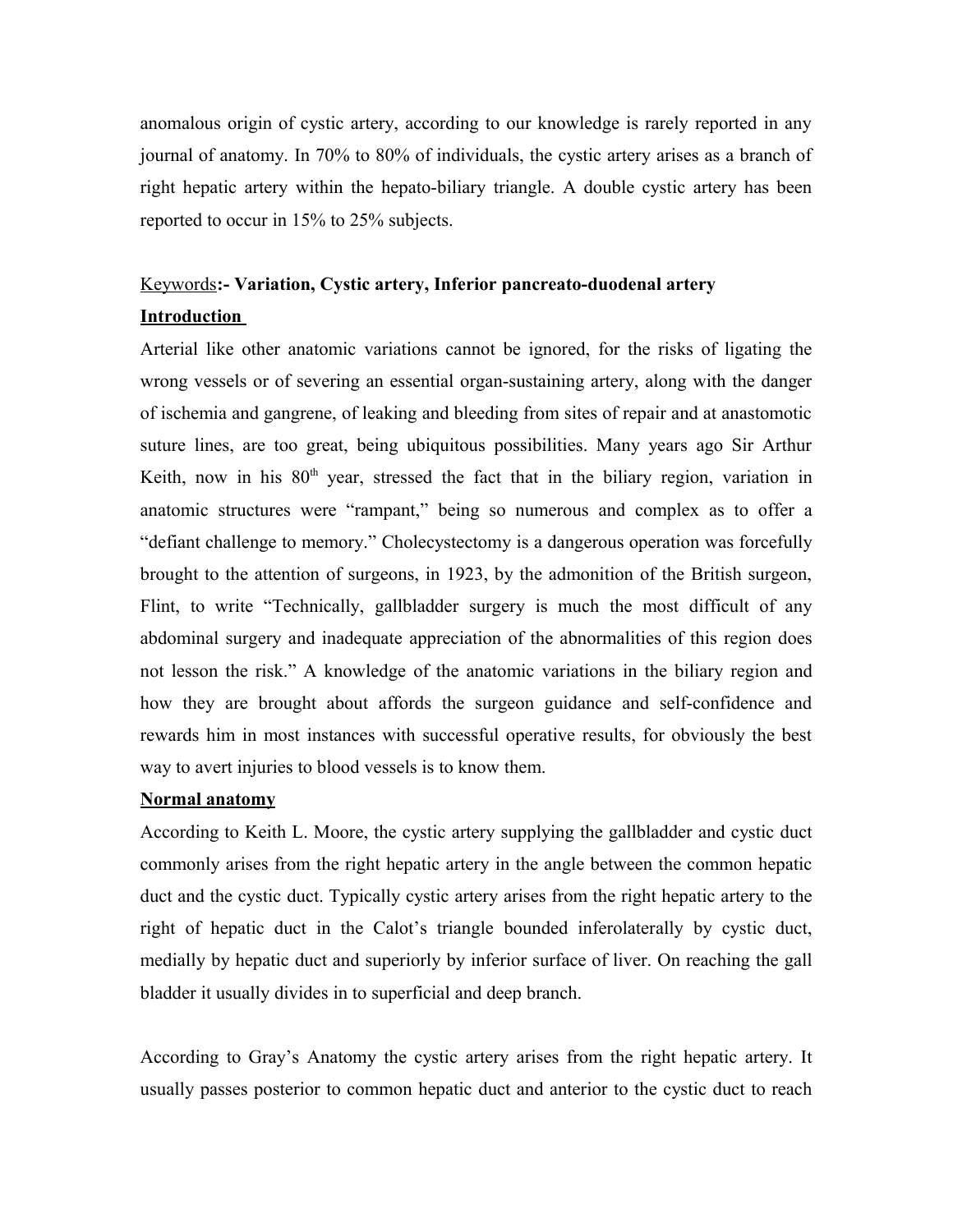anomalous origin of cystic artery, according to our knowledge is rarely reported in any journal of anatomy. In 70% to 80% of individuals, the cystic artery arises as a branch of right hepatic artery within the hepato-biliary triangle. A double cystic artery has been reported to occur in 15% to 25% subjects.

# Keywords**:- Variation, Cystic artery, Inferior pancreato-duodenal artery Introduction**

Arterial like other anatomic variations cannot be ignored, for the risks of ligating the wrong vessels or of severing an essential organ-sustaining artery, along with the danger of ischemia and gangrene, of leaking and bleeding from sites of repair and at anastomotic suture lines, are too great, being ubiquitous possibilities. Many years ago Sir Arthur Keith, now in his  $80<sup>th</sup>$  year, stressed the fact that in the biliary region, variation in anatomic structures were "rampant," being so numerous and complex as to offer a "defiant challenge to memory." Cholecystectomy is a dangerous operation was forcefully brought to the attention of surgeons, in 1923, by the admonition of the British surgeon, Flint, to write "Technically, gallbladder surgery is much the most difficult of any abdominal surgery and inadequate appreciation of the abnormalities of this region does not lesson the risk." A knowledge of the anatomic variations in the biliary region and how they are brought about affords the surgeon guidance and self-confidence and rewards him in most instances with successful operative results, for obviously the best way to avert injuries to blood vessels is to know them.

## **Normal anatomy**

According to Keith L. Moore, the cystic artery supplying the gallbladder and cystic duct commonly arises from the right hepatic artery in the angle between the common hepatic duct and the cystic duct. Typically cystic artery arises from the right hepatic artery to the right of hepatic duct in the Calot's triangle bounded inferolaterally by cystic duct, medially by hepatic duct and superiorly by inferior surface of liver. On reaching the gall bladder it usually divides in to superficial and deep branch.

According to Gray's Anatomy the cystic artery arises from the right hepatic artery. It usually passes posterior to common hepatic duct and anterior to the cystic duct to reach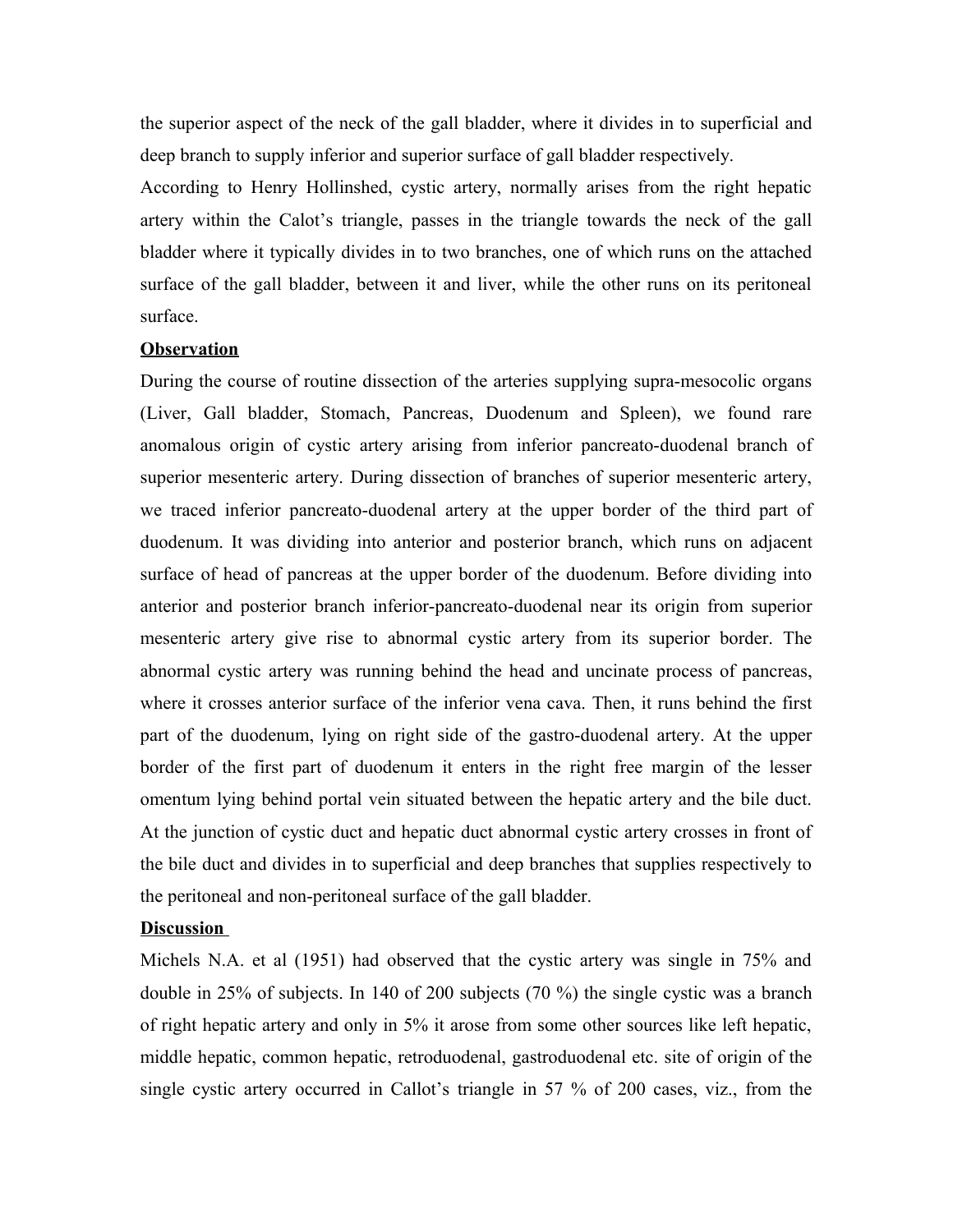the superior aspect of the neck of the gall bladder, where it divides in to superficial and deep branch to supply inferior and superior surface of gall bladder respectively.

According to Henry Hollinshed, cystic artery, normally arises from the right hepatic artery within the Calot's triangle, passes in the triangle towards the neck of the gall bladder where it typically divides in to two branches, one of which runs on the attached surface of the gall bladder, between it and liver, while the other runs on its peritoneal surface.

#### **Observation**

During the course of routine dissection of the arteries supplying supra-mesocolic organs (Liver, Gall bladder, Stomach, Pancreas, Duodenum and Spleen), we found rare anomalous origin of cystic artery arising from inferior pancreato-duodenal branch of superior mesenteric artery. During dissection of branches of superior mesenteric artery, we traced inferior pancreato-duodenal artery at the upper border of the third part of duodenum. It was dividing into anterior and posterior branch, which runs on adjacent surface of head of pancreas at the upper border of the duodenum. Before dividing into anterior and posterior branch inferior-pancreato-duodenal near its origin from superior mesenteric artery give rise to abnormal cystic artery from its superior border. The abnormal cystic artery was running behind the head and uncinate process of pancreas, where it crosses anterior surface of the inferior vena cava. Then, it runs behind the first part of the duodenum, lying on right side of the gastro-duodenal artery. At the upper border of the first part of duodenum it enters in the right free margin of the lesser omentum lying behind portal vein situated between the hepatic artery and the bile duct. At the junction of cystic duct and hepatic duct abnormal cystic artery crosses in front of the bile duct and divides in to superficial and deep branches that supplies respectively to the peritoneal and non-peritoneal surface of the gall bladder.

#### **Discussion**

Michels N.A. et al (1951) had observed that the cystic artery was single in 75% and double in 25% of subjects. In 140 of 200 subjects (70 %) the single cystic was a branch of right hepatic artery and only in 5% it arose from some other sources like left hepatic, middle hepatic, common hepatic, retroduodenal, gastroduodenal etc. site of origin of the single cystic artery occurred in Callot's triangle in 57 % of 200 cases, viz., from the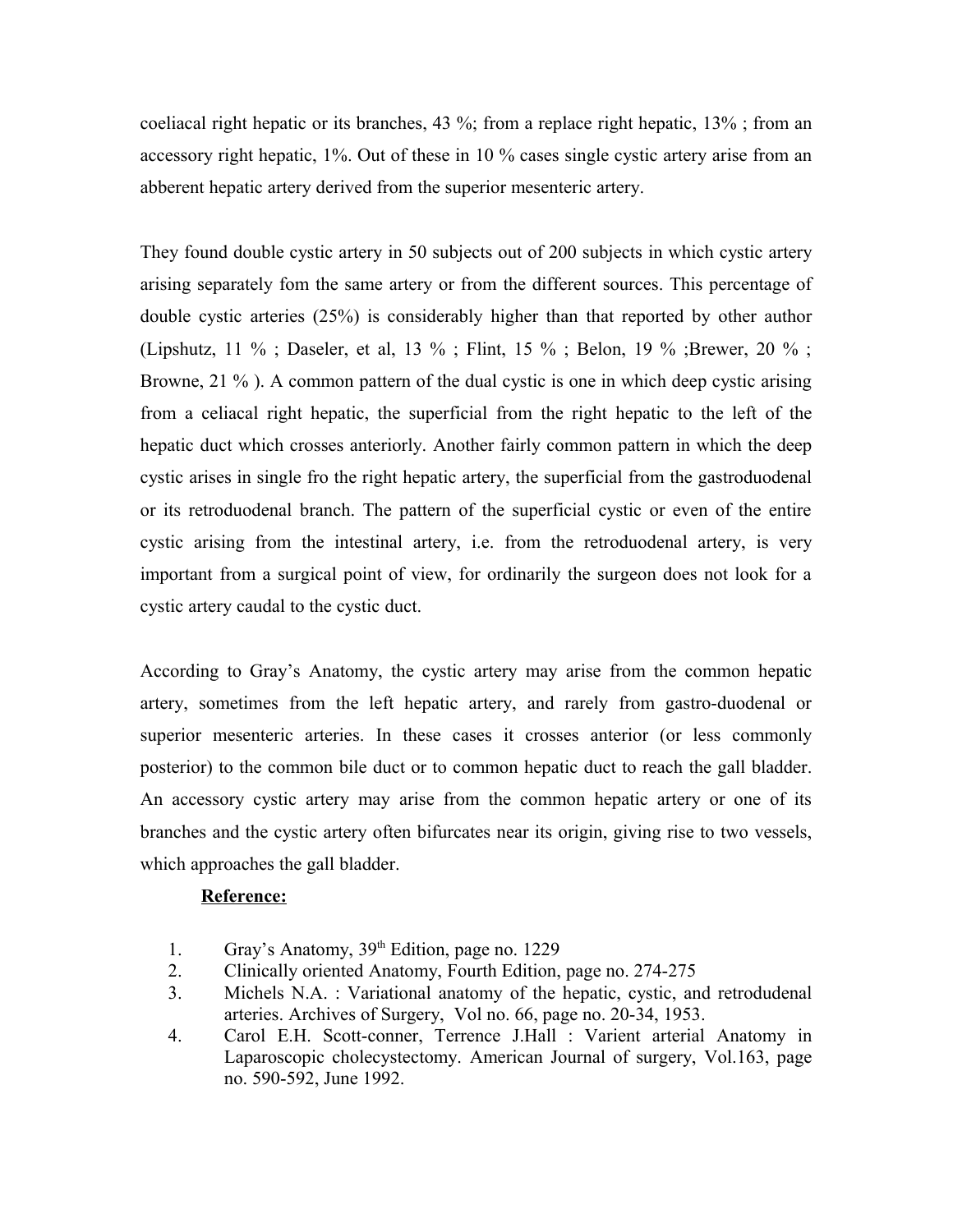coeliacal right hepatic or its branches, 43 %; from a replace right hepatic, 13% ; from an accessory right hepatic, 1%. Out of these in 10 % cases single cystic artery arise from an abberent hepatic artery derived from the superior mesenteric artery.

They found double cystic artery in 50 subjects out of 200 subjects in which cystic artery arising separately fom the same artery or from the different sources. This percentage of double cystic arteries (25%) is considerably higher than that reported by other author (Lipshutz, 11 %; Daseler, et al, 13 %; Flint, 15 %; Belon, 19 %; Brewer, 20 %; Browne, 21 %). A common pattern of the dual cystic is one in which deep cystic arising from a celiacal right hepatic, the superficial from the right hepatic to the left of the hepatic duct which crosses anteriorly. Another fairly common pattern in which the deep cystic arises in single fro the right hepatic artery, the superficial from the gastroduodenal or its retroduodenal branch. The pattern of the superficial cystic or even of the entire cystic arising from the intestinal artery, i.e. from the retroduodenal artery, is very important from a surgical point of view, for ordinarily the surgeon does not look for a cystic artery caudal to the cystic duct.

According to Gray's Anatomy, the cystic artery may arise from the common hepatic artery, sometimes from the left hepatic artery, and rarely from gastro-duodenal or superior mesenteric arteries. In these cases it crosses anterior (or less commonly posterior) to the common bile duct or to common hepatic duct to reach the gall bladder. An accessory cystic artery may arise from the common hepatic artery or one of its branches and the cystic artery often bifurcates near its origin, giving rise to two vessels, which approaches the gall bladder.

## **Reference:**

- 1. Gray's Anatomy, 39<sup>th</sup> Edition, page no. 1229
- 2. Clinically oriented Anatomy, Fourth Edition, page no. 274-275
- 3. Michels N.A. : Variational anatomy of the hepatic, cystic, and retrodudenal arteries. Archives of Surgery, Vol no. 66, page no. 20-34, 1953.
- 4. Carol E.H. Scott-conner, Terrence J.Hall : Varient arterial Anatomy in Laparoscopic cholecystectomy. American Journal of surgery, Vol.163, page no. 590-592, June 1992.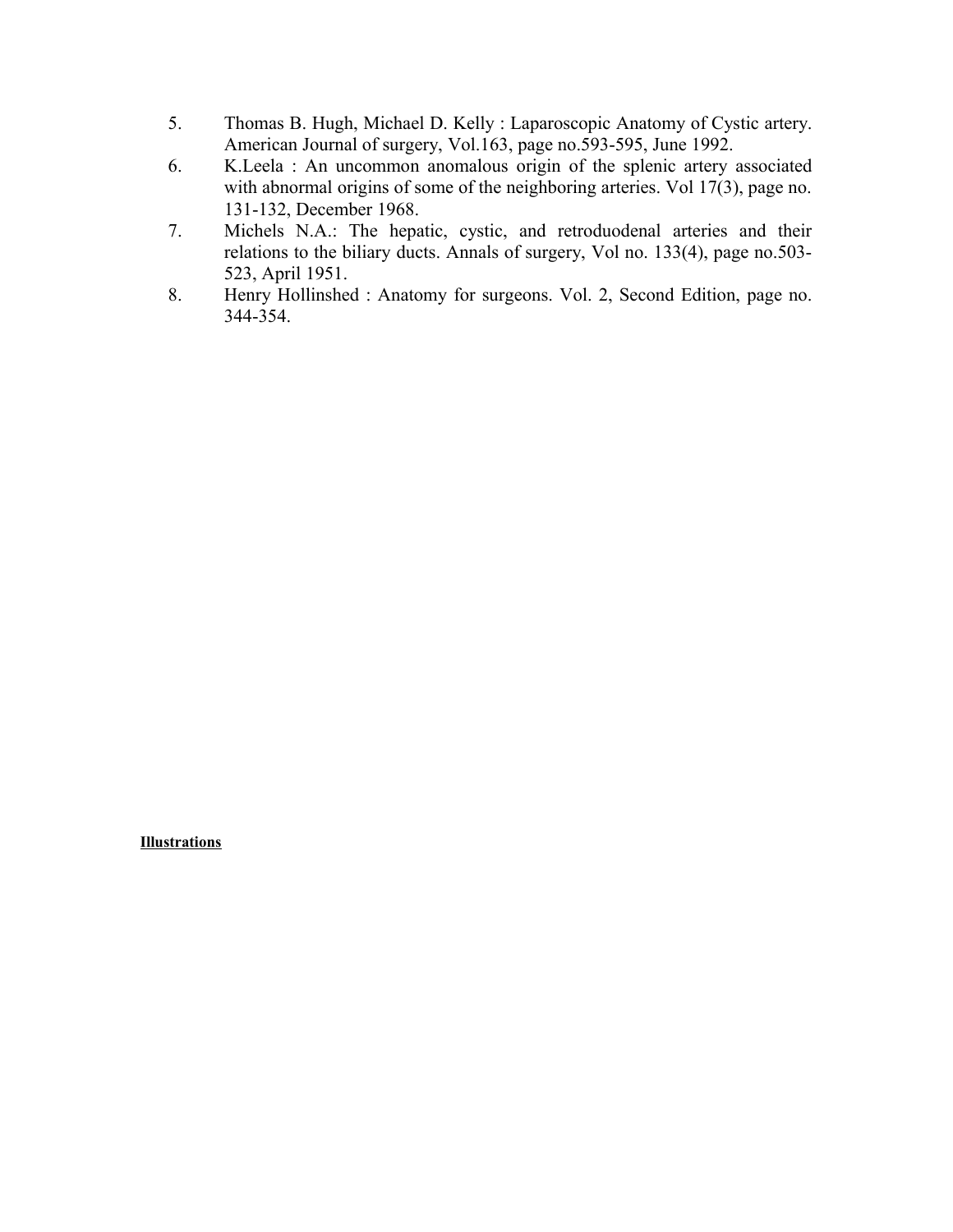- 5. Thomas B. Hugh, Michael D. Kelly : Laparoscopic Anatomy of Cystic artery. American Journal of surgery, Vol.163, page no.593-595, June 1992.
- 6. K.Leela : An uncommon anomalous origin of the splenic artery associated with abnormal origins of some of the neighboring arteries. Vol 17(3), page no. 131-132, December 1968.
- 7. Michels N.A.: The hepatic, cystic, and retroduodenal arteries and their relations to the biliary ducts. Annals of surgery, Vol no. 133(4), page no.503- 523, April 1951.
- 8. Henry Hollinshed : Anatomy for surgeons. Vol. 2, Second Edition, page no. 344-354.

**Illustrations**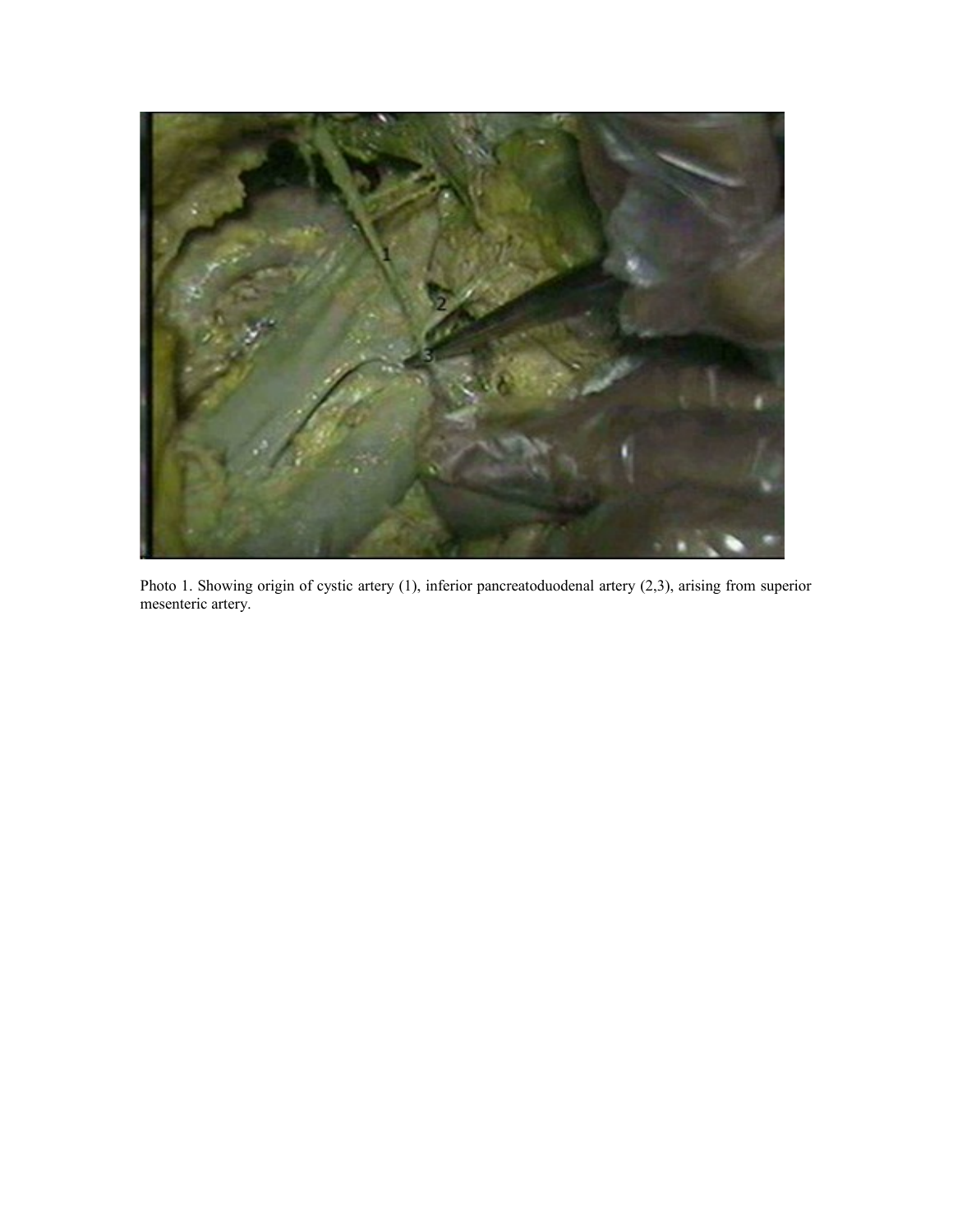

Photo 1. Showing origin of cystic artery (1), inferior pancreatoduodenal artery (2,3), arising from superior mesenteric artery.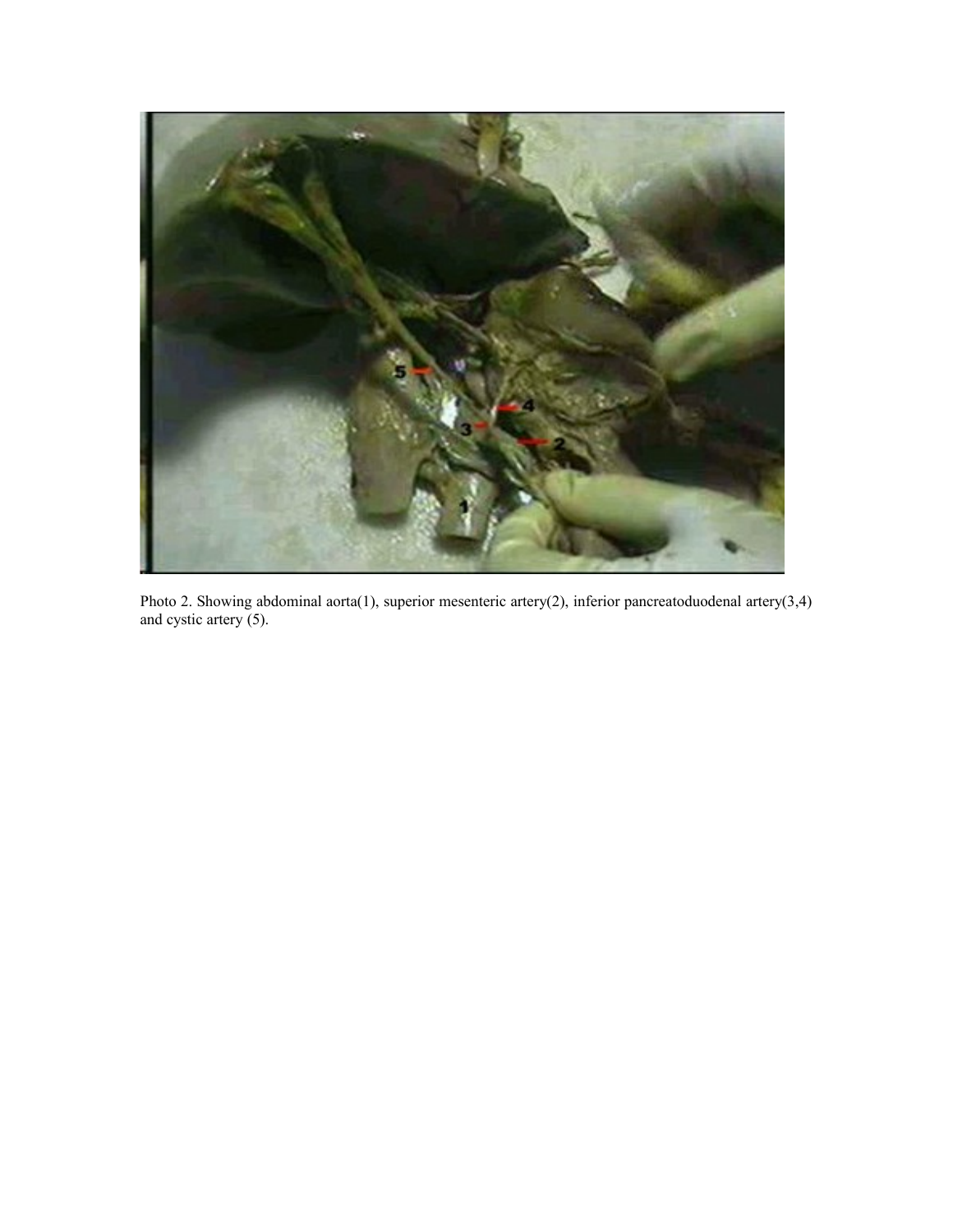

Photo 2. Showing abdominal aorta(1), superior mesenteric artery(2), inferior pancreatoduodenal artery(3,4) and cystic artery (5).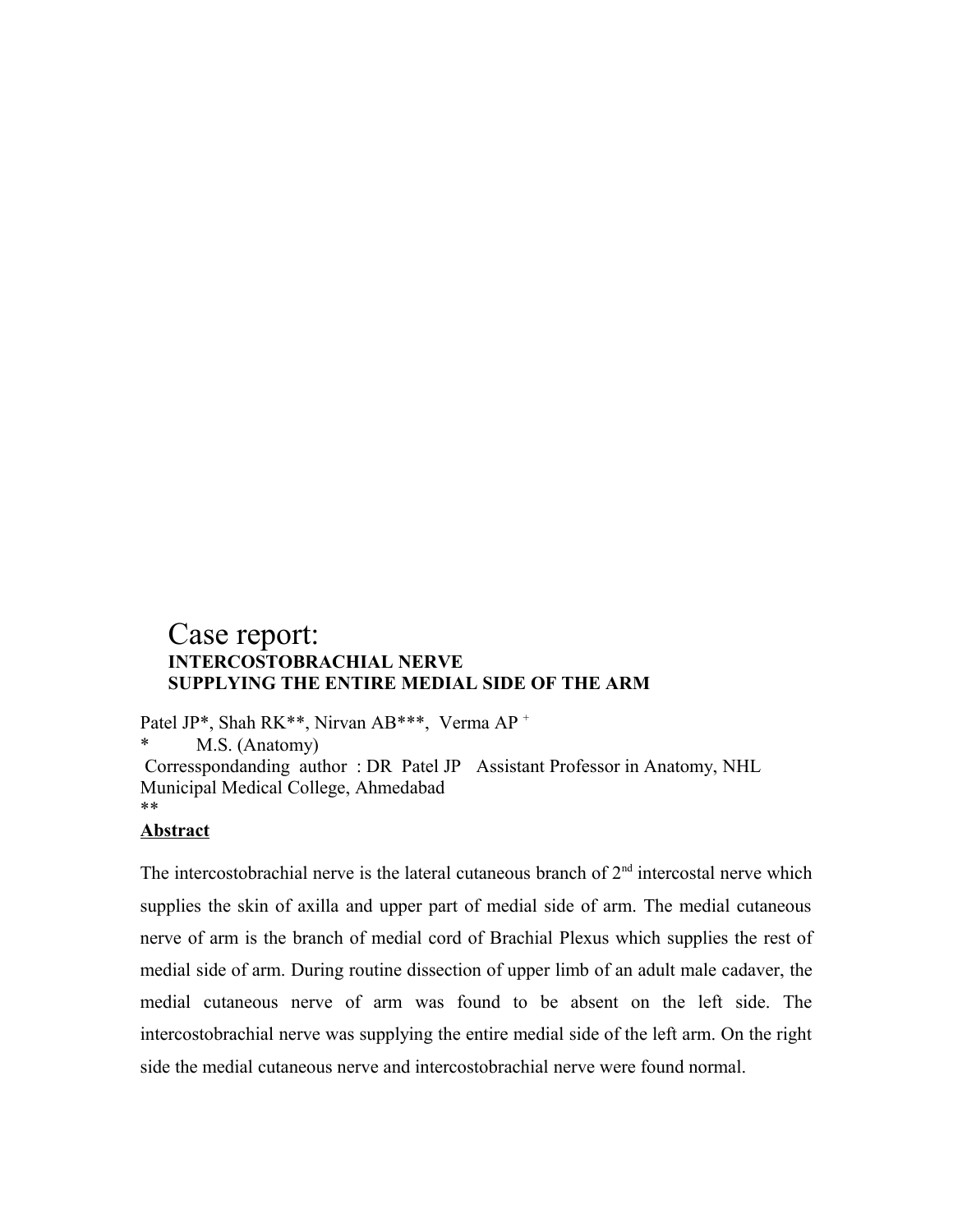# Case report: **INTERCOSTOBRACHIAL NERVE SUPPLYING THE ENTIRE MEDIAL SIDE OF THE ARM**

Patel JP\*, Shah RK\*\*, Nirvan AB\*\*\*, Verma AP + M.S. (Anatomy) Corresspondanding author : DR Patel JP Assistant Professor in Anatomy, NHL Municipal Medical College, Ahmedabad \*\*

## **Abstract**

The intercostobrachial nerve is the lateral cutaneous branch of  $2<sup>nd</sup>$  intercostal nerve which supplies the skin of axilla and upper part of medial side of arm. The medial cutaneous nerve of arm is the branch of medial cord of Brachial Plexus which supplies the rest of medial side of arm. During routine dissection of upper limb of an adult male cadaver, the medial cutaneous nerve of arm was found to be absent on the left side. The intercostobrachial nerve was supplying the entire medial side of the left arm. On the right side the medial cutaneous nerve and intercostobrachial nerve were found normal.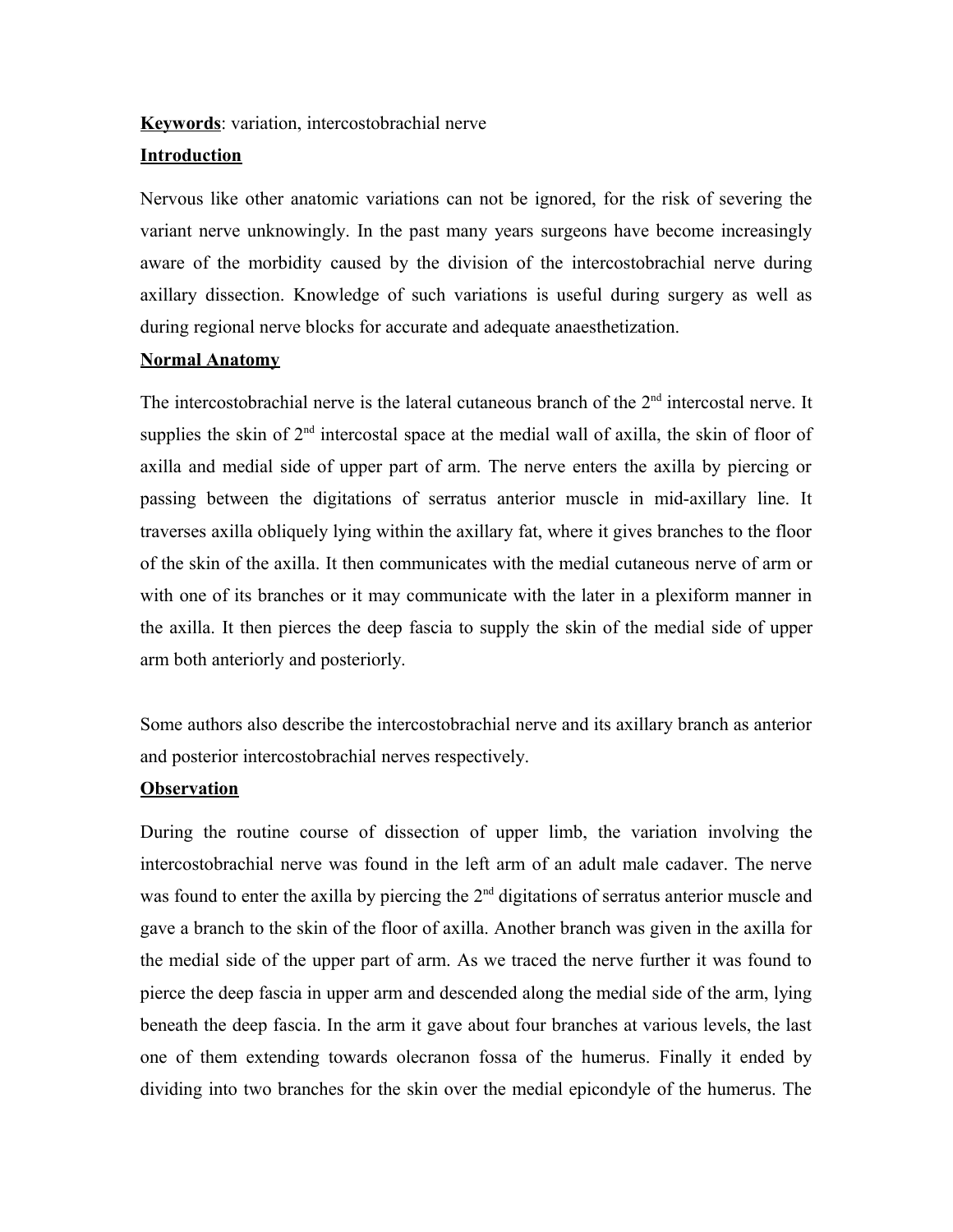#### **Keywords**: variation, intercostobrachial nerve

## **Introduction**

Nervous like other anatomic variations can not be ignored, for the risk of severing the variant nerve unknowingly. In the past many years surgeons have become increasingly aware of the morbidity caused by the division of the intercostobrachial nerve during axillary dissection. Knowledge of such variations is useful during surgery as well as during regional nerve blocks for accurate and adequate anaesthetization.

## **Normal Anatomy**

The intercostobrachial nerve is the lateral cutaneous branch of the 2<sup>nd</sup> intercostal nerve. It supplies the skin of  $2<sup>nd</sup>$  intercostal space at the medial wall of axilla, the skin of floor of axilla and medial side of upper part of arm. The nerve enters the axilla by piercing or passing between the digitations of serratus anterior muscle in mid-axillary line. It traverses axilla obliquely lying within the axillary fat, where it gives branches to the floor of the skin of the axilla. It then communicates with the medial cutaneous nerve of arm or with one of its branches or it may communicate with the later in a plexiform manner in the axilla. It then pierces the deep fascia to supply the skin of the medial side of upper arm both anteriorly and posteriorly.

Some authors also describe the intercostobrachial nerve and its axillary branch as anterior and posterior intercostobrachial nerves respectively.

#### **Observation**

During the routine course of dissection of upper limb, the variation involving the intercostobrachial nerve was found in the left arm of an adult male cadaver. The nerve was found to enter the axilla by piercing the  $2<sup>nd</sup>$  digitations of serratus anterior muscle and gave a branch to the skin of the floor of axilla. Another branch was given in the axilla for the medial side of the upper part of arm. As we traced the nerve further it was found to pierce the deep fascia in upper arm and descended along the medial side of the arm, lying beneath the deep fascia. In the arm it gave about four branches at various levels, the last one of them extending towards olecranon fossa of the humerus. Finally it ended by dividing into two branches for the skin over the medial epicondyle of the humerus. The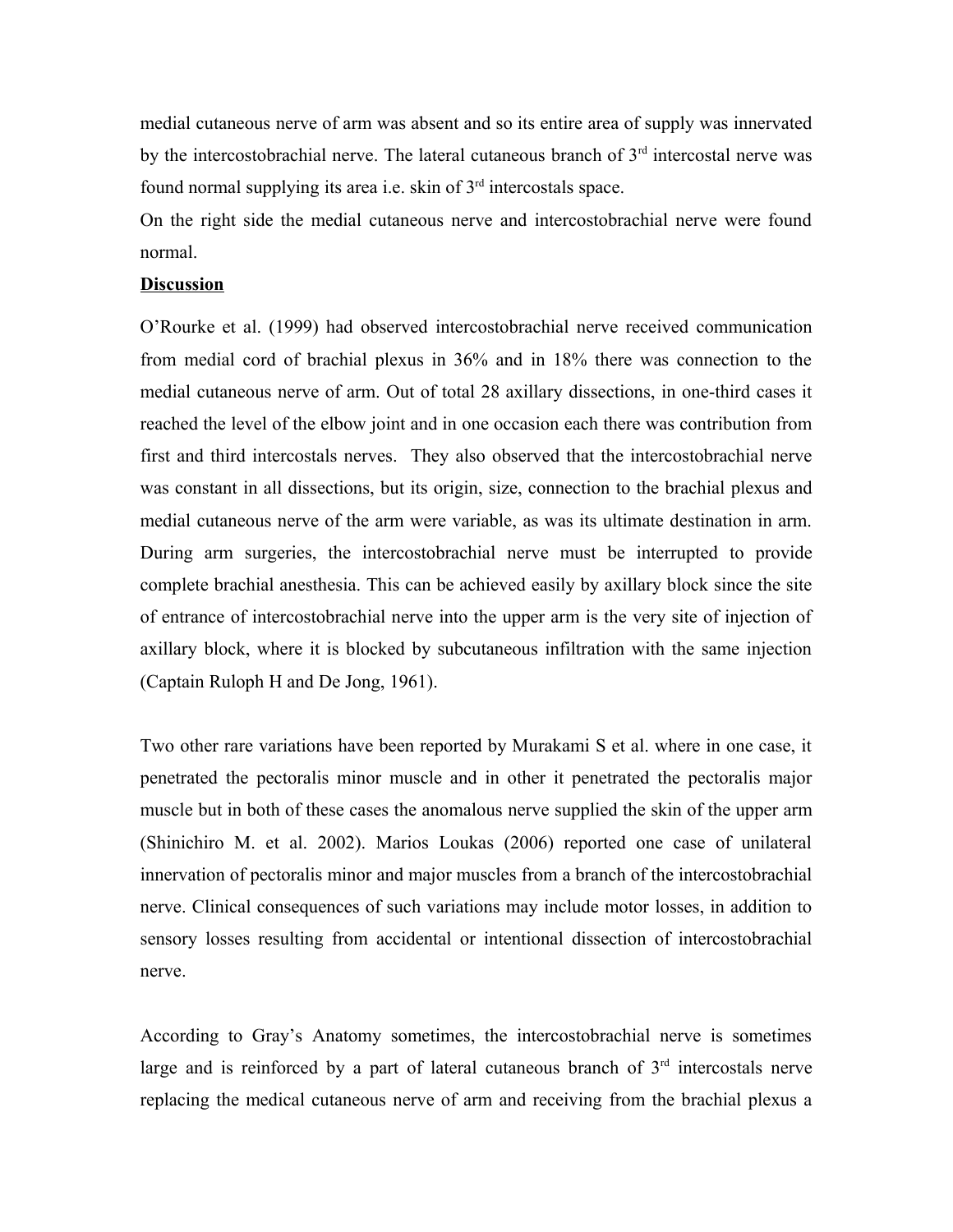medial cutaneous nerve of arm was absent and so its entire area of supply was innervated by the intercostobrachial nerve. The lateral cutaneous branch of  $3<sup>rd</sup>$  intercostal nerve was found normal supplying its area i.e. skin of  $3<sup>rd</sup>$  intercostals space.

On the right side the medial cutaneous nerve and intercostobrachial nerve were found normal.

#### **Discussion**

O'Rourke et al. (1999) had observed intercostobrachial nerve received communication from medial cord of brachial plexus in 36% and in 18% there was connection to the medial cutaneous nerve of arm. Out of total 28 axillary dissections, in one-third cases it reached the level of the elbow joint and in one occasion each there was contribution from first and third intercostals nerves. They also observed that the intercostobrachial nerve was constant in all dissections, but its origin, size, connection to the brachial plexus and medial cutaneous nerve of the arm were variable, as was its ultimate destination in arm. During arm surgeries, the intercostobrachial nerve must be interrupted to provide complete brachial anesthesia. This can be achieved easily by axillary block since the site of entrance of intercostobrachial nerve into the upper arm is the very site of injection of axillary block, where it is blocked by subcutaneous infiltration with the same injection (Captain Ruloph H and De Jong, 1961).

Two other rare variations have been reported by Murakami S et al. where in one case, it penetrated the pectoralis minor muscle and in other it penetrated the pectoralis major muscle but in both of these cases the anomalous nerve supplied the skin of the upper arm (Shinichiro M. et al. 2002). Marios Loukas (2006) reported one case of unilateral innervation of pectoralis minor and major muscles from a branch of the intercostobrachial nerve. Clinical consequences of such variations may include motor losses, in addition to sensory losses resulting from accidental or intentional dissection of intercostobrachial nerve.

According to Gray's Anatomy sometimes, the intercostobrachial nerve is sometimes large and is reinforced by a part of lateral cutaneous branch of  $3<sup>rd</sup>$  intercostals nerve replacing the medical cutaneous nerve of arm and receiving from the brachial plexus a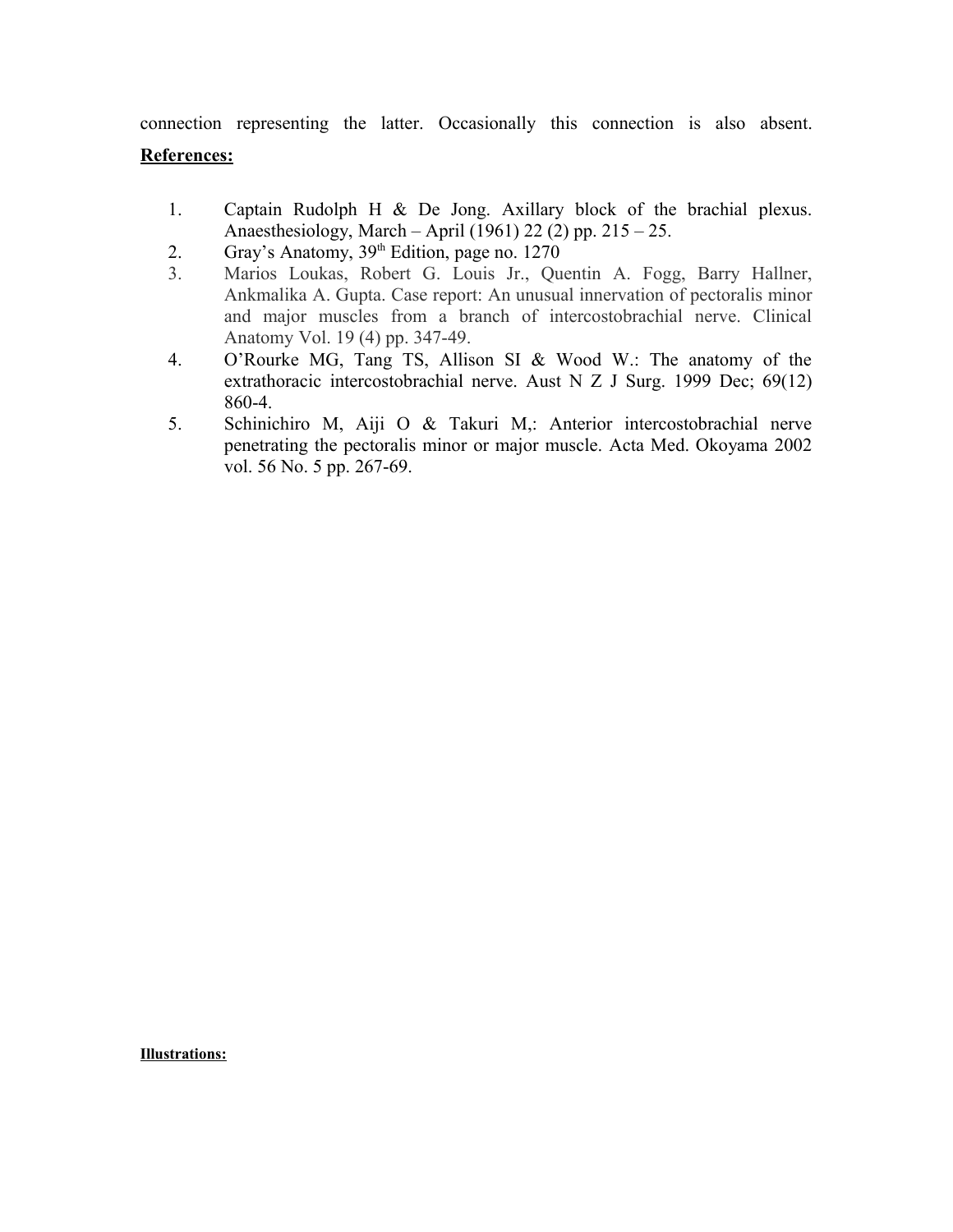connection representing the latter. Occasionally this connection is also absent.

## **References:**

- 1. Captain Rudolph H & De Jong. Axillary block of the brachial plexus. Anaesthesiology, March – April (1961) 22 (2) pp. 215 – 25.
- 2. Gray's Anatomy,  $39<sup>th</sup>$  Edition, page no. 1270
- 3. Marios Loukas, Robert G. Louis Jr., Quentin A. Fogg, Barry Hallner, Ankmalika A. Gupta. Case report: An unusual innervation of pectoralis minor and major muscles from a branch of intercostobrachial nerve. Clinical Anatomy Vol. 19 (4) pp. 347-49.
- 4. O'Rourke MG, Tang TS, Allison SI & Wood W.: The anatomy of the extrathoracic intercostobrachial nerve. Aust N Z J Surg. 1999 Dec; 69(12) 860-4.
- 5. Schinichiro M, Aiji O & Takuri M,: Anterior intercostobrachial nerve penetrating the pectoralis minor or major muscle. Acta Med. Okoyama 2002 vol. 56 No. 5 pp. 267-69.

**Illustrations:**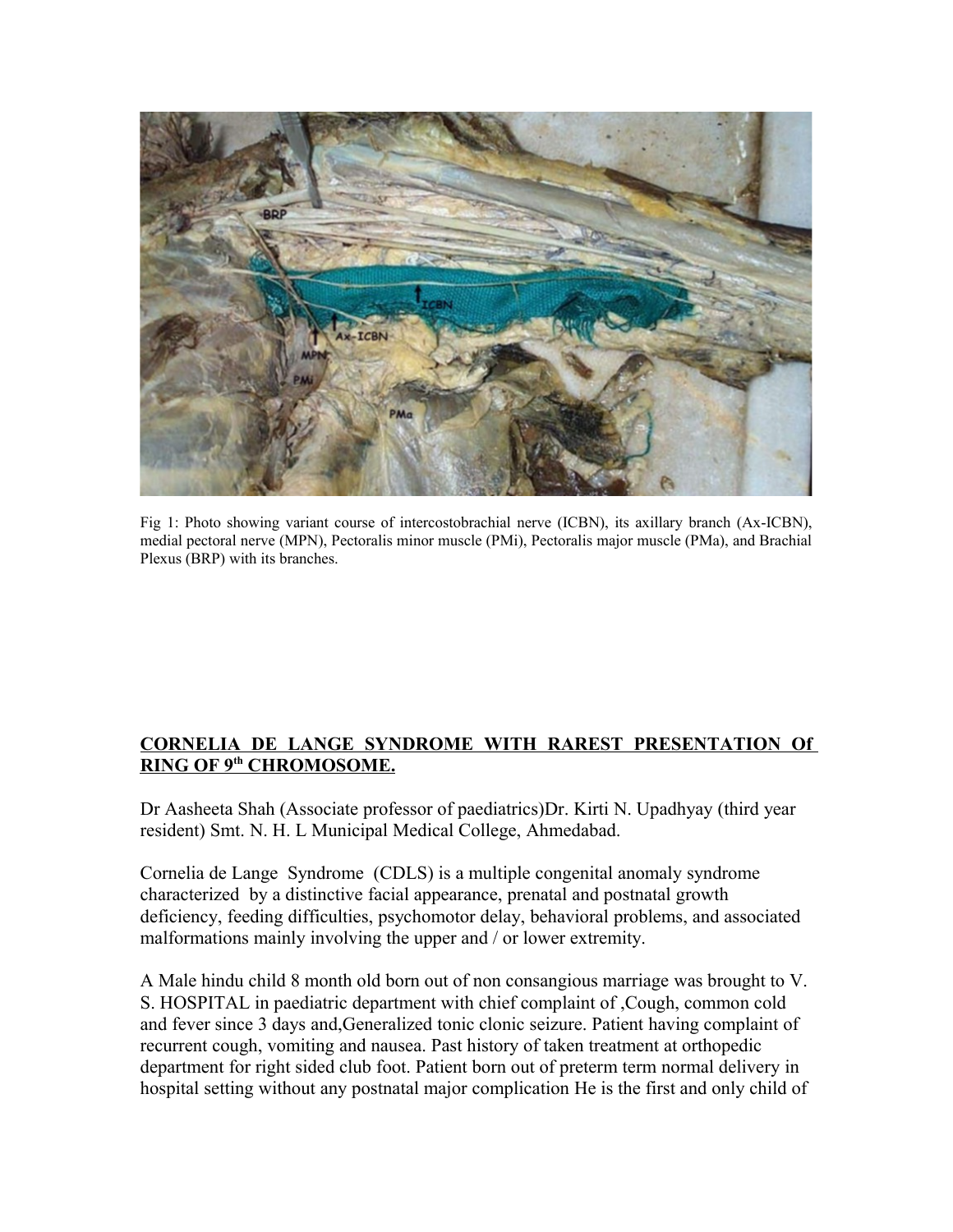

Fig 1: Photo showing variant course of intercostobrachial nerve (ICBN), its axillary branch (Ax-ICBN), medial pectoral nerve (MPN), Pectoralis minor muscle (PMi), Pectoralis major muscle (PMa), and Brachial Plexus (BRP) with its branches.

## **CORNELIA DE LANGE SYNDROME WITH RAREST PRESENTATION Of RING OF 9th CHROMOSOME.**

Dr Aasheeta Shah (Associate professor of paediatrics)Dr. Kirti N. Upadhyay (third year resident) Smt. N. H. L Municipal Medical College, Ahmedabad.

Cornelia de Lange Syndrome (CDLS) is a multiple congenital anomaly syndrome characterized by a distinctive facial appearance, prenatal and postnatal growth deficiency, feeding difficulties, psychomotor delay, behavioral problems, and associated malformations mainly involving the upper and / or lower extremity.

A Male hindu child 8 month old born out of non consangious marriage was brought to V. S. HOSPITAL in paediatric department with chief complaint of ,Cough, common cold and fever since 3 days and,Generalized tonic clonic seizure. Patient having complaint of recurrent cough, vomiting and nausea. Past history of taken treatment at orthopedic department for right sided club foot. Patient born out of preterm term normal delivery in hospital setting without any postnatal major complication He is the first and only child of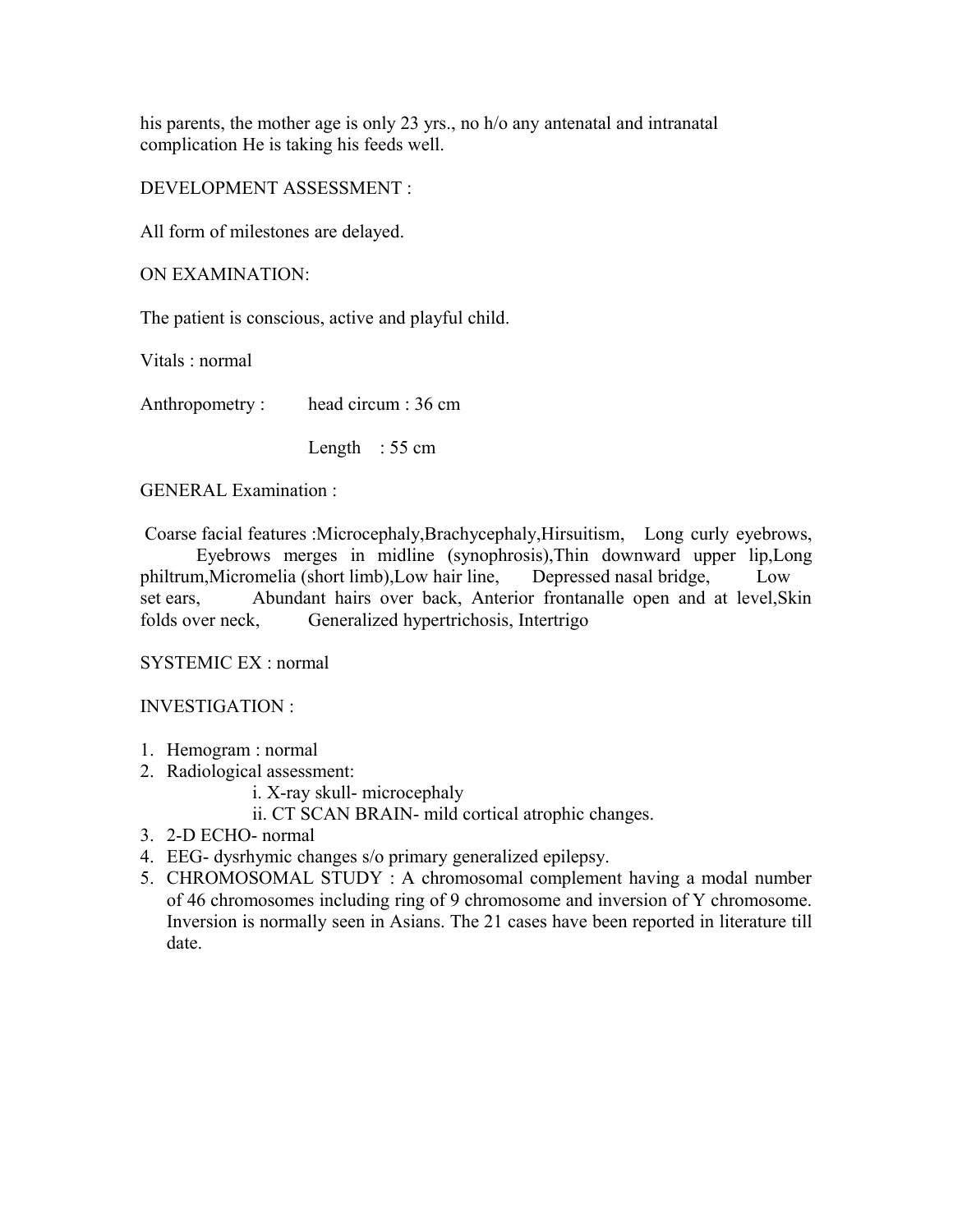his parents, the mother age is only 23 yrs., no h/o any antenatal and intranatal complication He is taking his feeds well.

DEVELOPMENT ASSESSMENT :

All form of milestones are delayed.

ON EXAMINATION:

The patient is conscious, active and playful child.

Vitals : normal

Anthropometry : head circum : 36 cm

Length : 55 cm

GENERAL Examination :

 Coarse facial features :Microcephaly,Brachycephaly,Hirsuitism, Long curly eyebrows, Eyebrows merges in midline (synophrosis),Thin downward upper lip,Long philtrum,Micromelia (short limb),Low hair line, Depressed nasal bridge, Low set ears, Abundant hairs over back, Anterior frontanalle open and at level, Skin folds over neck, Generalized hypertrichosis, Intertrigo

SYSTEMIC EX : normal

INVESTIGATION :

- 1. Hemogram : normal
- 2. Radiological assessment:
	- i. X-ray skull- microcephaly
	- ii. CT SCAN BRAIN- mild cortical atrophic changes.
- 3. 2-D ECHO- normal
- 4. EEG- dysrhymic changes s/o primary generalized epilepsy.
- 5. CHROMOSOMAL STUDY : A chromosomal complement having a modal number of 46 chromosomes including ring of 9 chromosome and inversion of Y chromosome. Inversion is normally seen in Asians. The 21 cases have been reported in literature till date.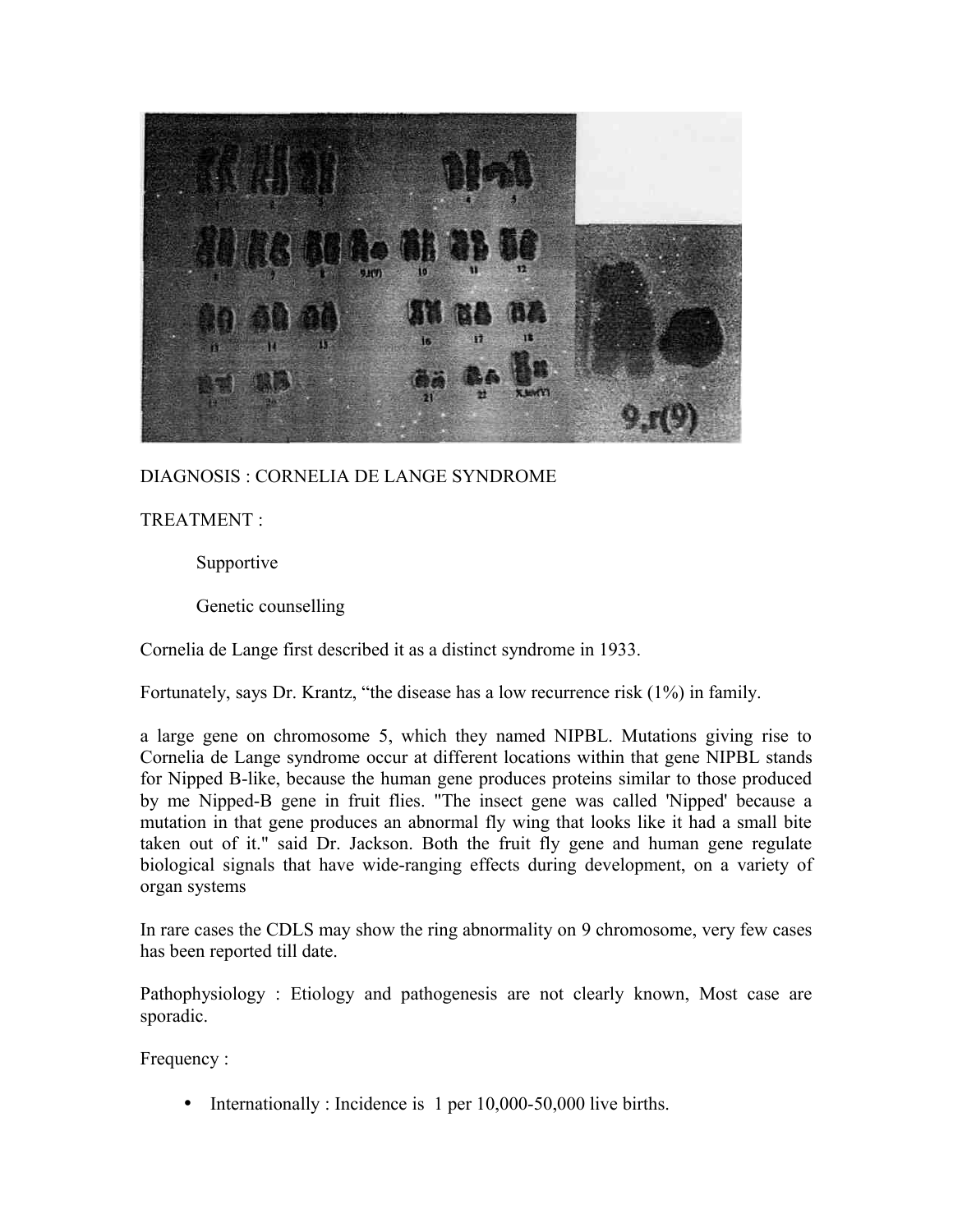

DIAGNOSIS : CORNELIA DE LANGE SYNDROME

TREATMENT :

Supportive

Genetic counselling

Cornelia de Lange first described it as a distinct syndrome in 1933.

Fortunately, says Dr. Krantz, "the disease has a low recurrence risk (1%) in family.

a large gene on chromosome 5, which they named NIPBL. Mutations giving rise to Cornelia de Lange syndrome occur at different locations within that gene NIPBL stands for Nipped B-like, because the human gene produces proteins similar to those produced by me Nipped-B gene in fruit flies. "The insect gene was called 'Nipped' because a mutation in that gene produces an abnormal fly wing that looks like it had a small bite taken out of it." said Dr. Jackson. Both the fruit fly gene and human gene regulate biological signals that have wide-ranging effects during development, on a variety of organ systems

In rare cases the CDLS may show the ring abnormality on 9 chromosome, very few cases has been reported till date.

Pathophysiology : Etiology and pathogenesis are not clearly known, Most case are sporadic.

Frequency :

• Internationally : Incidence is 1 per 10,000-50,000 live births.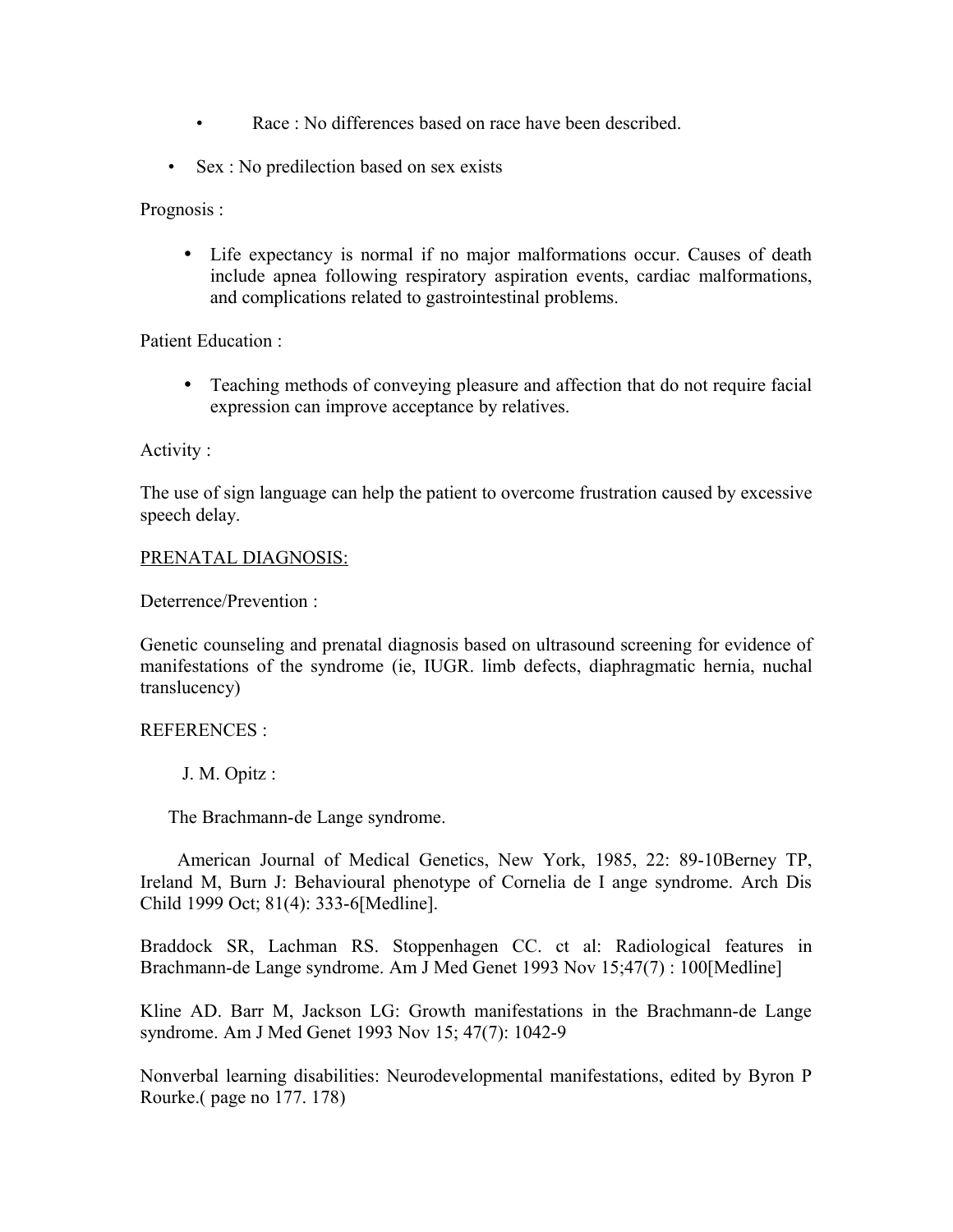- Race · No differences based on race have been described
- Sex : No predilection based on sex exists

Prognosis :

• Life expectancy is normal if no major malformations occur. Causes of death include apnea following respiratory aspiration events, cardiac malformations, and complications related to gastrointestinal problems.

Patient Education :

• Teaching methods of conveying pleasure and affection that do not require facial expression can improve acceptance by relatives.

Activity :

The use of sign language can help the patient to overcome frustration caused by excessive speech delay.

## PRENATAL DIAGNOSIS:

Deterrence/Prevention :

Genetic counseling and prenatal diagnosis based on ultrasound screening for evidence of manifestations of the syndrome (ie, IUGR. limb defects, diaphragmatic hernia, nuchal translucency)

## REFERENCES :

J. M. Opitz :

The Brachmann-de Lange syndrome.

American Journal of Medical Genetics, New York, 1985, 22: 89-10Berney TP, Ireland M, Burn J: Behavioural phenotype of Cornelia de I ange syndrome. Arch Dis Child 1999 Oct; 81(4): 333-6[Medline].

Braddock SR, Lachman RS. Stoppenhagen CC. ct al: Radiological features in Brachmann-de Lange syndrome. Am J Med Genet 1993 Nov 15;47(7) : 100[Medline]

Kline AD. Barr M, Jackson LG: Growth manifestations in the Brachmann-de Lange syndrome. Am J Med Genet 1993 Nov 15; 47(7): 1042-9

Nonverbal learning disabilities: Neurodevelopmental manifestations, edited by Byron P Rourke.( page no 177. 178)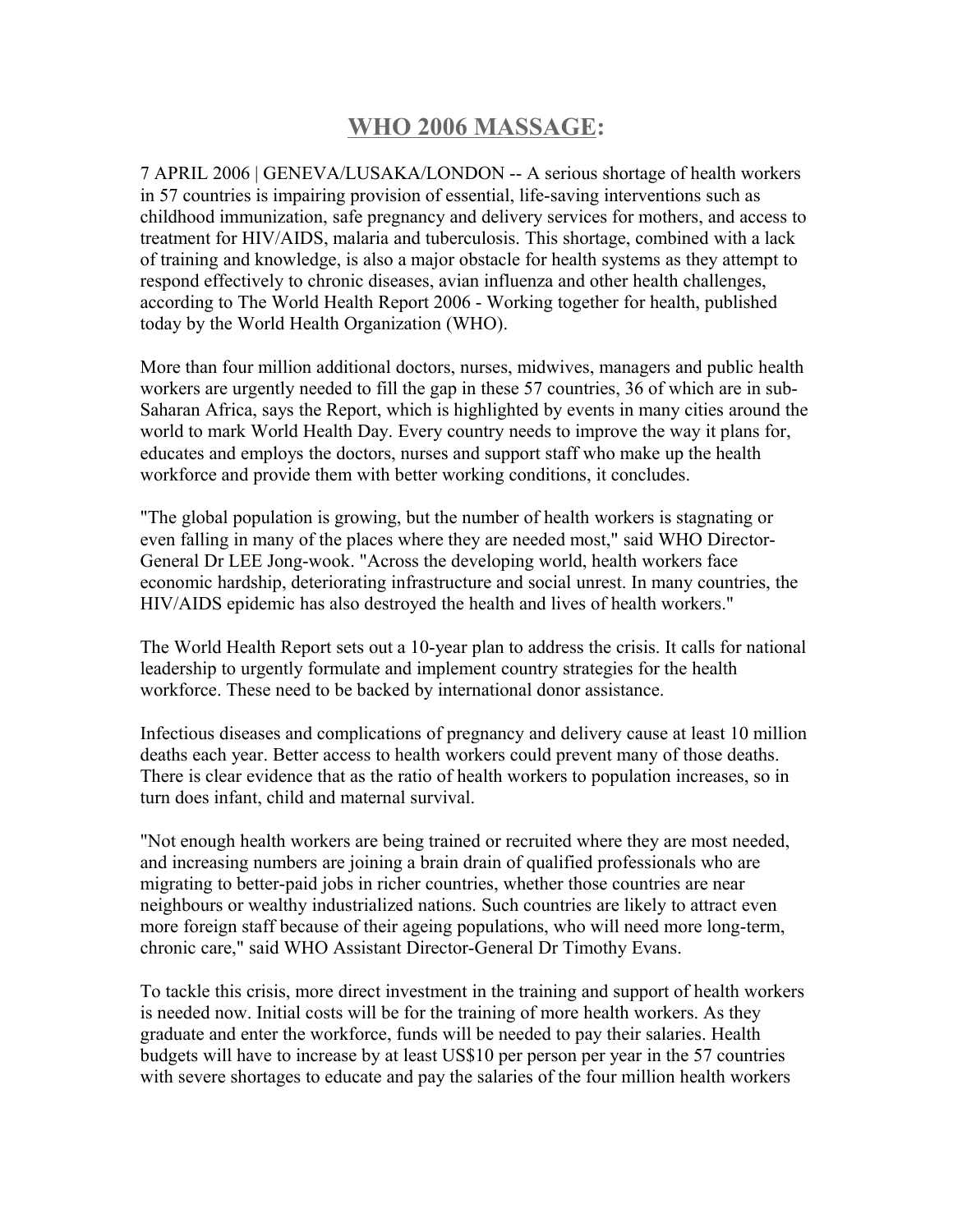# **WHO 2006 MASSAGE:**

7 APRIL 2006 | GENEVA/LUSAKA/LONDON -- A serious shortage of health workers in 57 countries is impairing provision of essential, life-saving interventions such as childhood immunization, safe pregnancy and delivery services for mothers, and access to treatment for HIV/AIDS, malaria and tuberculosis. This shortage, combined with a lack of training and knowledge, is also a major obstacle for health systems as they attempt to respond effectively to chronic diseases, avian influenza and other health challenges, according to The World Health Report 2006 - Working together for health, published today by the World Health Organization (WHO).

More than four million additional doctors, nurses, midwives, managers and public health workers are urgently needed to fill the gap in these 57 countries, 36 of which are in sub-Saharan Africa, says the Report, which is highlighted by events in many cities around the world to mark World Health Day. Every country needs to improve the way it plans for, educates and employs the doctors, nurses and support staff who make up the health workforce and provide them with better working conditions, it concludes.

"The global population is growing, but the number of health workers is stagnating or even falling in many of the places where they are needed most," said WHO Director-General Dr LEE Jong-wook. "Across the developing world, health workers face economic hardship, deteriorating infrastructure and social unrest. In many countries, the HIV/AIDS epidemic has also destroyed the health and lives of health workers."

The World Health Report sets out a 10-year plan to address the crisis. It calls for national leadership to urgently formulate and implement country strategies for the health workforce. These need to be backed by international donor assistance.

Infectious diseases and complications of pregnancy and delivery cause at least 10 million deaths each year. Better access to health workers could prevent many of those deaths. There is clear evidence that as the ratio of health workers to population increases, so in turn does infant, child and maternal survival.

"Not enough health workers are being trained or recruited where they are most needed, and increasing numbers are joining a brain drain of qualified professionals who are migrating to better-paid jobs in richer countries, whether those countries are near neighbours or wealthy industrialized nations. Such countries are likely to attract even more foreign staff because of their ageing populations, who will need more long-term, chronic care," said WHO Assistant Director-General Dr Timothy Evans.

To tackle this crisis, more direct investment in the training and support of health workers is needed now. Initial costs will be for the training of more health workers. As they graduate and enter the workforce, funds will be needed to pay their salaries. Health budgets will have to increase by at least US\$10 per person per year in the 57 countries with severe shortages to educate and pay the salaries of the four million health workers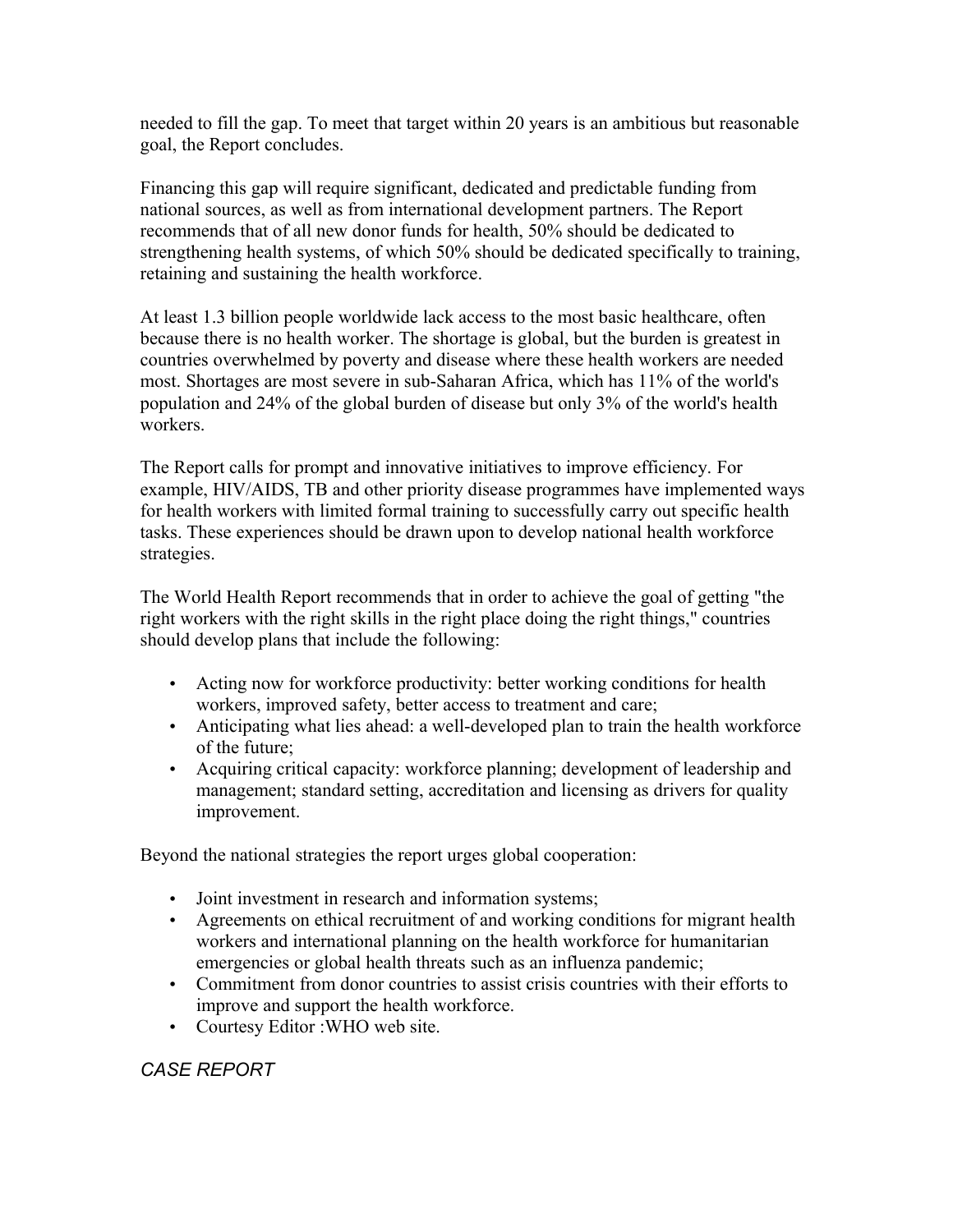needed to fill the gap. To meet that target within 20 years is an ambitious but reasonable goal, the Report concludes.

Financing this gap will require significant, dedicated and predictable funding from national sources, as well as from international development partners. The Report recommends that of all new donor funds for health, 50% should be dedicated to strengthening health systems, of which 50% should be dedicated specifically to training, retaining and sustaining the health workforce.

At least 1.3 billion people worldwide lack access to the most basic healthcare, often because there is no health worker. The shortage is global, but the burden is greatest in countries overwhelmed by poverty and disease where these health workers are needed most. Shortages are most severe in sub-Saharan Africa, which has 11% of the world's population and 24% of the global burden of disease but only 3% of the world's health workers.

The Report calls for prompt and innovative initiatives to improve efficiency. For example, HIV/AIDS, TB and other priority disease programmes have implemented ways for health workers with limited formal training to successfully carry out specific health tasks. These experiences should be drawn upon to develop national health workforce strategies.

The World Health Report recommends that in order to achieve the goal of getting "the right workers with the right skills in the right place doing the right things," countries should develop plans that include the following:

- Acting now for workforce productivity: better working conditions for health workers, improved safety, better access to treatment and care;
- Anticipating what lies ahead: a well-developed plan to train the health workforce of the future;
- Acquiring critical capacity: workforce planning; development of leadership and management; standard setting, accreditation and licensing as drivers for quality improvement.

Beyond the national strategies the report urges global cooperation:

- Joint investment in research and information systems;
- Agreements on ethical recruitment of and working conditions for migrant health workers and international planning on the health workforce for humanitarian emergencies or global health threats such as an influenza pandemic;
- Commitment from donor countries to assist crisis countries with their efforts to improve and support the health workforce.
- Courtesy Editor :WHO web site.

## *CASE REPORT*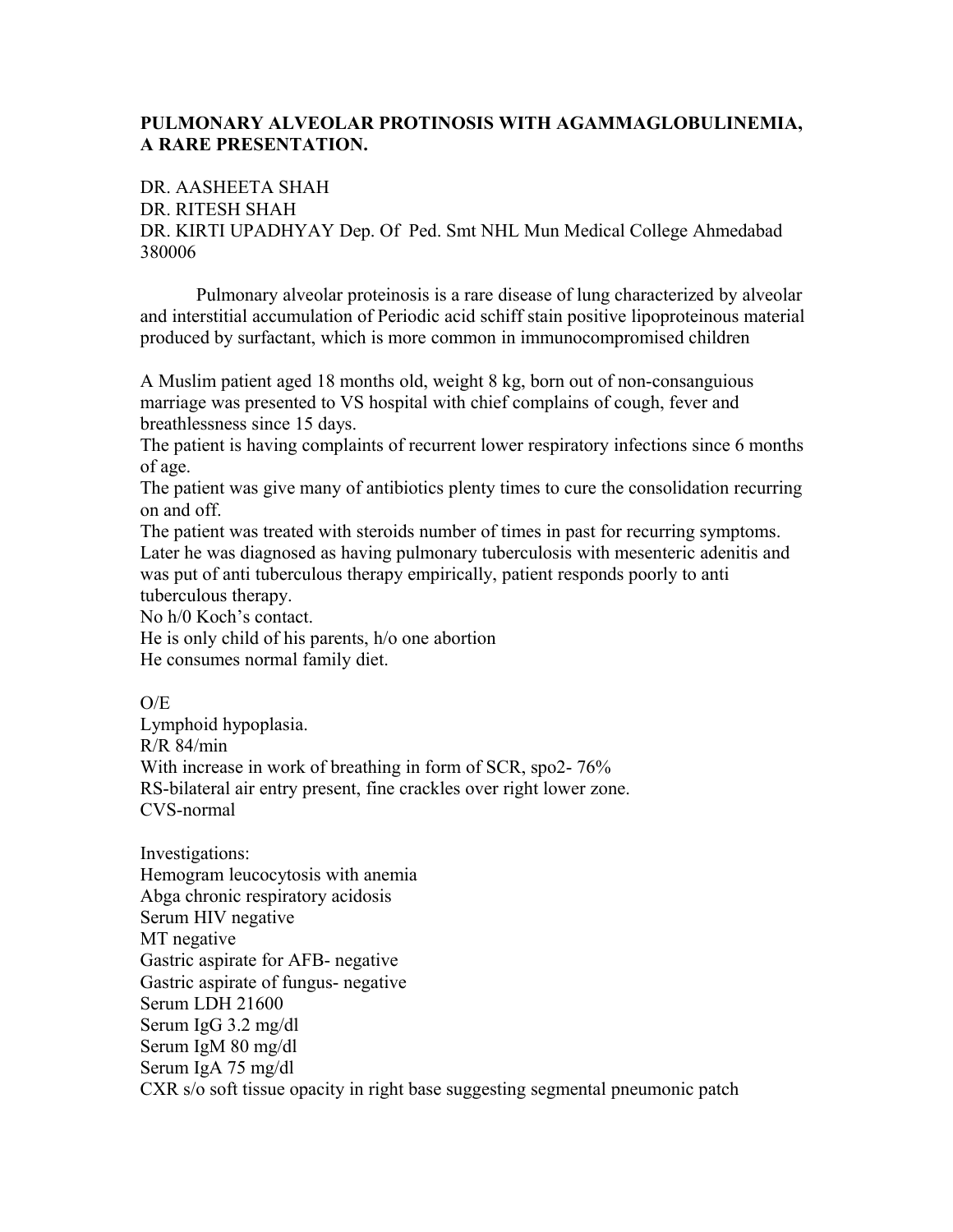## **PULMONARY ALVEOLAR PROTINOSIS WITH AGAMMAGLOBULINEMIA, A RARE PRESENTATION.**

DR. AASHEETA SHAH DR. RITESH SHAH DR. KIRTI UPADHYAY Dep. Of Ped. Smt NHL Mun Medical College Ahmedabad 380006

Pulmonary alveolar proteinosis is a rare disease of lung characterized by alveolar and interstitial accumulation of Periodic acid schiff stain positive lipoproteinous material produced by surfactant, which is more common in immunocompromised children

A Muslim patient aged 18 months old, weight 8 kg, born out of non-consanguious marriage was presented to VS hospital with chief complains of cough, fever and breathlessness since 15 days.

The patient is having complaints of recurrent lower respiratory infections since 6 months of age.

The patient was give many of antibiotics plenty times to cure the consolidation recurring on and off.

The patient was treated with steroids number of times in past for recurring symptoms. Later he was diagnosed as having pulmonary tuberculosis with mesenteric adenitis and was put of anti tuberculous therapy empirically, patient responds poorly to anti tuberculous therapy.

No h/0 Koch's contact.

He is only child of his parents, h/o one abortion He consumes normal family diet.

 $O/E$ Lymphoid hypoplasia. R/R 84/min With increase in work of breathing in form of SCR, spo2-  $76\%$ RS-bilateral air entry present, fine crackles over right lower zone. CVS-normal

Investigations: Hemogram leucocytosis with anemia Abga chronic respiratory acidosis Serum HIV negative MT negative Gastric aspirate for AFB- negative Gastric aspirate of fungus- negative Serum LDH 21600 Serum IgG 3.2 mg/dl Serum IgM 80 mg/dl Serum IgA 75 mg/dl CXR s/o soft tissue opacity in right base suggesting segmental pneumonic patch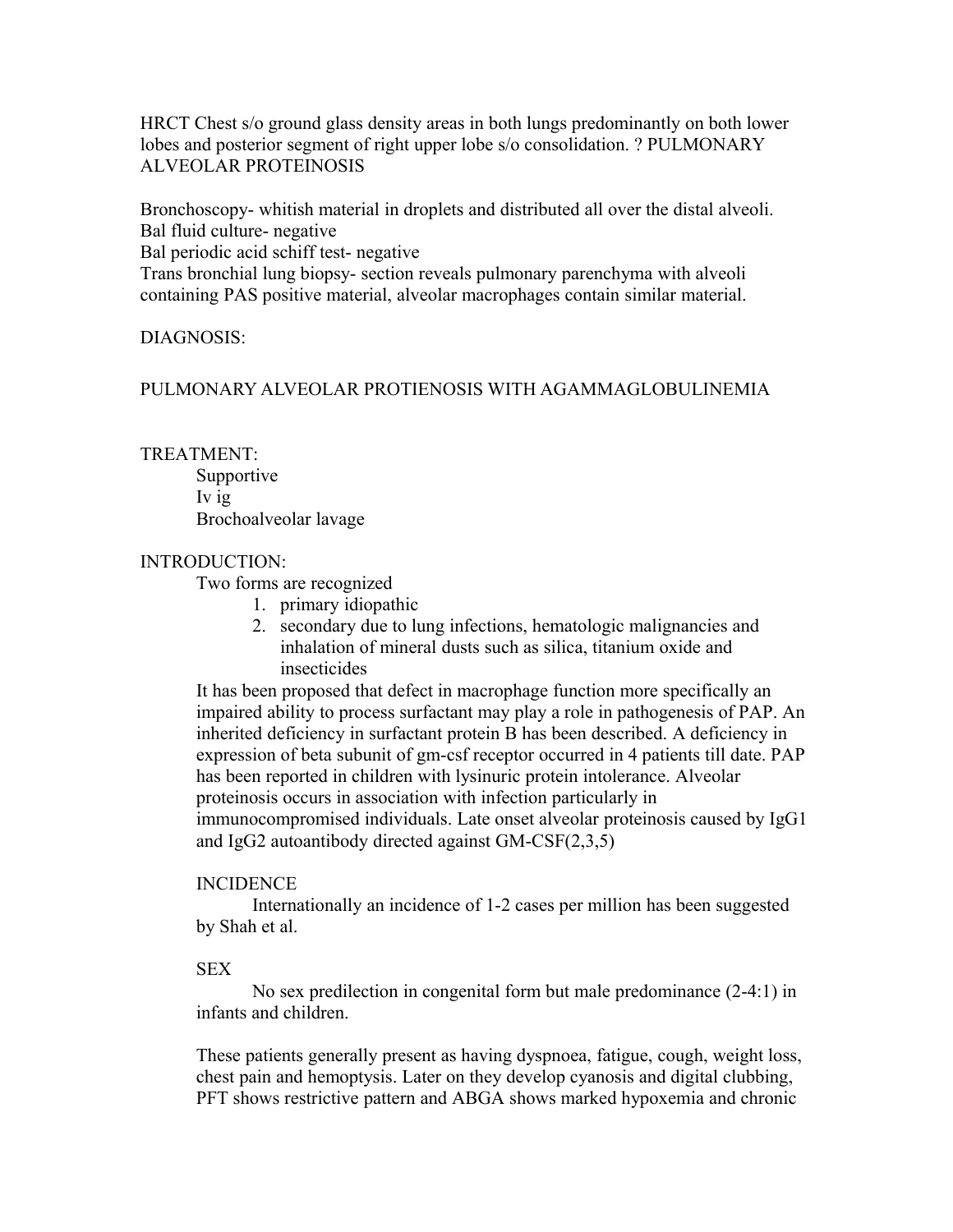HRCT Chest s/o ground glass density areas in both lungs predominantly on both lower lobes and posterior segment of right upper lobe s/o consolidation. ? PULMONARY ALVEOLAR PROTEINOSIS

Bronchoscopy- whitish material in droplets and distributed all over the distal alveoli. Bal fluid culture- negative

Bal periodic acid schiff test- negative

Trans bronchial lung biopsy- section reveals pulmonary parenchyma with alveoli containing PAS positive material, alveolar macrophages contain similar material.

## DIAGNOSIS:

## PULMONARY ALVEOLAR PROTIENOSIS WITH AGAMMAGLOBULINEMIA

#### TREATMENT:

Supportive Iv ig Brochoalveolar lavage

#### INTRODUCTION:

Two forms are recognized

- 1. primary idiopathic
- 2. secondary due to lung infections, hematologic malignancies and inhalation of mineral dusts such as silica, titanium oxide and insecticides

It has been proposed that defect in macrophage function more specifically an impaired ability to process surfactant may play a role in pathogenesis of PAP. An inherited deficiency in surfactant protein B has been described. A deficiency in expression of beta subunit of gm-csf receptor occurred in 4 patients till date. PAP has been reported in children with lysinuric protein intolerance. Alveolar proteinosis occurs in association with infection particularly in immunocompromised individuals. Late onset alveolar proteinosis caused by IgG1 and IgG2 autoantibody directed against GM-CSF(2,3,5)

## INCIDENCE

Internationally an incidence of 1-2 cases per million has been suggested by Shah et al.

#### **SEX**

No sex predilection in congenital form but male predominance (2-4:1) in infants and children.

These patients generally present as having dyspnoea, fatigue, cough, weight loss, chest pain and hemoptysis. Later on they develop cyanosis and digital clubbing, PFT shows restrictive pattern and ABGA shows marked hypoxemia and chronic